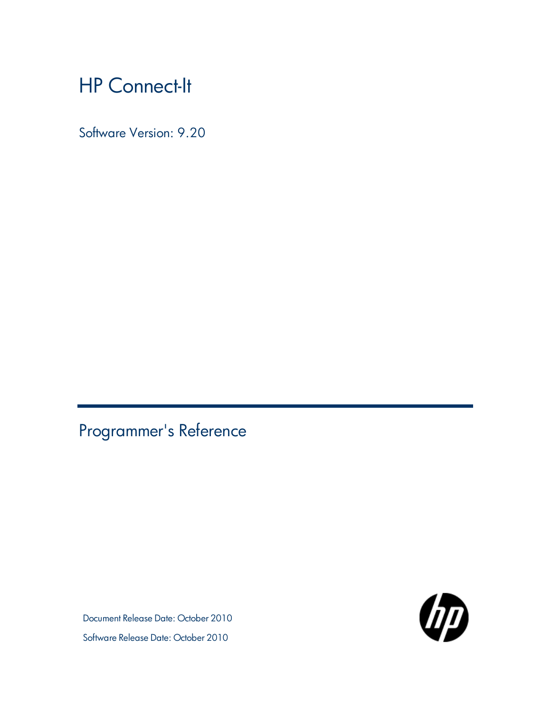# HP Connect-It

Software Version: 9.20

<span id="page-0-0"></span>Programmer's Reference

Document Release Date: October 2010 Software Release Date: October 2010

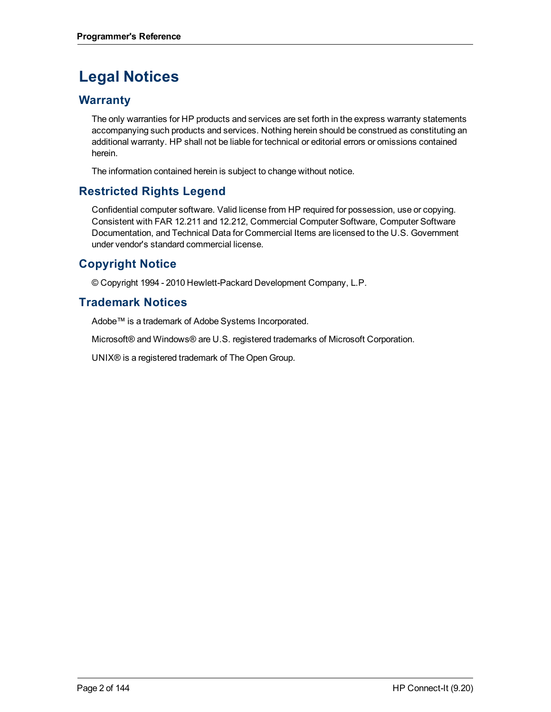# **Legal Notices**

## **Warranty**

The only warranties for HP products and services are set forth in the express warranty statements accompanying such products and services. Nothing herein should be construed as constituting an additional warranty. HP shall not be liable for technical or editorial errors or omissions contained herein.

The information contained herein is subject to change without notice.

# **Restricted Rights Legend**

Confidential computer software. Valid license from HP required for possession, use or copying. Consistent with FAR 12.211 and 12.212, Commercial Computer Software, Computer Software Documentation, and Technical Data for Commercial Items are licensed to the U.S. Government under vendor's standard commercial license.

# **Copyright Notice**

© Copyright 1994 - 2010 Hewlett-Packard Development Company, L.P.

## **Trademark Notices**

Adobe™ is a trademark of Adobe Systems Incorporated.

Microsoft® and Windows® are U.S. registered trademarks of Microsoft Corporation.

UNIX® is a registered trademark of The Open Group.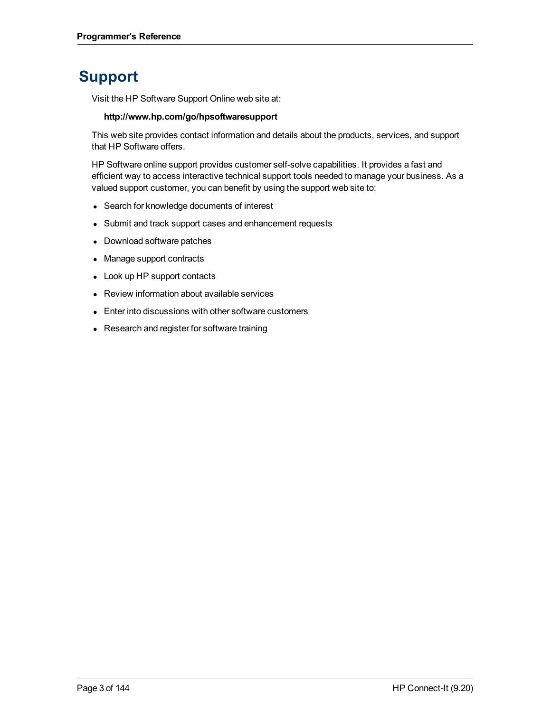# **Support**

Visit the HP Software Support Online web site at:

#### **http://www.hp.com/go/hpsoftwaresupport**

This web site provides contact information and details about the products, services, and support that HP Software offers.

HP Software online support provides customer self-solve capabilities. It provides a fast and efficient way to access interactive technical support tools needed to manage your business. As a valued support customer, you can benefit by using the support web site to:

- Search for knowledge documents of interest
- Submit and track support cases and enhancement requests
- Download software patches
- Manage support contracts
- Look up HP support contacts
- Review information about available services
- Enter into discussions with other software customers
- Research and register for software training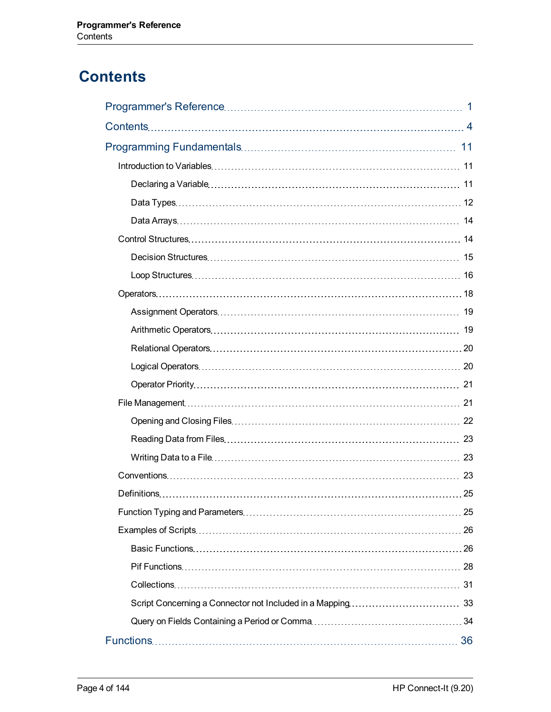# <span id="page-3-0"></span>**Contents**

| 21 |
|----|
|    |
|    |
|    |
|    |
|    |
| 25 |
|    |
|    |
|    |
|    |
|    |
|    |
|    |
|    |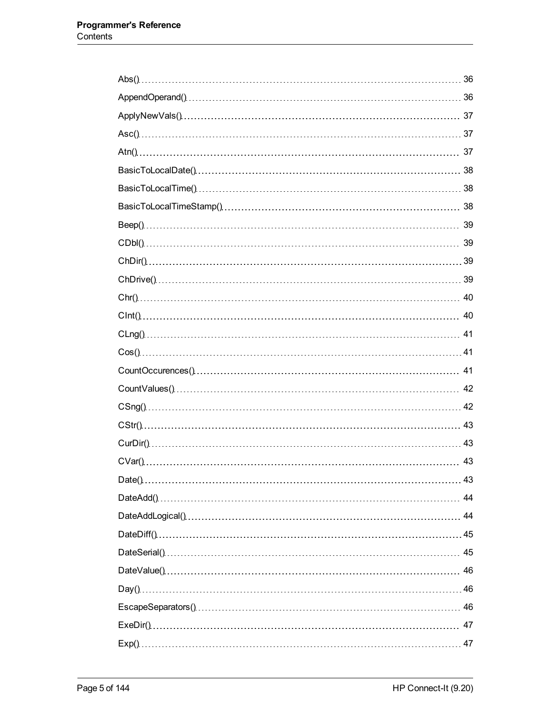| 43 |
|----|
|    |
|    |
|    |
|    |
|    |
|    |
|    |
|    |
|    |
|    |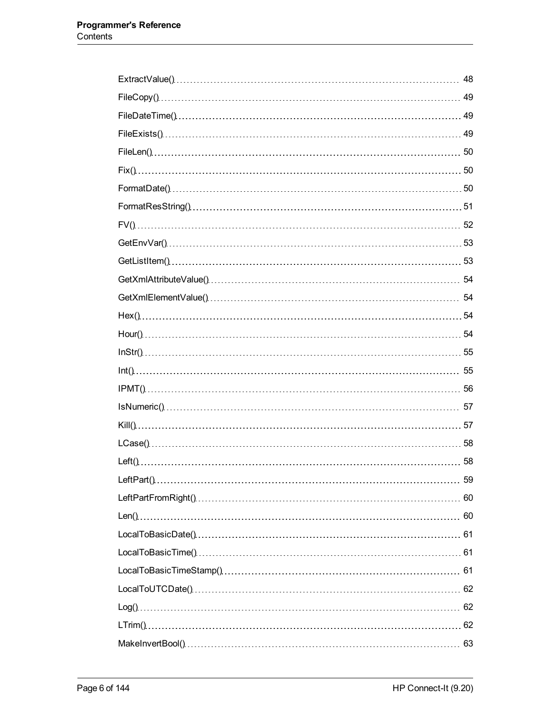| 48 |
|----|
| 49 |
|    |
|    |
|    |
|    |
|    |
|    |
|    |
|    |
|    |
|    |
|    |
|    |
|    |
|    |
|    |
|    |
|    |
|    |
|    |
|    |
|    |
|    |
|    |
|    |
|    |
|    |
|    |
|    |
|    |
|    |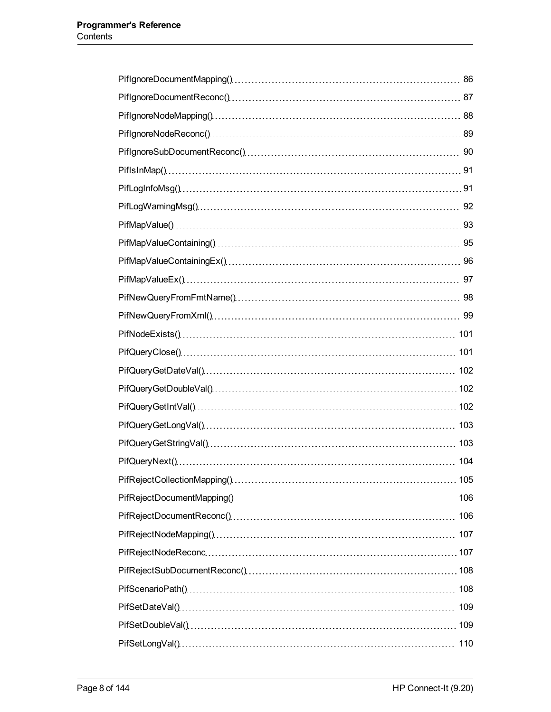| 109 |
|-----|
|     |
|     |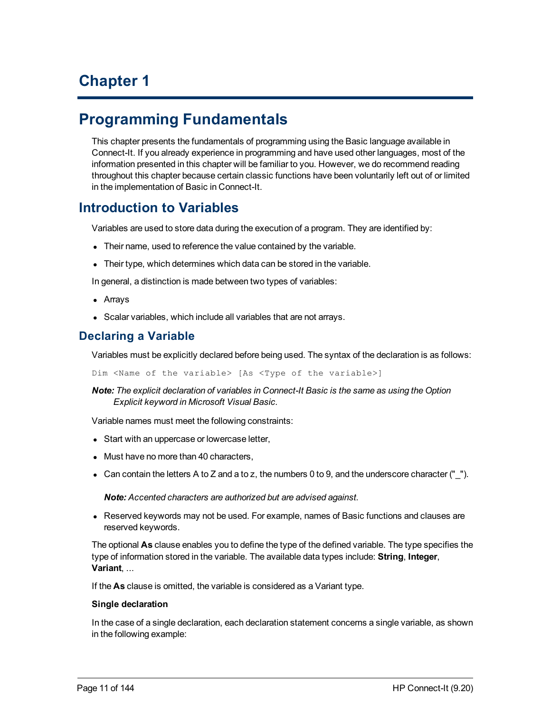# **Chapter 1**

# <span id="page-10-0"></span>**Programming Fundamentals**

This chapter presents the fundamentals of programming using the Basic language available in Connect-It. If you already experience in programming and have used other languages, most of the information presented in this chapter will be familiar to you. However, we do recommend reading throughout this chapter because certain classic functions have been voluntarily left out of or limited in the implementation of Basic in Connect-It.

# <span id="page-10-1"></span>**Introduction to Variables**

Variables are used to store data during the execution of a program. They are identified by:

- Their name, used to reference the value contained by the variable.
- Their type, which determines which data can be stored in the variable.

In general, a distinction is made between two types of variables:

- Arrays
- Scalar variables, which include all variables that are not arrays.

## <span id="page-10-2"></span>**Declaring a Variable**

Variables must be explicitly declared before being used. The syntax of the declaration is as follows:

Dim <Name of the variable> [As <Type of the variable>]

*Note: The explicit declaration of variables in Connect-It Basic is the same as using the Option Explicit keyword in Microsoft Visual Basic.*

Variable names must meet the following constraints:

- Start with an uppercase or lowercase letter,
- Must have no more than 40 characters,
- Can contain the letters A to Z and a to z, the numbers 0 to 9, and the underscore character ( $"$ \_").

*Note: Accented characters are authorized but are advised against.*

• Reserved keywords may not be used. For example, names of Basic functions and clauses are reserved keywords.

The optional **As** clause enables you to define the type of the defined variable. The type specifies the type of information stored in the variable. The available data types include: **String**, **Integer**, **Variant**, ...

If the **As** clause is omitted, the variable is considered as a Variant type.

#### **Single declaration**

In the case of a single declaration, each declaration statement concerns a single variable, as shown in the following example: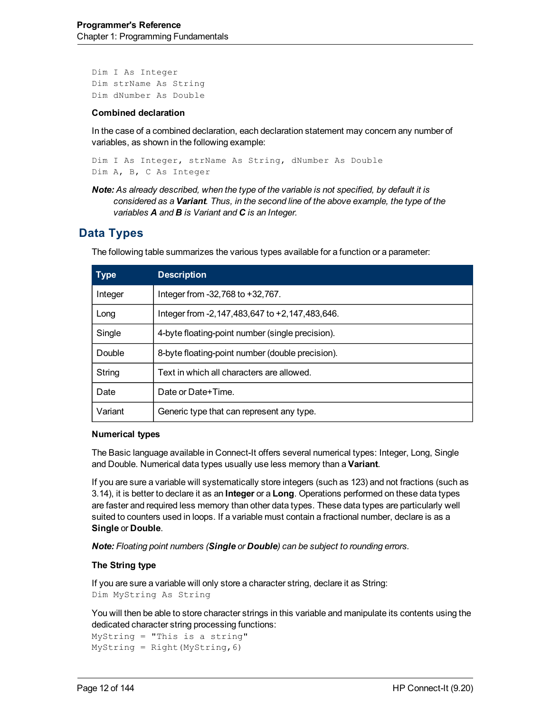```
Dim I As Integer
Dim strName As String
Dim dNumber As Double
```
#### **Combined declaration**

In the case of a combined declaration, each declaration statement may concern any number of variables, as shown in the following example:

Dim I As Integer, strName As String, dNumber As Double Dim A, B, C As Integer

*Note: As already described, when the type of the variable is not specified, by default it is considered as a Variant. Thus, in the second line of the above example, the type of the variables A and B is Variant and C is an Integer.*

### <span id="page-11-0"></span>**Data Types**

| <b>Type</b> | <b>Description</b>                                   |
|-------------|------------------------------------------------------|
| Integer     | Integer from -32,768 to +32,767.                     |
| Long        | Integer from -2, 147, 483, 647 to +2, 147, 483, 646. |
| Single      | 4-byte floating-point number (single precision).     |
| Double      | 8-byte floating-point number (double precision).     |
| String      | Text in which all characters are allowed.            |
| Date        | Date or Date+Time.                                   |
| Variant     | Generic type that can represent any type.            |

The following table summarizes the various types available for a function or a parameter:

#### **Numerical types**

The Basic language available in Connect-It offers several numerical types: Integer, Long, Single and Double. Numerical data types usually use less memory than a **Variant**.

If you are sure a variable will systematically store integers (such as 123) and not fractions (such as 3.14), it is better to declare it as an **Integer** or a **Long**. Operations performed on these data types are faster and required less memory than other data types. These data types are particularly well suited to counters used in loops. If a variable must contain a fractional number, declare is as a **Single** or **Double**.

*Note: Floating point numbers (Single or Double) can be subject to rounding errors.*

#### **The String type**

If you are sure a variable will only store a character string, declare it as String: Dim MyString As String

You will then be able to store character strings in this variable and manipulate its contents using the dedicated character string processing functions:

MyString = "This is a string" MyString = Right(MyString,6)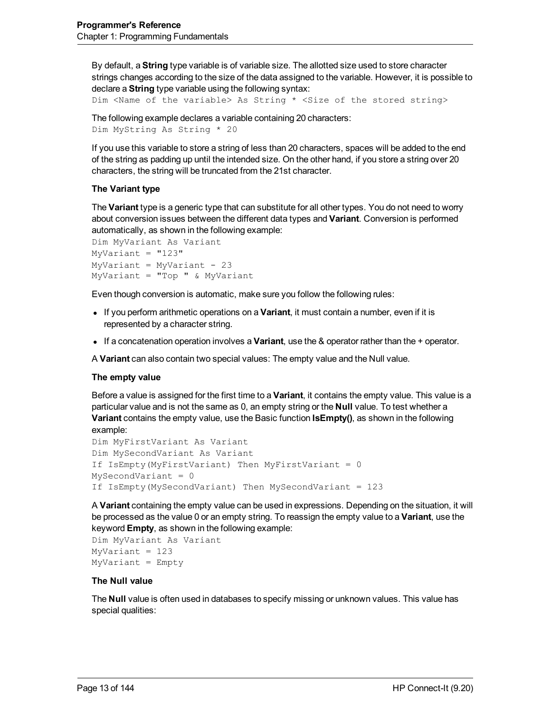By default, a **String** type variable is of variable size. The allotted size used to store character strings changes according to the size of the data assigned to the variable. However, it is possible to declare a **String** type variable using the following syntax:

```
Dim <Name of the variable> As String * <Size of the stored string>
```

```
The following example declares a variable containing 20 characters:
Dim MyString As String * 20
```
If you use this variable to store a string of less than 20 characters, spaces will be added to the end of the string as padding up until the intended size. On the other hand, if you store a string over 20 characters, the string will be truncated from the 21st character.

#### **The Variant type**

The **Variant** type is a generic type that can substitute for all other types. You do not need to worry about conversion issues between the different data types and **Variant**. Conversion is performed automatically, as shown in the following example:

```
Dim MyVariant As Variant
MyVariant = "123"MyVariant = MyVariant - 23
MyVariant = "Top " & MyVariant
```
Even though conversion is automatic, make sure you follow the following rules:

- **.** If you perform arithmetic operations on a Variant, it must contain a number, even if it is represented by a character string.
- **If a concatenation operation involves a Variant, use the & operator rather than the + operator.**

A **Variant** can also contain two special values: The empty value and the Null value.

#### **The empty value**

Before a value is assigned for the first time to a **Variant**, it contains the empty value. This value is a particular value and is not the same as 0, an empty string or the **Null** value. To test whether a **Variant** contains the empty value, use the Basic function **IsEmpty()**, as shown in the following example:

```
Dim MyFirstVariant As Variant
Dim MySecondVariant As Variant
If IsEmpty(MyFirstVariant) Then MyFirstVariant = 0
MySecondVariant = 0
If IsEmpty(MySecondVariant) Then MySecondVariant = 123
```
A **Variant** containing the empty value can be used in expressions. Depending on the situation, it will be processed as the value 0 or an empty string. To reassign the empty value to a **Variant**, use the keyword **Empty**, as shown in the following example:

```
Dim MyVariant As Variant
MyVariant = 123
MyVariant = Empty
```
#### **The Null value**

The **Null** value is often used in databases to specify missing or unknown values. This value has special qualities: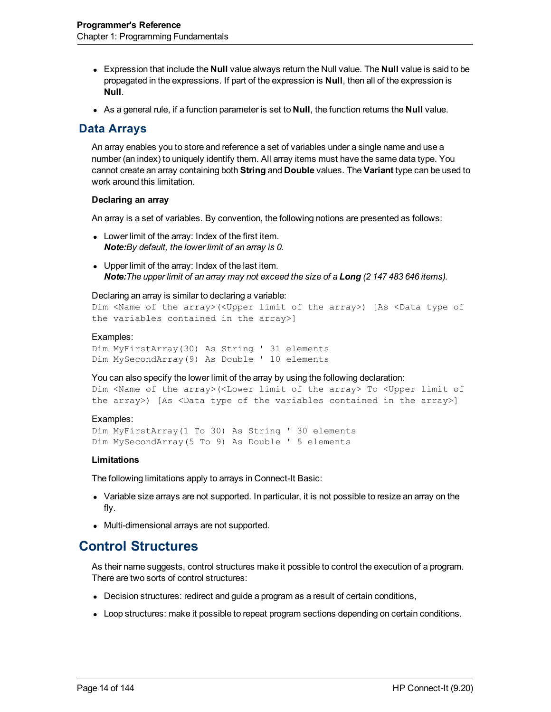- **Expression that include the Null** value always return the Null value. The **Null** value is said to be propagated in the expressions. If part of the expression is **Null**, then all of the expression is **Null**.
- <span id="page-13-0"></span>• As a general rule, if a function parameter is set to **Null**, the function returns the **Null** value.

### **Data Arrays**

An array enables you to store and reference a set of variables under a single name and use a number (an index) to uniquely identify them. All array items must have the same data type. You cannot create an array containing both **String** and **Double** values. The **Variant** type can be used to work around this limitation.

#### **Declaring an array**

An array is a set of variables. By convention, the following notions are presented as follows:

- Lower limit of the array: Index of the first item. *Note:By default, the lower limit of an array is 0.*
- $\bullet$  Upper limit of the array: Index of the last item. Note: The upper limit of an array may not exceed the size of a Long (2 147 483 646 items).

#### Declaring an array is similar to declaring a variable:

```
Dim <Name of the array>(<Upper limit of the array>) [As <Data type of
the variables contained in the array>]
```
#### Examples:

Dim MyFirstArray(30) As String ' 31 elements Dim MySecondArray(9) As Double ' 10 elements

#### You can also specify the lower limit of the array by using the following declaration:

```
Dim <Name of the array>(<Lower limit of the array> To <Upper limit of
the array>) [As <Data type of the variables contained in the array>]
```
#### Examples:

```
Dim MyFirstArray(1 To 30) As String ' 30 elements
Dim MySecondArray(5 To 9) As Double ' 5 elements
```
#### **Limitations**

The following limitations apply to arrays in Connect-It Basic:

- Variable size arrays are not supported. In particular, it is not possible to resize an array on the fly.
- <span id="page-13-1"></span>• Multi-dimensional arrays are not supported.

# **Control Structures**

As their name suggests, control structures make it possible to control the execution of a program. There are two sorts of control structures:

- Decision structures: redirect and guide a program as a result of certain conditions,
- Loop structures: make it possible to repeat program sections depending on certain conditions.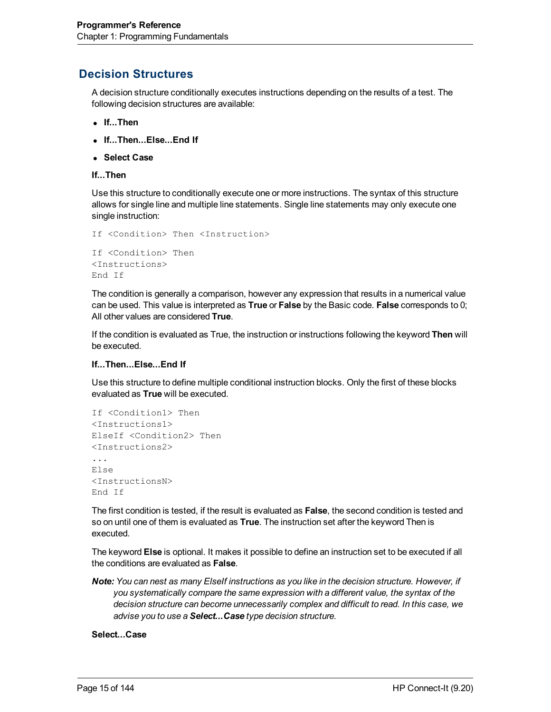# <span id="page-14-0"></span>**Decision Structures**

A decision structure conditionally executes instructions depending on the results of a test. The following decision structures are available:

- <sup>l</sup> **If...Then**
- <sup>l</sup> **If...Then...Else...End If**
- <sup>l</sup> **Select Case**
- **If...Then**

Use this structure to conditionally execute one or more instructions. The syntax of this structure allows for single line and multiple line statements. Single line statements may only execute one single instruction:

```
If <Condition> Then <Instruction>
If <Condition> Then
<Instructions>
End If
```
The condition is generally a comparison, however any expression that results in a numerical value can be used. This value is interpreted as **True** or **False** by the Basic code. **False** corresponds to 0; All other values are considered **True**.

If the condition is evaluated as True, the instruction or instructions following the keyword **Then** will be executed.

#### **If...Then...Else...End If**

Use this structure to define multiple conditional instruction blocks. Only the first of these blocks evaluated as **True** will be executed.

```
If <Condition1> Then
<Instructions1>
ElseIf <Condition2> Then
<Instructions2>
...
Else
<InstructionsN>
End If
```
The first condition is tested, if the result is evaluated as **False**, the second condition is tested and so on until one of them is evaluated as **True**. The instruction set after the keyword Then is executed.

The keyword **Else** is optional. It makes it possible to define an instruction set to be executed if all the conditions are evaluated as **False**.

*Note: You can nest as many ElseIf instructions as you like in the decision structure. However, if you systematically compare the same expression with a different value, the syntax of the decision structure can become unnecessarily complex and difficult to read. In this case, we advise you to use a Select...Case type decision structure.*

**Select...Case**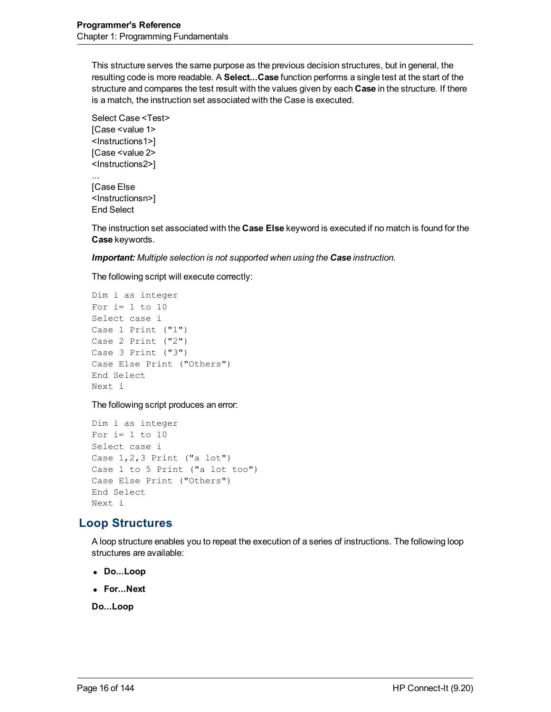This structure serves the same purpose as the previous decision structures, but in general, the resulting code is more readable. A **Select...Case** function performs a single test at the start of the structure and compares the test result with the values given by each **Case** in the structure. If there is a match, the instruction set associated with the Case is executed.

Select Case <Test> [Case <value 1> <Instructions1>] [Case <value 2> <Instructions2>]

[Case Else <Instructionsn>] End Select

...

The instruction set associated with the **Case Else** keyword is executed if no match is found for the **Case** keywords.

*Important: Multiple selection is not supported when using the Case instruction.*

The following script will execute correctly:

```
Dim i as integer
For i=1 to 10
Select case i
Case 1 Print ("1")
Case 2 Print ("2")
Case 3 Print ("3")
Case Else Print ("Others")
End Select
Next i
```
The following script produces an error:

```
Dim i as integer
For i=1 to 10Select case i
Case 1,2,3 Print ("a lot")
Case 1 to 5 Print ("a lot too")
Case Else Print ("Others")
End Select
Next i
```
# <span id="page-15-0"></span>**Loop Structures**

A loop structure enables you to repeat the execution of a series of instructions. The following loop structures are available:

- Do...Loop
- <sup>l</sup> **For...Next**

**Do...Loop**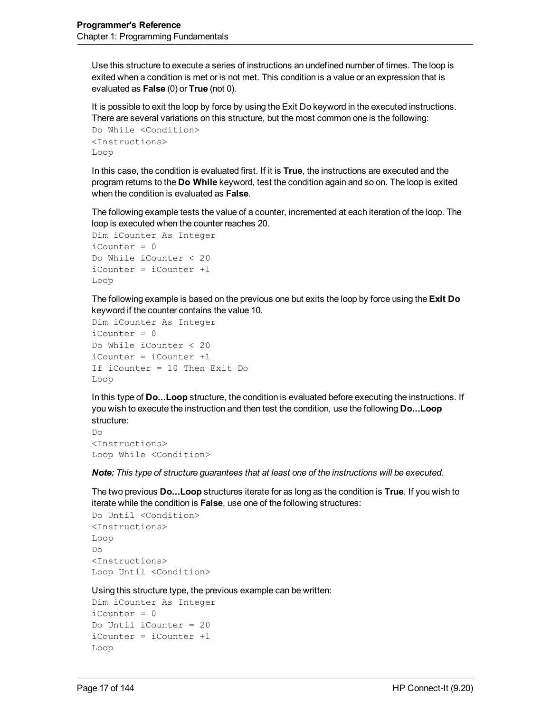Use this structure to execute a series of instructions an undefined number of times. The loop is exited when a condition is met or is not met. This condition is a value or an expression that is evaluated as **False** (0) or **True** (not 0).

It is possible to exit the loop by force by using the Exit Do keyword in the executed instructions. There are several variations on this structure, but the most common one is the following:

```
Do While <Condition>
<Instructions>
Loop
```
In this case, the condition is evaluated first. If it is **True**, the instructions are executed and the program returns to the **Do While** keyword, test the condition again and so on. The loop is exited when the condition is evaluated as **False**.

The following example tests the value of a counter, incremented at each iteration of the loop. The loop is executed when the counter reaches 20.

```
Dim iCounter As Integer
iCounter = 0Do While iCounter < 20
iCounter = iCounter +1
Loop
```
The following example is based on the previous one but exits the loop by force using the **Exit Do** keyword if the counter contains the value 10.

```
Dim iCounter As Integer
iCounter = 0
Do While iCounter < 20
iCounter = iCounter +1
If iCounter = 10 Then Exit Do
Loop
```
In this type of **Do...Loop** structure, the condition is evaluated before executing the instructions. If you wish to execute the instruction and then test the condition, use the following **Do...Loop** structure:

Do <Instructions> Loop While <Condition>

*Note: This type of structure guarantees that at least one of the instructions will be executed.*

The two previous **Do...Loop** structures iterate for as long as the condition is **True**. If you wish to iterate while the condition is **False**, use one of the following structures:

```
Do Until <Condition>
<Instructions>
Loop
D<sub>O</sub><Instructions>
Loop Until <Condition>
```
Using this structure type, the previous example can be written:

```
Dim iCounter As Integer
iCounter = 0Do Until iCounter = 20
iCounter = iCounter +1
Loop
```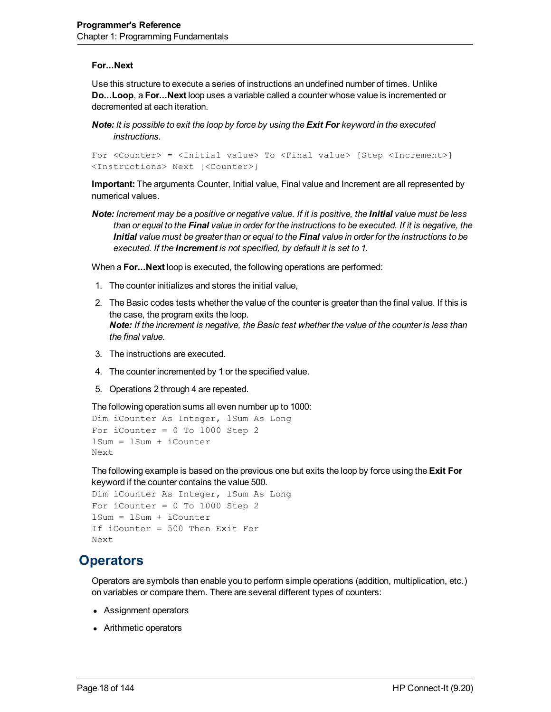#### **For...Next**

Use this structure to execute a series of instructions an undefined number of times. Unlike **Do...Loop**, a **For...Next** loop uses a variable called a counter whose value is incremented or decremented at each iteration.

**Note:** It is possible to exit the loop by force by using the **Exit For** keyword in the executed *instructions.*

For <Counter> = <Initial value> To <Final value> [Step <Increment>] <Instructions> Next [<Counter>]

**Important:** The arguments Counter, Initial value, Final value and Increment are all represented by numerical values.

Note: Increment may be a positive or negative value. If it is positive, the Initial value must be less than or equal to the Final value in order for the instructions to be executed. If it is negative, the Initial value must be greater than or equal to the Final value in order for the instructions to be *executed. If the Increment is not specified, by default it is set to 1.*

When a **For...Next** loop is executed, the following operations are performed:

- 1. The counter initializes and stores the initial value,
- 2. The Basic codes tests whether the value of the counter is greater than the final value. If this is the case, the program exits the loop. *Note: If the increment is negative, the Basic test whether the value of the counter is less than the final value.*
- 3. The instructions are executed.
- 4. The counter incremented by 1 or the specified value.
- 5. Operations 2 through 4 are repeated.

The following operation sums all even number up to 1000:

```
Dim iCounter As Integer, lSum As Long
For iCounter = 0 To 1000 Step 2
lSum = lSum + iCounter
Next
```
The following example is based on the previous one but exits the loop by force using the **Exit For** keyword if the counter contains the value 500.

```
Dim iCounter As Integer, lSum As Long
For iCounter = 0 To 1000 Step 2
lSum = lSum + iCounter
If iCounter = 500 Then Exit For
Next
```
# <span id="page-17-0"></span>**Operators**

Operators are symbols than enable you to perform simple operations (addition, multiplication, etc.) on variables or compare them. There are several different types of counters:

- Assignment operators
- Arithmetic operators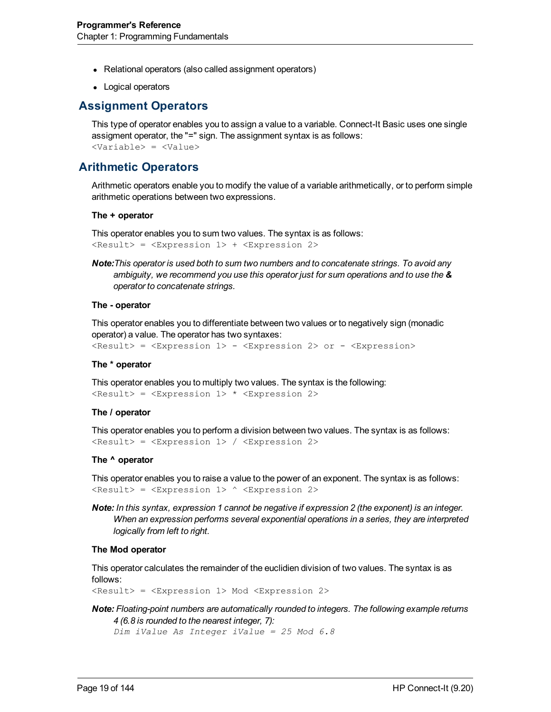- Relational operators (also called assignment operators)
- <span id="page-18-0"></span>• Logical operators

### **Assignment Operators**

This type of operator enables you to assign a value to a variable. Connect-It Basic uses one single assigment operator, the "=" sign. The assignment syntax is as follows: <Variable> = <Value>

# <span id="page-18-1"></span>**Arithmetic Operators**

Arithmetic operators enable you to modify the value of a variable arithmetically, or to perform simple arithmetic operations between two expressions.

#### **The + operator**

This operator enables you to sum two values. The syntax is as follows: <Result> = <Expression 1> + <Expression 2>

*Note:This operator is used both to sum two numbers and to concatenate strings. To avoid any ambiguity, we recommend you use this operator just for sum operations and to use the & operator to concatenate strings.*

#### **The - operator**

This operator enables you to differentiate between two values or to negatively sign (monadic operator) a value. The operator has two syntaxes:

```
<Result> = <Expression 1> - <Expression 2> or - <Expression>
```
#### **The \* operator**

This operator enables you to multiply two values. The syntax is the following: <Result> = <Expression 1> \* <Expression 2>

#### **The / operator**

This operator enables you to perform a division between two values. The syntax is as follows: <Result> = <Expression 1> / <Expression 2>

#### **The ^ operator**

This operator enables you to raise a value to the power of an exponent. The syntax is as follows: <Result> = <Expression 1> ^ <Expression 2>

*Note: In this syntax, expression 1 cannot be negative if expression 2 (the exponent) is an integer. When an expression performs several exponential operations in a series, they are interpreted logically from left to right.*

#### **The Mod operator**

This operator calculates the remainder of the euclidien division of two values. The syntax is as follows:

<Result> = <Expression 1> Mod <Expression 2>

## *Note: Floating-point numbers are automatically rounded to integers. The following example returns 4 (6.8 is rounded to the nearest integer, 7):*

*Dim iValue As Integer iValue = 25 Mod 6.8*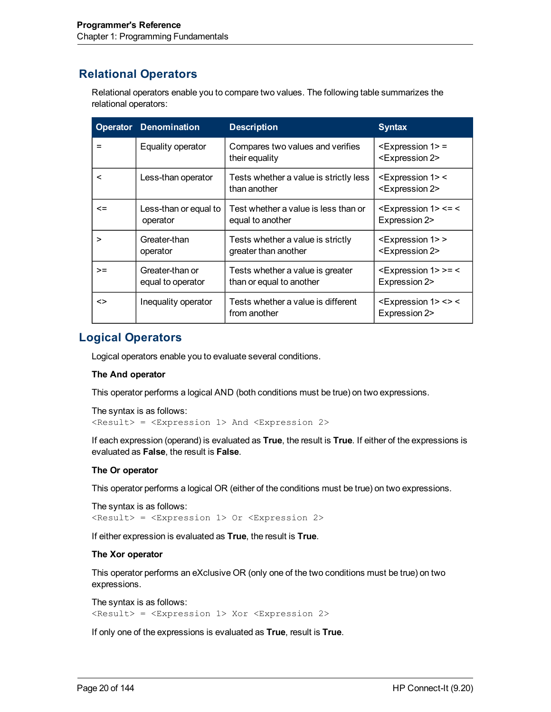# <span id="page-19-0"></span>**Relational Operators**

Relational operators enable you to compare two values. The following table summarizes the relational operators:

| <b>Operator</b> | <b>Denomination</b>                  | <b>Description</b>                                           | <b>Syntax</b>                                                          |
|-----------------|--------------------------------------|--------------------------------------------------------------|------------------------------------------------------------------------|
|                 | Equality operator                    | Compares two values and verifies<br>their equality           | $<$ Expression 1> =<br><expression 2=""></expression>                  |
| <               | Less-than operator                   | Tests whether a value is strictly less<br>than another       | $\leq$ Expression 1> $\leq$<br><expression 2=""></expression>          |
| $\leq$          | Less-than or equal to<br>operator    | Test whether a value is less than or<br>equal to another     | $<$ Expression 1> $<$ = $<$<br>Expression 2>                           |
| ⋗               | Greater-than<br>operator             | Tests whether a value is strictly<br>greater than another    | <expression 1=""> &gt;<br/><expression 2=""></expression></expression> |
| $>=$            | Greater-than or<br>equal to operator | Tests whether a value is greater<br>than or equal to another | $<$ Expression 1> >= $<$<br>Expression 2>                              |
| <>              | Inequality operator                  | Tests whether a value is different<br>from another           | $<$ Expression 1> $<$ > $<$<br>Expression 2>                           |

## <span id="page-19-1"></span>**Logical Operators**

Logical operators enable you to evaluate several conditions.

#### **The And operator**

This operator performs a logical AND (both conditions must be true) on two expressions.

```
The syntax is as follows:
<Result> = <Expression 1> And <Expression 2>
```
If each expression (operand) is evaluated as **True**, the result is **True**. If either of the expressions is evaluated as **False**, the result is **False**.

#### **The Or operator**

This operator performs a logical OR (either of the conditions must be true) on two expressions.

```
The syntax is as follows:
<Result> = <Expression 1> Or <Expression 2>
```
If either expression is evaluated as **True**, the result is **True**.

#### **The Xor operator**

This operator performs an eXclusive OR (only one of the two conditions must be true) on two expressions.

The syntax is as follows: <Result> = <Expression 1> Xor <Expression 2>

If only one of the expressions is evaluated as **True**, result is **True**.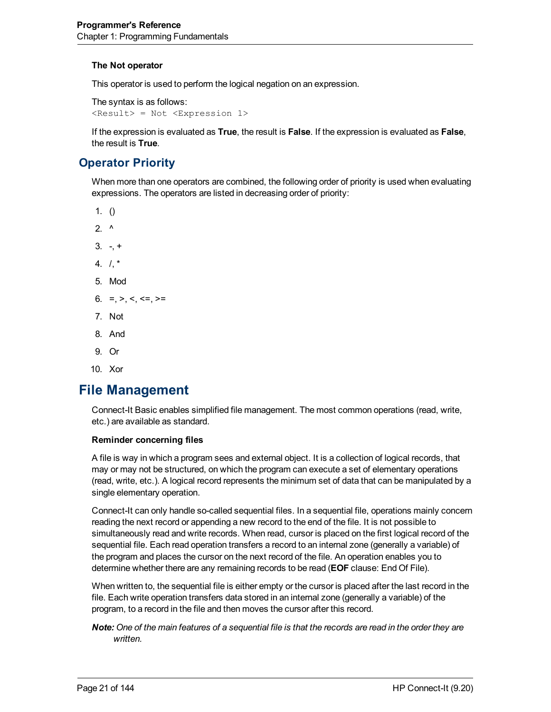#### **The Not operator**

This operator is used to perform the logical negation on an expression.

The syntax is as follows: <Result> = Not <Expression 1>

If the expression is evaluated as **True**, the result is **False**. If the expression is evaluated as **False**, the result is **True**.

# <span id="page-20-0"></span>**Operator Priority**

When more than one operators are combined, the following order of priority is used when evaluating expressions. The operators are listed in decreasing order of priority:

- 1.  $()$
- $2^{\lambda}$
- $3. +$
- 4.  $1.*$
- 5. Mod
- 6. =,  $>$ ,  $<$ ,  $<$ =,  $>$ =
- 7. Not
- 8. And
- 9. Or
- <span id="page-20-1"></span>10. Xor

# **File Management**

Connect-It Basic enables simplified file management. The most common operations (read, write, etc.) are available as standard.

#### **Reminder concerning files**

A file is way in which a program sees and external object. It is a collection of logical records, that may or may not be structured, on which the program can execute a set of elementary operations (read, write, etc.). A logical record represents the minimum set of data that can be manipulated by a single elementary operation.

Connect-It can only handle so-called sequential files. In a sequential file, operations mainly concern reading the next record or appending a new record to the end of the file. It is not possible to simultaneously read and write records. When read, cursor is placed on the first logical record of the sequential file. Each read operation transfers a record to an internal zone (generally a variable) of the program and places the cursor on the next record of the file. An operation enables you to determine whether there are any remaining records to be read (**EOF** clause: End Of File).

When written to, the sequential file is either empty or the cursor is placed after the last record in the file. Each write operation transfers data stored in an internal zone (generally a variable) of the program, to a record in the file and then moves the cursor after this record.

Note: One of the main features of a sequential file is that the records are read in the order they are *written.*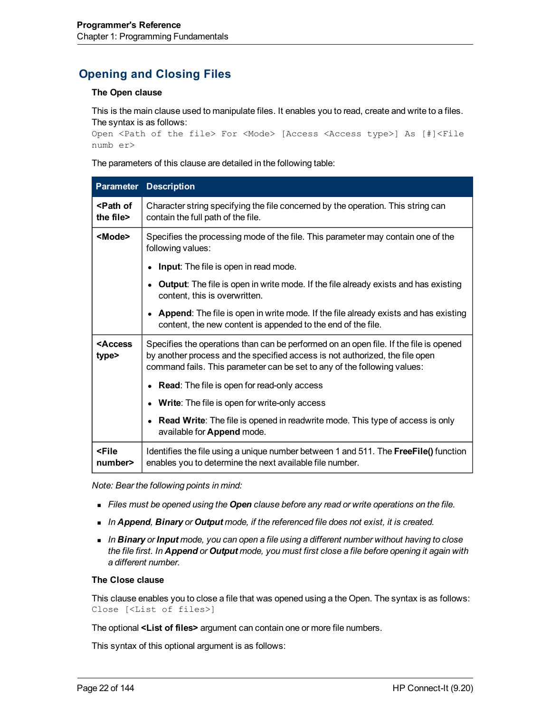# <span id="page-21-0"></span>**Opening and Closing Files**

#### **The Open clause**

This is the main clause used to manipulate files. It enables you to read, create and write to a files. The syntax is as follows:

Open <Path of the file> For <Mode> [Access <Access type>] As [#]<File numb er>

The parameters of this clause are detailed in the following table:

| <b>Parameter</b>                   | <b>Description</b>                                                                                                                                                                                                                                |
|------------------------------------|---------------------------------------------------------------------------------------------------------------------------------------------------------------------------------------------------------------------------------------------------|
| <path of<br="">the file&gt;</path> | Character string specifying the file concerned by the operation. This string can<br>contain the full path of the file.                                                                                                                            |
| <mode></mode>                      | Specifies the processing mode of the file. This parameter may contain one of the<br>following values:                                                                                                                                             |
|                                    | <b>Input:</b> The file is open in read mode.<br>$\bullet$                                                                                                                                                                                         |
|                                    | Output: The file is open in write mode. If the file already exists and has existing<br>content, this is overwritten.                                                                                                                              |
|                                    | • Append: The file is open in write mode. If the file already exists and has existing<br>content, the new content is appended to the end of the file.                                                                                             |
| <access<br>type&gt;</access<br>    | Specifies the operations than can be performed on an open file. If the file is opened<br>by another process and the specified access is not authorized, the file open<br>command fails. This parameter can be set to any of the following values: |
|                                    | <b>Read:</b> The file is open for read-only access<br>$\bullet$                                                                                                                                                                                   |
|                                    | Write: The file is open for write-only access<br>٠                                                                                                                                                                                                |
|                                    | <b>Read Write:</b> The file is opened in readwrite mode. This type of access is only<br>$\bullet$<br>available for Append mode.                                                                                                                   |
| <file<br>number&gt;</file<br>      | Identifies the file using a unique number between 1 and 511. The FreeFile() function<br>enables you to determine the next available file number.                                                                                                  |

*Note: Bear the following points in mind:*

- <sup>n</sup> *Files must be opened using the Open clause before any read or write operations on the file.*
- <sup>n</sup> *In Append, Binary or Output mode, if the referenced file does not exist, it is created.*
- <sup>n</sup> *In Binary or Input mode, you can open a file using a different number without having to close* the file first. In Append or Output mode, you must first close a file before opening it again with *a different number.*

#### **The Close clause**

This clause enables you to close a file that was opened using a the Open. The syntax is as follows: Close [<List of files>]

The optional **<List of files>** argument can contain one or more file numbers.

This syntax of this optional argument is as follows: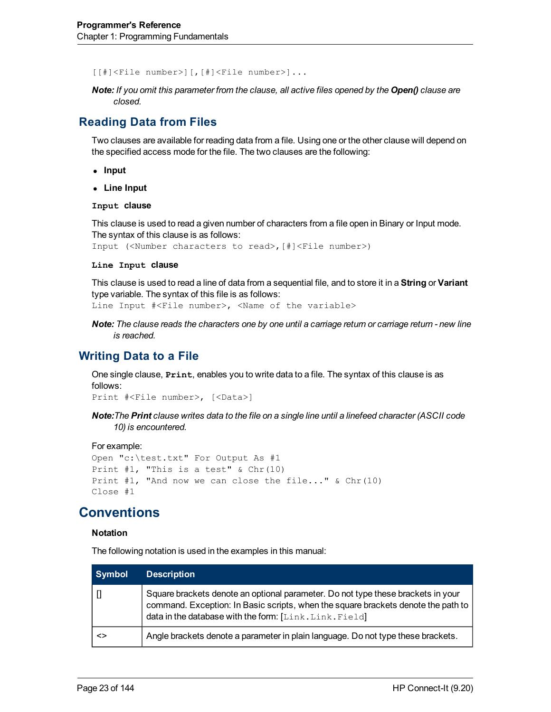[[#]<File number>][,[#]<File number>]...

*Note: If you omit this parameter from the clause, all active files opened by the Open() clause are closed.*

# <span id="page-22-0"></span>**Reading Data from Files**

Two clauses are available for reading data from a file. Using one or the other clause will depend on the specified access mode for the file. The two clauses are the following:

- **Input**
- <sup>l</sup> **Line Input**

**Input clause**

This clause is used to read a given number of characters from a file open in Binary or Input mode. The syntax of this clause is as follows:

Input (<Number characters to read>,[#]<File number>)

#### **Line Input clause**

This clause is used to read a line of data from a sequential file, and to store it in a **String** or **Variant** type variable. The syntax of this file is as follows:

Line Input #<File number>, <Name of the variable>

Note: The clause reads the characters one by one until a carriage return or carriage return - new line *is reached.*

#### <span id="page-22-1"></span>**Writing Data to a File**

One single clause, **Print**, enables you to write data to a file. The syntax of this clause is as follows:

Print #<File number>, [<Data>]

Note: The Print clause writes data to the file on a single line until a linefeed character (ASCII code *10) is encountered.*

#### For example:

```
Open "c:\test.txt" For Output As #1
Print #1, "This is a test" & Chr(10)
Print #1, "And now we can close the file..." & Chr(10)
Close #1
```
# <span id="page-22-2"></span>**Conventions**

#### **Notation**

The following notation is used in the examples in this manual:

| Symbol | <b>Description</b>                                                                                                                                                                                                             |
|--------|--------------------------------------------------------------------------------------------------------------------------------------------------------------------------------------------------------------------------------|
|        | Square brackets denote an optional parameter. Do not type these brackets in your<br>command. Exception: In Basic scripts, when the square brackets denote the path to<br>data in the database with the form: [Link.Link.Field] |
| <>     | Angle brackets denote a parameter in plain language. Do not type these brackets.                                                                                                                                               |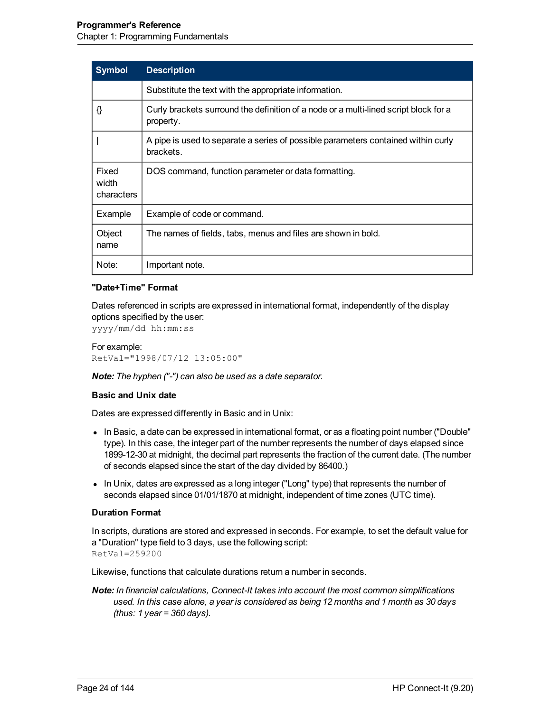| <b>Symbol</b>                | <b>Description</b>                                                                                |
|------------------------------|---------------------------------------------------------------------------------------------------|
|                              | Substitute the text with the appropriate information.                                             |
| {}                           | Curly brackets surround the definition of a node or a multi-lined script block for a<br>property. |
|                              | A pipe is used to separate a series of possible parameters contained within curly<br>brackets.    |
| Fixed<br>width<br>characters | DOS command, function parameter or data formatting.                                               |
| Example                      | Example of code or command.                                                                       |
| Object<br>name               | The names of fields, tabs, menus and files are shown in bold.                                     |
| Note:                        | Important note.                                                                                   |

#### **"Date+Time" Format**

Dates referenced in scripts are expressed in international format, independently of the display options specified by the user:

yyyy/mm/dd hh:mm:ss

For example: RetVal="1998/07/12 13:05:00"

*Note: The hyphen ("-") can also be used as a date separator.*

#### **Basic and Unix date**

Dates are expressed differently in Basic and in Unix:

- In Basic, a date can be expressed in international format, or as a floating point number ("Double" type). In this case, the integer part of the number represents the number of days elapsed since 1899-12-30 at midnight, the decimal part represents the fraction of the current date. (The number of seconds elapsed since the start of the day divided by 86400.)
- In Unix, dates are expressed as a long integer ("Long" type) that represents the number of seconds elapsed since 01/01/1870 at midnight, independent of time zones (UTC time).

#### **Duration Format**

In scripts, durations are stored and expressed in seconds. For example, to set the default value for a "Duration" type field to 3 days, use the following script: RetVal=259200

Likewise, functions that calculate durations return a number in seconds.

*Note: In financial calculations, Connect-It takes into account the most common simplifications used. In this case alone, a year is considered as being 12 months and 1 month as 30 days (thus: 1 year = 360 days).*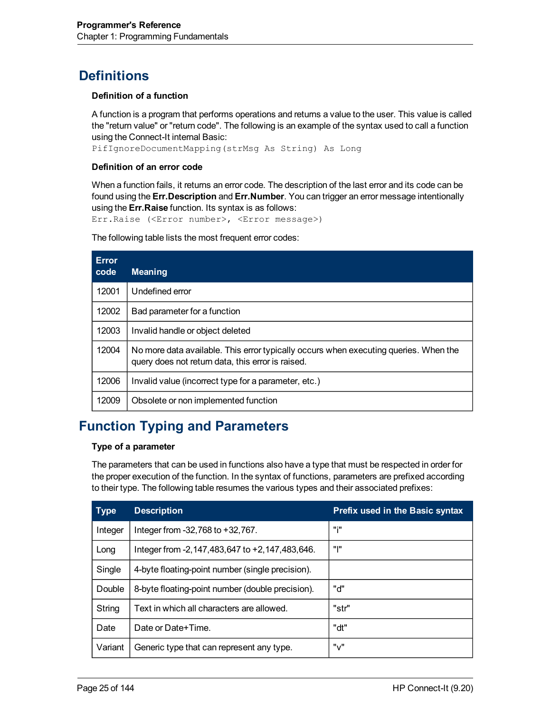# <span id="page-24-0"></span>**Definitions**

#### **Definition of a function**

A function is a program that performs operations and returns a value to the user. This value is called the "return value" or "return code". The following is an example of the syntax used to call a function using the Connect-It internal Basic:

PifIgnoreDocumentMapping(strMsg As String) As Long

#### **Definition of an error code**

When a function fails, it returns an error code. The description of the last error and its code can be found using the **Err.Description** and **Err.Number**. You can trigger an error message intentionally using the **Err.Raise** function. Its syntax is as follows:

Err.Raise (<Error number>, <Error message>)

The following table lists the most frequent error codes:

| <b>Error</b><br>code | <b>Meaning</b>                                                                                                                            |
|----------------------|-------------------------------------------------------------------------------------------------------------------------------------------|
| 12001                | Undefined error                                                                                                                           |
| 12002                | Bad parameter for a function                                                                                                              |
| 12003                | Invalid handle or object deleted                                                                                                          |
| 12004                | No more data available. This error typically occurs when executing queries. When the<br>query does not return data, this error is raised. |
| 12006                | Invalid value (incorrect type for a parameter, etc.)                                                                                      |
| 12009                | Obsolete or non implemented function                                                                                                      |

# <span id="page-24-1"></span>**Function Typing and Parameters**

#### **Type of a parameter**

The parameters that can be used in functions also have a type that must be respected in order for the proper execution of the function. In the syntax of functions, parameters are prefixed according to their type. The following table resumes the various types and their associated prefixes:

| <b>Type</b> | <b>Description</b>                                  | <b>Prefix used in the Basic syntax</b> |
|-------------|-----------------------------------------------------|----------------------------------------|
| Integer     | Integer from -32,768 to +32,767.                    | "i"                                    |
| Long        | Integer from $-2,147,483,647$ to $+2,147,483,646$ . | "I"                                    |
| Single      | 4-byte floating-point number (single precision).    |                                        |
| Double      | 8-byte floating-point number (double precision).    | "ሰ"                                    |
| String      | Text in which all characters are allowed.           | "str"                                  |
| Date        | Date or Date+Time.                                  | "dt"                                   |
| Variant     | Generic type that can represent any type.           | "v"                                    |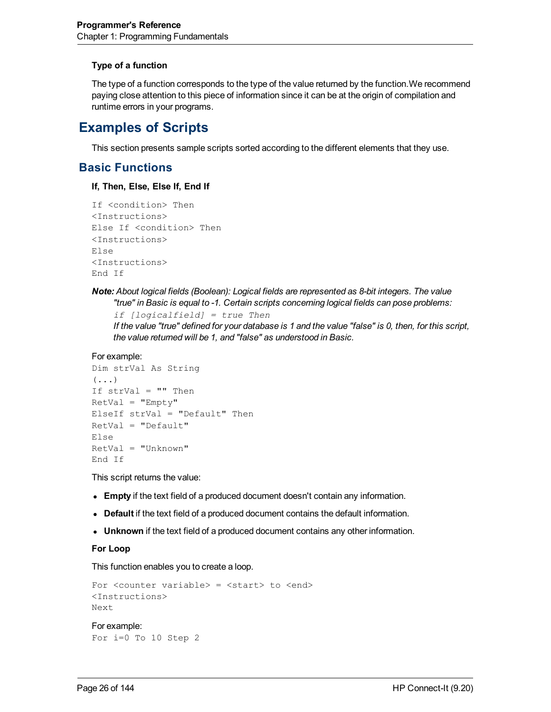#### **Type of a function**

The type of a function corresponds to the type of the value returned by the function.We recommend paying close attention to this piece of information since it can be at the origin of compilation and runtime errors in your programs.

# <span id="page-25-0"></span>**Examples of Scripts**

<span id="page-25-1"></span>This section presents sample scripts sorted according to the different elements that they use.

# **Basic Functions**

**If, Then, Else, Else If, End If**

```
If <condition> Then
<Instructions>
Else If <condition> Then
<Instructions>
Else
<Instructions>
End If
```
### *Note: About logical fields (Boolean): Logical fields are represented as 8-bit integers. The value "true" in Basic is equal to -1. Certain scripts concerning logical fields can pose problems:*

*if [logicalfield] = true Then*

If the value "true" defined for your database is 1 and the value "false" is 0, then, for this script, *the value returned will be 1, and "false" as understood in Basic.*

```
For example:
```

```
Dim strVal As String
(\ldots)If strVal = "" Then
RetVal = "Empty"ElseIf strVal = "Default" Then
RetVal = "Default"
Else
RetVal = "Unknown"
End If
```
This script returns the value:

- **Empty** if the text field of a produced document doesn't contain any information.
- **Default** if the text field of a produced document contains the default information.
- **Unknown** if the text field of a produced document contains any other information.

#### **For Loop**

This function enables you to create a loop.

```
For <counter variable> = <start> to <end>
<Instructions>
Next
For example:
For i=0 To 10 Step 2
```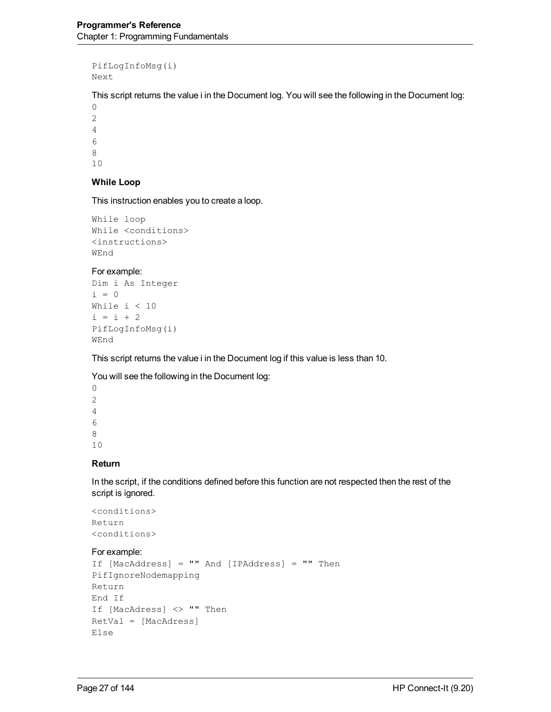```
PifLogInfoMsg(i)
Next
```
This script returns the value i in the Document log. You will see the following in the Document log:

#### **While Loop**

This instruction enables you to create a loop.

```
While loop
While <conditions>
<instructions>
WEnd
```
#### For example:

```
Dim i As Integer
i = 0While i < 10
i = i + 2PifLogInfoMsg(i)
WEnd
```
This script returns the value i in the Document log if this value is less than 10.

You will see the following in the Document log:

#### **Return**

In the script, if the conditions defined before this function are not respected then the rest of the script is ignored.

```
<conditions>
Return
<conditions>
```
#### For example:

```
If [MacAddress] = "" And [IPAddress] = "" Then
PifIgnoreNodemapping
Return
End If
If [MacAdress] <> "" Then
RetVal = [MacAdress]
Else
```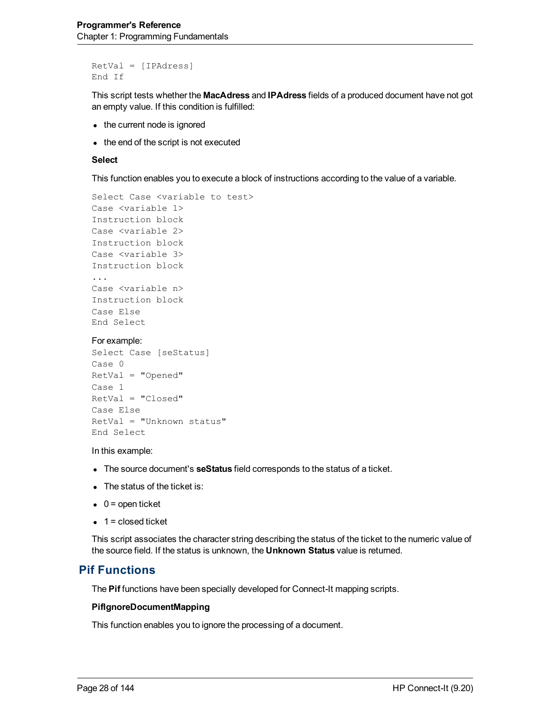```
RetVal = [IPAdress]
End If
```
This script tests whether the **MacAdress** and **IPAdress** fields of a produced document have not got an empty value. If this condition is fulfilled:

- $\bullet$  the current node is ignored
- $\bullet$  the end of the script is not executed

#### **Select**

This function enables you to execute a block of instructions according to the value of a variable.

```
Select Case <variable to test>
Case <variable 1>
Instruction block
Case <variable 2>
Instruction block
Case <variable 3>
Instruction block
...
Case <variable n>
Instruction block
Case Else
End Select
```
#### For example:

```
Select Case [seStatus]
Case 0
RetVal = "Opened"
Case 1
RetVal = "Closed"
Case Else
RetVal = "Unknown status"
End Select
```
In this example:

- **The source document's seStatus** field corresponds to the status of a ticket.
- $\bullet$  The status of the ticket is:
- $\bullet$  0 = open ticket
- $\bullet$  1 = closed ticket

This script associates the character string describing the status of the ticket to the numeric value of the source field. If the status is unknown, the **Unknown Status** value is returned.

### <span id="page-27-0"></span>**Pif Functions**

The **Pif** functions have been specially developed for Connect-It mapping scripts.

#### **PifIgnoreDocumentMapping**

This function enables you to ignore the processing of a document.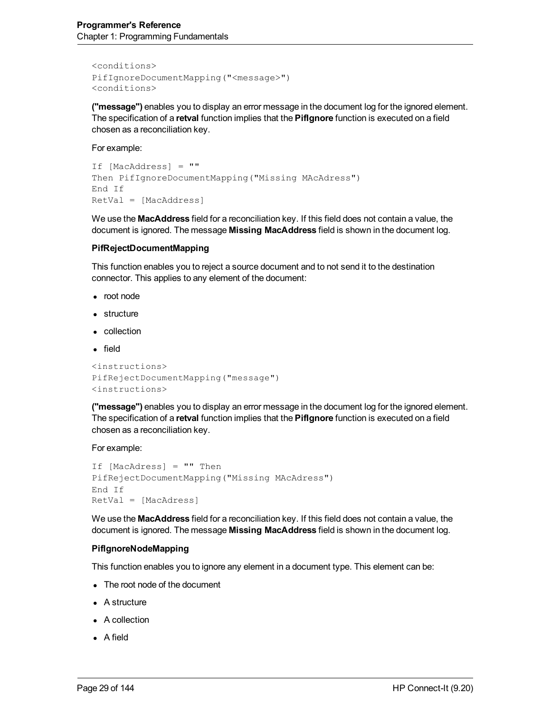```
<conditions>
PifIgnoreDocumentMapping("<message>")
<conditions>
```
**("message")** enables you to display an error message in the document log for the ignored element. The specification of a **retval** function implies that the **PifIgnore** function is executed on a field chosen as a reconciliation key.

#### For example:

```
If [MacAddress] = ""
Then PifIgnoreDocumentMapping("Missing MAcAdress")
End If
RetVal = [MacAddress]
```
We use the **MacAddress** field for a reconciliation key. If this field does not contain a value, the document is ignored. The message **Missing MacAddress** field is shown in the document log.

#### **PifRejectDocumentMapping**

This function enables you to reject a source document and to not send it to the destination connector. This applies to any element of the document:

- root node
- $\bullet$  structure
- collection
- $\bullet$  field

```
<instructions>
PifRejectDocumentMapping("message")
<instructions>
```
**("message")** enables you to display an error message in the document log for the ignored element. The specification of a **retval** function implies that the **PifIgnore** function is executed on a field chosen as a reconciliation key.

For example:

```
If [MacAdress] = "" Then
PifRejectDocumentMapping("Missing MAcAdress")
End If
RetVal = [MacAdress]
```
We use the **MacAddress** field for a reconciliation key. If this field does not contain a value, the document is ignored. The message **Missing MacAddress** field is shown in the document log.

#### **PifIgnoreNodeMapping**

This function enables you to ignore any element in a document type. This element can be:

- The root node of the document
- $\bullet$  A structure
- $\bullet$  A collection
- $\bullet$  A field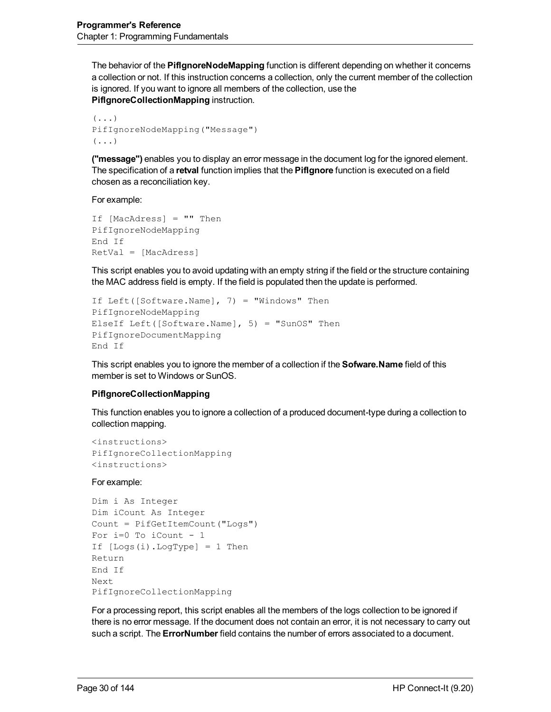The behavior of the **PifIgnoreNodeMapping** function is different depending on whether it concerns a collection or not. If this instruction concerns a collection, only the current member of the collection is ignored. If you want to ignore all members of the collection, use the **PifIgnoreCollectionMapping** instruction.

```
(\ldots)PifIgnoreNodeMapping("Message")
(\ldots)
```
**("message")** enables you to display an error message in the document log for the ignored element. The specification of a **retval** function implies that the **PifIgnore** function is executed on a field chosen as a reconciliation key.

For example:

```
If [MacAdress] = "" Then
PifIgnoreNodeMapping
End If
RetVal = [MacAdress]
```
This script enables you to avoid updating with an empty string if the field or the structure containing the MAC address field is empty. If the field is populated then the update is performed.

```
If Left([Software.Name], 7) = "Windows" Then
PifIgnoreNodeMapping
ElseIf Left([Software.Name], 5) = "SunOS" Then
PifIgnoreDocumentMapping
End If
```
This script enables you to ignore the member of a collection if the **Sofware.Name** field of this member is set to Windows or SunOS.

#### **PifIgnoreCollectionMapping**

This function enables you to ignore a collection of a produced document-type during a collection to collection mapping.

```
<instructions>
PifIgnoreCollectionMapping
<instructions>
```
#### For example:

```
Dim i As Integer
Dim iCount As Integer
Count = PifGetItemCount("Logs")
For i=0 To iCount - 1
If [Logs(i).LogType] = 1 Then
Return
End If
Next
PifIgnoreCollectionMapping
```
For a processing report, this script enables all the members of the logs collection to be ignored if there is no error message. If the document does not contain an error, it is not necessary to carry out such a script. The **ErrorNumber** field contains the number of errors associated to a document.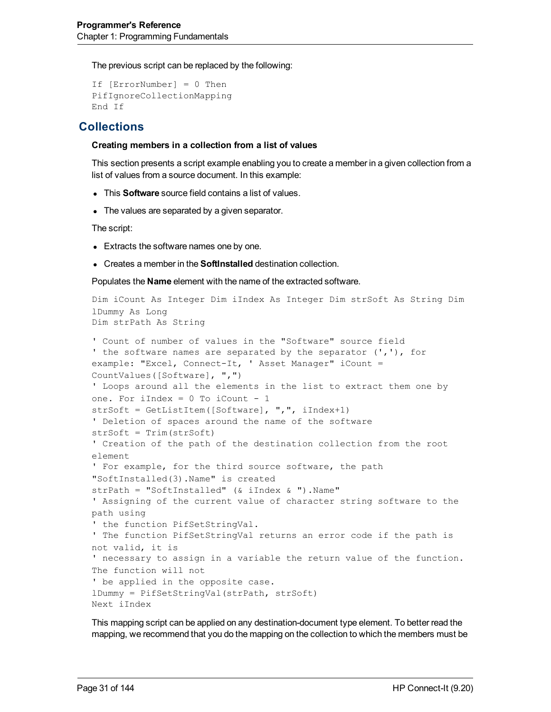The previous script can be replaced by the following:

```
If [ErrorNumber] = 0 Then
PifIgnoreCollectionMapping
End If
```
## <span id="page-30-0"></span>**Collections**

#### **Creating members in a collection from a list of values**

This section presents a script example enabling you to create a member in a given collection from a list of values from a source document. In this example:

- **.** This **Software** source field contains a list of values.
- The values are separated by a given separator.

The script:

- Extracts the software names one by one.
- **.** Creates a member in the **SoftInstalled** destination collection.

Populates the **Name** element with the name of the extracted software.

```
Dim iCount As Integer Dim iIndex As Integer Dim strSoft As String Dim
lDummy As Long
Dim strPath As String
' Count of number of values in the "Software" source field
' the software names are separated by the separator (','), for
example: "Excel, Connect-It, ' Asset Manager" iCount =
CountValues([Software], ",")
' Loops around all the elements in the list to extract them one by
one. For iIndex = 0 To iCount - 1
strSoft = GetListItem([Software], ",", iIndex+1)
' Deletion of spaces around the name of the software
strSoft = Trim(strSoft)
' Creation of the path of the destination collection from the root
element
' For example, for the third source software, the path
"SoftInstalled(3).Name" is created
strPath = "SoftInstalled" (& iIndex & ").Name"
' Assigning of the current value of character string software to the
path using
' the function PifSetStringVal.
' The function PifSetStringVal returns an error code if the path is
not valid, it is
' necessary to assign in a variable the return value of the function.
The function will not
' be applied in the opposite case.
lDummy = PifSetStringVal(strPath, strSoft)
Next iIndex
```
This mapping script can be applied on any destination-document type element. To better read the mapping, we recommend that you do the mapping on the collection to which the members must be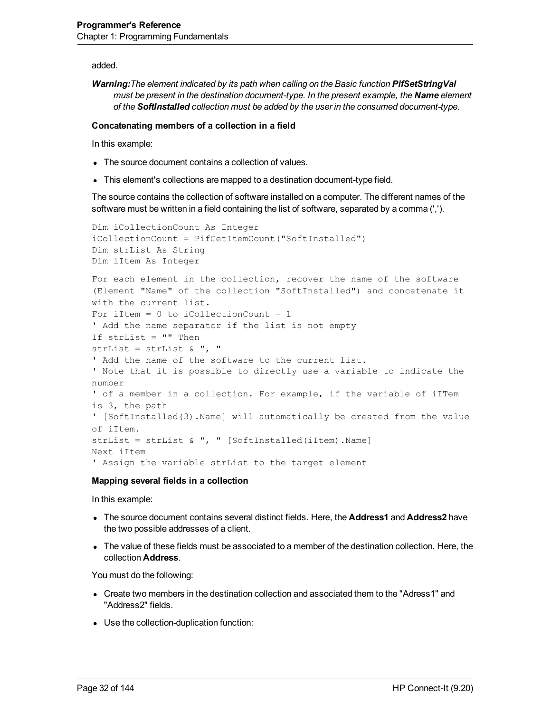added.

*Warning:The element indicated by its path when calling on the Basic function PifSetStringVal must be present in the destination document-type. In the present example, the Name element of the SoftInstalled collection must be added by the user in the consumed document-type.*

#### **Concatenating members of a collection in a field**

In this example:

- The source document contains a collection of values.
- This element's collections are mapped to a destination document-type field.

The source contains the collection of software installed on a computer. The different names of the software must be written in a field containing the list of software, separated by a comma (',').

```
Dim iCollectionCount As Integer
iCollectionCount = PifGetItemCount("SoftInstalled")
Dim strList As String
Dim iItem As Integer
For each element in the collection, recover the name of the software
(Element "Name" of the collection "SoftInstalled") and concatenate it
with the current list.
For iItem = 0 to iCollectionCount - 1
' Add the name separator if the list is not empty
If strList = "" Then
strList = strList \&\n ", "
' Add the name of the software to the current list.
' Note that it is possible to directly use a variable to indicate the
number
' of a member in a collection. For example, if the variable of iITem
is 3, the path
' [SoftInstalled(3).Name] will automatically be created from the value
of iItem.
strList = strList & ", " [SoftInstalled(iItem).Name]
Next iItem
' Assign the variable strList to the target element
```
#### **Mapping several fields in a collection**

In this example:

- <sup>l</sup> The source document contains several distinct fields. Here, the **Address1** and **Address2** have the two possible addresses of a client.
- The value of these fields must be associated to a member of the destination collection. Here, the collection **Address**.

You must do the following:

- Create two members in the destination collection and associated them to the "Adress1" and "Address2" fields.
- Use the collection-duplication function: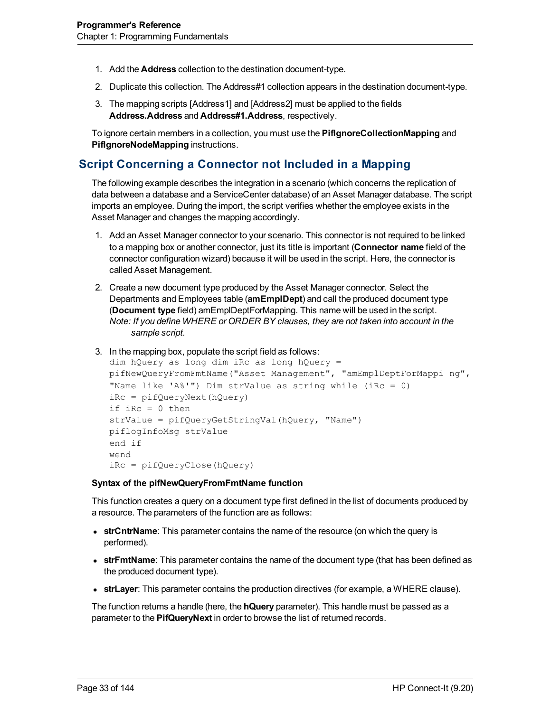- 1. Add the **Address** collection to the destination document-type.
- 2. Duplicate this collection. The Address#1 collection appears in the destination document-type.
- 3. The mapping scripts [Address1] and [Address2] must be applied to the fields **Address.Address** and **Address#1.Address**, respectively.

To ignore certain members in a collection, you must use the **PifIgnoreCollectionMapping** and **PifIgnoreNodeMapping** instructions.

## <span id="page-32-0"></span>**Script Concerning a Connector not Included in a Mapping**

The following example describes the integration in a scenario (which concerns the replication of data between a database and a ServiceCenter database) of an Asset Manager database. The script imports an employee. During the import, the script verifies whether the employee exists in the Asset Manager and changes the mapping accordingly.

- 1. Add an Asset Manager connector to your scenario. This connector is not required to be linked to a mapping box or another connector, just its title is important (**Connector name** field of the connector configuration wizard) because it will be used in the script. Here, the connector is called Asset Management.
- 2. Create a new document type produced by the Asset Manager connector. Select the Departments and Employees table (**amEmplDept**) and call the produced document type (**Document type** field) amEmplDeptForMapping. This name will be used in the script. *Note: If you define WHERE or ORDER BY clauses, they are not taken into account in the sample script.*
- 3. In the mapping box, populate the script field as follows:

```
dim hQuery as long dim iRc as long hQuery =
pifNewQueryFromFmtName("Asset Management", "amEmplDeptForMappi ng",
"Name like 'A%'") Dim strValue as string while (iRc = 0)
iRc = pifQueryNext(hQuery)
if iRc = 0 then
strValue = pifQueryGetStringVal(hQuery, "Name")
piflogInfoMsg strValue
end if
wend
iRc = pifQueryClose(hQuery)
```
#### **Syntax of the pifNewQueryFromFmtName function**

This function creates a query on a document type first defined in the list of documents produced by a resource. The parameters of the function are as follows:

- **strCntrName**: This parameter contains the name of the resource (on which the query is performed).
- **strFmtName**: This parameter contains the name of the document type (that has been defined as the produced document type).
- **strLayer**: This parameter contains the production directives (for example, a WHERE clause).

The function returns a handle (here, the **hQuery** parameter). This handle must be passed as a parameter to the **PifQueryNext** in order to browse the list of returned records.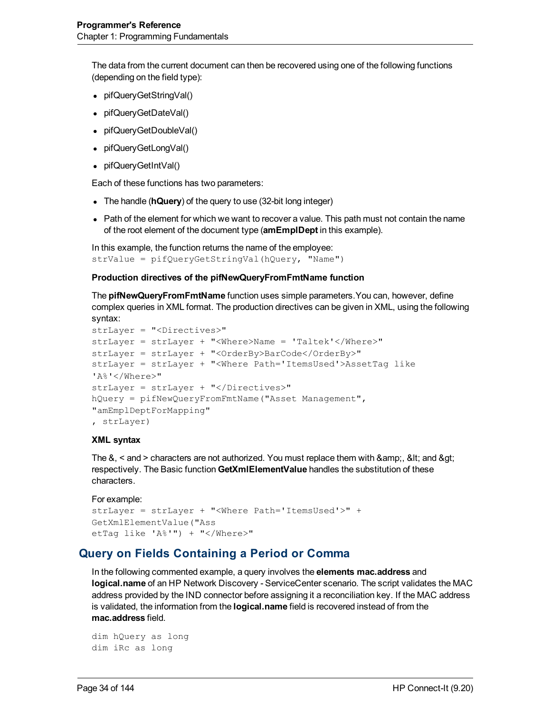The data from the current document can then be recovered using one of the following functions (depending on the field type):

- pifQueryGetStringVal()
- pifQueryGetDateVal()
- pifQueryGetDoubleVal()
- pifQueryGetLongVal()
- pifQueryGetIntVal()

Each of these functions has two parameters:

- The handle (hQuery) of the query to use (32-bit long integer)
- Path of the element for which we want to recover a value. This path must not contain the name of the root element of the document type (**amEmplDept** in this example).

```
In this example, the function returns the name of the employee:
strValue = pifQueryGetStringVal(hQuery, "Name")
```
#### **Production directives of the pifNewQueryFromFmtName function**

The **pifNewQueryFromFmtName** function uses simple parameters.You can, however, define complex queries in XML format. The production directives can be given in XML, using the following syntax:

```
strLayer = "<Directives>"
strLayer = strLayer + "<Where>Name = 'Taltek'</Where>"
strLayer = strLayer + "<OrderBy>BarCode</OrderBy>"
strLayer = strLayer + "<Where Path='ItemsUsed'>AssetTag like
'A%'</Where>"
strLayer = strLayer + "</Directives>"
hQuery = pifNewQueryFromFmtName("Asset Management",
"amEmplDeptForMapping"
, strLayer)
```
#### **XML syntax**

The  $\&$ ,  $\leq$  and  $\geq$  characters are not authorized. You must replace them with  $\&$ amp;,  $\&$ lt; and  $\&$ qt; respectively. The Basic function **GetXmlElementValue** handles the substitution of these characters.

```
For example:
strLayer = strLayer + "<Where Path='ItemsUsed'>" +
GetXmlElementValue("Ass
etTag like 'A%'") + "</Where>"
```
### <span id="page-33-0"></span>**Query on Fields Containing a Period or Comma**

In the following commented example, a query involves the **elements mac.address** and **logical.name** of an HP Network Discovery - ServiceCenter scenario. The script validates the MAC address provided by the IND connector before assigning it a reconciliation key. If the MAC address is validated, the information from the **logical.name** field is recovered instead of from the **mac.address** field.

```
dim hQuery as long
dim iRc as long
```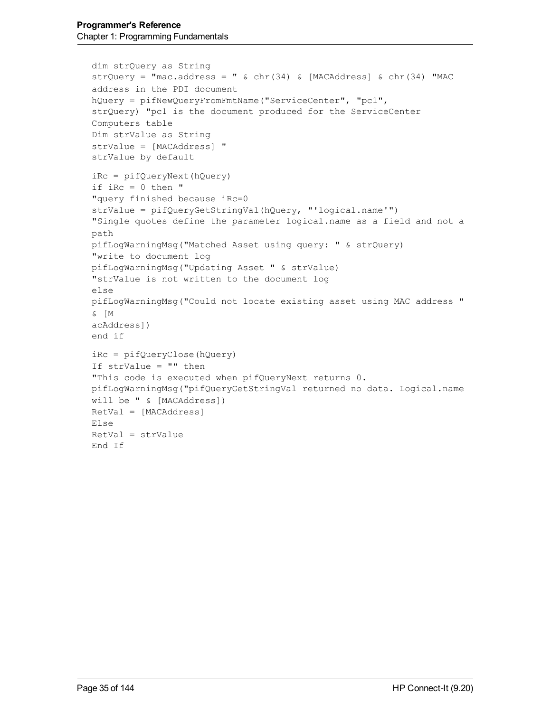```
dim strQuery as String
strQuery = "mac.address = " \& chr(34) \& [MACAddress] \& chr(34) "MAC
address in the PDI document
hQuery = pifNewQueryFromFmtName("ServiceCenter", "pc1",
strQuery) "pc1 is the document produced for the ServiceCenter
Computers table
Dim strValue as String
strValue = [MACAddress] "
strValue by default
iRc = pifQueryNext(hQuery)
if iRc = 0 then "
"query finished because iRc=0
strValue = pifQueryGetStringVal(hQuery, "'logical.name'")
"Single quotes define the parameter logical.name as a field and not a
path
pifLogWarningMsg("Matched Asset using query: " & strQuery)
"write to document log
pifLogWarningMsg("Updating Asset " & strValue)
"strValue is not written to the document log
else
pifLogWarningMsg("Could not locate existing asset using MAC address "
& [M
acAddress])
end if
iRc = pifQueryClose(hQuery)
If strValue = "" then
"This code is executed when pifQueryNext returns 0.
pifLogWarningMsg("pifQueryGetStringVal returned no data. Logical.name
will be " & [MACAddress])
RetVal = [MACAddress]
Else
RetVal = strValue
End If
```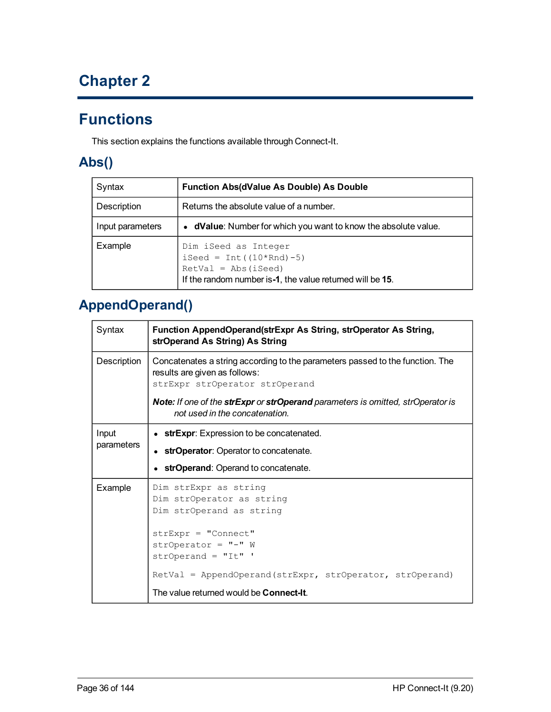# **Chapter 2**

# <span id="page-35-0"></span>**Functions**

<span id="page-35-1"></span>This section explains the functions available through Connect-It.

# **Abs()**

| Syntax           | <b>Function Abs(dValue As Double) As Double</b>                                                                                                        |
|------------------|--------------------------------------------------------------------------------------------------------------------------------------------------------|
| Description      | Returns the absolute value of a number.                                                                                                                |
| Input parameters | • dValue: Number for which you want to know the absolute value.                                                                                        |
| Example          | Dim iSeed as Integer<br>$\text{ised} = \text{Int}((10*Rnd) - 5)$<br>$RetVal = Abs(iSeed)$<br>If the random number is-1, the value returned will be 15. |

# <span id="page-35-2"></span>**AppendOperand()**

| Syntax      | Function AppendOperand(strExpr As String, strOperator As String,<br>strOperand As String) As String                                              |  |
|-------------|--------------------------------------------------------------------------------------------------------------------------------------------------|--|
| Description | Concatenates a string according to the parameters passed to the function. The<br>results are given as follows:<br>strExpr strOperator strOperand |  |
|             | Note: If one of the strExpr or strOperand parameters is omitted, strOperator is<br>not used in the concatenation.                                |  |
| Input       | • strExpr: Expression to be concatenated.                                                                                                        |  |
| parameters  | • strOperator: Operator to concatenate.                                                                                                          |  |
|             | • strOperand: Operand to concatenate.                                                                                                            |  |
| Example     | Dim strExpr as string<br>Dim strOperator as string<br>Dim strOperand as string                                                                   |  |
|             | $strExpr = "Connect"$<br>$strOperator = "-" W$<br>$strOperand = "It"$                                                                            |  |
|             | $RetVal = Appendix (strExpr, stroperator, stroperand)$                                                                                           |  |
|             | The value returned would be <b>Connect-It</b> .                                                                                                  |  |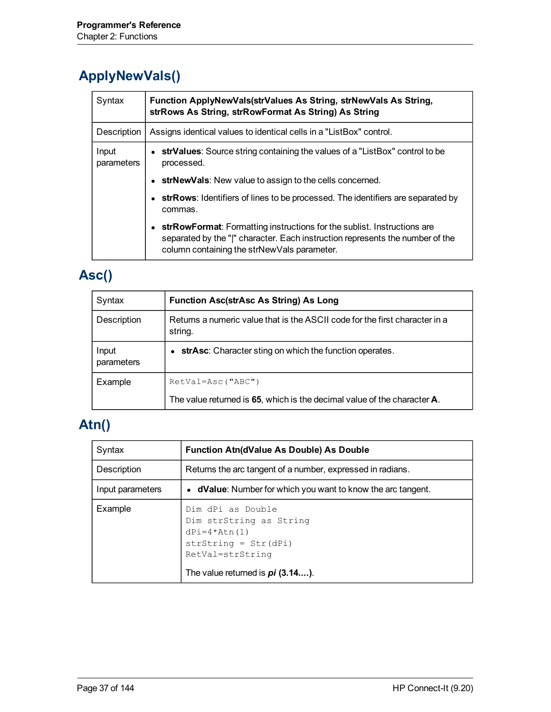# **ApplyNewVals()**

| Syntax              | Function ApplyNewVals(strValues As String, strNewVals As String,<br>strRows As String, strRowFormat As String) As String                                                                                |  |
|---------------------|---------------------------------------------------------------------------------------------------------------------------------------------------------------------------------------------------------|--|
| Description         | Assigns identical values to identical cells in a "ListBox" control.                                                                                                                                     |  |
| Input<br>parameters | • strValues: Source string containing the values of a "ListBox" control to be<br>processed.                                                                                                             |  |
|                     | • strNewVals: New value to assign to the cells concerned.                                                                                                                                               |  |
|                     | • strRows: Identifiers of lines to be processed. The identifiers are separated by<br>commas.                                                                                                            |  |
|                     | strRowFormat: Formatting instructions for the sublist. Instructions are<br>separated by the " " character. Each instruction represents the number of the<br>column containing the strNewVals parameter. |  |

# **Asc()**

| Syntax              | <b>Function Asc(strAsc As String) As Long</b>                                          |
|---------------------|----------------------------------------------------------------------------------------|
| Description         | Returns a numeric value that is the ASCII code for the first character in a<br>string. |
| Input<br>parameters | strAsc: Character sting on which the function operates.<br>$\bullet$                   |
| Example             | $RetVal =$ Asc("ABC")                                                                  |
|                     | The value returned is 65, which is the decimal value of the character A.               |

# **Atn()**

| Syntax           | <b>Function Atn(dValue As Double) As Double</b>                                                                                                        |
|------------------|--------------------------------------------------------------------------------------------------------------------------------------------------------|
| Description      | Returns the arc tangent of a number, expressed in radians.                                                                                             |
| Input parameters | • dValue: Number for which you want to know the arc tangent.                                                                                           |
| Example          | Dim dPi as Double<br>Dim strString as String<br>$dPi = 4 * Atn(1)$<br>$strString = Str(dPi)$<br>RetVal=strString<br>The value returned is $pi(3.14)$ . |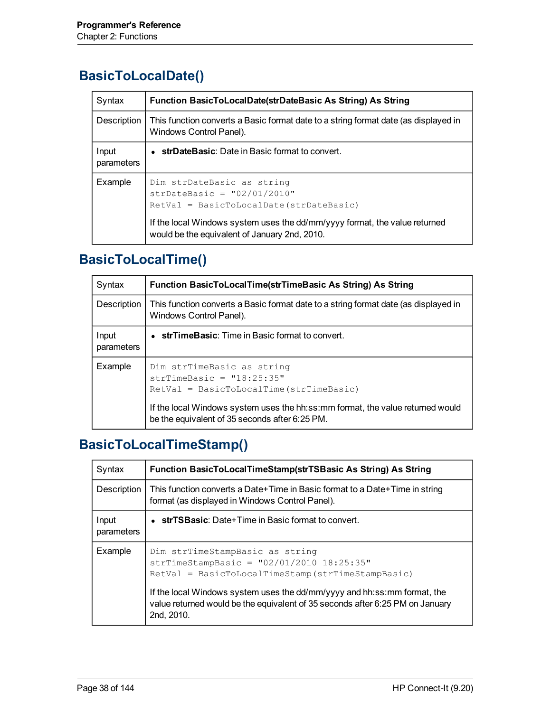#### **BasicToLocalDate()**

| Syntax              | Function BasicToLocalDate(strDateBasic As String) As String                                                                                                                                                                           |
|---------------------|---------------------------------------------------------------------------------------------------------------------------------------------------------------------------------------------------------------------------------------|
| Description         | This function converts a Basic format date to a string format date (as displayed in<br>Windows Control Panel).                                                                                                                        |
| Input<br>parameters | strDateBasic: Date in Basic format to convert.                                                                                                                                                                                        |
| Example             | Dim strDateBasic as string<br>$strDateBasic = "02/01/2010"$<br>RetVal = BasicToLocalDate(strDateBasic)<br>If the local Windows system uses the dd/mm/yyyy format, the value returned<br>would be the equivalent of January 2nd, 2010. |

### **BasicToLocalTime()**

| Syntax              | Function BasicToLocalTime(strTimeBasic As String) As String                                                                                                                                                                               |
|---------------------|-------------------------------------------------------------------------------------------------------------------------------------------------------------------------------------------------------------------------------------------|
| Description         | This function converts a Basic format date to a string format date (as displayed in<br>Windows Control Panel).                                                                                                                            |
| Input<br>parameters | • strTimeBasic: Time in Basic format to convert.                                                                                                                                                                                          |
| Example             | Dim strTimeBasic as string<br>$strTimeBasic = "18:25:35"$<br>$RetVal = BasicToLocalTime(StringBasic)$<br>If the local Windows system uses the hh:ss:mm format, the value returned would<br>be the equivalent of 35 seconds after 6:25 PM. |

### **BasicToLocalTimeStamp()**

| Syntax              | Function BasicToLocalTimeStamp(strTSBasic As String) As String                                                                                                           |
|---------------------|--------------------------------------------------------------------------------------------------------------------------------------------------------------------------|
| Description         | This function converts a Date+Time in Basic format to a Date+Time in string<br>format (as displayed in Windows Control Panel).                                           |
| Input<br>parameters | $\bullet$ strTSBasic: Date+Time in Basic format to convert.                                                                                                              |
| Example             | Dim strTimeStampBasic as string<br>strTimeStampBasic = $"02/01/2010 18:25:35"$<br>RetVal = BasicToLocalTimeStamp(strTimeStampBasic)                                      |
|                     | If the local Windows system uses the dd/mm/yyyy and hh:ss: mm format, the<br>value returned would be the equivalent of 35 seconds after 6:25 PM on January<br>2nd, 2010. |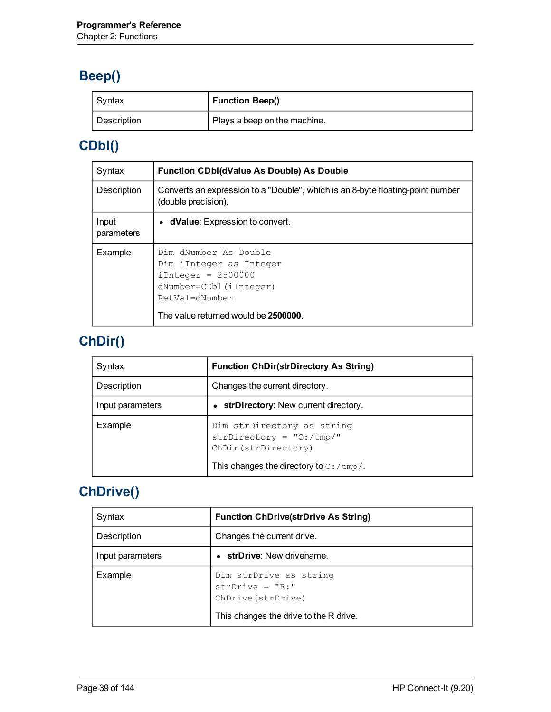# **Beep()**

| Syntax      | <b>Function Beep()</b>       |
|-------------|------------------------------|
| Description | Plays a beep on the machine. |

# **CDbl()**

| Syntax              | <b>Function CDbl(dValue As Double) As Double</b>                                                                                                              |
|---------------------|---------------------------------------------------------------------------------------------------------------------------------------------------------------|
| Description         | Converts an expression to a "Double", which is an 8-byte floating-point number<br>(double precision).                                                         |
| Input<br>parameters | • dValue: Expression to convert.                                                                                                                              |
| Example             | Dim dNumber As Double<br>Dim iInteger as Integer<br>$iInterger = 2500000$<br>dNumber=CDbl(iInteger)<br>RetVal=dNumber<br>The value returned would be 2500000. |

# **ChDir()**

| Syntax           | <b>Function ChDir(strDirectory As String)</b>                                                                                           |
|------------------|-----------------------------------------------------------------------------------------------------------------------------------------|
| Description      | Changes the current directory.                                                                                                          |
| Input parameters | strDirectory: New current directory.                                                                                                    |
| Example          | Dim strDirectory as string<br>strDirectory = $"C: /tmp/"$<br>ChDir(strDirectory)<br>This changes the directory to $C: / \text{tmp} /$ . |

# **ChDrive()**

| Syntax           | <b>Function ChDrive(strDrive As String)</b>                                                                  |
|------------------|--------------------------------------------------------------------------------------------------------------|
| Description      | Changes the current drive.                                                                                   |
| Input parameters | strDrive: New drivename.                                                                                     |
| Example          | Dim strDrive as string<br>$strDrive = "R: "$<br>ChDrive (strDrive)<br>This changes the drive to the R drive. |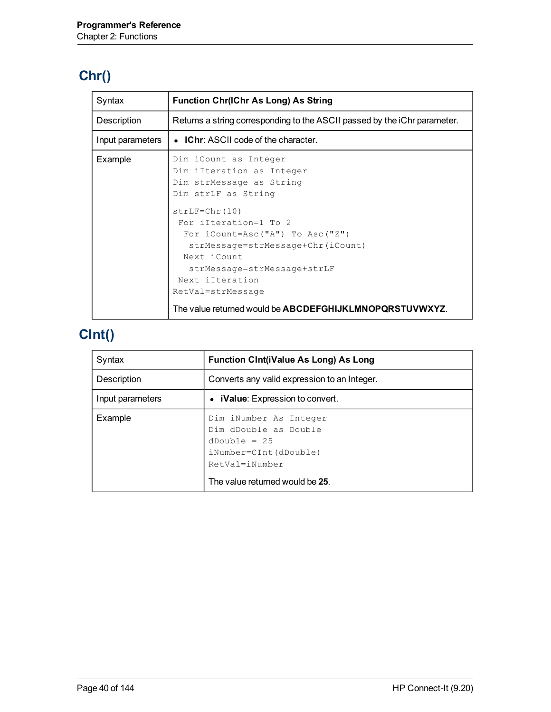# **Chr()**

| Syntax           | <b>Function Chr(IChr As Long) As String</b>                                                                                                                                                                                                                                                     |
|------------------|-------------------------------------------------------------------------------------------------------------------------------------------------------------------------------------------------------------------------------------------------------------------------------------------------|
| Description      | Returns a string corresponding to the ASCII passed by the iChr parameter.                                                                                                                                                                                                                       |
| Input parameters | • IChr: ASCII code of the character.                                                                                                                                                                                                                                                            |
| Example          | Dim iCount as Integer<br>Dim iIteration as Integer<br>Dim strMessage as String<br>Dim strLF as String<br>$strLF = Chr(10)$<br>For ilteration=1 To 2<br>For $i$ Count=Asc("A") To Asc("Z")<br>strMessage=strMessage+Chr(iCount)<br>Next iCount<br>strMessage=strMessage+strLF<br>Next iIteration |
|                  | RetVal=strMessage<br>The value returned would be ABCDEFGHIJKLMNOPQRSTUVWXYZ.                                                                                                                                                                                                                    |

# **CInt()**

| Syntax           | <b>Function Cint(iValue As Long) As Long</b>                                                                                                      |
|------------------|---------------------------------------------------------------------------------------------------------------------------------------------------|
| Description      | Converts any valid expression to an Integer.                                                                                                      |
| Input parameters | • <b>iValue</b> : Expression to convert.                                                                                                          |
| Example          | Dim iNumber As Integer<br>Dim dDouble as Double<br>$dDouble = 25$<br>$iNumber=CInt(dDouble)$<br>RetVal=iNumber<br>The value returned would be 25. |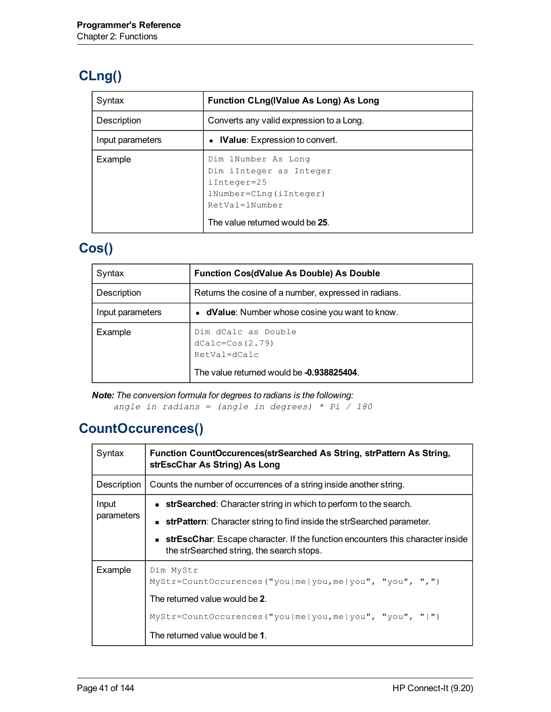# **CLng()**

| Syntax           | <b>Function CLng(IValue As Long) As Long</b>                                                                                                 |
|------------------|----------------------------------------------------------------------------------------------------------------------------------------------|
| Description      | Converts any valid expression to a Long.                                                                                                     |
| Input parameters | <b>IValue:</b> Expression to convert.                                                                                                        |
| Example          | Dim lNumber As Long<br>Dim iInteger as Integer<br>$iInter=25$<br>$lNumber=Clnq(iInter)$<br>RetVal=1Number<br>The value returned would be 25. |

#### **Cos()**

| Syntax           | <b>Function Cos(dValue As Double) As Double</b>                                                         |
|------------------|---------------------------------------------------------------------------------------------------------|
| Description      | Returns the cosine of a number, expressed in radians.                                                   |
| Input parameters | • dValue: Number whose cosine you want to know.                                                         |
| Example          | Dim dCalc as Double<br>$dCalc = Cos(2.79)$<br>RetVal=dCalc<br>The value returned would be -0.938825404. |
|                  |                                                                                                         |

*Note: The conversion formula for degrees to radians is the following: angle in radians = (angle in degrees) \* Pi / 180*

#### **CountOccurences()**

| Syntax              | Function CountOccurences(strSearched As String, strPattern As String,<br>strEscChar As String) As Long                             |
|---------------------|------------------------------------------------------------------------------------------------------------------------------------|
| Description         | Counts the number of occurrences of a string inside another string.                                                                |
| Input<br>parameters | <b>strSearched:</b> Character string in which to perform to the search.                                                            |
|                     | <b>strPattern:</b> Character string to find inside the strSearched parameter.                                                      |
|                     | <b>strEscChar:</b> Escape character. If the function encounters this character inside<br>the strSearched string, the search stops. |
| Example             | Dim MyStr<br>$MyStr = CountOccurences ("you me you,me you", "you",",",")$                                                          |
|                     | The returned value would be 2.                                                                                                     |
|                     | $MyStr = CountOccurences ("you me you,me you", "you", "  " )$                                                                      |
|                     | The returned value would be 1.                                                                                                     |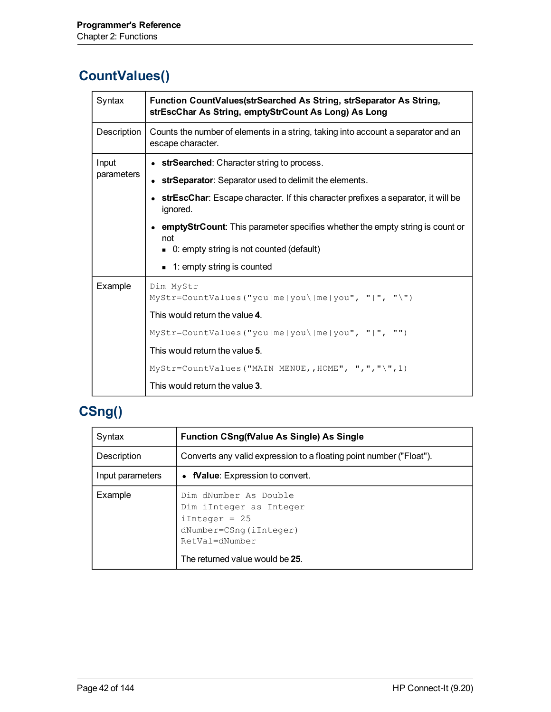#### **CountValues()**

| Syntax      | Function CountValues(strSearched As String, strSeparator As String,<br>strEscChar As String, emptyStrCount As Long) As Long |
|-------------|-----------------------------------------------------------------------------------------------------------------------------|
| Description | Counts the number of elements in a string, taking into account a separator and an<br>escape character.                      |
| Input       | • strSearched: Character string to process.                                                                                 |
| parameters  | • strSeparator: Separator used to delimit the elements.                                                                     |
|             | strEscChar: Escape character. If this character prefixes a separator, it will be<br>ignored.                                |
|             | emptyStrCount: This parameter specifies whether the empty string is count or<br>not                                         |
|             | ■ 0: empty string is not counted (default)                                                                                  |
|             | $\blacksquare$ 1: empty string is counted                                                                                   |
| Example     | Dim MyStr<br>$MyStr = CountValues("you me you me you", " ", "\\$                                                            |
|             | This would return the value 4.                                                                                              |
|             | MyStr=CountValues("you me you\ me you", " ", "")                                                                            |
|             | This would return the value 5.                                                                                              |
|             | $MyStr = CountValues("MAIN MENUE, , HOME", ", ", ", "), "), 1)$                                                             |
|             | This would return the value 3.                                                                                              |

#### **CSng()**

| Syntax           | <b>Function CSng(fValue As Single) As Single</b>                                                                                                    |
|------------------|-----------------------------------------------------------------------------------------------------------------------------------------------------|
| Description      | Converts any valid expression to a floating point number ("Float").                                                                                 |
| Input parameters | • <b>Nalue:</b> Expression to convert.                                                                                                              |
| Example          | Dim dNumber As Double<br>Dim iInteger as Integer<br>$iInterger = 25$<br>dNumber=CSnq(iInteger)<br>RetVal=dNumber<br>The returned value would be 25. |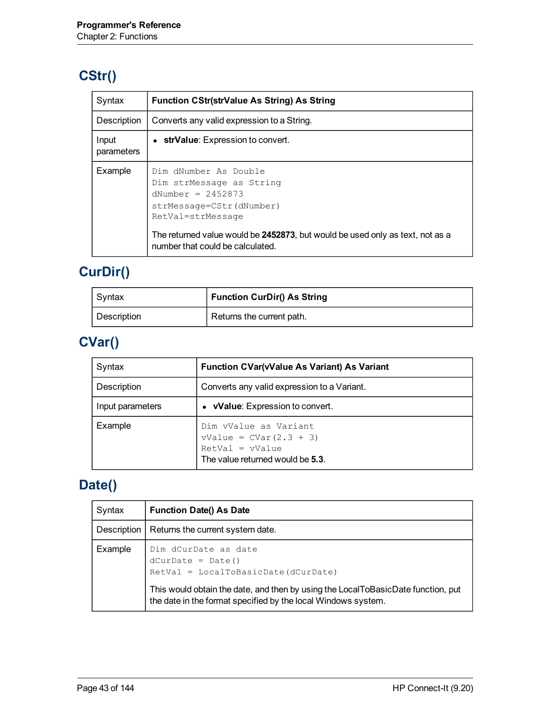### **CStr()**

| Syntax              | <b>Function CStr(strValue As String) As String</b>                                                                                                                                                                                             |
|---------------------|------------------------------------------------------------------------------------------------------------------------------------------------------------------------------------------------------------------------------------------------|
| Description         | Converts any valid expression to a String.                                                                                                                                                                                                     |
| Input<br>parameters | • strValue: Expression to convert.                                                                                                                                                                                                             |
| Example             | Dim dNumber As Double<br>Dim strMessage as String<br>dNumber = $2452873$<br>strMessage=CStr(dNumber)<br>RetVal=strMessage<br>The returned value would be 2452873, but would be used only as text, not as a<br>number that could be calculated. |

# **CurDir()**

| Syntax             | <b>Function CurDir() As String</b> |
|--------------------|------------------------------------|
| <b>Description</b> | Returns the current path.          |

# **CVar()**

| Syntax           | <b>Function CVar(vValue As Variant) As Variant</b>                                                         |
|------------------|------------------------------------------------------------------------------------------------------------|
| Description      | Converts any valid expression to a Variant.                                                                |
| Input parameters | • vValue: Expression to convert.                                                                           |
| Example          | Dim vValue as Variant<br>$vValue = CVar(2.3 + 3)$<br>$RetVal = vValue$<br>The value returned would be 5.3. |

# **Date()**

| Syntax      | <b>Function Date() As Date</b>                                                                                                                    |
|-------------|---------------------------------------------------------------------------------------------------------------------------------------------------|
| Description | Returns the current system date.                                                                                                                  |
| Example     | Dim dCurDate as date<br>$dCurDate = Date()$<br>RetVal = LocalToBasicDate(dCurDate)                                                                |
|             | This would obtain the date, and then by using the LocalToBasicDate function, put<br>the date in the format specified by the local Windows system. |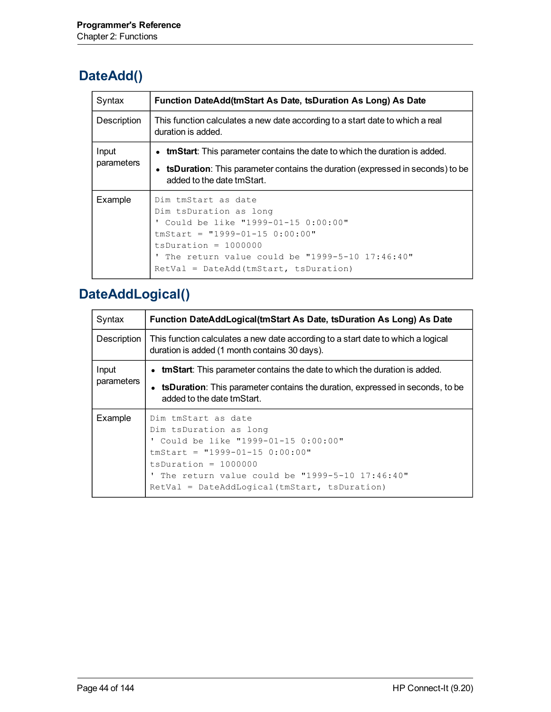#### **DateAdd()**

| Syntax              | Function DateAdd(tmStart As Date, tsDuration As Long) As Date                                                                                                                                                                                       |
|---------------------|-----------------------------------------------------------------------------------------------------------------------------------------------------------------------------------------------------------------------------------------------------|
| Description         | This function calculates a new date according to a start date to which a real<br>duration is added.                                                                                                                                                 |
| Input<br>parameters | • tmStart: This parameter contains the date to which the duration is added.                                                                                                                                                                         |
|                     | • tsDuration: This parameter contains the duration (expressed in seconds) to be<br>added to the date tmStart.                                                                                                                                       |
| Example             | Dim tmStart as date<br>Dim tsDuration as long<br>' Could be like "1999-01-15 0:00:00"<br>$tmStart = "1999-01-15 0:00:00"$<br>$t$ sDuration = 1000000<br>The return value could be "1999-5-10 $17:46:40"$<br>$RetVal = DateAdd(tmStart, tsDuration)$ |

### **DateAddLogical()**

| Syntax              | Function DateAddLogical(tmStart As Date, tsDuration As Long) As Date                                                                                                                                                                                     |
|---------------------|----------------------------------------------------------------------------------------------------------------------------------------------------------------------------------------------------------------------------------------------------------|
| Description         | This function calculates a new date according to a start date to which a logical<br>duration is added (1 month contains 30 days).                                                                                                                        |
| Input<br>parameters | • tmStart: This parameter contains the date to which the duration is added.                                                                                                                                                                              |
|                     | <b>tsDuration</b> : This parameter contains the duration, expressed in seconds, to be<br>added to the date tmStart.                                                                                                                                      |
| Example             | Dim tmStart as date<br>Dim tsDuration as long<br>' Could be like "1999-01-15 0:00:00"<br>$tmStart = "1999-01-15 0:00:00"$<br>$t$ sDuration = 1000000<br>' The return value could be "1999-5-10 17:46:40"<br>RetVal = DateAddLogical(tmStart, tsDuration) |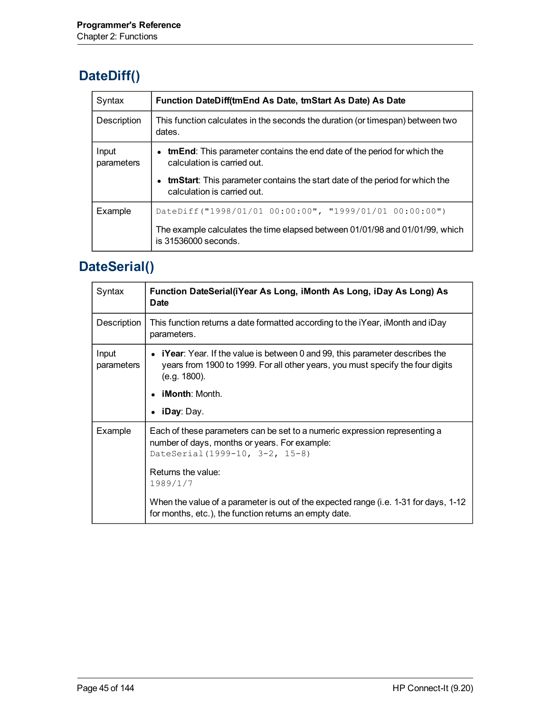### **DateDiff()**

| Syntax              | Function DateDiff(tmEnd As Date, tmStart As Date) As Date                                                          |
|---------------------|--------------------------------------------------------------------------------------------------------------------|
| Description         | This function calculates in the seconds the duration (or timespan) between two<br>dates.                           |
| Input<br>parameters | • tmEnd: This parameter contains the end date of the period for which the<br>calculation is carried out.           |
|                     | <b>tmStart</b> : This parameter contains the start date of the period for which the<br>calculation is carried out. |
| Example             | DateDiff("1998/01/01 00:00:00", "1999/01/01 00:00:00")                                                             |
|                     | The example calculates the time elapsed between 01/01/98 and 01/01/99, which<br>is 31536000 seconds.               |

# **DateSerial()**

| Syntax              | Function DateSerial(iYear As Long, iMonth As Long, iDay As Long) As<br><b>Date</b>                                                                                                      |
|---------------------|-----------------------------------------------------------------------------------------------------------------------------------------------------------------------------------------|
| Description         | This function returns a date formatted according to the <i>i</i> Year, <i>iMonth</i> and <i>iDay</i><br>parameters.                                                                     |
| Input<br>parameters | • <b>iYear</b> : Year. If the value is between 0 and 99, this parameter describes the<br>years from 1900 to 1999. For all other years, you must specify the four digits<br>(e.g. 1800). |
|                     | <b>iMonth:</b> Month.                                                                                                                                                                   |
|                     | <b>iDay</b> : Day.                                                                                                                                                                      |
| Example             | Each of these parameters can be set to a numeric expression representing a<br>number of days, months or years. For example:<br>DateSerial (1999-10, 3-2, 15-8)                          |
|                     | Returns the value:<br>1989/1/7                                                                                                                                                          |
|                     | When the value of a parameter is out of the expected range (i.e. 1-31 for days, 1-12<br>for months, etc.), the function returns an empty date.                                          |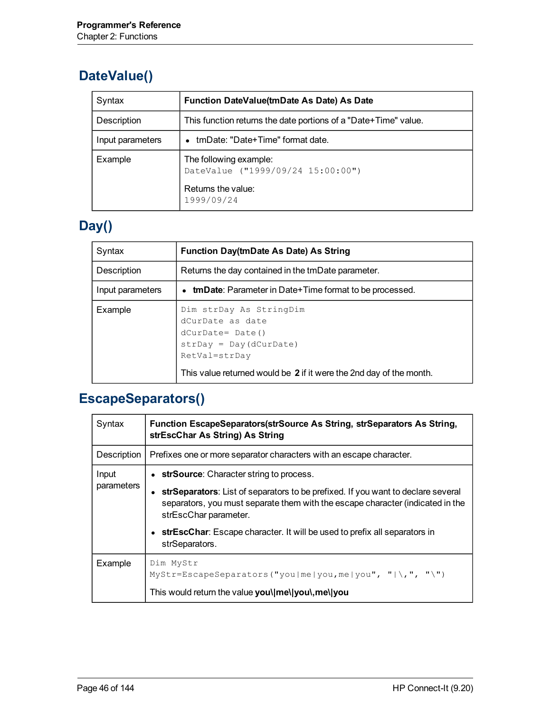### **DateValue()**

| Syntax           | Function DateValue(tmDate As Date) As Date                                                      |
|------------------|-------------------------------------------------------------------------------------------------|
| Description      | This function returns the date portions of a "Date+Time" value.                                 |
| Input parameters | • tmDate: "Date+Time" format date.                                                              |
| Example          | The following example:<br>DateValue ("1999/09/24 15:00:00")<br>Returns the value:<br>1999/09/24 |

# **Day()**

| Syntax           | <b>Function Day(tmDate As Date) As String</b>                                                                                                                                          |
|------------------|----------------------------------------------------------------------------------------------------------------------------------------------------------------------------------------|
| Description      | Returns the day contained in the tmDate parameter.                                                                                                                                     |
| Input parameters | • tmDate: Parameter in Date+Time format to be processed.                                                                                                                               |
| Example          | Dim strDay As StringDim<br>dCurDate as date<br>$dCurDate = Date()$<br>$strDay = Day(dCurDate)$<br>RetVal=strDay<br>This value returned would be 2 if it were the 2nd day of the month. |

# **EscapeSeparators()**

| Syntax              | Function EscapeSeparators(strSource As String, strSeparators As String,<br>strEscChar As String) As String                                                                                  |
|---------------------|---------------------------------------------------------------------------------------------------------------------------------------------------------------------------------------------|
| Description         | Prefixes one or more separator characters with an escape character.                                                                                                                         |
| Input<br>parameters | • strSource: Character string to process.                                                                                                                                                   |
|                     | strSeparators: List of separators to be prefixed. If you want to declare several<br>separators, you must separate them with the escape character (indicated in the<br>strEscChar parameter. |
|                     | strEscChar: Escape character. It will be used to prefix all separators in<br>strSeparators.                                                                                                 |
| Example             | Dim MyStr<br>$MyStr = Escape Separators("you me you,me you", " \n", ", " \n$<br>This would return the value you\ me\ you\,me\ you                                                           |
|                     |                                                                                                                                                                                             |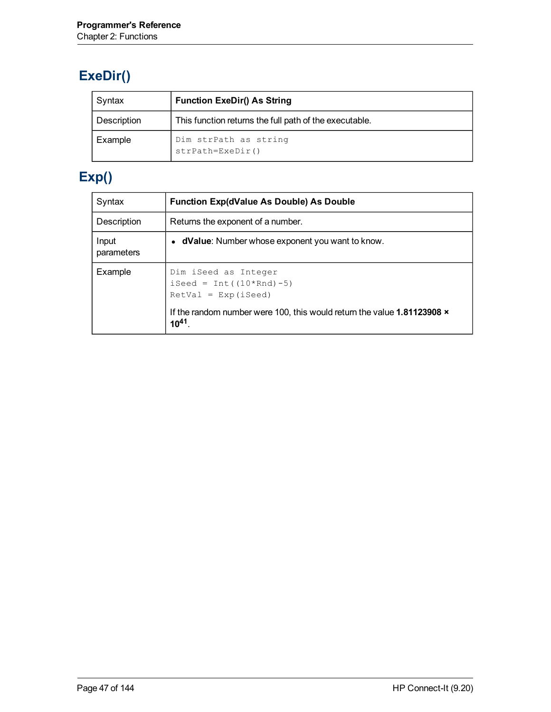# **ExeDir()**

| Syntax      | <b>Function ExeDir() As String</b>                     |
|-------------|--------------------------------------------------------|
| Description | This function returns the full path of the executable. |
| Example     | Dim strPath as string<br>$strPath=Exebir()$            |

# **Exp()**

| Syntax              | <b>Function Exp(dValue As Double) As Double</b>                                                                                                                |
|---------------------|----------------------------------------------------------------------------------------------------------------------------------------------------------------|
| Description         | Returns the exponent of a number.                                                                                                                              |
| Input<br>parameters | • dValue: Number whose exponent you want to know.                                                                                                              |
| Example             | Dim iSeed as Integer<br>iSeed = $Int((10*Rnd) - 5)$<br>$RetVal = Exp(iSeed)$<br>If the random number were 100, this would return the value 1.81123908 $\times$ |
|                     | $10^{41}$                                                                                                                                                      |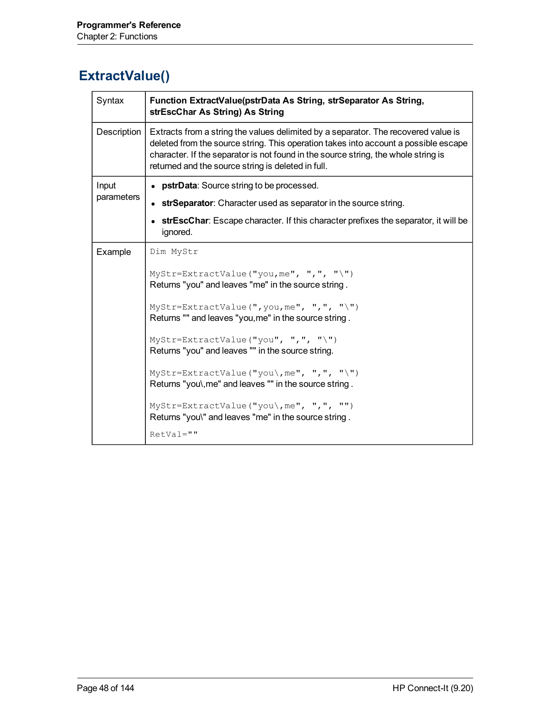# **ExtractValue()**

| Syntax      | Function ExtractValue(pstrData As String, strSeparator As String,<br>strEscChar As String) As String                                                                                                                                                                                                                  |
|-------------|-----------------------------------------------------------------------------------------------------------------------------------------------------------------------------------------------------------------------------------------------------------------------------------------------------------------------|
| Description | Extracts from a string the values delimited by a separator. The recovered value is<br>deleted from the source string. This operation takes into account a possible escape<br>character. If the separator is not found in the source string, the whole string is<br>returned and the source string is deleted in full. |
| Input       | • pstrData: Source string to be processed.                                                                                                                                                                                                                                                                            |
| parameters  | • strSeparator: Character used as separator in the source string.                                                                                                                                                                                                                                                     |
|             | strEscChar: Escape character. If this character prefixes the separator, it will be<br>ignored.                                                                                                                                                                                                                        |
| Example     | Dim MyStr                                                                                                                                                                                                                                                                                                             |
|             | MyStr=ExtractValue("you, me", ",", "\")<br>Returns "you" and leaves "me" in the source string.                                                                                                                                                                                                                        |
|             | MyStr=ExtractValue(", you, me", ", ", "\")<br>Returns "" and leaves "you, me" in the source string.                                                                                                                                                                                                                   |
|             | MyStr=ExtractValue("you", ",", "\")<br>Returns "you" and leaves "" in the source string.                                                                                                                                                                                                                              |
|             | MyStr=ExtractValue("you\, me", ", ", "\")<br>Returns "you\, me" and leaves "" in the source string.                                                                                                                                                                                                                   |
|             | MyStr=ExtractValue("you\, me", ", ", "")<br>Returns "you\" and leaves "me" in the source string.                                                                                                                                                                                                                      |
|             | $RetVal = "$                                                                                                                                                                                                                                                                                                          |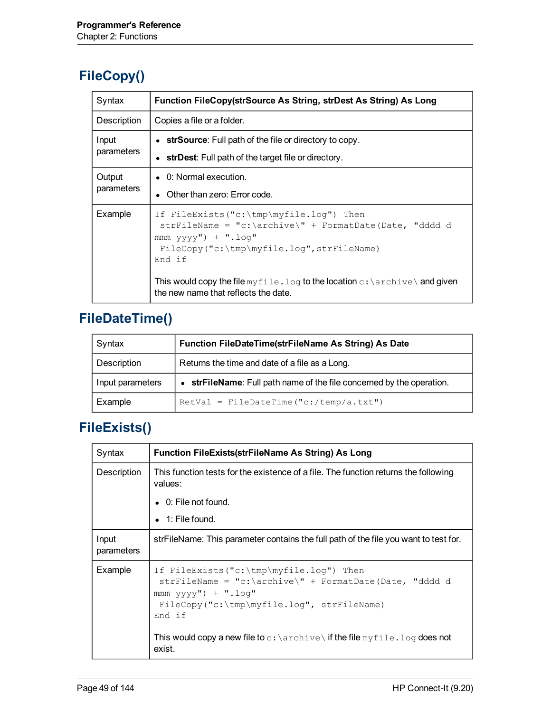# **FileCopy()**

| Syntax               | Function FileCopy(strSource As String, strDest As String) As Long                                                                                                                                                                                                                                                                        |
|----------------------|------------------------------------------------------------------------------------------------------------------------------------------------------------------------------------------------------------------------------------------------------------------------------------------------------------------------------------------|
| Description          | Copies a file or a folder.                                                                                                                                                                                                                                                                                                               |
| Input<br>parameters  | • strSource: Full path of the file or directory to copy.<br>• strDest: Full path of the target file or directory.                                                                                                                                                                                                                        |
| Output<br>parameters | $\bullet$ 0: Normal execution.<br>• Other than zero: Error code.                                                                                                                                                                                                                                                                         |
| Example              | If FileExists("c:\tmp\myfile.loq") Then<br>$\text{strFileName} = "c:\archive\\" + \text{FormatDate} (Date, "ddd d)$<br>$mm$ vyvv") + ".log"<br>$FileCopy('c:\temp\myfile.log'',strFileName)$<br>End if<br>This would copy the file myfile. log to the location $c: \archive \setminus$ and given<br>the new name that reflects the date. |

# **FileDateTime()**

| Syntax           | Function FileDateTime(strFileName As String) As Date                  |
|------------------|-----------------------------------------------------------------------|
| Description      | Returns the time and date of a file as a Long.                        |
| Input parameters | • strFileName: Full path name of the file concerned by the operation. |
| Example          | $RetVal = FileDateTime("c://temp/a.txt")$                             |

#### **FileExists()**

| Syntax              | <b>Function FileExists(strFileName As String) As Long</b>                                                                                                                                                                                                                         |
|---------------------|-----------------------------------------------------------------------------------------------------------------------------------------------------------------------------------------------------------------------------------------------------------------------------------|
| Description         | This function tests for the existence of a file. The function returns the following<br>values:                                                                                                                                                                                    |
|                     | $\bullet$ 0: File not found.                                                                                                                                                                                                                                                      |
|                     | $\bullet$ 1: File found.                                                                                                                                                                                                                                                          |
| Input<br>parameters | strFileName: This parameter contains the full path of the file you want to test for.                                                                                                                                                                                              |
| Example             | If FileExists("c:\tmp\myfile.loq") Then<br>strFileName = "c:\archive\" + FormatDate(Date, "dddd d<br>$mmm$ yyyy") + ".loq"<br>FileCopy("c:\tmp\myfile.log", strFileName)<br>End if<br>This would copy a new file to $c$ : $\archive \$ if the file myfile. log does not<br>exist. |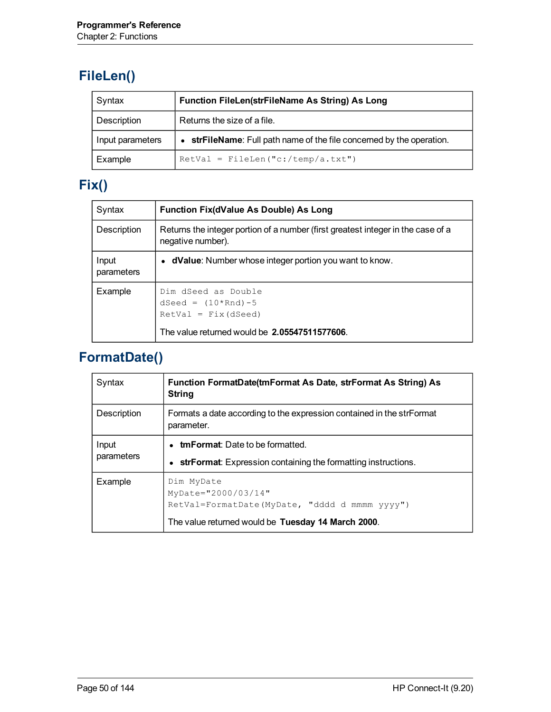# **FileLen()**

| Syntax           | Function FileLen(strFileName As String) As Long                       |
|------------------|-----------------------------------------------------------------------|
| Description      | Returns the size of a file.                                           |
| Input parameters | • strFileName: Full path name of the file concerned by the operation. |
| Example          | $RetVal = FileLen("c://temp/a.txt")$                                  |

# **Fix()**

| Syntax              | <b>Function Fix(dValue As Double) As Long</b>                                                                           |
|---------------------|-------------------------------------------------------------------------------------------------------------------------|
| Description         | Returns the integer portion of a number (first greatest integer in the case of a<br>negative number).                   |
| Input<br>parameters | • dValue: Number whose integer portion you want to know.                                                                |
| Example             | Dim dSeed as Double<br>dSeed = $(10*Rnd) - 5$<br>$RetVal = Fix(dSeed)$<br>The value returned would be 2.05547511577606. |

# **FormatDate()**

| Syntax              | Function FormatDate(tmFormat As Date, strFormat As String) As<br><b>String</b>                                                               |
|---------------------|----------------------------------------------------------------------------------------------------------------------------------------------|
| Description         | Formats a date according to the expression contained in the strFormat<br>parameter.                                                          |
| Input<br>parameters | • tmFormat: Date to be formatted.<br>strFormat: Expression containing the formatting instructions.<br>$\bullet$                              |
| Example             | Dim MyDate<br>$MyDate = "2000/03/14"$<br>RetVal=FormatDate(MyDate, "dddd d mmmm yyyy")<br>The value returned would be Tuesday 14 March 2000. |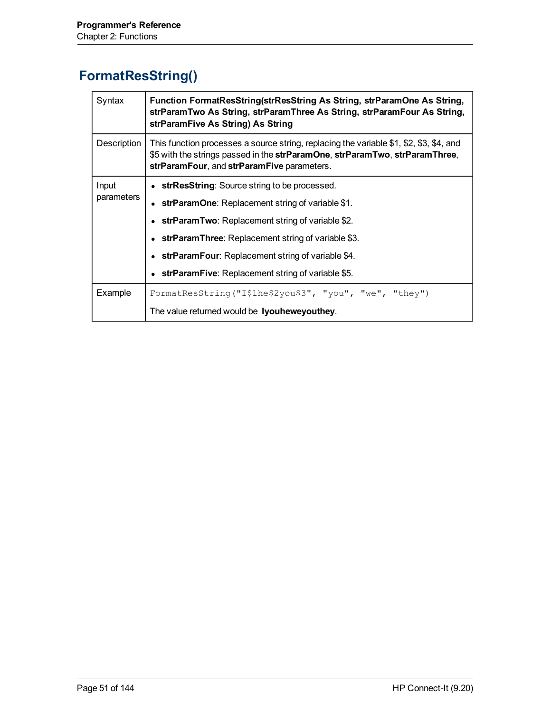### **FormatResString()**

| Syntax              | Function FormatResString(strResString As String, strParamOne As String,<br>strParamTwo As String, strParamThree As String, strParamFour As String,<br>strParamFive As String) As String                                                                                                                                                      |
|---------------------|----------------------------------------------------------------------------------------------------------------------------------------------------------------------------------------------------------------------------------------------------------------------------------------------------------------------------------------------|
| Description         | This function processes a source string, replacing the variable \$1, \$2, \$3, \$4, and<br>\$5 with the strings passed in the strParamOne, strParamTwo, strParamThree,<br>strParamFour, and strParamFive parameters.                                                                                                                         |
| Input<br>parameters | • strResString: Source string to be processed.<br><b>strParamOne:</b> Replacement string of variable \$1.<br>• strParamTwo: Replacement string of variable $$2$ .<br>• strParamThree: Replacement string of variable \$3.<br>• strParamFour: Replacement string of variable \$4.<br><b>strParamFive:</b> Replacement string of variable \$5. |
| Example             | FormatResString("I\$1he\$2you\$3", "you", "we", "they")<br>The value returned would be lyouheweyouthey.                                                                                                                                                                                                                                      |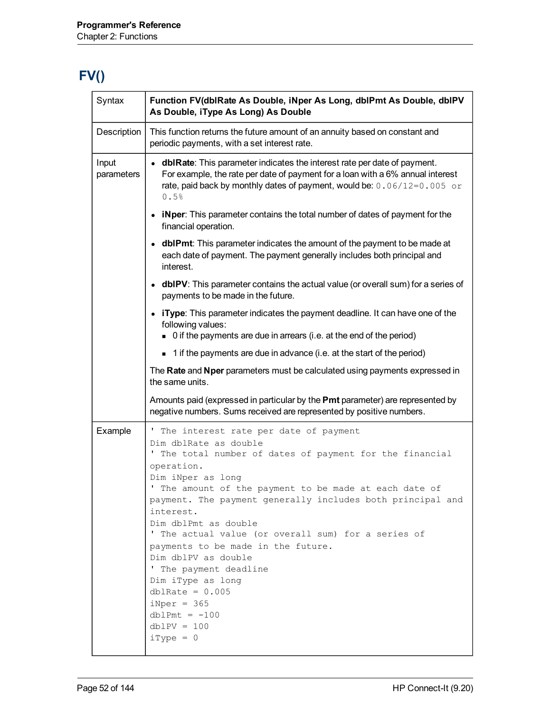# **FV()**

| Syntax              | Function FV(dblRate As Double, iNper As Long, dblPmt As Double, dblPV<br>As Double, iType As Long) As Double                                                                                                                                                                                                                                                                                                                                                                                                                                                                         |
|---------------------|--------------------------------------------------------------------------------------------------------------------------------------------------------------------------------------------------------------------------------------------------------------------------------------------------------------------------------------------------------------------------------------------------------------------------------------------------------------------------------------------------------------------------------------------------------------------------------------|
| Description         | This function returns the future amount of an annuity based on constant and<br>periodic payments, with a set interest rate.                                                                                                                                                                                                                                                                                                                                                                                                                                                          |
| Input<br>parameters | • dblRate: This parameter indicates the interest rate per date of payment.<br>For example, the rate per date of payment for a loan with a 6% annual interest<br>rate, paid back by monthly dates of payment, would be: 0.06/12=0.005 or<br>0.5%                                                                                                                                                                                                                                                                                                                                      |
|                     | • iNper: This parameter contains the total number of dates of payment for the<br>financial operation.                                                                                                                                                                                                                                                                                                                                                                                                                                                                                |
|                     | • dbIPmt: This parameter indicates the amount of the payment to be made at<br>each date of payment. The payment generally includes both principal and<br>interest.                                                                                                                                                                                                                                                                                                                                                                                                                   |
|                     | • dbIPV: This parameter contains the actual value (or overall sum) for a series of<br>payments to be made in the future.                                                                                                                                                                                                                                                                                                                                                                                                                                                             |
|                     | • iType: This parameter indicates the payment deadline. It can have one of the<br>following values:<br>• 0 if the payments are due in arrears (i.e. at the end of the period)                                                                                                                                                                                                                                                                                                                                                                                                        |
|                     | $\blacksquare$ 1 if the payments are due in advance (i.e. at the start of the period)                                                                                                                                                                                                                                                                                                                                                                                                                                                                                                |
|                     | The Rate and Nper parameters must be calculated using payments expressed in<br>the same units.                                                                                                                                                                                                                                                                                                                                                                                                                                                                                       |
|                     | Amounts paid (expressed in particular by the Pmt parameter) are represented by<br>negative numbers. Sums received are represented by positive numbers.                                                                                                                                                                                                                                                                                                                                                                                                                               |
| Example             | ' The interest rate per date of payment<br>Dim dblRate as double<br>The total number of dates of payment for the financial<br>operation.<br>Dim iNper as long<br>The amount of the payment to be made at each date of<br>payment. The payment generally includes both principal and<br>interest.<br>Dim dblPmt as double<br>' The actual value (or overall sum) for a series of<br>payments to be made in the future.<br>Dim dblPV as double<br>' The payment deadline<br>Dim iType as long<br>$dblRate = 0.005$<br>$iNper = 365$<br>$dblPmt = -100$<br>$dblPV = 100$<br>$iType = 0$ |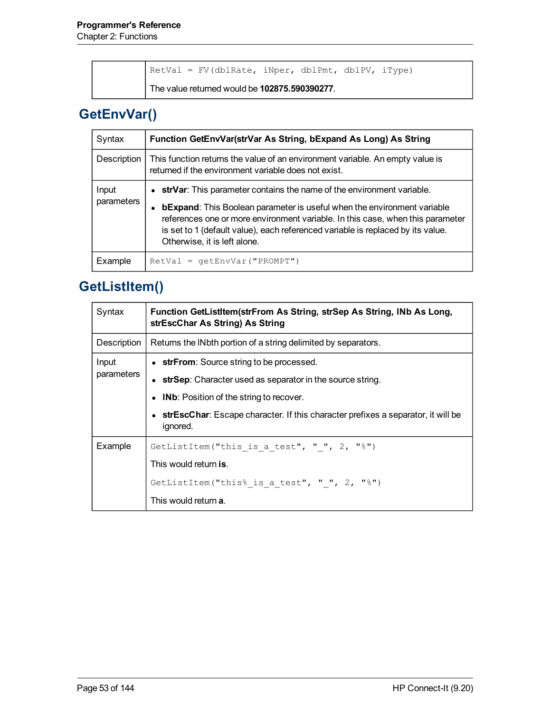|  | RetVal = FV(dblRate, iNper, dblPmt, dblPV, iType) |  |  |  |
|--|---------------------------------------------------|--|--|--|
|  | The value returned would be 102875.590390277.     |  |  |  |

# **GetEnvVar()**

| Syntax              | Function GetEnvVar(strVar As String, bExpand As Long) As String                                                                                                                                                                                                                                                                                                |
|---------------------|----------------------------------------------------------------------------------------------------------------------------------------------------------------------------------------------------------------------------------------------------------------------------------------------------------------------------------------------------------------|
| Description         | This function returns the value of an environment variable. An empty value is<br>returned if the environment variable does not exist.                                                                                                                                                                                                                          |
| Input<br>parameters | • strVar: This parameter contains the name of the environment variable.<br><b>bExpand:</b> This Boolean parameter is useful when the environment variable<br>references one or more environment variable. In this case, when this parameter<br>is set to 1 (default value), each referenced variable is replaced by its value.<br>Otherwise, it is left alone. |
| Example             | $RetVal = qetEnvVar("PROMPT")$                                                                                                                                                                                                                                                                                                                                 |

# **GetListItem()**

| Syntax      | Function GetListItem(strFrom As String, strSep As String, INb As Long,<br>strEscChar As String) As String |  |
|-------------|-----------------------------------------------------------------------------------------------------------|--|
| Description | Returns the INbth portion of a string delimited by separators.                                            |  |
| Input       | • strFrom: Source string to be processed.                                                                 |  |
| parameters  | • strSep: Character used as separator in the source string.                                               |  |
|             | • IND: Position of the string to recover.                                                                 |  |
|             | • strEscChar: Escape character. If this character prefixes a separator, it will be<br>ignored.            |  |
| Example     | GetListItem("this is a test", " ", $2$ , "%")                                                             |  |
|             | This would return is.                                                                                     |  |
|             | GetListItem("this% is a test", " ", 2, "%")                                                               |  |
|             | This would return <b>a</b> .                                                                              |  |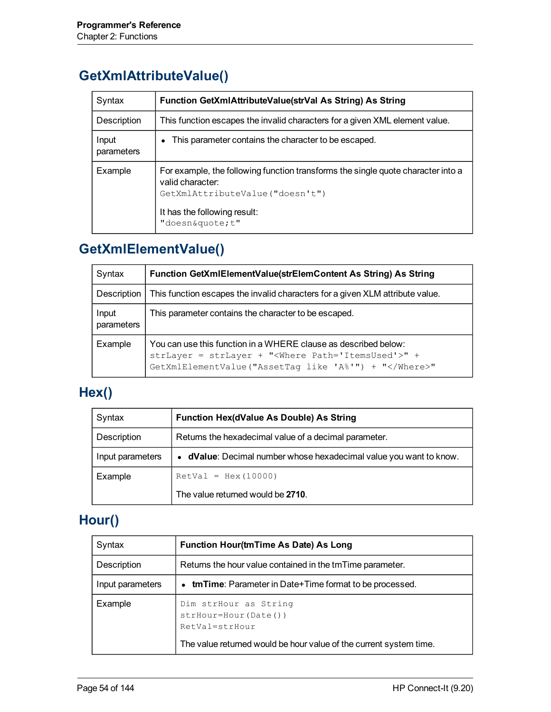#### **GetXmlAttributeValue()**

| Syntax              | Function GetXmlAttributeValue(strVal As String) As String                                                                                                                                 |
|---------------------|-------------------------------------------------------------------------------------------------------------------------------------------------------------------------------------------|
| Description         | This function escapes the invalid characters for a given XML element value.                                                                                                               |
| Input<br>parameters | This parameter contains the character to be escaped.                                                                                                                                      |
| Example             | For example, the following function transforms the single quote character into a<br>valid character:<br>GetXmlAttributeValue("doesn't")<br>It has the following result:<br>"doesn&quotet" |

#### **GetXmlElementValue()**

| Syntax              | Function GetXmlElementValue(strElemContent As String) As String                                                                                                                   |
|---------------------|-----------------------------------------------------------------------------------------------------------------------------------------------------------------------------------|
| Description         | This function escapes the invalid characters for a given XLM attribute value.                                                                                                     |
| Input<br>parameters | This parameter contains the character to be escaped.                                                                                                                              |
| Example             | You can use this function in a WHERE clause as described below:<br>strLayer = strLayer + " <where path="ItemsUsed">" +<br/>GetXmlElementValue("AssetTag like 'A%'") + "</where> " |

### **Hex()**

| Syntax           | <b>Function Hex(dValue As Double) As String</b>                    |  |  |
|------------------|--------------------------------------------------------------------|--|--|
| Description      | Returns the hexadecimal value of a decimal parameter.              |  |  |
| Input parameters | • dValue: Decimal number whose hexadecimal value you want to know. |  |  |
| Example          | $RetVal = Hex(10000)$                                              |  |  |
|                  | The value returned would be 2710.                                  |  |  |

# **Hour()**

| Syntax           | Function Hour(tmTime As Date) As Long                                                                                                      |
|------------------|--------------------------------------------------------------------------------------------------------------------------------------------|
| Description      | Returns the hour value contained in the tmTime parameter.                                                                                  |
| Input parameters | • tmTime: Parameter in Date+Time format to be processed.                                                                                   |
| Example          | Dim strHour as String<br>$strHour = Hour (Date())$<br>RetVal=strHour<br>The value returned would be hour value of the current system time. |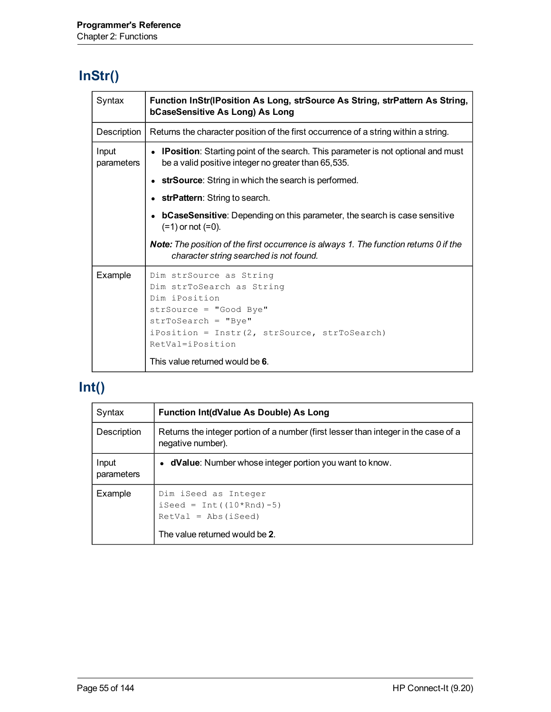# **InStr()**

| Syntax              | Function InStr(IPosition As Long, strSource As String, strPattern As String,<br>bCaseSensitive As Long) As Long                                                                                                                 |
|---------------------|---------------------------------------------------------------------------------------------------------------------------------------------------------------------------------------------------------------------------------|
| Description         | Returns the character position of the first occurrence of a string within a string.                                                                                                                                             |
| Input<br>parameters | • IPosition: Starting point of the search. This parameter is not optional and must<br>be a valid positive integer no greater than 65,535.                                                                                       |
|                     | strSource: String in which the search is performed.                                                                                                                                                                             |
|                     | <b>strPattern:</b> String to search.                                                                                                                                                                                            |
|                     | <b>bCaseSensitive:</b> Depending on this parameter, the search is case sensitive<br>$(=1)$ or not $(=0)$ .                                                                                                                      |
|                     | <b>Note:</b> The position of the first occurrence is always 1. The function returns 0 if the<br>character string searched is not found.                                                                                         |
| Example             | Dim strSource as String<br>Dim strToSearch as String<br>Dim iPosition<br>strSource = "Good Bye"<br>$strTosearch = "Bye"$<br>iPosition = Instr(2, strSource, strToSearch)<br>RetVal=iPosition<br>This value returned would be 6. |

# **Int()**

| Syntax              | Function Int(dValue As Double) As Long                                                                            |
|---------------------|-------------------------------------------------------------------------------------------------------------------|
| Description         | Returns the integer portion of a number (first lesser than integer in the case of a<br>negative number).          |
| Input<br>parameters | • dValue: Number whose integer portion you want to know.                                                          |
| Example             | Dim iSeed as Integer<br>$i$ Seed = Int( $(10*Rnd)$ -5)<br>$RetVal = Abs(iSeed)$<br>The value returned would be 2. |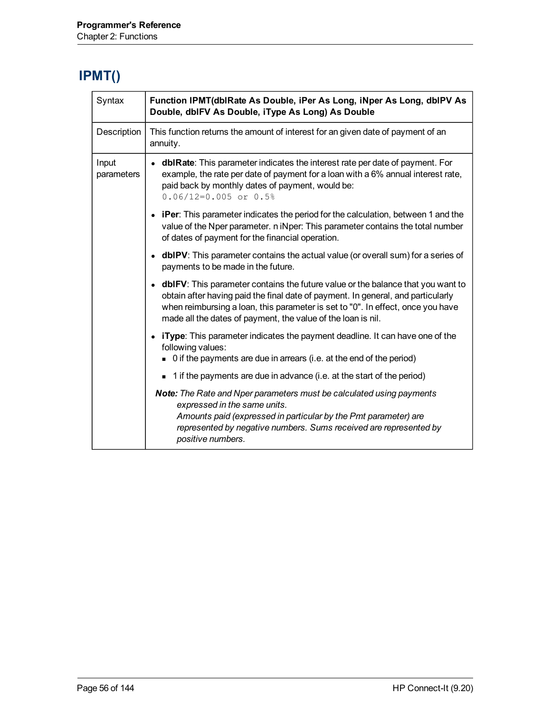# **IPMT()**

| Syntax              | Function IPMT(dblRate As Double, iPer As Long, iNper As Long, dblPV As<br>Double, dblFV As Double, iType As Long) As Double                                                                                                                                                                                              |
|---------------------|--------------------------------------------------------------------------------------------------------------------------------------------------------------------------------------------------------------------------------------------------------------------------------------------------------------------------|
| Description         | This function returns the amount of interest for an given date of payment of an<br>annuity.                                                                                                                                                                                                                              |
| Input<br>parameters | • dblRate: This parameter indicates the interest rate per date of payment. For<br>example, the rate per date of payment for a loan with a 6% annual interest rate,<br>paid back by monthly dates of payment, would be:<br>$0.06/12=0.005$ or $0.5%$                                                                      |
|                     | • iPer: This parameter indicates the period for the calculation, between 1 and the<br>value of the Nper parameter. n iNper: This parameter contains the total number<br>of dates of payment for the financial operation.                                                                                                 |
|                     | • dbIPV: This parameter contains the actual value (or overall sum) for a series of<br>payments to be made in the future.                                                                                                                                                                                                 |
|                     | • dbIFV: This parameter contains the future value or the balance that you want to<br>obtain after having paid the final date of payment. In general, and particularly<br>when reimbursing a loan, this parameter is set to "0". In effect, once you have<br>made all the dates of payment, the value of the loan is nil. |
|                     | • iType: This parameter indicates the payment deadline. It can have one of the<br>following values:<br>• 0 if the payments are due in arrears (i.e. at the end of the period)                                                                                                                                            |
|                     | 1 if the payments are due in advance (i.e. at the start of the period)                                                                                                                                                                                                                                                   |
|                     | <b>Note:</b> The Rate and Nper parameters must be calculated using payments<br>expressed in the same units.<br>Amounts paid (expressed in particular by the Pmt parameter) are<br>represented by negative numbers. Sums received are represented by<br>positive numbers.                                                 |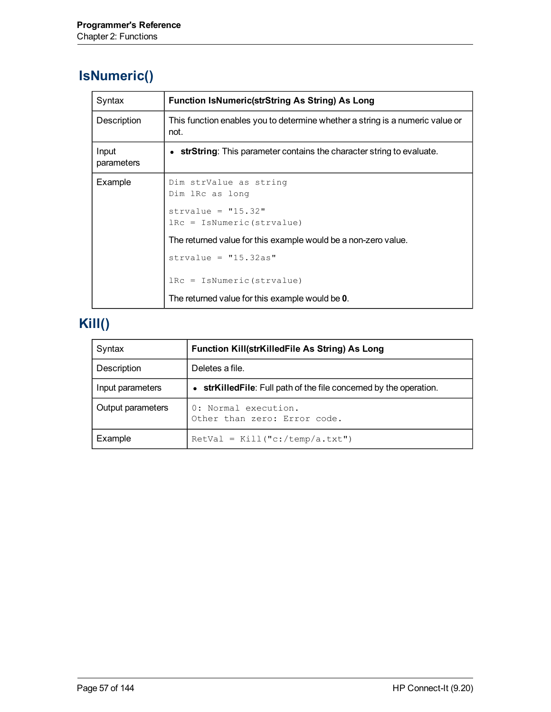#### **IsNumeric()**

| Syntax              | <b>Function IsNumeric(strString As String) As Long</b>                                |
|---------------------|---------------------------------------------------------------------------------------|
| Description         | This function enables you to determine whether a string is a numeric value or<br>not. |
| Input<br>parameters | • strString: This parameter contains the character string to evaluate.                |
| Example             | Dim strValue as string<br>Dim lRc as long                                             |
|                     | strvalue = $"15.32"$<br>$lRc = IsNumeric (strvalue)$                                  |
|                     | The returned value for this example would be a non-zero value.                        |
|                     | strvalue = $"15.32as"$                                                                |
|                     | $lRc = IsNumeric(Stringblue)$                                                         |
|                     | The returned value for this example would be 0.                                       |

# **Kill()**

| Syntax            | Function Kill(strKilledFile As String) As Long                     |
|-------------------|--------------------------------------------------------------------|
| Description       | Deletes a file.                                                    |
| Input parameters  | • strKilledFile: Full path of the file concerned by the operation. |
| Output parameters | 0: Normal execution.<br>Other than zero: Error code.               |
| Example           | $RetVal = Kill("c://temp/a.txt")$                                  |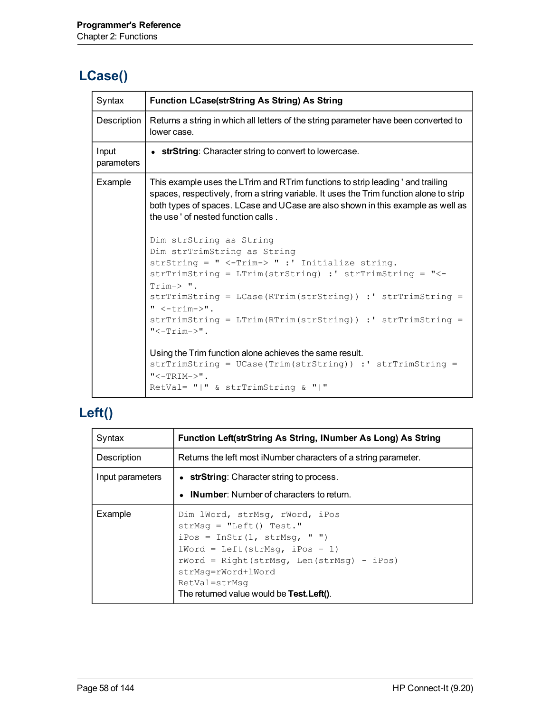# **LCase()**

| Syntax              | <b>Function LCase(strString As String) As String</b>                                                                                                                                                                                                                                                                                                                         |
|---------------------|------------------------------------------------------------------------------------------------------------------------------------------------------------------------------------------------------------------------------------------------------------------------------------------------------------------------------------------------------------------------------|
| Description         | Returns a string in which all letters of the string parameter have been converted to<br>lower case.                                                                                                                                                                                                                                                                          |
| Input<br>parameters | • strString: Character string to convert to lowercase.                                                                                                                                                                                                                                                                                                                       |
| Example             | This example uses the LTrim and RTrim functions to strip leading ' and trailing<br>spaces, respectively, from a string variable. It uses the Trim function alone to strip<br>both types of spaces. LCase and UCase are also shown in this example as well as<br>the use ' of nested function calls.                                                                          |
|                     | Dim strString as String<br>Dim strTrimString as String<br>strString = " <-Trim-> " :' Initialize string.<br>strTrimString = LTrim(strString) :' strTrimString = "<-<br>$Trim->$ ".<br>strTrimString = LCase(RTrim(strString)) :' strTrimString =<br>" $\leftarrow$ trim->".<br>$\text{strTrimString} = \text{LTrim(RTrim(String)) : ' strTrimString =$<br>$"<-$ Trim $->$ ". |
|                     | Using the Trim function alone achieves the same result.<br>strTrimString = UCase(Trim(strString)) :' strTrimString =<br>$"<-TRIM->"$ .<br>RetVal= $"   " \& strTrimString \& "   "$                                                                                                                                                                                          |

#### **Left()**

| Syntax           | Function Left(strString As String, INumber As Long) As String                                                                                                                                                                                                       |
|------------------|---------------------------------------------------------------------------------------------------------------------------------------------------------------------------------------------------------------------------------------------------------------------|
| Description      | Returns the left most iNumber characters of a string parameter.                                                                                                                                                                                                     |
| Input parameters | • strString: Character string to process.                                                                                                                                                                                                                           |
|                  | • INumber: Number of characters to return.                                                                                                                                                                                                                          |
| Example          | Dim lWord, strMsq, rWord, iPos<br>$strMsq = "Left() Test."$<br>$iPos = InStr(1, strMsq, "")$<br>$1Word = Left(strMsq, iPos - 1)$<br>$rWord = Right(strMsq, Len(strMsq) - iPos)$<br>strMsq=rWord+lWord<br>RetVal=strMsq<br>The returned value would be Test. Left(). |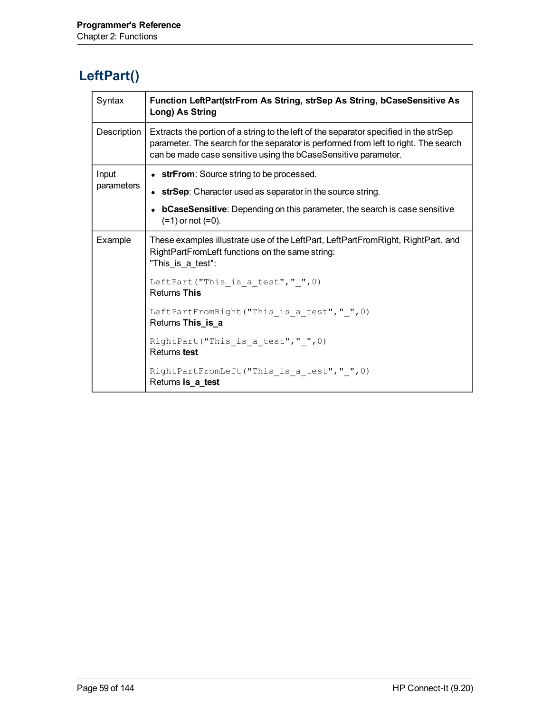#### **LeftPart()**

| Syntax      | Function LeftPart(strFrom As String, strSep As String, bCaseSensitive As<br>Long) As String                                                                                                                                                    |
|-------------|------------------------------------------------------------------------------------------------------------------------------------------------------------------------------------------------------------------------------------------------|
| Description | Extracts the portion of a string to the left of the separator specified in the strSep<br>parameter. The search for the separator is performed from left to right. The search<br>can be made case sensitive using the bCaseSensitive parameter. |
| Input       | • strFrom: Source string to be processed.                                                                                                                                                                                                      |
| parameters  | strSep: Character used as separator in the source string.                                                                                                                                                                                      |
|             | <b>bCaseSensitive:</b> Depending on this parameter, the search is case sensitive<br>$(=1)$ or not $(=0)$ .                                                                                                                                     |
| Example     | These examples illustrate use of the LeftPart, LeftPartFromRight, RightPart, and<br>RightPartFromLeft functions on the same string:<br>"This_is_a_test":                                                                                       |
|             | LeftPart ("This is a test", " $", 0)$<br><b>Returns This</b>                                                                                                                                                                                   |
|             | LeftPartFromRight("This is a test"," ", 0)<br>Returns This_is_a                                                                                                                                                                                |
|             | RightPart ("This is a test","", 0)<br>Returns test                                                                                                                                                                                             |
|             | RightPartFromLeft("This is a test"," ", 0)<br>Returns is_a_test                                                                                                                                                                                |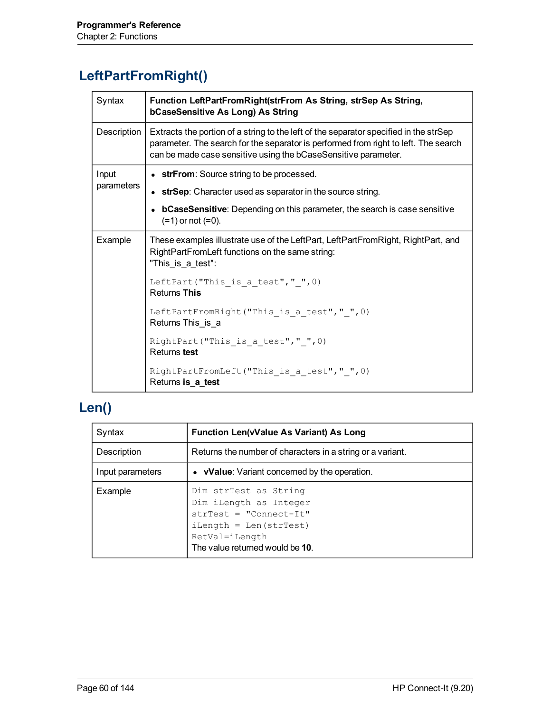### **LeftPartFromRight()**

| Syntax      | Function LeftPartFromRight(strFrom As String, strSep As String,<br>bCaseSensitive As Long) As String                                                                                                                                           |
|-------------|------------------------------------------------------------------------------------------------------------------------------------------------------------------------------------------------------------------------------------------------|
| Description | Extracts the portion of a string to the left of the separator specified in the strSep<br>parameter. The search for the separator is performed from right to left. The search<br>can be made case sensitive using the bCaseSensitive parameter. |
| Input       | • strFrom: Source string to be processed.                                                                                                                                                                                                      |
| parameters  | • strSep: Character used as separator in the source string.                                                                                                                                                                                    |
|             | <b>bCaseSensitive:</b> Depending on this parameter, the search is case sensitive<br>$(=1)$ or not $(=0)$ .                                                                                                                                     |
| Example     | These examples illustrate use of the LeftPart, LeftPartFromRight, RightPart, and<br>RightPartFromLeft functions on the same string:<br>"This is a test":                                                                                       |
|             | LeftPart ("This is a test","", 0)<br><b>Returns This</b>                                                                                                                                                                                       |
|             | LeftPartFromRight("This is a test"," ", 0)<br>Returns This is a                                                                                                                                                                                |
|             | RightPart ("This is a test","", 0)<br>Returns test                                                                                                                                                                                             |
|             | RightPartFromLeft("This is a test"," ", 0)<br>Returns is_a_test                                                                                                                                                                                |

# **Len()**

| Syntax           | Function Len(vValue As Variant) As Long                                                                                                                      |
|------------------|--------------------------------------------------------------------------------------------------------------------------------------------------------------|
| Description      | Returns the number of characters in a string or a variant.                                                                                                   |
| Input parameters | • vValue: Variant concerned by the operation.                                                                                                                |
| Example          | Dim strTest as String<br>Dim iLength as Integer<br>$strTest = "Connect-It"$<br>$iLength = Len(strTest)$<br>RetVal=iLength<br>The value returned would be 10. |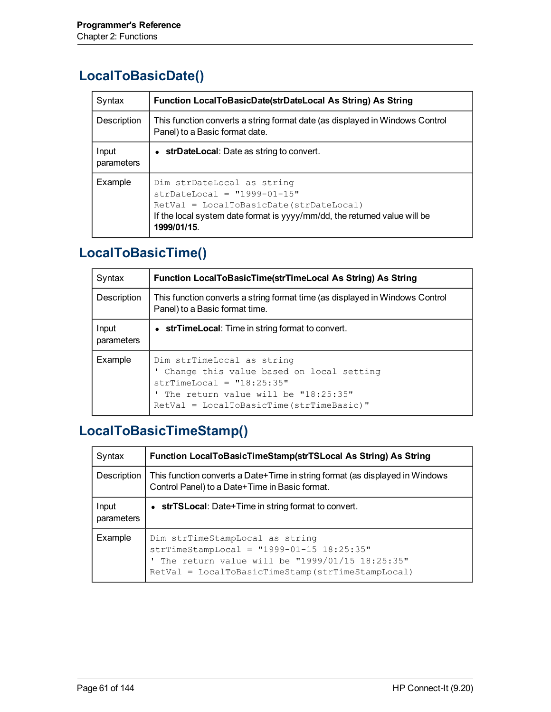#### **LocalToBasicDate()**

| Syntax              | Function LocalToBasicDate(strDateLocal As String) As String                                                                                                                                           |
|---------------------|-------------------------------------------------------------------------------------------------------------------------------------------------------------------------------------------------------|
| Description         | This function converts a string format date (as displayed in Windows Control<br>Panel) to a Basic format date.                                                                                        |
| Input<br>parameters | • strDateLocal: Date as string to convert.                                                                                                                                                            |
| Example             | Dim strDateLocal as string<br>$strDateLocal = "1999-01-15"$<br>$RetVal = LocalToBasicDate (strDateLocal)$<br>If the local system date format is yyyy/mm/dd, the returned value will be<br>1999/01/15. |

#### **LocalToBasicTime()**

| Syntax              | Function LocalToBasicTime(strTimeLocal As String) As String                                                                                                                                 |
|---------------------|---------------------------------------------------------------------------------------------------------------------------------------------------------------------------------------------|
| Description         | This function converts a string format time (as displayed in Windows Control<br>Panel) to a Basic format time.                                                                              |
| Input<br>parameters | • strTimeLocal: Time in string format to convert.                                                                                                                                           |
| Example             | Dim strTimeLocal as string<br>' Change this value based on local setting<br>$strTimeLocal = "18:25:35"$<br>The return value will be "18:25:35"<br>RetVal = LocalToBasicTime (strTimeBasic)" |

# **LocalToBasicTimeStamp()**

| Syntax              | Function LocalToBasicTimeStamp(strTSLocal As String) As String                                                                                                                        |
|---------------------|---------------------------------------------------------------------------------------------------------------------------------------------------------------------------------------|
| Description         | This function converts a Date+Time in string format (as displayed in Windows<br>Control Panel) to a Date+Time in Basic format.                                                        |
| Input<br>parameters | • strTSLocal: Date+Time in string format to convert.                                                                                                                                  |
| Example             | Dim strTimeStampLocal as string<br>$strTimeStampLocal = "1999-01-15 18:25:35"$<br>The return value will be "1999/01/15 18:25:35"<br>RetVal = LocalToBasicTimeStamp(strTimeStampLocal) |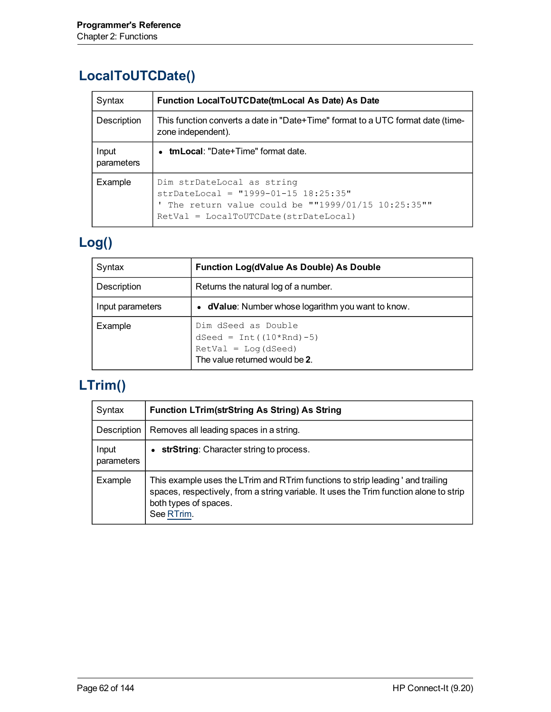### **LocalToUTCDate()**

| Syntax              | Function LocalToUTCDate(tmLocal As Date) As Date                                                                                                                      |
|---------------------|-----------------------------------------------------------------------------------------------------------------------------------------------------------------------|
| Description         | This function converts a date in "Date+Time" format to a UTC format date (time-<br>zone independent).                                                                 |
| Input<br>parameters | • tmLocal: "Date+Time" format date.                                                                                                                                   |
| Example             | Dim strDateLocal as string<br>strDateLocal = $"1999-01-15 18:25:35"$<br>The return value could be ""1999/01/15 10:25:35""<br>$RetVal = LocalTOUTCDate (strDateLocal)$ |

# **Log()**

| Syntax           | <b>Function Log(dValue As Double) As Double</b>                                                               |
|------------------|---------------------------------------------------------------------------------------------------------------|
| Description      | Returns the natural log of a number.                                                                          |
| Input parameters | • dValue: Number whose logarithm you want to know.                                                            |
| Example          | Dim dSeed as Double<br>dSeed = $Int((10*Rnd) - 5)$<br>$RetVal = Log(dSeed)$<br>The value returned would be 2. |

### **LTrim()**

| Syntax              | <b>Function LTrim(strString As String) As String</b>                                                                                                                                                             |
|---------------------|------------------------------------------------------------------------------------------------------------------------------------------------------------------------------------------------------------------|
| Description         | Removes all leading spaces in a string.                                                                                                                                                                          |
| Input<br>parameters | • strString: Character string to process.                                                                                                                                                                        |
| Example             | This example uses the LTrim and RTrim functions to strip leading ' and trailing<br>spaces, respectively, from a string variable. It uses the Trim function alone to strip<br>both types of spaces.<br>See RTrim. |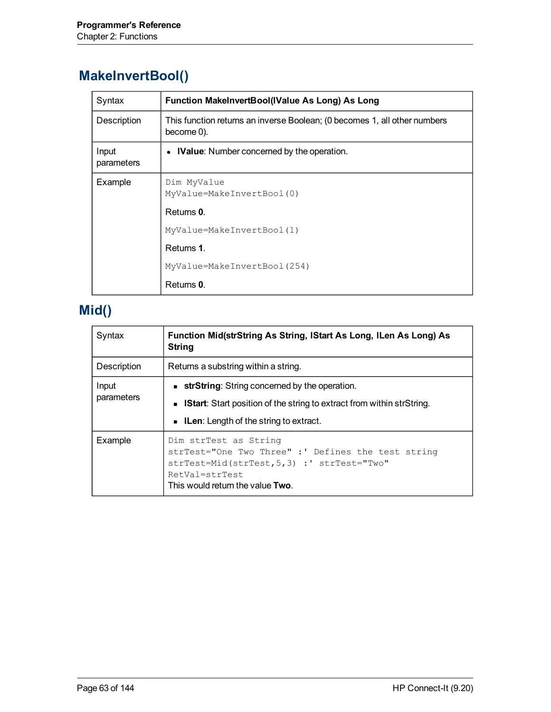#### **MakeInvertBool()**

| Syntax              | Function MakeInvertBool(IValue As Long) As Long                                         |
|---------------------|-----------------------------------------------------------------------------------------|
| Description         | This function returns an inverse Boolean; (0 becomes 1, all other numbers<br>become 0). |
| Input<br>parameters | • IValue: Number concerned by the operation.                                            |
| Example             | Dim MyValue<br>MyValue=MakeInvertBool(0)                                                |
|                     | Returns 0.                                                                              |
|                     | MyValue=MakeInvertBool(1)                                                               |
|                     | Returns 1.                                                                              |
|                     | MyValue=MakeInvertBool(254)                                                             |
|                     | Returns 0.                                                                              |

# **Mid()**

| Syntax              | Function Mid(strString As String, IStart As Long, ILen As Long) As<br><b>String</b>                                                                                                    |
|---------------------|----------------------------------------------------------------------------------------------------------------------------------------------------------------------------------------|
| Description         | Returns a substring within a string.                                                                                                                                                   |
| Input<br>parameters | <b>strString:</b> String concerned by the operation.<br><b>IStart:</b> Start position of the string to extract from within strString.<br><b>ILen:</b> Length of the string to extract. |
| Example             | Dim strTest as String<br>strTest="One Two Three" :' Defines the test string<br>strTest=Mid(strTest, 5, 3) : ' strTest="Two"<br>RetVal=strTest<br>This would return the value Two.      |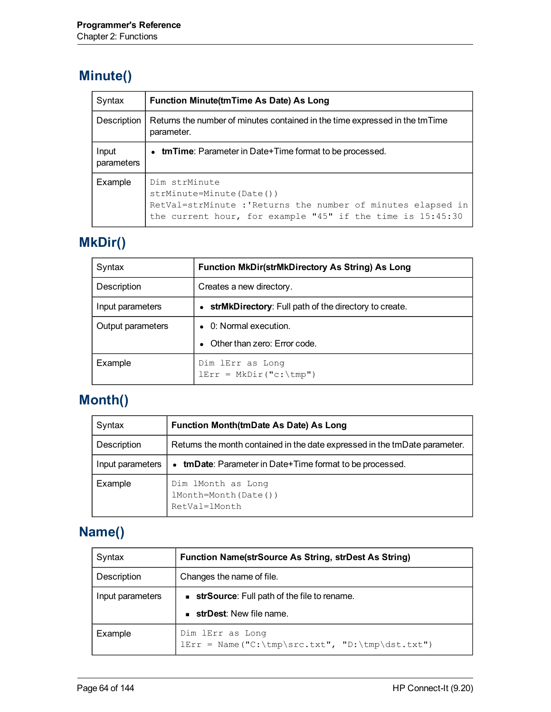#### **Minute()**

| Syntax              | Function Minute(tmTime As Date) As Long                                                                                                                                 |
|---------------------|-------------------------------------------------------------------------------------------------------------------------------------------------------------------------|
| Description         | Returns the number of minutes contained in the time expressed in the tmTime<br>parameter.                                                                               |
| Input<br>parameters | • tmTime: Parameter in Date+Time format to be processed.                                                                                                                |
| Example             | Dim strMinute<br>strMinute=Minute(Date())<br>RetVal=strMinute : 'Returns the number of minutes elapsed in<br>the current hour, for example "45" if the time is 15:45:30 |

# **MkDir()**

| Syntax            | <b>Function MkDir(strMkDirectory As String) As Long</b> |
|-------------------|---------------------------------------------------------|
| Description       | Creates a new directory.                                |
| Input parameters  | • strMkDirectory: Full path of the directory to create. |
| Output parameters | • 0: Normal execution.                                  |
|                   | Other than zero: Error code.                            |
| Example           | Dim lErr as Long<br>$lErr = MkDir("c:\temp")$           |

# **Month()**

| Syntax           | Function Month(tmDate As Date) As Long                                     |
|------------------|----------------------------------------------------------------------------|
| Description      | Returns the month contained in the date expressed in the tmDate parameter. |
| Input parameters | <b>tmDate:</b> Parameter in Date+Time format to be processed.              |
| Example          | Dim lMonth as Long<br>lMonth=Month(Date())<br>RetVal=1Month                |

### **Name()**

| Syntax           | <b>Function Name(strSource As String, strDest As String)</b>          |
|------------------|-----------------------------------------------------------------------|
| Description      | Changes the name of file.                                             |
| Input parameters | <b>strSource:</b> Full path of the file to rename.                    |
|                  | <b>strDest:</b> New file name.                                        |
| Example          | Dim lErr as Long<br>$lErr = Name('C:\tmp\src.txt", 'D:\tmp\dst.txt")$ |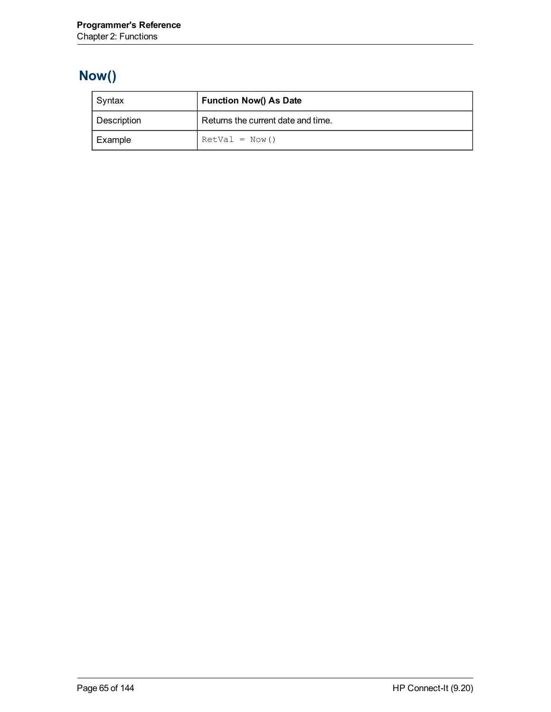# **Now()**

| Syntax      | <b>Function Now() As Date</b>      |
|-------------|------------------------------------|
| Description | Returns the current date and time. |
| Example     | $RetVal = Now()$                   |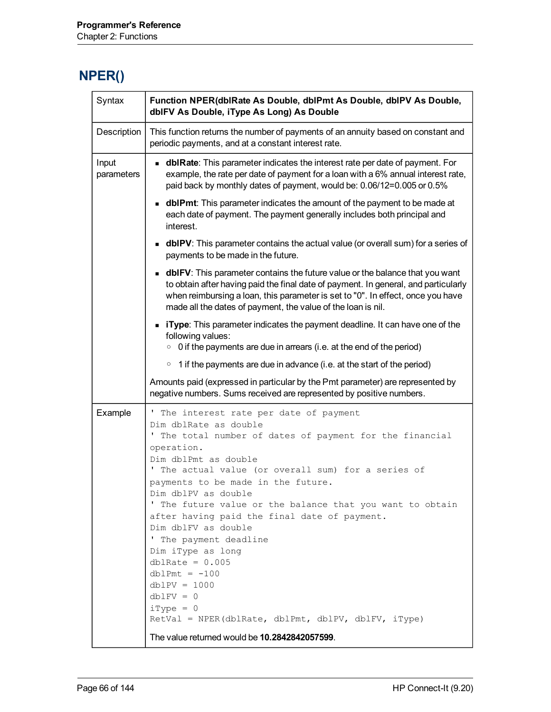#### **NPER()**

| Description<br>This function returns the number of payments of an annuity based on constant and<br>periodic payments, and at a constant interest rate.<br>Input<br><b>dblRate</b> : This parameter indicates the interest rate per date of payment. For<br>example, the rate per date of payment for a loan with a 6% annual interest rate,<br>parameters<br>paid back by monthly dates of payment, would be: 0.06/12=0.005 or 0.5%<br><b>dblPmt</b> : This parameter indicates the amount of the payment to be made at<br>each date of payment. The payment generally includes both principal and<br>interest.<br><b>dblPV</b> : This parameter contains the actual value (or overall sum) for a series of<br>payments to be made in the future.<br><b>dblFV</b> : This parameter contains the future value or the balance that you want<br>to obtain after having paid the final date of payment. In general, and particularly<br>when reimbursing a loan, this parameter is set to "0". In effect, once you have<br>made all the dates of payment, the value of the loan is nil.<br><b>Type:</b> This parameter indicates the payment deadline. It can have one of the<br>following values:<br>$\circ$ 0 if the payments are due in arrears (i.e. at the end of the period)<br>$\circ$ 1 if the payments are due in advance (i.e. at the start of the period)<br>Amounts paid (expressed in particular by the Pmt parameter) are represented by<br>negative numbers. Sums received are represented by positive numbers.<br>Example<br>' The interest rate per date of payment<br>Dim dblRate as double<br>' The total number of dates of payment for the financial<br>operation.<br>Dim dblPmt as double |  |
|-------------------------------------------------------------------------------------------------------------------------------------------------------------------------------------------------------------------------------------------------------------------------------------------------------------------------------------------------------------------------------------------------------------------------------------------------------------------------------------------------------------------------------------------------------------------------------------------------------------------------------------------------------------------------------------------------------------------------------------------------------------------------------------------------------------------------------------------------------------------------------------------------------------------------------------------------------------------------------------------------------------------------------------------------------------------------------------------------------------------------------------------------------------------------------------------------------------------------------------------------------------------------------------------------------------------------------------------------------------------------------------------------------------------------------------------------------------------------------------------------------------------------------------------------------------------------------------------------------------------------------------------------------------------------------------------------------------|--|
|                                                                                                                                                                                                                                                                                                                                                                                                                                                                                                                                                                                                                                                                                                                                                                                                                                                                                                                                                                                                                                                                                                                                                                                                                                                                                                                                                                                                                                                                                                                                                                                                                                                                                                             |  |
|                                                                                                                                                                                                                                                                                                                                                                                                                                                                                                                                                                                                                                                                                                                                                                                                                                                                                                                                                                                                                                                                                                                                                                                                                                                                                                                                                                                                                                                                                                                                                                                                                                                                                                             |  |
|                                                                                                                                                                                                                                                                                                                                                                                                                                                                                                                                                                                                                                                                                                                                                                                                                                                                                                                                                                                                                                                                                                                                                                                                                                                                                                                                                                                                                                                                                                                                                                                                                                                                                                             |  |
|                                                                                                                                                                                                                                                                                                                                                                                                                                                                                                                                                                                                                                                                                                                                                                                                                                                                                                                                                                                                                                                                                                                                                                                                                                                                                                                                                                                                                                                                                                                                                                                                                                                                                                             |  |
|                                                                                                                                                                                                                                                                                                                                                                                                                                                                                                                                                                                                                                                                                                                                                                                                                                                                                                                                                                                                                                                                                                                                                                                                                                                                                                                                                                                                                                                                                                                                                                                                                                                                                                             |  |
|                                                                                                                                                                                                                                                                                                                                                                                                                                                                                                                                                                                                                                                                                                                                                                                                                                                                                                                                                                                                                                                                                                                                                                                                                                                                                                                                                                                                                                                                                                                                                                                                                                                                                                             |  |
|                                                                                                                                                                                                                                                                                                                                                                                                                                                                                                                                                                                                                                                                                                                                                                                                                                                                                                                                                                                                                                                                                                                                                                                                                                                                                                                                                                                                                                                                                                                                                                                                                                                                                                             |  |
|                                                                                                                                                                                                                                                                                                                                                                                                                                                                                                                                                                                                                                                                                                                                                                                                                                                                                                                                                                                                                                                                                                                                                                                                                                                                                                                                                                                                                                                                                                                                                                                                                                                                                                             |  |
| The actual value (or overall sum) for a series of<br>payments to be made in the future.<br>Dim dblPV as double<br>' The future value or the balance that you want to obtain<br>after having paid the final date of payment.<br>Dim dblFV as double<br>' The payment deadline<br>Dim iType as long<br>dblRate = $0.005$<br>$dblPmt = -100$<br>$dblPV = 1000$<br>$dblFV = 0$<br>$iType = 0$<br>RetVal = NPER(dblRate, dblPmt, dblPV, dblFV, iType)<br>The value returned would be <b>10.2842842057599</b> .                                                                                                                                                                                                                                                                                                                                                                                                                                                                                                                                                                                                                                                                                                                                                                                                                                                                                                                                                                                                                                                                                                                                                                                                   |  |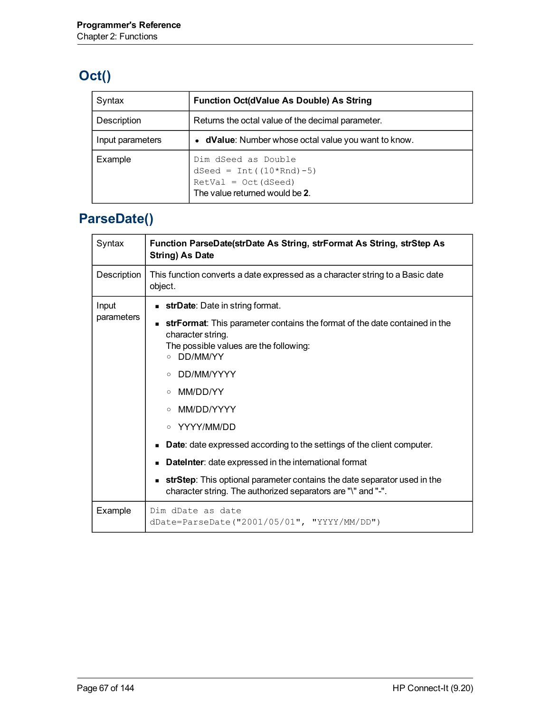# **Oct()**

| Syntax           | <b>Function Oct(dValue As Double) As String</b>                                                               |
|------------------|---------------------------------------------------------------------------------------------------------------|
| Description      | Returns the octal value of the decimal parameter.                                                             |
| Input parameters | • dValue: Number whose octal value you want to know.                                                          |
| Example          | Dim dSeed as Double<br>dSeed = $Int((10*Rnd) - 5)$<br>$RetVal = Oct(dSeed)$<br>The value returned would be 2. |

# **ParseDate()**

| Syntax              | Function ParseDate(strDate As String, strFormat As String, strStep As<br><b>String) As Date</b>                                                                                                                                                                                                                                                                                                                                                                                                                                                                                |
|---------------------|--------------------------------------------------------------------------------------------------------------------------------------------------------------------------------------------------------------------------------------------------------------------------------------------------------------------------------------------------------------------------------------------------------------------------------------------------------------------------------------------------------------------------------------------------------------------------------|
| Description         | This function converts a date expressed as a character string to a Basic date<br>object.                                                                                                                                                                                                                                                                                                                                                                                                                                                                                       |
| Input<br>parameters | strDate: Date in string format.<br>strFormat: This parameter contains the format of the date contained in the<br>character string.<br>The possible values are the following:<br>DD/MM/YY<br>$\circ$<br>DD/MM/YYYY<br>MM/DD/YY<br>$\circ$<br>MM/DD/YYYY<br>$\circ$<br>○ YYYY/MM/DD<br><b>Date:</b> date expressed according to the settings of the client computer.<br><b>DateInter:</b> date expressed in the international format<br>strStep: This optional parameter contains the date separator used in the<br>character string. The authorized separators are "\" and "-". |
| Example             | Dim dDate as date<br>dDate=ParseDate("2001/05/01", "YYYY/MM/DD")                                                                                                                                                                                                                                                                                                                                                                                                                                                                                                               |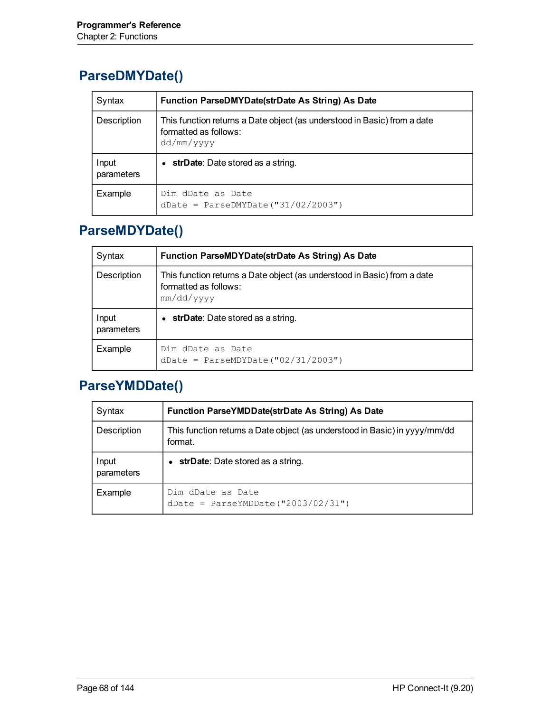#### **ParseDMYDate()**

| Syntax              | Function ParseDMYDate(strDate As String) As Date                                                                |
|---------------------|-----------------------------------------------------------------------------------------------------------------|
| Description         | This function returns a Date object (as understood in Basic) from a date<br>formatted as follows:<br>dd/mm/yyyy |
| Input<br>parameters | strDate: Date stored as a string.                                                                               |
| Example             | Dim dDate as Date<br>$dDate = ParseDMYDate("31/02/2003")$                                                       |

#### **ParseMDYDate()**

| Syntax              | Function ParseMDYDate(strDate As String) As Date                                                                |
|---------------------|-----------------------------------------------------------------------------------------------------------------|
| Description         | This function returns a Date object (as understood in Basic) from a date<br>formatted as follows:<br>mm/dd/yyyy |
| Input<br>parameters | <b>strDate</b> : Date stored as a string.                                                                       |
| Example             | Dim dDate as Date<br>dDate = ParseMDYDate (" $02/31/2003$ ")                                                    |

#### **ParseYMDDate()**

| Syntax              | Function ParseYMDDate(strDate As String) As Date                                      |
|---------------------|---------------------------------------------------------------------------------------|
| Description         | This function returns a Date object (as understood in Basic) in yyyy/mm/dd<br>format. |
| Input<br>parameters | strDate: Date stored as a string.<br>$\bullet$                                        |
| Example             | Dim dDate as Date<br>$dbate = ParseYMDDate("2003/02/31")$                             |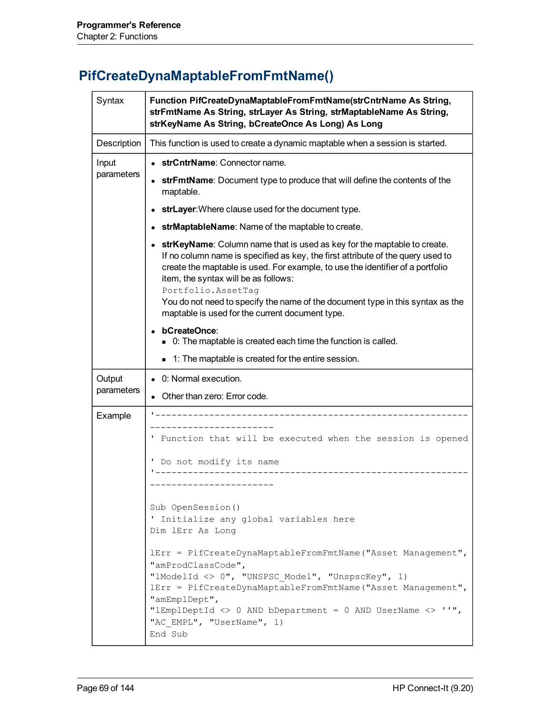# **PifCreateDynaMaptableFromFmtName()**

| Syntax              | Function PifCreateDynaMaptableFromFmtName(strCntrName As String,<br>strFmtName As String, strLayer As String, strMaptableName As String,<br>strKeyName As String, bCreateOnce As Long) As Long                                                                                                                                                                                                                                                  |  |
|---------------------|-------------------------------------------------------------------------------------------------------------------------------------------------------------------------------------------------------------------------------------------------------------------------------------------------------------------------------------------------------------------------------------------------------------------------------------------------|--|
| Description         | This function is used to create a dynamic maptable when a session is started.                                                                                                                                                                                                                                                                                                                                                                   |  |
| Input<br>parameters | • strCntrName: Connector name.                                                                                                                                                                                                                                                                                                                                                                                                                  |  |
|                     | strFmtName: Document type to produce that will define the contents of the<br>maptable.                                                                                                                                                                                                                                                                                                                                                          |  |
|                     | strLayer: Where clause used for the document type.                                                                                                                                                                                                                                                                                                                                                                                              |  |
|                     | strMaptableName: Name of the maptable to create.                                                                                                                                                                                                                                                                                                                                                                                                |  |
|                     | strKeyName: Column name that is used as key for the maptable to create.<br>If no column name is specified as key, the first attribute of the query used to<br>create the maptable is used. For example, to use the identifier of a portfolio<br>item, the syntax will be as follows:<br>Portfolio.AssetTaq<br>You do not need to specify the name of the document type in this syntax as the<br>maptable is used for the current document type. |  |
|                     | bCreateOnce:                                                                                                                                                                                                                                                                                                                                                                                                                                    |  |
|                     | • 0: The maptable is created each time the function is called.                                                                                                                                                                                                                                                                                                                                                                                  |  |
|                     | 1: The maptable is created for the entire session.                                                                                                                                                                                                                                                                                                                                                                                              |  |
|                     |                                                                                                                                                                                                                                                                                                                                                                                                                                                 |  |
| Output              | • 0: Normal execution.                                                                                                                                                                                                                                                                                                                                                                                                                          |  |
| parameters          | Other than zero: Error code.                                                                                                                                                                                                                                                                                                                                                                                                                    |  |
| Example             | ___________________                                                                                                                                                                                                                                                                                                                                                                                                                             |  |
|                     | ' Function that will be executed when the session is opened                                                                                                                                                                                                                                                                                                                                                                                     |  |
|                     | ' Do not modify its name<br>-----------------<br>---------------                                                                                                                                                                                                                                                                                                                                                                                |  |
|                     | Sub OpenSession()<br>' Initialize any global variables here<br>Dim lErr As Long                                                                                                                                                                                                                                                                                                                                                                 |  |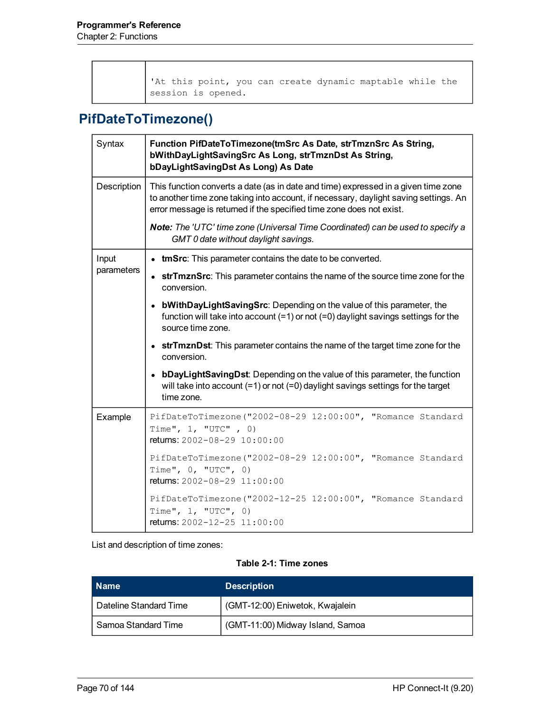'At this point, you can create dynamic maptable while the session is opened.

#### **PifDateToTimezone()**

| Syntax      | Function PifDateToTimezone(tmSrc As Date, strTmznSrc As String,<br>bWithDayLightSavingSrc As Long, strTmznDst As String,<br>bDayLightSavingDst As Long) As Date                                                                                    |  |  |
|-------------|----------------------------------------------------------------------------------------------------------------------------------------------------------------------------------------------------------------------------------------------------|--|--|
| Description | This function converts a date (as in date and time) expressed in a given time zone<br>to another time zone taking into account, if necessary, daylight saving settings. An<br>error message is returned if the specified time zone does not exist. |  |  |
|             | Note: The 'UTC' time zone (Universal Time Coordinated) can be used to specify a<br>GMT 0 date without daylight savings.                                                                                                                            |  |  |
| Input       | • tmSrc: This parameter contains the date to be converted.                                                                                                                                                                                         |  |  |
| parameters  | • strTmznSrc: This parameter contains the name of the source time zone for the<br>conversion.                                                                                                                                                      |  |  |
|             | • bWithDayLightSavingSrc: Depending on the value of this parameter, the<br>function will take into account $(=1)$ or not $(=0)$ daylight savings settings for the<br>source time zone.                                                             |  |  |
|             | • strTmznDst: This parameter contains the name of the target time zone for the<br>conversion.                                                                                                                                                      |  |  |
|             | • bDayLightSavingDst: Depending on the value of this parameter, the function<br>will take into account $(=1)$ or not $(=0)$ daylight savings settings for the target<br>time zone.                                                                 |  |  |
| Example     | PifDateToTimezone("2002-08-29 12:00:00", "Romance Standard<br>Time", $1,$ "UTC", 0)<br>returns: 2002-08-29 10:00:00                                                                                                                                |  |  |
|             | PifDateToTimezone("2002-08-29 12:00:00", "Romance Standard<br>Time", $0,$ "UTC", $0)$<br>returns: 2002-08-29 11:00:00                                                                                                                              |  |  |
|             | PifDateToTimezone("2002-12-25 12:00:00", "Romance Standard<br>Time", 1, "UTC", 0)<br>returns: 2002-12-25 11:00:00                                                                                                                                  |  |  |

List and description of time zones:

#### **Table 2-1: Time zones**

| <b>Name</b>            | <b>Description</b>               |
|------------------------|----------------------------------|
| Dateline Standard Time | (GMT-12:00) Eniwetok, Kwajalein  |
| Samoa Standard Time    | (GMT-11:00) Midway Island, Samoa |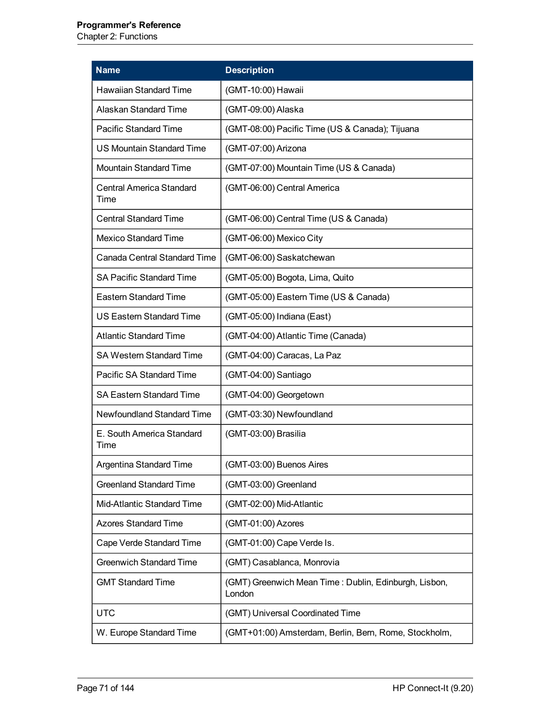#### **Programmer's Reference**

Chapter 2: Functions

| <b>Name</b>                             | <b>Description</b>                                              |
|-----------------------------------------|-----------------------------------------------------------------|
| <b>Hawaiian Standard Time</b>           | (GMT-10:00) Hawaii                                              |
| Alaskan Standard Time                   | (GMT-09:00) Alaska                                              |
| <b>Pacific Standard Time</b>            | (GMT-08:00) Pacific Time (US & Canada); Tijuana                 |
| <b>US Mountain Standard Time</b>        | (GMT-07:00) Arizona                                             |
| <b>Mountain Standard Time</b>           | (GMT-07:00) Mountain Time (US & Canada)                         |
| <b>Central America Standard</b><br>Time | (GMT-06:00) Central America                                     |
| <b>Central Standard Time</b>            | (GMT-06:00) Central Time (US & Canada)                          |
| <b>Mexico Standard Time</b>             | (GMT-06:00) Mexico City                                         |
| <b>Canada Central Standard Time</b>     | (GMT-06:00) Saskatchewan                                        |
| <b>SA Pacific Standard Time</b>         | (GMT-05:00) Bogota, Lima, Quito                                 |
| <b>Eastern Standard Time</b>            | (GMT-05:00) Eastern Time (US & Canada)                          |
| <b>US Eastern Standard Time</b>         | (GMT-05:00) Indiana (East)                                      |
| <b>Atlantic Standard Time</b>           | (GMT-04:00) Atlantic Time (Canada)                              |
| <b>SA Western Standard Time</b>         | (GMT-04:00) Caracas, La Paz                                     |
| Pacific SA Standard Time                | (GMT-04:00) Santiago                                            |
| <b>SA Eastern Standard Time</b>         | (GMT-04:00) Georgetown                                          |
| Newfoundland Standard Time              | (GMT-03:30) Newfoundland                                        |
| E. South America Standard<br>Time       | (GMT-03:00) Brasilia                                            |
| <b>Argentina Standard Time</b>          | (GMT-03:00) Buenos Aires                                        |
| <b>Greenland Standard Time</b>          | (GMT-03:00) Greenland                                           |
| Mid-Atlantic Standard Time              | (GMT-02:00) Mid-Atlantic                                        |
| <b>Azores Standard Time</b>             | (GMT-01:00) Azores                                              |
| Cape Verde Standard Time                | (GMT-01:00) Cape Verde Is.                                      |
| <b>Greenwich Standard Time</b>          | (GMT) Casablanca, Monrovia                                      |
| <b>GMT Standard Time</b>                | (GMT) Greenwich Mean Time: Dublin, Edinburgh, Lisbon,<br>London |
| <b>UTC</b>                              | (GMT) Universal Coordinated Time                                |
| W. Europe Standard Time                 | (GMT+01:00) Amsterdam, Berlin, Bern, Rome, Stockholm,           |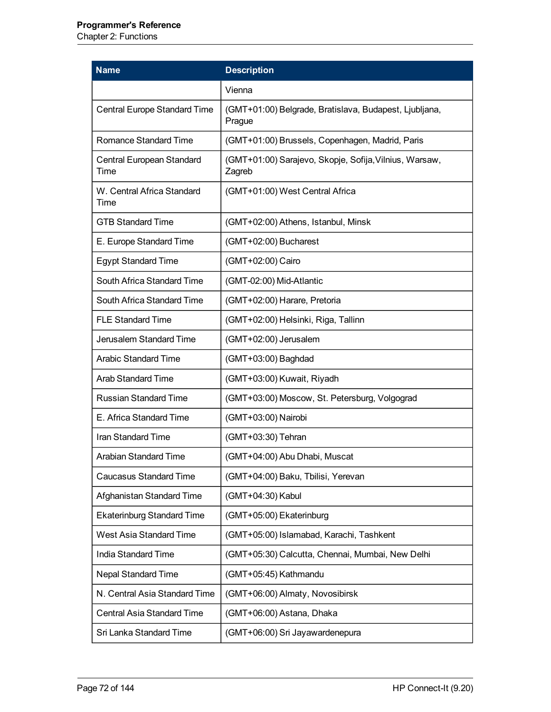Chapter 2: Functions

| <b>Name</b>                        | <b>Description</b>                                               |
|------------------------------------|------------------------------------------------------------------|
|                                    | Vienna                                                           |
| Central Europe Standard Time       | (GMT+01:00) Belgrade, Bratislava, Budapest, Ljubljana,<br>Prague |
| Romance Standard Time              | (GMT+01:00) Brussels, Copenhagen, Madrid, Paris                  |
| Central European Standard<br>Time  | (GMT+01:00) Sarajevo, Skopje, Sofija, Vilnius, Warsaw,<br>Zagreb |
| W. Central Africa Standard<br>Time | (GMT+01:00) West Central Africa                                  |
| <b>GTB Standard Time</b>           | (GMT+02:00) Athens, Istanbul, Minsk                              |
| E. Europe Standard Time            | (GMT+02:00) Bucharest                                            |
| <b>Egypt Standard Time</b>         | (GMT+02:00) Cairo                                                |
| South Africa Standard Time         | (GMT-02:00) Mid-Atlantic                                         |
| South Africa Standard Time         | (GMT+02:00) Harare, Pretoria                                     |
| <b>FLE Standard Time</b>           | (GMT+02:00) Helsinki, Riga, Tallinn                              |
| Jerusalem Standard Time            | (GMT+02:00) Jerusalem                                            |
| <b>Arabic Standard Time</b>        | (GMT+03:00) Baghdad                                              |
| <b>Arab Standard Time</b>          | (GMT+03:00) Kuwait, Riyadh                                       |
| <b>Russian Standard Time</b>       | (GMT+03:00) Moscow, St. Petersburg, Volgograd                    |
| E. Africa Standard Time            | (GMT+03:00) Nairobi                                              |
| Iran Standard Time                 | (GMT+03:30) Tehran                                               |
| Arabian Standard Time              | (GMT+04:00) Abu Dhabi, Muscat                                    |
| <b>Caucasus Standard Time</b>      | (GMT+04:00) Baku, Tbilisi, Yerevan                               |
| Afghanistan Standard Time          | (GMT+04:30) Kabul                                                |
| <b>Ekaterinburg Standard Time</b>  | (GMT+05:00) Ekaterinburg                                         |
| West Asia Standard Time            | (GMT+05:00) Islamabad, Karachi, Tashkent                         |
| <b>India Standard Time</b>         | (GMT+05:30) Calcutta, Chennai, Mumbai, New Delhi                 |
| <b>Nepal Standard Time</b>         | (GMT+05:45) Kathmandu                                            |
| N. Central Asia Standard Time      | (GMT+06:00) Almaty, Novosibirsk                                  |
| Central Asia Standard Time         | (GMT+06:00) Astana, Dhaka                                        |
| Sri Lanka Standard Time            | (GMT+06:00) Sri Jayawardenepura                                  |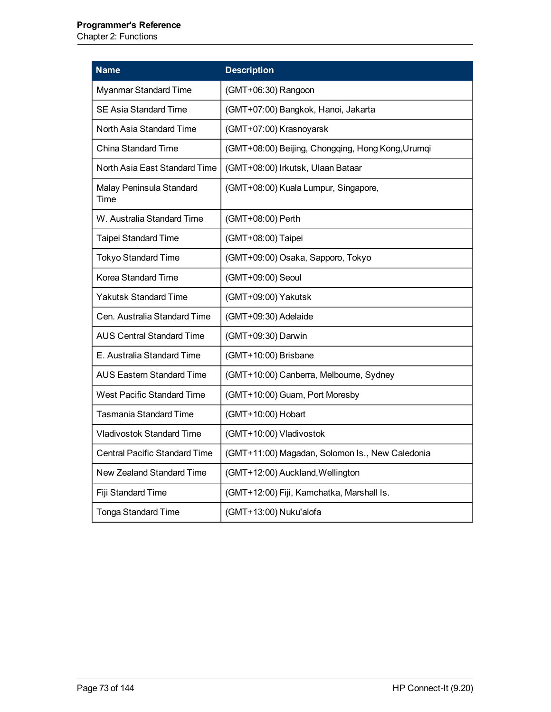#### **Programmer's Reference**

Chapter 2: Functions

| <b>Name</b>                          | <b>Description</b>                                |
|--------------------------------------|---------------------------------------------------|
| Myanmar Standard Time                | (GMT+06:30) Rangoon                               |
| <b>SE Asia Standard Time</b>         | (GMT+07:00) Bangkok, Hanoi, Jakarta               |
| North Asia Standard Time             | (GMT+07:00) Krasnoyarsk                           |
| <b>China Standard Time</b>           | (GMT+08:00) Beijing, Chongqing, Hong Kong, Urumqi |
| North Asia East Standard Time        | (GMT+08:00) Irkutsk, Ulaan Bataar                 |
| Malay Peninsula Standard<br>Time     | (GMT+08:00) Kuala Lumpur, Singapore,              |
| W. Australia Standard Time           | (GMT+08:00) Perth                                 |
| Taipei Standard Time                 | (GMT+08:00) Taipei                                |
| <b>Tokyo Standard Time</b>           | (GMT+09:00) Osaka, Sapporo, Tokyo                 |
| Korea Standard Time                  | (GMT+09:00) Seoul                                 |
| <b>Yakutsk Standard Time</b>         | (GMT+09:00) Yakutsk                               |
| Cen. Australia Standard Time         | (GMT+09:30) Adelaide                              |
| AUS Central Standard Time            | (GMT+09:30) Darwin                                |
| E. Australia Standard Time           | (GMT+10:00) Brisbane                              |
| <b>AUS Eastern Standard Time</b>     | (GMT+10:00) Canberra, Melbourne, Sydney           |
| <b>West Pacific Standard Time</b>    | (GMT+10:00) Guam, Port Moresby                    |
| <b>Tasmania Standard Time</b>        | (GMT+10:00) Hobart                                |
| Vladivostok Standard Time            | (GMT+10:00) Vladivostok                           |
| <b>Central Pacific Standard Time</b> | (GMT+11:00) Magadan, Solomon Is., New Caledonia   |
| New Zealand Standard Time            | (GMT+12:00) Auckland, Wellington                  |
| Fiji Standard Time                   | (GMT+12:00) Fiji, Kamchatka, Marshall Is.         |
| <b>Tonga Standard Time</b>           | (GMT+13:00) Nuku'alofa                            |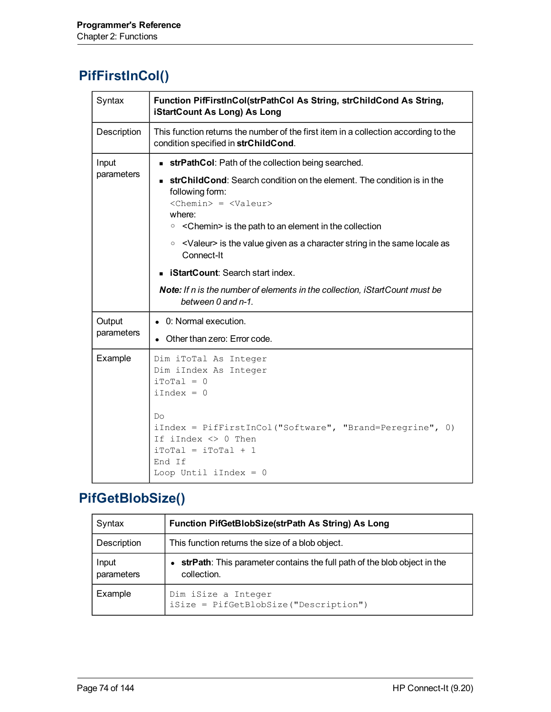# **PifFirstInCol()**

| Syntax               | Function PifFirstInCol(strPathCol As String, strChildCond As String,<br>iStartCount As Long) As Long                                                                                                                                                                                                                                                                                                                                                                                                                                 |
|----------------------|--------------------------------------------------------------------------------------------------------------------------------------------------------------------------------------------------------------------------------------------------------------------------------------------------------------------------------------------------------------------------------------------------------------------------------------------------------------------------------------------------------------------------------------|
| Description          | This function returns the number of the first item in a collection according to the<br>condition specified in strChildCond.                                                                                                                                                                                                                                                                                                                                                                                                          |
| Input<br>parameters  | <b>strPathCol:</b> Path of the collection being searched.<br><b>strChildCond:</b> Search condition on the element. The condition is in the<br>following form:<br>$<$ Chemin> = $<$ Valeur><br>where:<br>$\circ$ < Chemin > is the path to an element in the collection<br>$\circ$ <valeur> is the value given as a character string in the same locale as<br/>Connect-It<br/><b>iStartCount:</b> Search start index.<br/>Note: If n is the number of elements in the collection, iStartCount must be<br/>between 0 and n-1.</valeur> |
| Output<br>parameters | • 0: Normal execution.<br>Other than zero: Error code.                                                                                                                                                                                                                                                                                                                                                                                                                                                                               |
| Example              | Dim iToTal As Integer<br>Dim iIndex As Integer<br>$iTotal = 0$<br>$iIndex = 0$<br>Do<br>iIndex = PifFirstInCol("Software", "Brand=Peregrine", 0)<br>If iIndex $\langle \rangle$ 0 Then<br>$i$ ToTal = $i$ ToTal + 1<br>End If<br>Loop Until iIndex = $0$                                                                                                                                                                                                                                                                             |

# **PifGetBlobSize()**

| Syntax              | Function PifGetBlobSize(strPath As String) As Long                                        |
|---------------------|-------------------------------------------------------------------------------------------|
| Description         | This function returns the size of a blob object.                                          |
| Input<br>parameters | • strPath: This parameter contains the full path of the blob object in the<br>collection. |
| Example             | Dim iSize a Integer<br>iSize = PifGetBlobSize("Description")                              |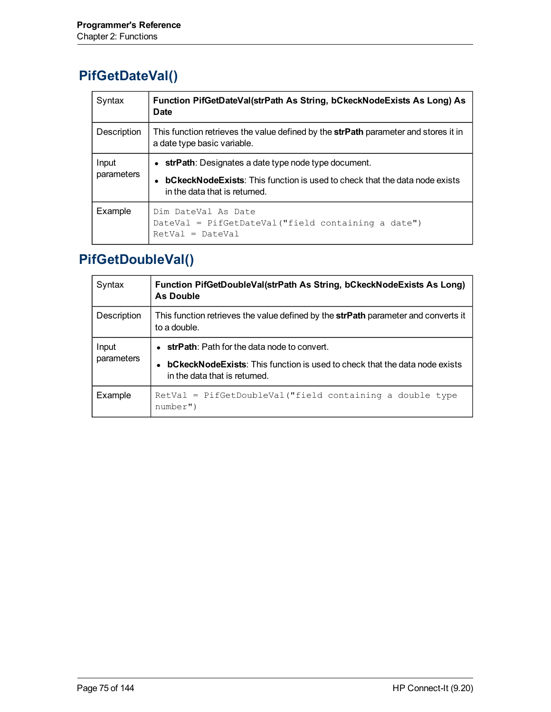# **PifGetDateVal()**

| Syntax              | Function PifGetDateVal(strPath As String, bCkeckNodeExists As Long) As<br><b>Date</b>                                                                                     |
|---------------------|---------------------------------------------------------------------------------------------------------------------------------------------------------------------------|
| Description         | This function retrieves the value defined by the strPath parameter and stores it in<br>a date type basic variable.                                                        |
| Input<br>parameters | strPath: Designates a date type node type document.<br><b>bCkeckNodeExists:</b> This function is used to check that the data node exists<br>in the data that is returned. |
| Example             | Dim DateVal As Date<br>DateVal = PifGetDateVal ("field containing a date")<br>$RetVal = DateVal$                                                                          |

# **PifGetDoubleVal()**

| Syntax              | Function PifGetDoubleVal(strPath As String, bCkeckNodeExists As Long)<br><b>As Double</b>                                                                                   |
|---------------------|-----------------------------------------------------------------------------------------------------------------------------------------------------------------------------|
| Description         | This function retrieves the value defined by the <b>strPath</b> parameter and converts it<br>to a double.                                                                   |
| Input<br>parameters | $\bullet$ strPath: Path for the data node to convert.<br><b>bCkeckNodeExists:</b> This function is used to check that the data node exists<br>in the data that is returned. |
| Example             | $RetVal = PifGetDoubleVal("field containing a double type)$<br>number")                                                                                                     |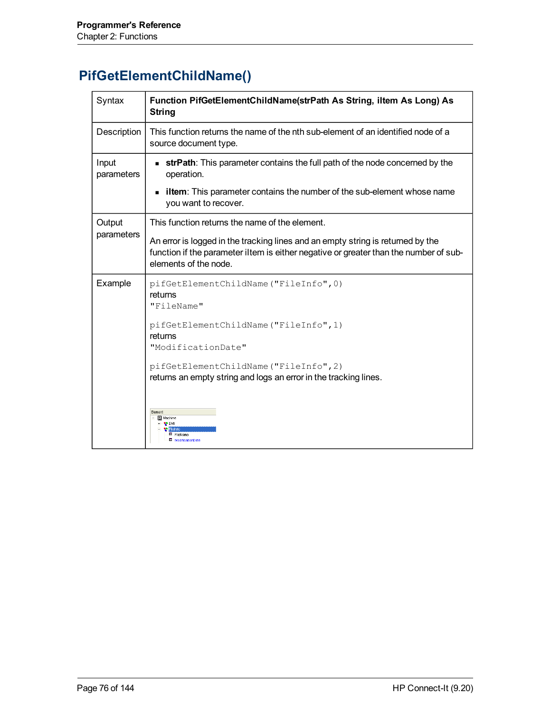# **PifGetElementChildName()**

| Syntax              | Function PifGetElementChildName(strPath As String, iltem As Long) As<br><b>String</b>                                                                                                             |
|---------------------|---------------------------------------------------------------------------------------------------------------------------------------------------------------------------------------------------|
| Description         | This function returns the name of the nth sub-element of an identified node of a<br>source document type.                                                                                         |
| Input<br>parameters | <b>strPath</b> : This parameter contains the full path of the node concerned by the<br>operation.                                                                                                 |
|                     | <b>iltem</b> : This parameter contains the number of the sub-element whose name<br>$\blacksquare$<br>you want to recover.                                                                         |
| Output              | This function returns the name of the element.                                                                                                                                                    |
| parameters          | An error is logged in the tracking lines and an empty string is returned by the<br>function if the parameter iltem is either negative or greater than the number of sub-<br>elements of the node. |
| Example             | pifGetElementChildName("FileInfo", 0)<br>returns<br>"FileName"                                                                                                                                    |
|                     | pifGetElementChildName("FileInfo", 1)<br>returns<br>"ModificationDate"                                                                                                                            |
|                     | pifGetElementChildName("FileInfo", 2)<br>returns an empty string and logs an error in the tracking lines.                                                                                         |
|                     | Element<br>Machine<br>FileName<br><b>III</b> ModificationDate                                                                                                                                     |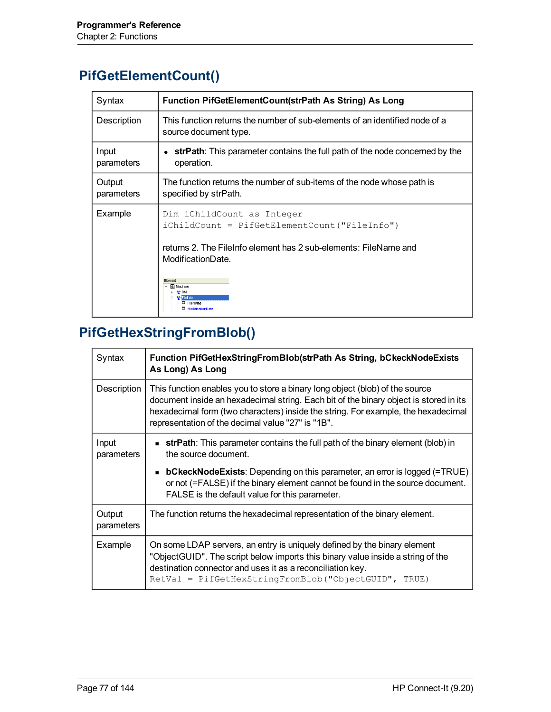# **PifGetElementCount()**

| Syntax               | Function PifGetElementCount(strPath As String) As Long                                                                                                                                                              |
|----------------------|---------------------------------------------------------------------------------------------------------------------------------------------------------------------------------------------------------------------|
| Description          | This function returns the number of sub-elements of an identified node of a<br>source document type.                                                                                                                |
| Input<br>parameters  | strPath: This parameter contains the full path of the node concerned by the<br>operation.                                                                                                                           |
| Output<br>parameters | The function returns the number of sub-items of the node whose path is<br>specified by strPath.                                                                                                                     |
| Example              | Dim iChildCount as Integer<br>$icchildCount = PifGetElementCount('FileInfo")$<br>returns 2. The FileInfo element has 2 sub-elements: FileName and<br>ModificationDate.<br>Element<br><b>All</b> Machine<br>FileName |

# **PifGetHexStringFromBlob()**

| Syntax               | Function PifGetHexStringFromBlob(strPath As String, bCkeckNodeExists<br>As Long) As Long                                                                                                                                                                                                                        |
|----------------------|-----------------------------------------------------------------------------------------------------------------------------------------------------------------------------------------------------------------------------------------------------------------------------------------------------------------|
| Description          | This function enables you to store a binary long object (blob) of the source<br>document inside an hexadecimal string. Each bit of the binary object is stored in its<br>hexadecimal form (two characters) inside the string. For example, the hexadecimal<br>representation of the decimal value "27" is "1B". |
| Input<br>parameters  | <b>strPath</b> : This parameter contains the full path of the binary element (blob) in<br>the source document.                                                                                                                                                                                                  |
|                      | • bCkeckNodeExists: Depending on this parameter, an error is logged (=TRUE)<br>or not (=FALSE) if the binary element cannot be found in the source document.<br>FALSE is the default value for this parameter.                                                                                                  |
| Output<br>parameters | The function returns the hexadecimal representation of the binary element.                                                                                                                                                                                                                                      |
| Example              | On some LDAP servers, an entry is uniquely defined by the binary element<br>"Object GUID". The script below imports this binary value inside a string of the<br>destination connector and uses it as a reconciliation key.<br>$RetVal = PiffeetHexStringFromBlob("ObjectGUID", TRUE)$                           |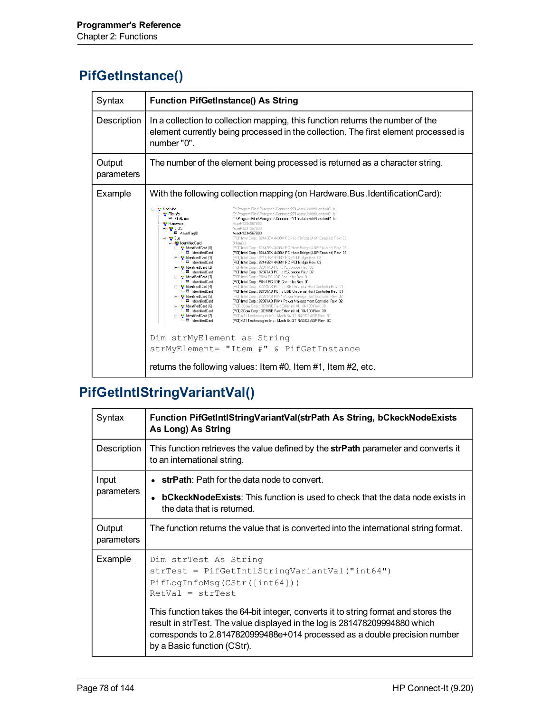#### **PifGetInstance()**

| Syntax               | <b>Function PifGetInstance() As String</b>                                                                                                                                                                                                                                                                                                                                                                                                                                                                                                                                                                                                                                                                                                                                                                                                                                                                                                                                                                                                                                                                                                                                                                                                                                                                                                                                                                                                                                                                                                                                                                                                                                                                                                                                                                                                                                                                                                                                                                                                                                                                                                                                                                                    |
|----------------------|-------------------------------------------------------------------------------------------------------------------------------------------------------------------------------------------------------------------------------------------------------------------------------------------------------------------------------------------------------------------------------------------------------------------------------------------------------------------------------------------------------------------------------------------------------------------------------------------------------------------------------------------------------------------------------------------------------------------------------------------------------------------------------------------------------------------------------------------------------------------------------------------------------------------------------------------------------------------------------------------------------------------------------------------------------------------------------------------------------------------------------------------------------------------------------------------------------------------------------------------------------------------------------------------------------------------------------------------------------------------------------------------------------------------------------------------------------------------------------------------------------------------------------------------------------------------------------------------------------------------------------------------------------------------------------------------------------------------------------------------------------------------------------------------------------------------------------------------------------------------------------------------------------------------------------------------------------------------------------------------------------------------------------------------------------------------------------------------------------------------------------------------------------------------------------------------------------------------------------|
| Description          | In a collection to collection mapping, this function returns the number of the<br>element currently being processed in the collection. The first element processed is<br>number "0".                                                                                                                                                                                                                                                                                                                                                                                                                                                                                                                                                                                                                                                                                                                                                                                                                                                                                                                                                                                                                                                                                                                                                                                                                                                                                                                                                                                                                                                                                                                                                                                                                                                                                                                                                                                                                                                                                                                                                                                                                                          |
| Output<br>parameters | The number of the element being processed is returned as a character string.                                                                                                                                                                                                                                                                                                                                                                                                                                                                                                                                                                                                                                                                                                                                                                                                                                                                                                                                                                                                                                                                                                                                                                                                                                                                                                                                                                                                                                                                                                                                                                                                                                                                                                                                                                                                                                                                                                                                                                                                                                                                                                                                                  |
| Example              | With the following collection mapping (on Hardware. Bus. Identification Card):                                                                                                                                                                                                                                                                                                                                                                                                                                                                                                                                                                                                                                                                                                                                                                                                                                                                                                                                                                                                                                                                                                                                                                                                                                                                                                                                                                                                                                                                                                                                                                                                                                                                                                                                                                                                                                                                                                                                                                                                                                                                                                                                                |
|                      | ⊟– <sup>a</sup> Machine<br>C:\Program Files\Peregrine\ConnectIt271\datakit\idd\London01.fsf<br>– <mark>•</mark> • FileInfo<br>C:\Program Files\Peregrine\ConnectIt271\datakit\idd\London01.fsf<br>El FileName<br>C:\Program Files\Peregrine\ConnectIt271\datakit\idd\London01.fsf<br><b>N</b> Hardware<br>Asset-1234567890<br>$\blacksquare$ BIOS<br>Asset-1234567890<br>AssetTagID<br>Asset-1234567890<br><sup>1</sup> Bus<br>[PCI] Intel Corp.: 82443BX 440BX PCI-Host Bridge (AGP Enabled) Rev. 03<br><b>E I</b> dentifiedCard<br>8 item(s)<br>-- <mark>발</mark> IdentifiedCard (0)<br>[PCI] Intel Corp.: 82443BX 440BX PCI-Host Bridge (AGP Enabled) Rev. 03<br>El IdentifiedCard<br>[PCI] Intel Corp.: 82443BX 440BX PCI-Host Bridge (AGP Enabled) Rev. 03<br><sup>1</sup> IdentifiedCard (1)<br>[PCI] Intel Corp.: 82443BX 440BX PCI-PCI Bridge Rev. 03<br><b>B</b> IdentifiedCard<br>[PCI] Intel Corp.: 82443BX 440BX PCI-PCI Bridge Rev. 03<br>ldentifiedCard (2)<br>[PCI] Intel Corp.: 82371AB PCI to ISA bridge Rev. 02<br>EdentifiedCard<br>[PCI] Intel Corp.: 82371AB PCI to ISA bridge Rev. 02<br><sup>92</sup> IdentifiedCard (3)<br>[PCI] Intel Corp.: PIIX4 PCI IDE Controller Rev. 01<br>Ell IdentifiedCard<br>[PCI] Intel Corp.: PIIX4 PCI IDE Controller Rev. 01<br><sup>1</sup> IdentifiedCard (4)<br>[PCI] Intel Corp.: 82731AB PCI to USB Universal Host Controller Rev. 01<br>El IdentifiedCard<br>[PCI] Intel Corp.: 82731AB PCI to USB Universal Host Controller Rev. 01<br><sup>9</sup> IdentifiedCard (5)<br>[PCI] Intel Corp.: 82371AB PIIX4 Power Management Controller Rev. 02<br>El IdentifiedCard<br>[PCI] Intel Corp.: 82371AB PIIX4 Power Management Controller Rev. 02<br><sup>1</sup> IdentifiedCard (6)<br>[PCI] 3Com Corp.: 3C905B Fast Etherlink XL 10/100 Rev. 30<br>El IdentifiedCard<br>[PCI] 3Com Corp.: 3C905B Fast Etherlink XL 10/100 Rev. 30<br>= <mark>• •</mark> IdentifiedCard (7)<br>[PCI] ATI Technologies Inc.: Mach 64 GT RAGE2 AGP Rev. 5C<br>El IdentifiedCard<br>[PCI] ATI Technologies Inc.: Mach 64 GT RAGE2 AGP Rev. 5C<br>Dim strMyElement as String<br>strMyElement= "Item #" & PifGetInstance<br>returns the following values: Item #0, Item #1, Item #2, etc. |

# **PifGetIntlStringVariantVal()**

| Syntax               | Function PifGetIntIStringVariantVal(strPath As String, bCkeckNodeExists<br>As Long) As String                                                                                                                                                                                  |
|----------------------|--------------------------------------------------------------------------------------------------------------------------------------------------------------------------------------------------------------------------------------------------------------------------------|
| Description          | This function retrieves the value defined by the strPath parameter and converts it<br>to an international string.                                                                                                                                                              |
| Input<br>parameters  | $\bullet$ strPath: Path for the data node to convert.<br>• bCkeckNodeExists: This function is used to check that the data node exists in<br>the data that is returned.                                                                                                         |
| Output<br>parameters | The function returns the value that is converted into the international string format.                                                                                                                                                                                         |
| Example              | Dim strTest As String<br>strTest = PifGetIntlStringVariantVal("int64")<br>PifLoqInfoMsg(CStr([int64]))<br>$RetVal = strTest$                                                                                                                                                   |
|                      | This function takes the 64-bit integer, converts it to string format and stores the<br>result in strTest. The value displayed in the log is 281478209994880 which<br>corresponds to 2.8147820999488e+014 processed as a double precision number<br>by a Basic function (CStr). |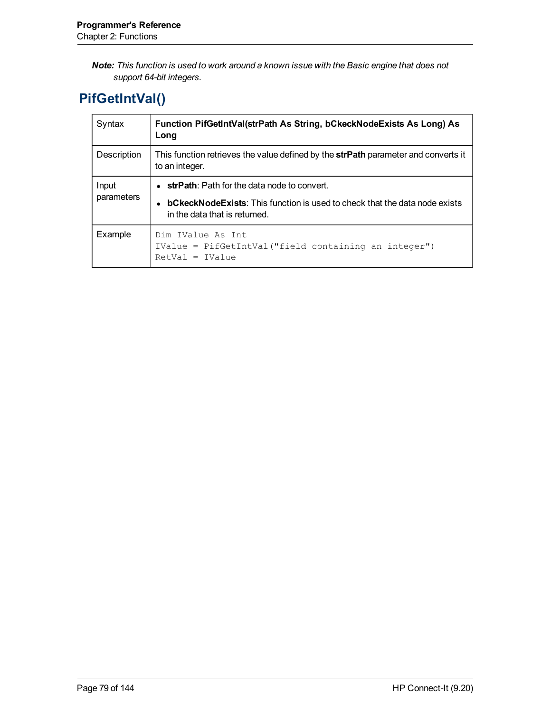*Note: This function is used to work around a known issue with the Basic engine that does not support 64-bit integers.*

# **PifGetIntVal()**

| Syntax              | Function PifGetIntVal(strPath As String, bCkeckNodeExists As Long) As<br>Long                                                                                               |
|---------------------|-----------------------------------------------------------------------------------------------------------------------------------------------------------------------------|
| Description         | This function retrieves the value defined by the strPath parameter and converts it<br>to an integer.                                                                        |
| Input<br>parameters | $\bullet$ strPath: Path for the data node to convert.<br><b>bCkeckNodeExists:</b> This function is used to check that the data node exists<br>in the data that is returned. |
| Example             | Dim IValue As Int<br>IValue = PifGetIntVal("field containing an integer")<br>$RetVal = IValue$                                                                              |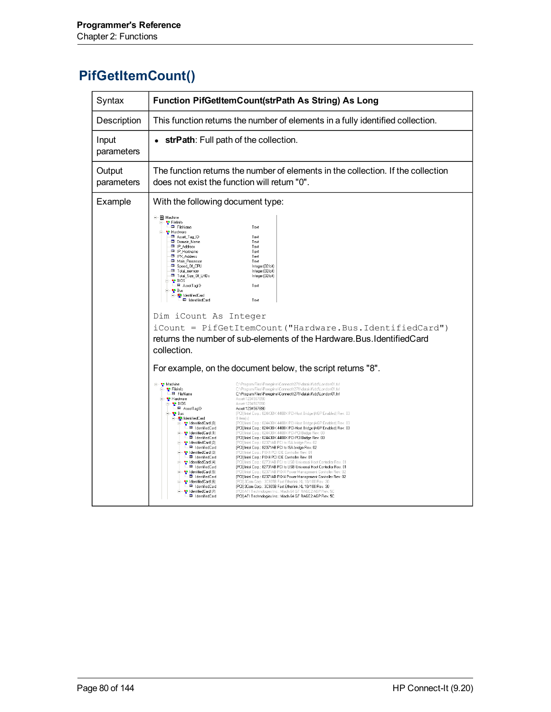# **PifGetItemCount()**

| Syntax               | <b>Function PifGetItemCount(strPath As String) As Long</b>                                                                                                                                                                                                                                                                                                                                                                                                                                                                                                                                                                                                                                                                                                                                                                                                                                                                                                                                                                                                                                                                                                                                                                                                                                                                                                                                                                                                                                                                                                                                                                                                                                                                                                                                                                                                                                                                                                                                                                                                                                                                                                                                                                                                                                                                                                                                                                                                                                                                                                                                                                                                                                                                                                                                                                                              |
|----------------------|---------------------------------------------------------------------------------------------------------------------------------------------------------------------------------------------------------------------------------------------------------------------------------------------------------------------------------------------------------------------------------------------------------------------------------------------------------------------------------------------------------------------------------------------------------------------------------------------------------------------------------------------------------------------------------------------------------------------------------------------------------------------------------------------------------------------------------------------------------------------------------------------------------------------------------------------------------------------------------------------------------------------------------------------------------------------------------------------------------------------------------------------------------------------------------------------------------------------------------------------------------------------------------------------------------------------------------------------------------------------------------------------------------------------------------------------------------------------------------------------------------------------------------------------------------------------------------------------------------------------------------------------------------------------------------------------------------------------------------------------------------------------------------------------------------------------------------------------------------------------------------------------------------------------------------------------------------------------------------------------------------------------------------------------------------------------------------------------------------------------------------------------------------------------------------------------------------------------------------------------------------------------------------------------------------------------------------------------------------------------------------------------------------------------------------------------------------------------------------------------------------------------------------------------------------------------------------------------------------------------------------------------------------------------------------------------------------------------------------------------------------------------------------------------------------------------------------------------------------|
| Description          | This function returns the number of elements in a fully identified collection.                                                                                                                                                                                                                                                                                                                                                                                                                                                                                                                                                                                                                                                                                                                                                                                                                                                                                                                                                                                                                                                                                                                                                                                                                                                                                                                                                                                                                                                                                                                                                                                                                                                                                                                                                                                                                                                                                                                                                                                                                                                                                                                                                                                                                                                                                                                                                                                                                                                                                                                                                                                                                                                                                                                                                                          |
| Input<br>parameters  | strPath: Full path of the collection.                                                                                                                                                                                                                                                                                                                                                                                                                                                                                                                                                                                                                                                                                                                                                                                                                                                                                                                                                                                                                                                                                                                                                                                                                                                                                                                                                                                                                                                                                                                                                                                                                                                                                                                                                                                                                                                                                                                                                                                                                                                                                                                                                                                                                                                                                                                                                                                                                                                                                                                                                                                                                                                                                                                                                                                                                   |
| Output<br>parameters | The function returns the number of elements in the collection. If the collection<br>does not exist the function will return "0".                                                                                                                                                                                                                                                                                                                                                                                                                                                                                                                                                                                                                                                                                                                                                                                                                                                                                                                                                                                                                                                                                                                                                                                                                                                                                                                                                                                                                                                                                                                                                                                                                                                                                                                                                                                                                                                                                                                                                                                                                                                                                                                                                                                                                                                                                                                                                                                                                                                                                                                                                                                                                                                                                                                        |
| Example              | With the following document type:                                                                                                                                                                                                                                                                                                                                                                                                                                                                                                                                                                                                                                                                                                                                                                                                                                                                                                                                                                                                                                                                                                                                                                                                                                                                                                                                                                                                                                                                                                                                                                                                                                                                                                                                                                                                                                                                                                                                                                                                                                                                                                                                                                                                                                                                                                                                                                                                                                                                                                                                                                                                                                                                                                                                                                                                                       |
|                      | <b>- 图</b> Machine<br><sup>a</sup> FileInfo<br>Ell FileName<br>Text<br><b>N</b> Hardware<br>- <sup>Ell</sup> Asset_Tag_ID<br>Text<br>B Domain_Name<br>Text<br><b>B</b> IP_Address<br>Text<br><b>ED</b> IP_Hostname<br>Text<br>■ IPX_Address<br>Text<br>Main_Processor<br>Text<br>E Speed_Of_CPU<br>Integer (32-bit)<br><b>B</b> Total_memory<br>Integer (32-bit)<br>E Total_Size_Of_LHDs<br>Integer (32-bit)<br>- <mark>V</mark> BIOS<br>□ AssetTagID<br>Text<br>- <mark>a∍</mark> Bus<br><b>E</b> IdentifiedCard<br>Ell IdentifiedCard<br>Text<br>Dim iCount As Integer<br>iCount = PifGetItemCount ("Hardware.Bus.IdentifiedCard")<br>returns the number of sub-elements of the Hardware. Bus, Identified Card<br>collection.<br>For example, on the document below, the script returns "8".<br>⊟– <mark>°</mark> Machine<br>C:\Program Files\Peregrine\ConnectIt271\datakit\idd\London01.fsf<br>C:\Program Files\Peregrine\ConnectIt271\datakit\idd\London01.fsf<br><sup>1</sup> FileInfo<br>Ell FileName<br>C:\Program Files\Peregrine\ConnectIt271\datakit\idd\London01.fsf<br><b>N</b> Hardware<br>Asset-1234567890<br>Asset-1234567890<br>₩ BIOS<br>D AssetTagID<br>Asset-1234567890<br><sup>1</sup> Bus<br>[PCI] Intel Corp.: 82443BX 440BX PCI-Host Bridge (AGP Enabled) Rev. 03<br>- ClentifiedCard<br>8 item(s)<br>[PCI] Intel Corp.: 82443BX 440BX PCI-Host Bridge (AGP Enabled) Rev. 03<br><mark>भु</mark> IdentifiedCard (0)<br>El IdentifiedCard<br>[PCI] Intel Corp.: 82443BX 440BX PCI-Host Bridge (AGP Enabled) Rev. 03<br><sup>e</sup> IdentifiedCard (1)<br>[PCI] Intel Corp.: 82443BX 440BX PCI-PCI Bridge Rev. 03<br><b>B</b> IdentifiedCard<br>[PCI] Intel Corp.: 82443BX 440BX PCI-PCI Bridge Rev. 03<br><sup>e</sup> IdentifiedCard (2)<br>[PCI] Intel Corp.: 82371AB PCI to ISA bridge Rev. 02<br>El IdentifiedCard<br>[PCI] Intel Corp.: 82371AB PCI to ISA bridge Rev. 02<br><sup>0</sup> IdentifiedCard (3)<br>[PCI] Intel Corp.: PIIX4 PCI IDE Controller Rev. 01<br>E IdentifiedCard<br>[PCI] Intel Corp.: PIIX4 PCI IDE Controller Rev. 01<br><sup>0</sup> IdentifiedCard (4)<br>[PCI] Intel Corp.: 82731AB PCI to USB Universal Host Controller Rev. 01<br>E IdentifiedCard<br>[PCI] Intel Corp.: 82731AB PCI to USB Universal Host Controller Rev. 01<br>a IdentifiedCard (5)<br>[PCI] Intel Corp.: 82371AB PIIX4 Power Management Controller Rev. 02<br>图 IdentifiedCard<br>[PCI] Intel Corp.: 82371AB PIIX4 Power Management Controller Rev. 02<br><sup>0</sup> IdentifiedCard (6)<br>[PCI] 3Com Corp.: 3C905B Fast Etherlink XL 10/100 Rev. 30<br>■ IdentifiedCard<br>[PCI] 3Com Corp.: 3C905B Fast Etherlink XL 10/100 Rev. 30<br><sup>e</sup> IdentifiedCard (7)<br>[PCI] ATI Technologies Inc.: Mach 64 GT RAGE2 AGP Rev. 50<br>Ell IdentifiedCard<br>[PCI] ATI Technologies Inc.: Mach 64 GT RAGE2 AGP Rev. 5C |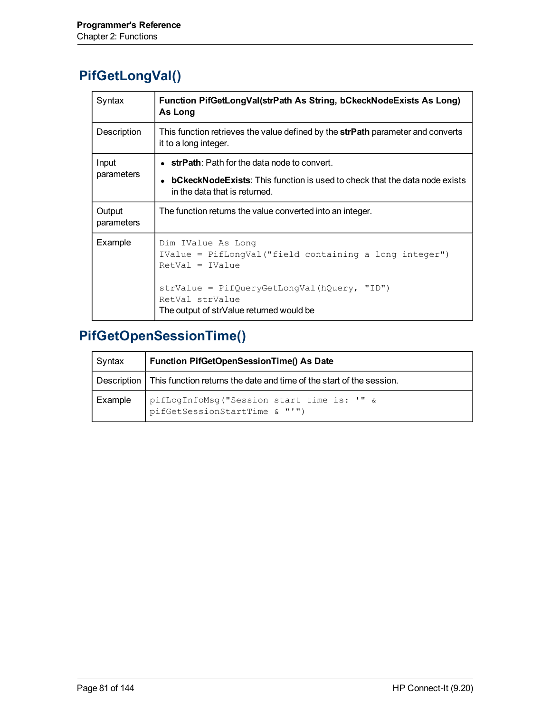# **PifGetLongVal()**

| Syntax               | Function PifGetLongVal(strPath As String, bCkeckNodeExists As Long)<br>As Long                                        |
|----------------------|-----------------------------------------------------------------------------------------------------------------------|
| Description          | This function retrieves the value defined by the strPath parameter and converts<br>it to a long integer.              |
| Input<br>parameters  | $\bullet$ strPath: Path for the data node to convert.                                                                 |
|                      | • <b>bCkeckNodeExists</b> : This function is used to check that the data node exists<br>in the data that is returned. |
| Output<br>parameters | The function returns the value converted into an integer.                                                             |
| Example              | Dim IValue As Long<br>IValue = PifLongVal("field containing a long integer")<br>$RetVal = IValue$                     |
|                      | strValue = PifQueryGetLongVal(hQuery, "ID")<br>RetVal strValue<br>The output of strValue returned would be            |

# **PifGetOpenSessionTime()**

| Syntax  | Function PifGetOpenSessionTime() As Date                                           |
|---------|------------------------------------------------------------------------------------|
|         | Description   This function returns the date and time of the start of the session. |
| Example | pifLogInfoMsg("Session start time is: '" &<br>pifGetSessionStartTime & "'")        |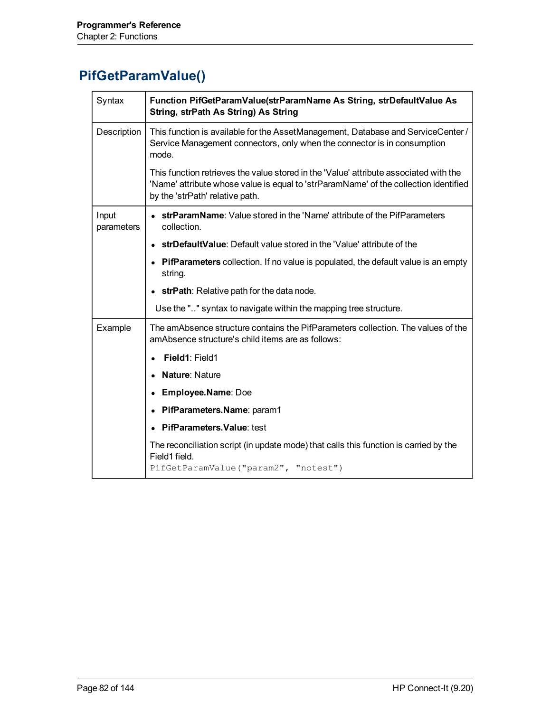# **PifGetParamValue()**

| Syntax              | Function PifGetParamValue(strParamName As String, strDefaultValue As<br>String, strPath As String) As String                                                                                                     |
|---------------------|------------------------------------------------------------------------------------------------------------------------------------------------------------------------------------------------------------------|
| Description         | This function is available for the AssetManagement, Database and ServiceCenter /<br>Service Management connectors, only when the connector is in consumption<br>mode.                                            |
|                     | This function retrieves the value stored in the 'Value' attribute associated with the<br>'Name' attribute whose value is equal to 'strParamName' of the collection identified<br>by the 'strPath' relative path. |
| Input<br>parameters | <b>strParamName:</b> Value stored in the 'Name' attribute of the PifParameters<br>collection.                                                                                                                    |
|                     | strDefaultValue: Default value stored in the 'Value' attribute of the                                                                                                                                            |
|                     | <b>PifParameters</b> collection. If no value is populated, the default value is an empty<br>string.                                                                                                              |
|                     | • strPath: Relative path for the data node.                                                                                                                                                                      |
|                     | Use the "" syntax to navigate within the mapping tree structure.                                                                                                                                                 |
| Example             | The amAbsence structure contains the PifParameters collection. The values of the<br>amAbsence structure's child items are as follows:                                                                            |
|                     | Field1: Field1                                                                                                                                                                                                   |
|                     | Nature: Nature                                                                                                                                                                                                   |
|                     | Employee.Name: Doe<br>$\bullet$                                                                                                                                                                                  |
|                     | PifParameters.Name: param1                                                                                                                                                                                       |
|                     | <b>PifParameters. Value: test</b>                                                                                                                                                                                |
|                     | The reconciliation script (in update mode) that calls this function is carried by the<br>Field1 field.<br>PifGetParamValue("param2", "notest")                                                                   |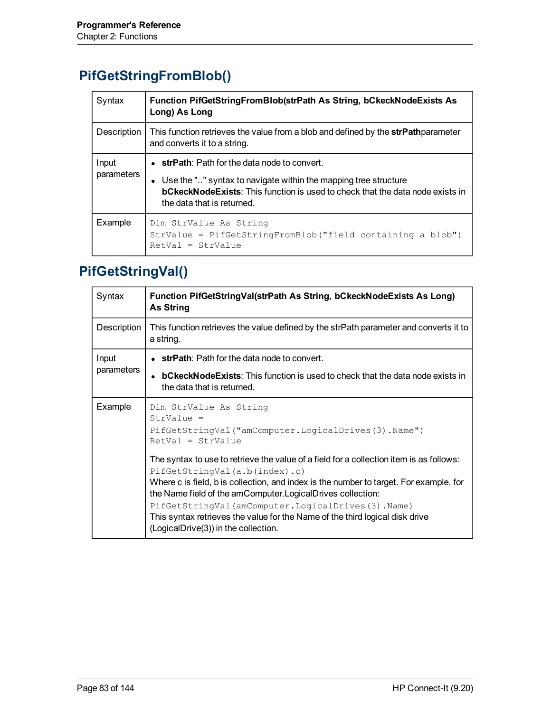# **PifGetStringFromBlob()**

| Syntax              | Function PifGetStringFromBlob(strPath As String, bCkeckNodeExists As<br>Long) As Long                                                                                                                                                            |
|---------------------|--------------------------------------------------------------------------------------------------------------------------------------------------------------------------------------------------------------------------------------------------|
| Description         | This function retrieves the value from a blob and defined by the strPathparameter<br>and converts it to a string.                                                                                                                                |
| Input<br>parameters | $\bullet$ strPath: Path for the data node to convert.<br>• Use the "" syntax to navigate within the mapping tree structure<br><b>bCkeckNodeExists:</b> This function is used to check that the data node exists in<br>the data that is returned. |
| Example             | Dim StrValue As String<br>StrValue = PifGetStringFromBlob("field containing a blob")<br>$RetVal = StrValue$                                                                                                                                      |

# **PifGetStringVal()**

| Syntax              | Function PifGetStringVal(strPath As String, bCkeckNodeExists As Long)<br><b>As String</b>                                                                                                                                                                                                                                                                                                                                                                       |
|---------------------|-----------------------------------------------------------------------------------------------------------------------------------------------------------------------------------------------------------------------------------------------------------------------------------------------------------------------------------------------------------------------------------------------------------------------------------------------------------------|
| Description         | This function retrieves the value defined by the strPath parameter and converts it to<br>a string.                                                                                                                                                                                                                                                                                                                                                              |
| Input<br>parameters | $\bullet$ strPath: Path for the data node to convert.                                                                                                                                                                                                                                                                                                                                                                                                           |
|                     | <b>bCkeckNodeExists:</b> This function is used to check that the data node exists in<br>the data that is returned.                                                                                                                                                                                                                                                                                                                                              |
| Example             | Dim StrValue As String<br>$StrValue =$<br>PifGetStringVal("amComputer.LogicalDrives(3).Name")<br>$RetVal = StrValue$                                                                                                                                                                                                                                                                                                                                            |
|                     | The syntax to use to retrieve the value of a field for a collection item is as follows:<br>PifGetStringVal(a.b(index).c)<br>Where c is field, b is collection, and index is the number to target. For example, for<br>the Name field of the amComputer. Logical Drives collection:<br>PifGetStringVal(amComputer.LogicalDrives(3).Name)<br>This syntax retrieves the value for the Name of the third logical disk drive<br>(LogicalDrive(3)) in the collection. |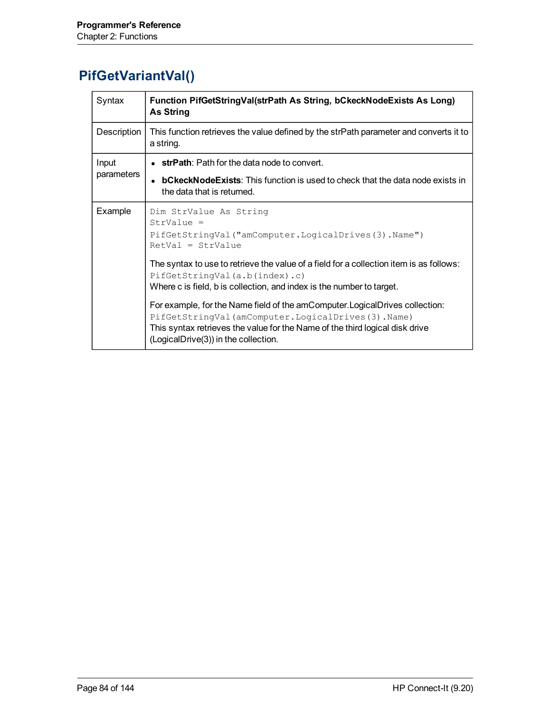# **PifGetVariantVal()**

| Syntax              | Function PifGetStringVal(strPath As String, bCkeckNodeExists As Long)<br><b>As String</b>                                                                                                                                                                  |
|---------------------|------------------------------------------------------------------------------------------------------------------------------------------------------------------------------------------------------------------------------------------------------------|
| Description         | This function retrieves the value defined by the strPath parameter and converts it to<br>a string.                                                                                                                                                         |
| Input<br>parameters | $\bullet$ strPath: Path for the data node to convert.                                                                                                                                                                                                      |
|                     | <b>bCkeckNodeExists:</b> This function is used to check that the data node exists in<br>the data that is returned.                                                                                                                                         |
| Example             | Dim StrValue As String<br>$StrValue =$<br>PifGetStringVal("amComputer.LogicalDrives(3).Name")<br>$RetVal = StrValue$                                                                                                                                       |
|                     | The syntax to use to retrieve the value of a field for a collection item is as follows:<br>PifGetStringVal(a.b(index).c)<br>Where c is field, b is collection, and index is the number to target.                                                          |
|                     | For example, for the Name field of the amComputer. Logical Drives collection:<br>PifGetStringVal(amComputer.LogicalDrives(3).Name)<br>This syntax retrieves the value for the Name of the third logical disk drive<br>(LogicalDrive(3)) in the collection. |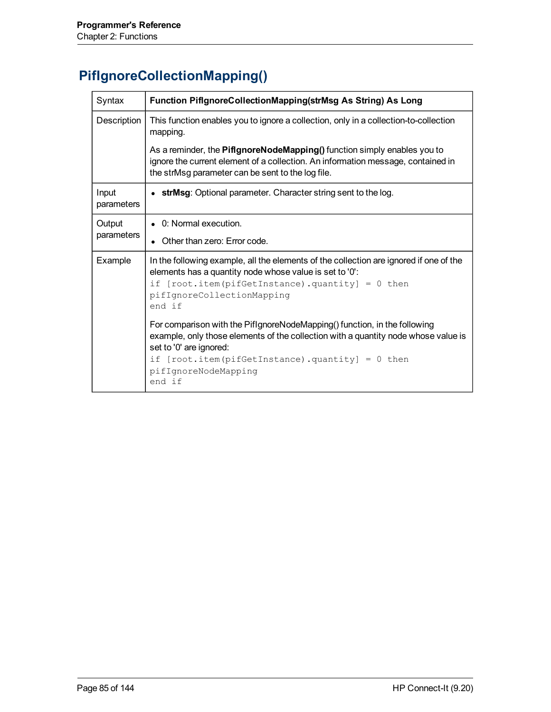# **PifIgnoreCollectionMapping()**

| Syntax              | Function PiflgnoreCollectionMapping(strMsg As String) As Long                                                                                                                                                                                                                         |
|---------------------|---------------------------------------------------------------------------------------------------------------------------------------------------------------------------------------------------------------------------------------------------------------------------------------|
| Description         | This function enables you to ignore a collection, only in a collection-to-collection<br>mapping.                                                                                                                                                                                      |
|                     | As a reminder, the PiflgnoreNodeMapping() function simply enables you to<br>ignore the current element of a collection. An information message, contained in<br>the strMsg parameter can be sent to the log file.                                                                     |
| Input<br>parameters | • strMsg: Optional parameter. Character string sent to the log.                                                                                                                                                                                                                       |
| Output              | • 0: Normal execution.                                                                                                                                                                                                                                                                |
| parameters          | Other than zero: Error code.                                                                                                                                                                                                                                                          |
| Example             | In the following example, all the elements of the collection are ignored if one of the<br>elements has a quantity node whose value is set to '0':<br>if $[root.item (pifGetInstance) . quantity] = 0 then$<br>pifIgnoreCollectionMapping<br>end if                                    |
|                     | For comparison with the PiflgnoreNodeMapping() function, in the following<br>example, only those elements of the collection with a quantity node whose value is<br>set to '0' are ignored:<br>if $[root.item (pifGetInstance) . quantity] = 0 then$<br>pifIqnoreNodeMappinq<br>end if |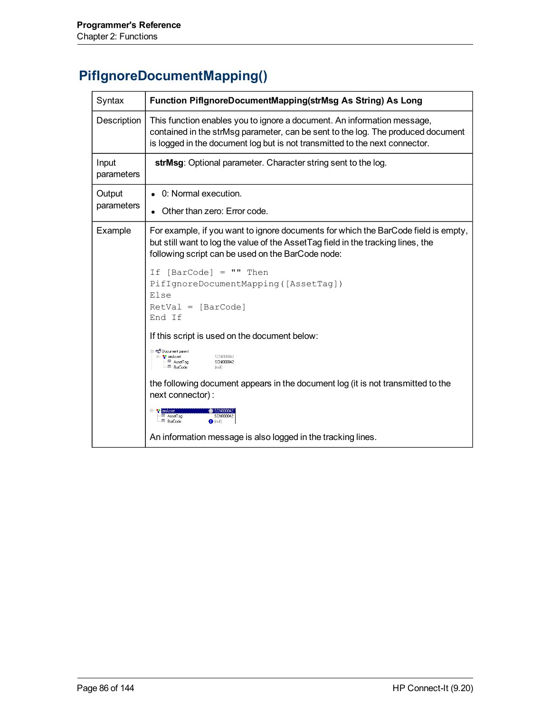# **PifIgnoreDocumentMapping()**

| Syntax              | Function PiflgnoreDocumentMapping(strMsg As String) As Long                                                                                                                                                                                |
|---------------------|--------------------------------------------------------------------------------------------------------------------------------------------------------------------------------------------------------------------------------------------|
| Description         | This function enables you to ignore a document. An information message,<br>contained in the strMsg parameter, can be sent to the log. The produced document<br>is logged in the document log but is not transmitted to the next connector. |
| Input<br>parameters | strMsg: Optional parameter. Character string sent to the log.                                                                                                                                                                              |
| Output              | 0: Normal execution.                                                                                                                                                                                                                       |
| parameters          | Other than zero: Error code.                                                                                                                                                                                                               |
| Example             | For example, if you want to ignore documents for which the BarCode field is empty,<br>but still want to log the value of the Asset Tag field in the tracking lines, the<br>following script can be used on the BarCode node:               |
|                     | If $[BarCode] = "" Then$<br>PifIgnoreDocumentMapping([AssetTag])<br>Else<br>$RetVal = [BarCode]$<br>End If                                                                                                                                 |
|                     | If this script is used on the document below:                                                                                                                                                                                              |
|                     | <del>ि पूर्</del> जी Document parent<br>SCN000042<br>⊟— <mark>a</mark> amAsset<br>-⊞ AssetTag<br>SCN000042<br><sup>EII</sup> BarCode<br>fnull)                                                                                             |
|                     | the following document appears in the document log (it is not transmitted to the<br>next connector):                                                                                                                                       |
|                     | E- <sup>e-</sup> amAss<br>ED AssetTag<br>SCN000042<br>ED BarCode<br>$\bigoplus$ (null)                                                                                                                                                     |
|                     | An information message is also logged in the tracking lines.                                                                                                                                                                               |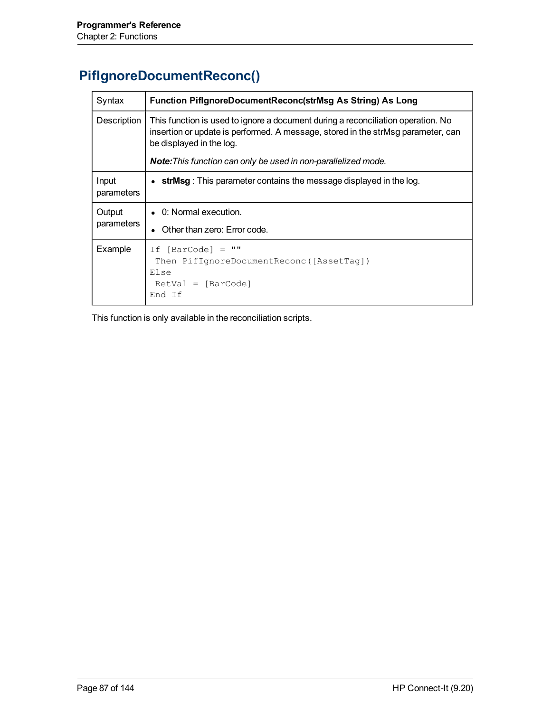# **PifIgnoreDocumentReconc()**

| Syntax               | Function PiflgnoreDocumentReconc(strMsg As String) As Long                                                                                                                                       |
|----------------------|--------------------------------------------------------------------------------------------------------------------------------------------------------------------------------------------------|
| Description          | This function is used to ignore a document during a reconciliation operation. No<br>insertion or update is performed. A message, stored in the strMsg parameter, can<br>be displayed in the log. |
|                      | <b>Note:</b> This function can only be used in non-parallelized mode.                                                                                                                            |
| Input<br>parameters  | strMsg: This parameter contains the message displayed in the log.                                                                                                                                |
| Output<br>parameters | • 0: Normal execution.<br>Other than zero: Error code.                                                                                                                                           |
| Example              | <b>HH</b><br>If $[BarCode] =$<br>Then PifIqnoreDocumentReconc([AssetTaq])<br>Else<br>$RetVal = [BarCode]$<br>End If                                                                              |

This function is only available in the reconciliation scripts.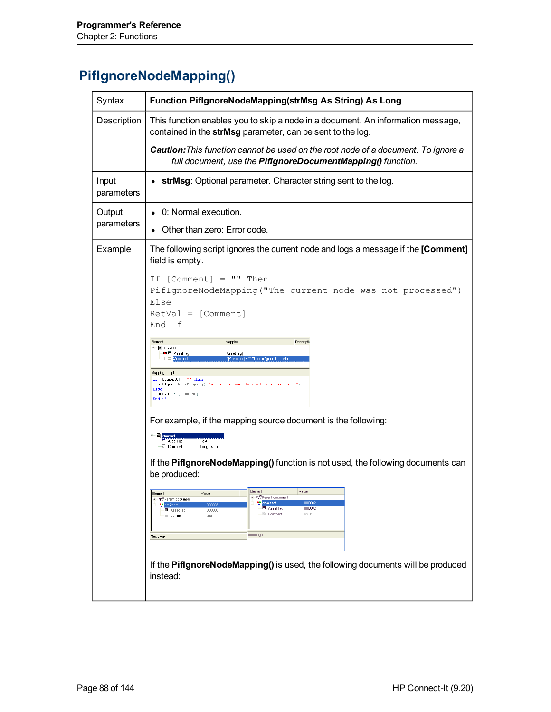# **PifIgnoreNodeMapping()**

| Syntax              | Function PiflgnoreNodeMapping(strMsg As String) As Long                                                                                                                                                                                                                   |
|---------------------|---------------------------------------------------------------------------------------------------------------------------------------------------------------------------------------------------------------------------------------------------------------------------|
| Description         | This function enables you to skip a node in a document. An information message,<br>contained in the strMsg parameter, can be sent to the log.                                                                                                                             |
|                     | Caution: This function cannot be used on the root node of a document. To ignore a<br>full document, use the PiflgnoreDocumentMapping() function.                                                                                                                          |
| Input<br>parameters | strMsg: Optional parameter. Character string sent to the log.                                                                                                                                                                                                             |
| Output              | • 0: Normal execution.                                                                                                                                                                                                                                                    |
| parameters          | Other than zero: Error code.                                                                                                                                                                                                                                              |
| Example             | The following script ignores the current node and logs a message if the [Comment]<br>field is empty.                                                                                                                                                                      |
|                     | If $[Comment] = "" Then$<br>PifIgnoreNodeMapping ("The current node was not processed")<br>Else<br>$RetVal = [Comment]$<br>End If                                                                                                                                         |
|                     | Element<br>Descripti<br>Mapping<br>am Asset<br><b>■</b> AssetTag<br>[AssetTag]<br>If [Comment] = "" Then pifignoreNodeM                                                                                                                                                   |
|                     | Mapping script:<br>If [Comment] = "" Then<br>pifIgnoreNodeMapping("The current node has not been processed")<br>Else<br>RetVal = [Comment]<br>End if                                                                                                                      |
|                     | For example, if the mapping source document is the following:                                                                                                                                                                                                             |
|                     | <b>E- 图 amAs</b><br>AssetTag<br>Text<br><b>Ell</b> Comment<br>Long text field                                                                                                                                                                                             |
|                     | If the PiflgnoreNodeMapping() function is not used, the following documents can<br>be produced:                                                                                                                                                                           |
|                     | Element<br>Value<br>Element<br>Value<br>Parent document<br>Parent document<br><b>R</b> amAsset<br>000002<br><b>R</b> am Asset<br>00000<br>El AssetTag<br>000002<br><b>El</b> AssetTag<br>000008<br><b>ET Comment</b><br>(null)<br>三 Comment<br>test<br>Message<br>Message |
|                     | If the PifignoreNodeMapping() is used, the following documents will be produced<br>instead:                                                                                                                                                                               |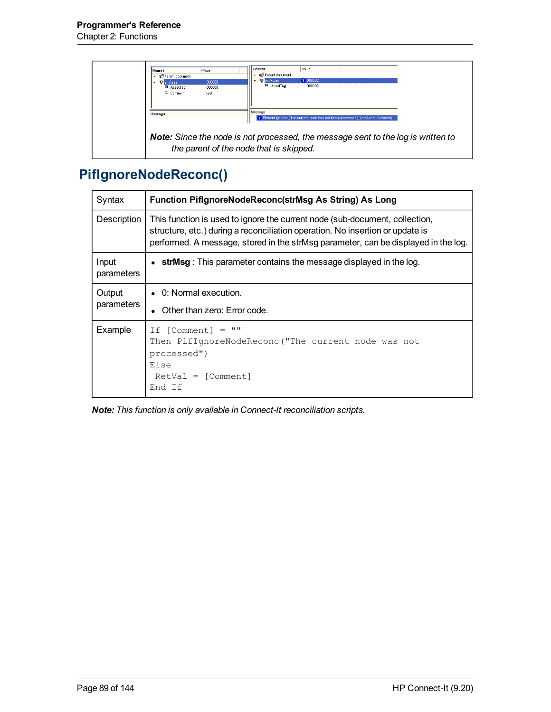

# **PifIgnoreNodeReconc()**

| Syntax               | Function PiflgnoreNodeReconc(strMsg As String) As Long                                                                                                                                                                                             |
|----------------------|----------------------------------------------------------------------------------------------------------------------------------------------------------------------------------------------------------------------------------------------------|
| Description          | This function is used to ignore the current node (sub-document, collection,<br>structure, etc.) during a reconciliation operation. No insertion or update is<br>performed. A message, stored in the strMsg parameter, can be displayed in the log. |
| Input<br>parameters  | strMsg: This parameter contains the message displayed in the log.                                                                                                                                                                                  |
| Output<br>parameters | $\bullet$ 0: Normal execution.<br>Other than zero: Error code.                                                                                                                                                                                     |
| Example              | $\mathbf{H}$<br>If [Comment]<br>$=$<br>Then PifIqnoreNodeReconc ("The current node was not<br>processed")<br>Else<br>$RetVal = [Comment]$<br>End Jf                                                                                                |

*Note: This function is only available in Connect-It reconciliation scripts.*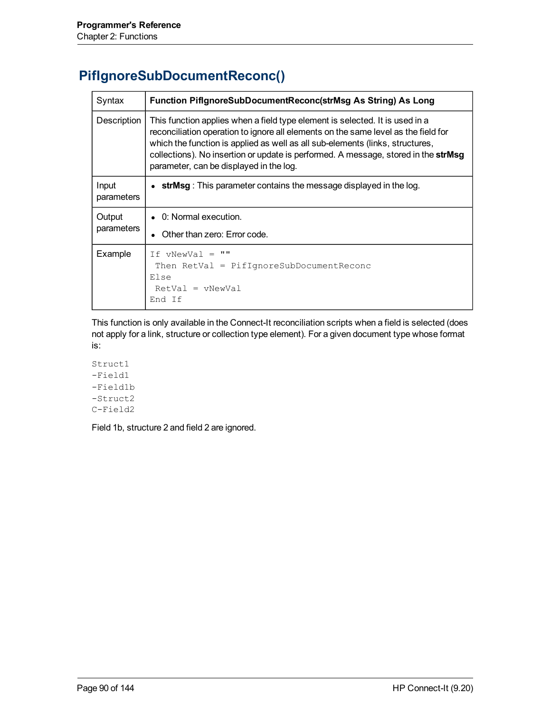# **PifIgnoreSubDocumentReconc()**

| Syntax               | Function PiflgnoreSubDocumentReconc(strMsg As String) As Long                                                                                                                                                                                                                                                                                                                        |
|----------------------|--------------------------------------------------------------------------------------------------------------------------------------------------------------------------------------------------------------------------------------------------------------------------------------------------------------------------------------------------------------------------------------|
| Description          | This function applies when a field type element is selected. It is used in a<br>reconciliation operation to ignore all elements on the same level as the field for<br>which the function is applied as well as all sub-elements (links, structures,<br>collections). No insertion or update is performed. A message, stored in the strMsg<br>parameter, can be displayed in the log. |
| Input<br>parameters  | strMsg: This parameter contains the message displayed in the log.                                                                                                                                                                                                                                                                                                                    |
| Output<br>parameters | $\bullet$ 0: Normal execution.<br>Other than zero: Error code.                                                                                                                                                                                                                                                                                                                       |
| Example              | $\mathbf{H}$<br>$TF$ vNewVal =<br>Then $RetVal = PiffIgnoreSubDocumentReconc$<br>Else<br>$RetVal = vNewVal$<br>End If                                                                                                                                                                                                                                                                |

This function is only available in the Connect-It reconciliation scripts when a field is selected (does not apply for a link, structure or collection type element). For a given document type whose format is:

Struct1 -Field1 -Field1b -Struct2 C-Field2

Field 1b, structure 2 and field 2 are ignored.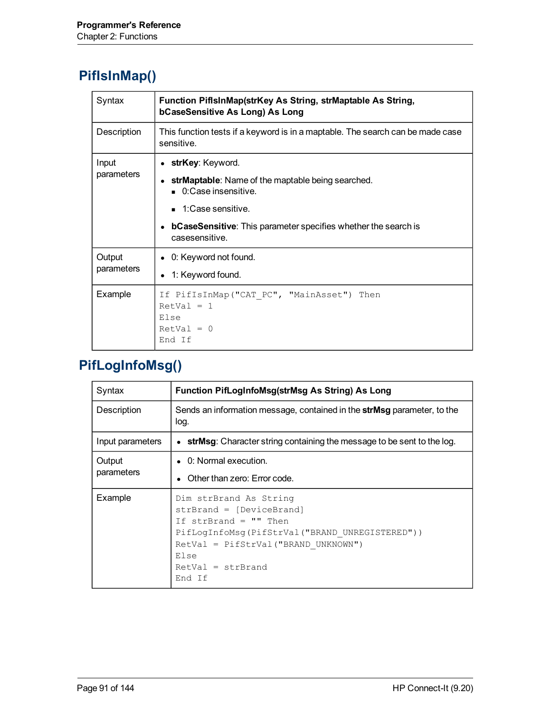# **PifIsInMap()**

| Syntax               | Function PifisinMap(strKey As String, strMaptable As String,<br>bCaseSensitive As Long) As Long                                                                                                                                            |
|----------------------|--------------------------------------------------------------------------------------------------------------------------------------------------------------------------------------------------------------------------------------------|
| Description          | This function tests if a keyword is in a maptable. The search can be made case<br>sensitive.                                                                                                                                               |
| Input<br>parameters  | strKey: Keyword.<br>strMaptable: Name of the maptable being searched.<br>$\blacksquare$ 0:Case insensitive.<br>$\blacksquare$ 1:Case sensitive.<br><b>bCaseSensitive:</b> This parameter specifies whether the search is<br>casesensitive. |
| Output<br>parameters | 0: Keyword not found.<br>1: Keyword found.                                                                                                                                                                                                 |
| Example              | If PifIsInMap("CAT PC", "MainAsset") Then<br>$RetVal = 1$<br>Else<br>$RetVal = 0$<br>End If                                                                                                                                                |

# **PifLogInfoMsg()**

| Syntax               | Function PifLogInfoMsg(strMsg As String) As Long                                                                                                                                                                   |
|----------------------|--------------------------------------------------------------------------------------------------------------------------------------------------------------------------------------------------------------------|
| Description          | Sends an information message, contained in the strMsg parameter, to the<br>log.                                                                                                                                    |
| Input parameters     | strMsg: Character string containing the message to be sent to the log.<br>$\bullet$                                                                                                                                |
| Output<br>parameters | $\bullet$ 0: Normal execution.<br>Other than zero: Error code.                                                                                                                                                     |
| Example              | Dim strBrand As String<br>strBrand = [DeviceBrand]<br>If strBrand = $'''$ Then<br>PifLoqInfoMsq(PifStrVal("BRAND UNREGISTERED"))<br>$RetVal = PifStrVal("BRAND UNKNOWN")$<br>Else<br>$RetVal = strBrand$<br>End If |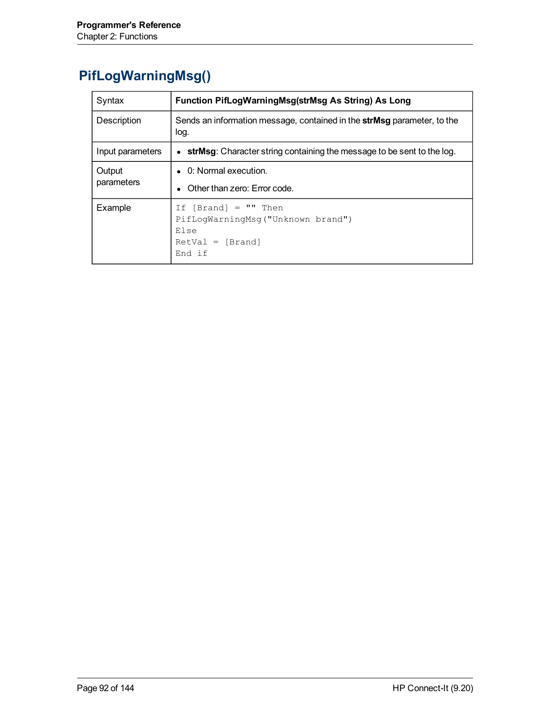# **PifLogWarningMsg()**

| Syntax           | Function PifLogWarningMsg(strMsg As String) As Long                                                 |
|------------------|-----------------------------------------------------------------------------------------------------|
| Description      | Sends an information message, contained in the <b>strMsg</b> parameter, to the<br>log.              |
| Input parameters | <b>strMsg:</b> Character string containing the message to be sent to the log.<br>$\bullet$          |
| Output           | $\bullet$ 0: Normal execution.                                                                      |
| parameters       | Other than zero: Error code.                                                                        |
| Example          | If $[Brand] = "" Then$<br>PifLoqWarningMsq("Unknown brand")<br>Else<br>$RetVal = [Brand]$<br>End if |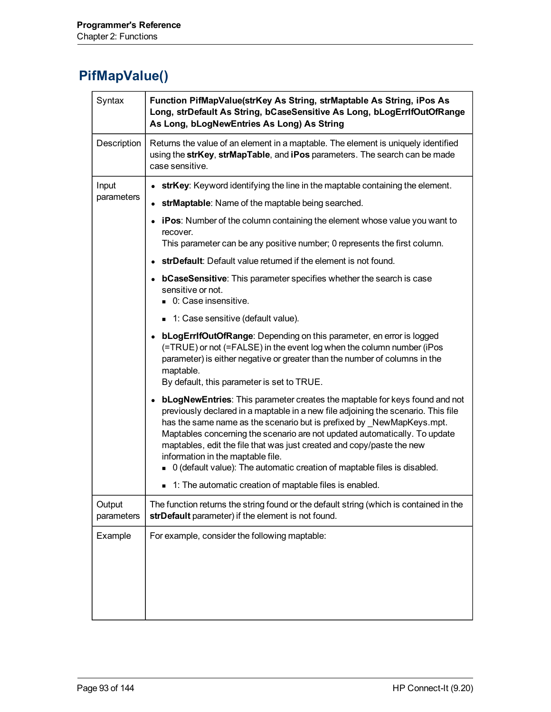# <span id="page-92-0"></span>**PifMapValue()**

| Syntax               | Function PifMapValue(strKey As String, strMaptable As String, iPos As<br>Long, strDefault As String, bCaseSensitive As Long, bLogErrIfOutOfRange<br>As Long, bLogNewEntries As Long) As String                                                                                                                                                                                                                                                                                                                                                                                   |
|----------------------|----------------------------------------------------------------------------------------------------------------------------------------------------------------------------------------------------------------------------------------------------------------------------------------------------------------------------------------------------------------------------------------------------------------------------------------------------------------------------------------------------------------------------------------------------------------------------------|
| Description          | Returns the value of an element in a maptable. The element is uniquely identified<br>using the strKey, strMapTable, and iPos parameters. The search can be made<br>case sensitive.                                                                                                                                                                                                                                                                                                                                                                                               |
| Input                | strKey: Keyword identifying the line in the maptable containing the element.                                                                                                                                                                                                                                                                                                                                                                                                                                                                                                     |
| parameters           | strMaptable: Name of the maptable being searched.                                                                                                                                                                                                                                                                                                                                                                                                                                                                                                                                |
|                      | • iPos: Number of the column containing the element whose value you want to<br>recover.                                                                                                                                                                                                                                                                                                                                                                                                                                                                                          |
|                      | This parameter can be any positive number; 0 represents the first column.                                                                                                                                                                                                                                                                                                                                                                                                                                                                                                        |
|                      | strDefault: Default value returned if the element is not found.                                                                                                                                                                                                                                                                                                                                                                                                                                                                                                                  |
|                      | • bCaseSensitive: This parameter specifies whether the search is case<br>sensitive or not.<br>0: Case insensitive.                                                                                                                                                                                                                                                                                                                                                                                                                                                               |
|                      | ■ 1: Case sensitive (default value).                                                                                                                                                                                                                                                                                                                                                                                                                                                                                                                                             |
|                      | • bLogErrIfOutOfRange: Depending on this parameter, en error is logged<br>(=TRUE) or not (=FALSE) in the event log when the column number (iPos<br>parameter) is either negative or greater than the number of columns in the<br>maptable.<br>By default, this parameter is set to TRUE.                                                                                                                                                                                                                                                                                         |
|                      | • bLogNewEntries: This parameter creates the maptable for keys found and not<br>previously declared in a maptable in a new file adjoining the scenario. This file<br>has the same name as the scenario but is prefixed by NewMapKeys.mpt.<br>Maptables concerning the scenario are not updated automatically. To update<br>maptables, edit the file that was just created and copy/paste the new<br>information in the maptable file.<br>■ 0 (default value): The automatic creation of maptable files is disabled.<br>■ 1: The automatic creation of maptable files is enabled. |
| Output<br>parameters | The function returns the string found or the default string (which is contained in the<br>strDefault parameter) if the element is not found.                                                                                                                                                                                                                                                                                                                                                                                                                                     |
| Example              | For example, consider the following maptable:                                                                                                                                                                                                                                                                                                                                                                                                                                                                                                                                    |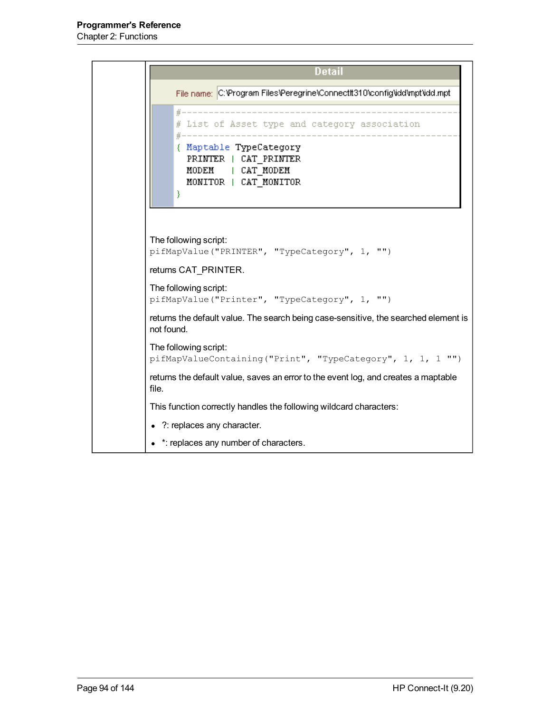```
Detail
      File name: C:\Program Files\Peregrine\ConnectIt310\config\idd\mpt\idd.mpt
                 -------------------------------
      # List of Asset type and category association
      { Maptable TypeCategory
        PRINTER | CAT PRINTER
        MODEM | CAT_MODEM
        MONITOR | CAT MONITOR
     λ.
The following script:
pifMapValue("PRINTER", "TypeCategory", 1, "")
returns CAT_PRINTER.
The following script:
pifMapValue("Printer", "TypeCategory", 1, "")
returns the default value. The search being case-sensitive, the searched element is
not found.
The following script:
pifMapValueContaining("Print", "TypeCategory", 1, 1, 1 "")
returns the default value, saves an error to the event log, and creates a maptable
file.
This function correctly handles the following wildcard characters:
• ?: replaces any character.
• *: replaces any number of characters.
```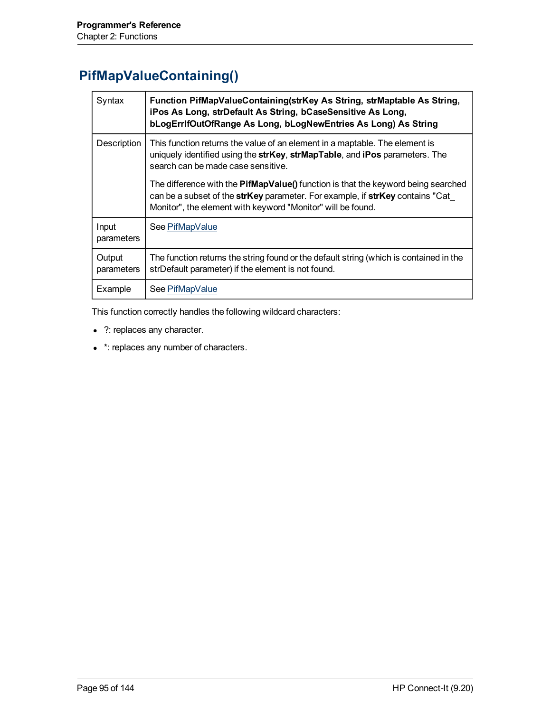#### <span id="page-94-0"></span>**PifMapValueContaining()**

| Syntax               | Function PifMapValueContaining(strKey As String, strMaptable As String,<br>iPos As Long, strDefault As String, bCaseSensitive As Long,<br>bLogErrIfOutOfRange As Long, bLogNewEntries As Long) As String                                               |
|----------------------|--------------------------------------------------------------------------------------------------------------------------------------------------------------------------------------------------------------------------------------------------------|
| Description          | This function returns the value of an element in a maptable. The element is<br>uniquely identified using the strKey, strMapTable, and iPos parameters. The<br>search can be made case sensitive.                                                       |
|                      | The difference with the <b>PifMapValue()</b> function is that the keyword being searched<br>can be a subset of the <b>strKey</b> parameter. For example, if <b>strKey</b> contains "Cat<br>Monitor", the element with keyword "Monitor" will be found. |
| Input<br>parameters  | See PifMapValue                                                                                                                                                                                                                                        |
| Output<br>parameters | The function returns the string found or the default string (which is contained in the<br>strDefault parameter) if the element is not found.                                                                                                           |
| Example              | See PifMapValue                                                                                                                                                                                                                                        |

This function correctly handles the following wildcard characters:

- ?: replaces any character.
- \*: replaces any number of characters.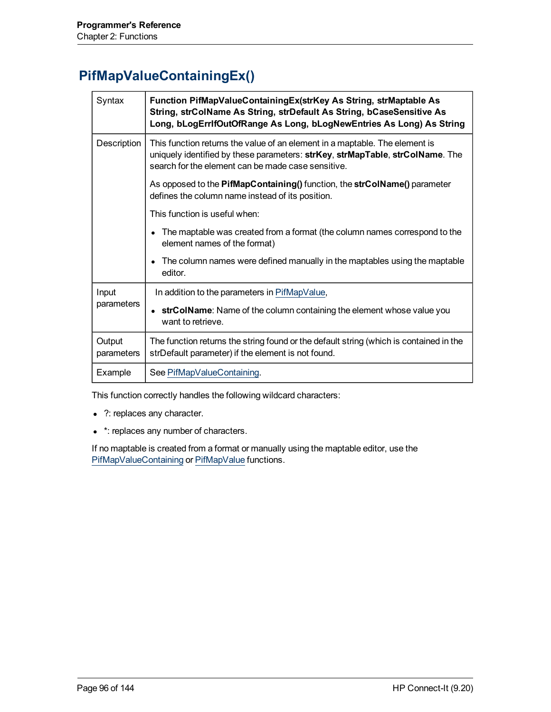### **PifMapValueContainingEx()**

| Syntax               | Function PifMapValueContainingEx(strKey As String, strMaptable As<br>String, strColName As String, strDefault As String, bCaseSensitive As<br>Long, bLogErrIfOutOfRange As Long, bLogNewEntries As Long) As String |
|----------------------|--------------------------------------------------------------------------------------------------------------------------------------------------------------------------------------------------------------------|
| Description          | This function returns the value of an element in a maptable. The element is<br>uniquely identified by these parameters: strKey, strMapTable, strColName. The<br>search for the element can be made case sensitive. |
|                      | As opposed to the PifMapContaining() function, the strColName() parameter<br>defines the column name instead of its position.                                                                                      |
|                      | This function is useful when:                                                                                                                                                                                      |
|                      | • The maptable was created from a format (the column names correspond to the<br>element names of the format)                                                                                                       |
|                      | The column names were defined manually in the maptables using the maptable<br>editor.                                                                                                                              |
| Input<br>parameters  | In addition to the parameters in PifMapValue,                                                                                                                                                                      |
|                      | • strColName: Name of the column containing the element whose value you<br>want to retrieve.                                                                                                                       |
| Output<br>parameters | The function returns the string found or the default string (which is contained in the<br>strDefault parameter) if the element is not found.                                                                       |
| Example              | See PifMapValueContaining.                                                                                                                                                                                         |

This function correctly handles the following wildcard characters:

- ?: replaces any character.
- \*: replaces any number of characters.

If no maptable is created from a format or manually using the maptable editor, use the [PifMapValueContaining](#page-94-0) or [PifMapValue](#page-92-0) functions.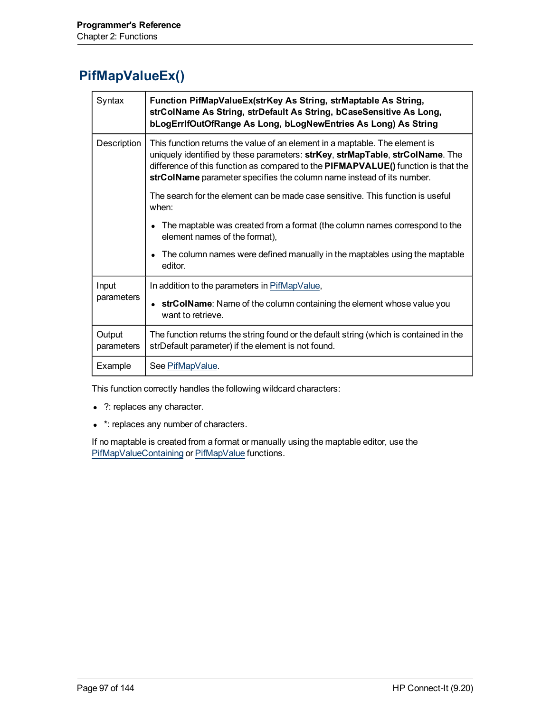#### **PifMapValueEx()**

| Syntax               | Function PifMapValueEx(strKey As String, strMaptable As String,<br>strColName As String, strDefault As String, bCaseSensitive As Long,<br>bLogErrIfOutOfRange As Long, bLogNewEntries As Long) As String                                                                                                                   |
|----------------------|----------------------------------------------------------------------------------------------------------------------------------------------------------------------------------------------------------------------------------------------------------------------------------------------------------------------------|
| Description          | This function returns the value of an element in a maptable. The element is<br>uniquely identified by these parameters: strKey, strMapTable, strColName. The<br>difference of this function as compared to the PIFMAPVALUE() function is that the<br>strColName parameter specifies the column name instead of its number. |
|                      | The search for the element can be made case sensitive. This function is useful<br>when:                                                                                                                                                                                                                                    |
|                      | The maptable was created from a format (the column names correspond to the<br>element names of the format),                                                                                                                                                                                                                |
|                      | The column names were defined manually in the maptables using the maptable<br>editor.                                                                                                                                                                                                                                      |
| Input<br>parameters  | In addition to the parameters in PifMapValue,                                                                                                                                                                                                                                                                              |
|                      | • strColName: Name of the column containing the element whose value you<br>want to retrieve.                                                                                                                                                                                                                               |
| Output<br>parameters | The function returns the string found or the default string (which is contained in the<br>strDefault parameter) if the element is not found.                                                                                                                                                                               |
| Example              | See PifMapValue.                                                                                                                                                                                                                                                                                                           |

This function correctly handles the following wildcard characters:

- ?: replaces any character.
- \*: replaces any number of characters.

If no maptable is created from a format or manually using the maptable editor, use the [PifMapValueContaining](#page-94-0) or [PifMapValue](#page-92-0) functions.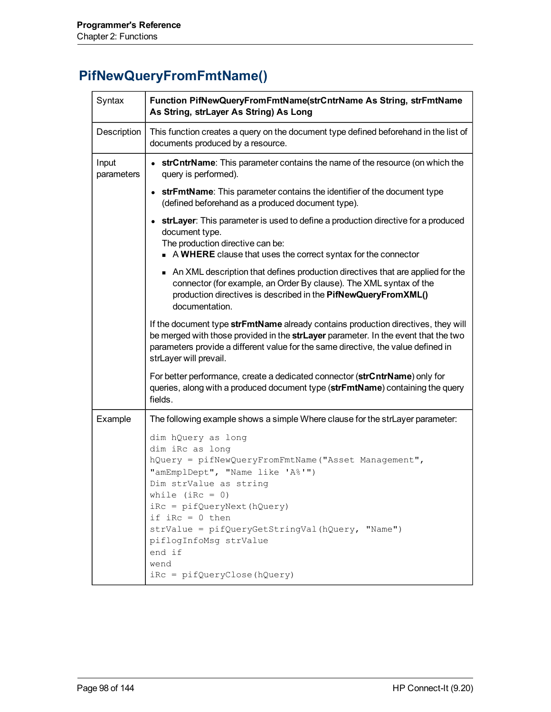# **PifNewQueryFromFmtName()**

| Syntax              | Function PifNewQueryFromFmtName(strCntrName As String, strFmtName<br>As String, strLayer As String) As Long                                                                                                                                                                                                                                                       |
|---------------------|-------------------------------------------------------------------------------------------------------------------------------------------------------------------------------------------------------------------------------------------------------------------------------------------------------------------------------------------------------------------|
| Description         | This function creates a query on the document type defined beforehand in the list of<br>documents produced by a resource.                                                                                                                                                                                                                                         |
| Input<br>parameters | • strCntrName: This parameter contains the name of the resource (on which the<br>query is performed).                                                                                                                                                                                                                                                             |
|                     | • strFmtName: This parameter contains the identifier of the document type<br>(defined beforehand as a produced document type).                                                                                                                                                                                                                                    |
|                     | • strLayer: This parameter is used to define a production directive for a produced<br>document type.<br>The production directive can be:<br>A WHERE clause that uses the correct syntax for the connector                                                                                                                                                         |
|                     | An XML description that defines production directives that are applied for the<br>connector (for example, an Order By clause). The XML syntax of the<br>production directives is described in the PifNewQueryFromXML()<br>documentation.                                                                                                                          |
|                     | If the document type strFmtName already contains production directives, they will<br>be merged with those provided in the strLayer parameter. In the event that the two<br>parameters provide a different value for the same directive, the value defined in<br>strLayer will prevail.                                                                            |
|                     | For better performance, create a dedicated connector (strCntrName) only for<br>queries, along with a produced document type (strFmtName) containing the query<br>fields.                                                                                                                                                                                          |
| Example             | The following example shows a simple Where clause for the strLayer parameter:                                                                                                                                                                                                                                                                                     |
|                     | dim hQuery as long<br>dim iRc as long<br>hQuery = pifNewQueryFromFmtName("Asset Management",<br>"amEmplDept", "Name like 'A%'")<br>Dim strValue as string<br>while $(inc = 0)$<br>iRc = pifQueryNext(hQuery)<br>if $iRc = 0$ then<br>strValue = pifQueryGetStringVal(hQuery, "Name")<br>piflogInfoMsg strValue<br>end if<br>wend<br>$iRc = pifQueryClose(hQuery)$ |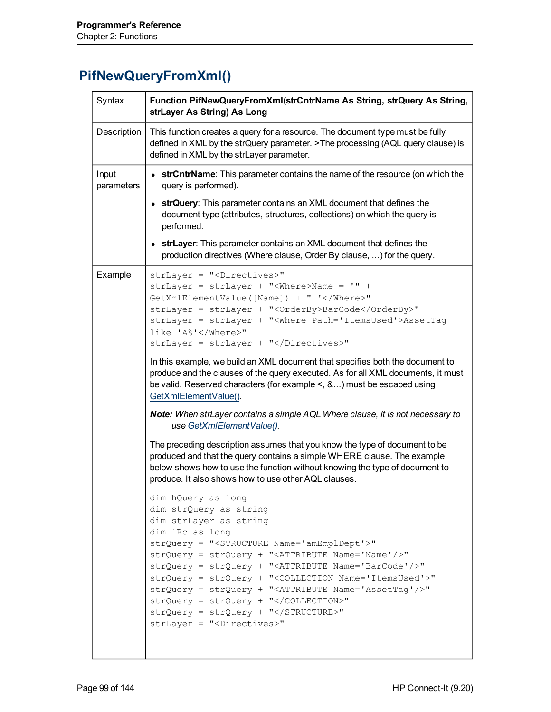# **PifNewQueryFromXml()**

| Description<br>This function creates a query for a resource. The document type must be fully<br>defined in XML by the strQuery parameter. >The processing (AQL query clause) is<br>defined in XML by the strLayer parameter.<br>Input<br>• strCntrName: This parameter contains the name of the resource (on which the<br>query is performed).<br>parameters<br>• strQuery: This parameter contains an XML document that defines the<br>document type (attributes, structures, collections) on which the query is<br>performed.<br>• strLayer: This parameter contains an XML document that defines the<br>production directives (Where clause, Order By clause, ) for the query.<br>Example<br>strLayer = " <directives>"<br/>strLayer = strLayer + "<where>Name = '" +<br/>GetXmlElementValue([Name]) + " '</where>"<br/>strLayer = strLayer + "<orderby>BarCode</orderby>"<br/>strLayer = strLayer + "<where path="ItemsUsed">AssetTag<br/>like 'A%'</where>"<br/>strLayer = strLayer + "</directives> "<br>In this example, we build an XML document that specifies both the document to<br>produce and the clauses of the query executed. As for all XML documents, it must<br>be valid. Reserved characters (for example $\leq$ , &) must be escaped using<br>GetXmlElementValue().<br>Note: When strLayer contains a simple AQL Where clause, it is not necessary to<br>use GetXmlElementValue(). |
|----------------------------------------------------------------------------------------------------------------------------------------------------------------------------------------------------------------------------------------------------------------------------------------------------------------------------------------------------------------------------------------------------------------------------------------------------------------------------------------------------------------------------------------------------------------------------------------------------------------------------------------------------------------------------------------------------------------------------------------------------------------------------------------------------------------------------------------------------------------------------------------------------------------------------------------------------------------------------------------------------------------------------------------------------------------------------------------------------------------------------------------------------------------------------------------------------------------------------------------------------------------------------------------------------------------------------------------------------------------------------------------------------------|
|                                                                                                                                                                                                                                                                                                                                                                                                                                                                                                                                                                                                                                                                                                                                                                                                                                                                                                                                                                                                                                                                                                                                                                                                                                                                                                                                                                                                          |
|                                                                                                                                                                                                                                                                                                                                                                                                                                                                                                                                                                                                                                                                                                                                                                                                                                                                                                                                                                                                                                                                                                                                                                                                                                                                                                                                                                                                          |
|                                                                                                                                                                                                                                                                                                                                                                                                                                                                                                                                                                                                                                                                                                                                                                                                                                                                                                                                                                                                                                                                                                                                                                                                                                                                                                                                                                                                          |
|                                                                                                                                                                                                                                                                                                                                                                                                                                                                                                                                                                                                                                                                                                                                                                                                                                                                                                                                                                                                                                                                                                                                                                                                                                                                                                                                                                                                          |
| The preceding description assumes that you know the type of document to be<br>produced and that the query contains a simple WHERE clause. The example<br>below shows how to use the function without knowing the type of document to<br>produce. It also shows how to use other AQL clauses.<br>dim hQuery as long<br>dim strQuery as string<br>dim strLayer as string<br>dim iRc as long<br>strQuery = " <structure name="amEmplDept">"<br/>strQuery = strQuery + "<attribute name="Name"></attribute>"<br/>strQuery = strQuery + "<attribute name="BarCode"></attribute>"<br/>strQuery = strQuery + "<collection name="ItemsUsed">"<br/>strQuery = strQuery + "<attribute name="AssetTag"></attribute>"<br/>strQuery = strQuery + "</collection>"<br/><math>strQuery = strQuery + " &lt; /STRUCTURE&gt;"</math><br/>strLayer = "<directives>"</directives></structure>                                                                                                                                                                                                                                                                                                                                                                                                                                                                                                                                 |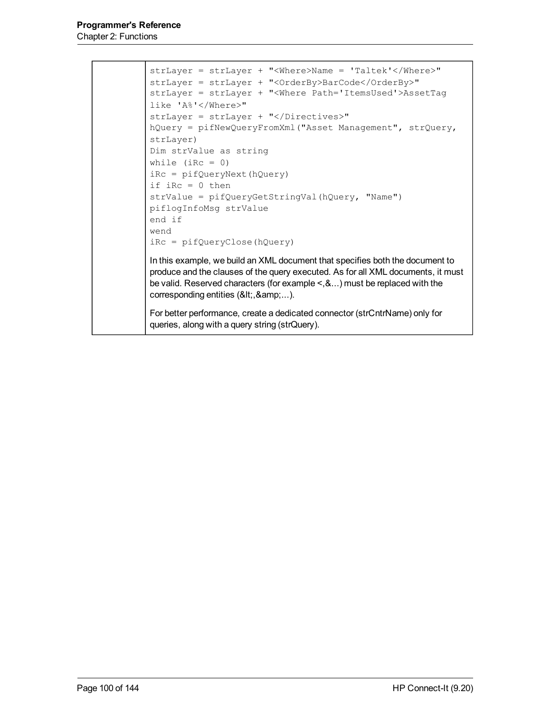```
strLayer = strLayer + "<Where>Name = 'Taltek'</Where>"
strLayer = strLayer + "<OrderBy>BarCode</OrderBy>"
strLayer = strLayer + "<Where Path='ItemsUsed'>AssetTag
like 'A%'</Where>"
strLayer = strLayer + "</Directives>"
hQuery = pifNewQueryFromXml("Asset Management", strQuery,
strLayer)
Dim strValue as string
while (iRc = 0)
iRc = pifQueryNext(hQuery)
if iRc = 0 then
strValue = pifQueryGetStringVal(hQuery, "Name")
piflogInfoMsg strValue
end if
wend
iRc = pifQueryClose(hQuery)
In this example, we build an XML document that specifies both the document to
produce and the clauses of the query executed. As for all XML documents, it must
be valid. Reserved characters (for example <,&...) must be replaced with the
corresponding entities (&It;, &...).
For better performance, create a dedicated connector (strCntrName) only for
queries, along with a query string (strQuery).
```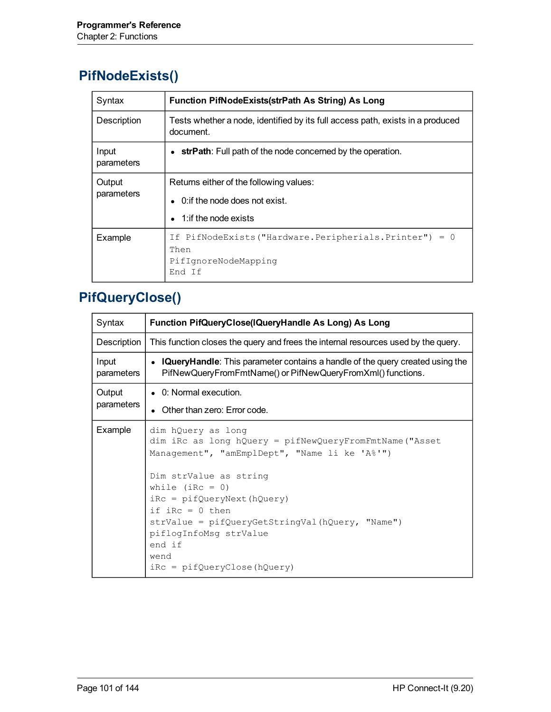# **PifNodeExists()**

| Syntax               | <b>Function PifNodeExists(strPath As String) As Long</b>                                                                     |
|----------------------|------------------------------------------------------------------------------------------------------------------------------|
| Description          | Tests whether a node, identified by its full access path, exists in a produced<br>document.                                  |
| Input<br>parameters  | • strPath: Full path of the node concerned by the operation.                                                                 |
| Output<br>parameters | Returns either of the following values:<br>0: if the node does not exist.<br>$\bullet$<br>1: if the node exists<br>$\bullet$ |
| Example              | If PifNodeExists("Hardware.Peripherials.Printer") = 0<br>Then<br>PifIqnoreNodeMapping<br>End If                              |

# **PifQueryClose()**

| Syntax               | Function PifQueryClose(IQueryHandle As Long) As Long                                                                                                                                                                                                                                                                                                              |
|----------------------|-------------------------------------------------------------------------------------------------------------------------------------------------------------------------------------------------------------------------------------------------------------------------------------------------------------------------------------------------------------------|
| Description          | This function closes the query and frees the internal resources used by the query.                                                                                                                                                                                                                                                                                |
| Input<br>parameters  | • IQueryHandle: This parameter contains a handle of the query created using the<br>PifNewQueryFromFmtName() or PifNewQueryFromXml() functions.                                                                                                                                                                                                                    |
| Output<br>parameters | • 0: Normal execution.                                                                                                                                                                                                                                                                                                                                            |
|                      | Other than zero: Error code.                                                                                                                                                                                                                                                                                                                                      |
| Example              | dim hQuery as long<br>dim iRc as long hQuery = pifNewQueryFromFmtName("Asset<br>Management", "amEmplDept", "Name li ke 'A%'")<br>Dim strValue as string<br>while $(inc = 0)$<br>$iRc = pifQueryNext(hQuery)$<br>if $iRc = 0$ then<br>strValue = pifQueryGetStringVal(hQuery, "Name")<br>piflogInfoMsg strValue<br>end if<br>wend<br>$iRc = pifQueryClose(hQuery)$ |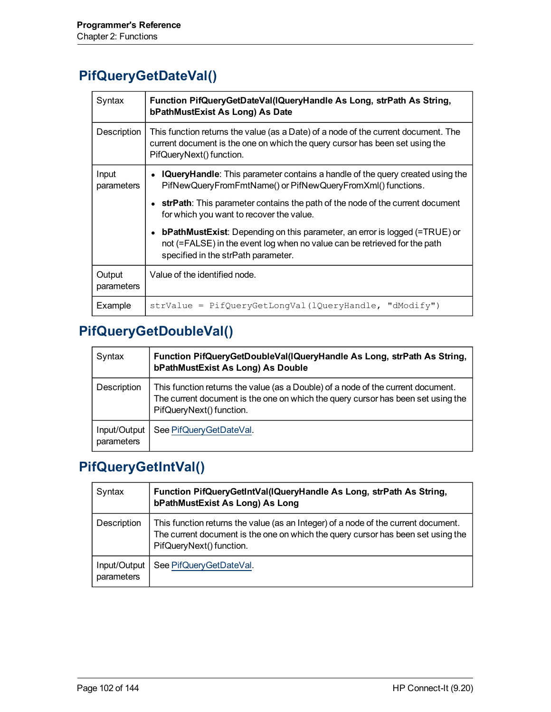#### <span id="page-101-0"></span>**PifQueryGetDateVal()**

| Syntax               | Function PifQueryGetDateVal(IQueryHandle As Long, strPath As String,<br>bPathMustExist As Long) As Date                                                                                               |
|----------------------|-------------------------------------------------------------------------------------------------------------------------------------------------------------------------------------------------------|
| Description          | This function returns the value (as a Date) of a node of the current document. The<br>current document is the one on which the query cursor has been set using the<br>PifQueryNext() function.        |
| Input<br>parameters  | <b>IQueryHandle:</b> This parameter contains a handle of the query created using the<br>PifNewQueryFromFmtName() or PifNewQueryFromXml() functions.                                                   |
|                      | strPath: This parameter contains the path of the node of the current document<br>for which you want to recover the value.                                                                             |
|                      | <b>bPathMustExist:</b> Depending on this parameter, an error is logged (=TRUE) or<br>not (=FALSE) in the event log when no value can be retrieved for the path<br>specified in the strPath parameter. |
| Output<br>parameters | Value of the identified node.                                                                                                                                                                         |
| Example              | $strValue = PifQueryGetLongVal (lQueryHandle, "dModify")$                                                                                                                                             |

# **PifQueryGetDoubleVal()**

| Syntax                     | Function PifQueryGetDoubleVal(IQueryHandle As Long, strPath As String,<br>bPathMustExist As Long) As Double                                                                                      |
|----------------------------|--------------------------------------------------------------------------------------------------------------------------------------------------------------------------------------------------|
| Description                | This function returns the value (as a Double) of a node of the current document.<br>The current document is the one on which the query cursor has been set using the<br>PifQueryNext() function. |
| Input/Output<br>parameters | See PifQueryGetDateVal.                                                                                                                                                                          |

# **PifQueryGetIntVal()**

| Syntax                     | Function PifQueryGetIntVal(IQueryHandle As Long, strPath As String,<br>bPathMustExist As Long) As Long                                                                                             |
|----------------------------|----------------------------------------------------------------------------------------------------------------------------------------------------------------------------------------------------|
| Description                | This function returns the value (as an Integer) of a node of the current document.<br>The current document is the one on which the query cursor has been set using the<br>PifQueryNext() function. |
| Input/Output<br>parameters | See PifQueryGetDateVal.                                                                                                                                                                            |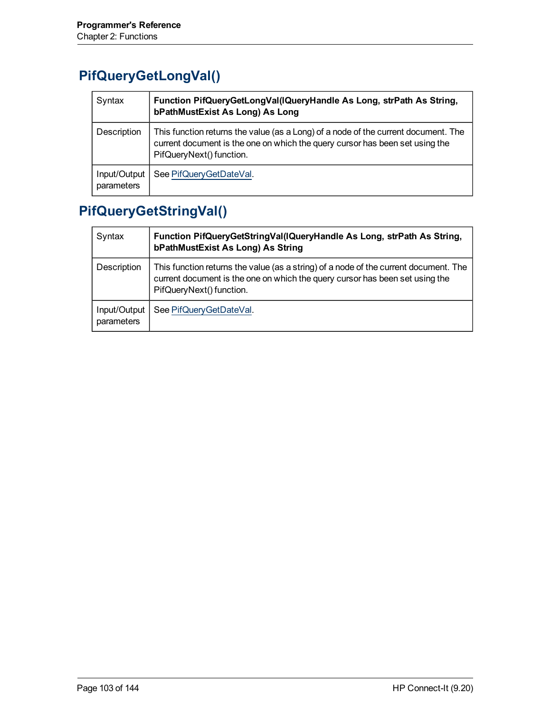# **PifQueryGetLongVal()**

| Syntax                     | Function PifQueryGetLongVal(IQueryHandle As Long, strPath As String,<br>bPathMustExist As Long) As Long                                                                                        |
|----------------------------|------------------------------------------------------------------------------------------------------------------------------------------------------------------------------------------------|
| Description                | This function returns the value (as a Long) of a node of the current document. The<br>current document is the one on which the query cursor has been set using the<br>PifQueryNext() function. |
| Input/Output<br>parameters | See PifQueryGetDateVal.                                                                                                                                                                        |

# **PifQueryGetStringVal()**

| Syntax                     | Function PifQueryGetStringVal(IQueryHandle As Long, strPath As String,<br>bPathMustExist As Long) As String                                                                                      |
|----------------------------|--------------------------------------------------------------------------------------------------------------------------------------------------------------------------------------------------|
| Description                | This function returns the value (as a string) of a node of the current document. The<br>current document is the one on which the query cursor has been set using the<br>PifQueryNext() function. |
| Input/Output<br>parameters | See PifQueryGetDateVal.                                                                                                                                                                          |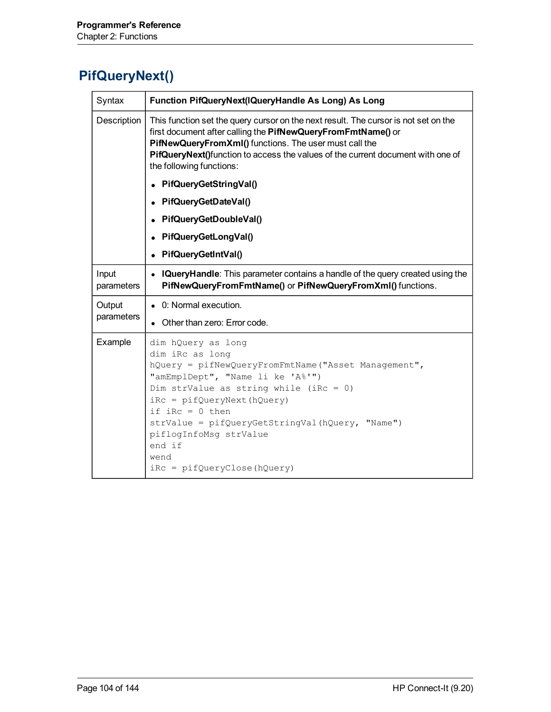# **PifQueryNext()**

| Syntax              | Function PifQueryNext(IQueryHandle As Long) As Long                                                                                                                                                                                                                                                                                                             |
|---------------------|-----------------------------------------------------------------------------------------------------------------------------------------------------------------------------------------------------------------------------------------------------------------------------------------------------------------------------------------------------------------|
| Description         | This function set the query cursor on the next result. The cursor is not set on the<br>first document after calling the PifNewQueryFromFmtName() or<br>PifNewQueryFromXml() functions. The user must call the<br>PifQueryNext()function to access the values of the current document with one of<br>the following functions:                                    |
|                     | PifQueryGetStringVal()                                                                                                                                                                                                                                                                                                                                          |
|                     | PifQueryGetDateVal()                                                                                                                                                                                                                                                                                                                                            |
|                     | PifQueryGetDoubleVal()                                                                                                                                                                                                                                                                                                                                          |
|                     | PifQueryGetLongVal()                                                                                                                                                                                                                                                                                                                                            |
|                     | PifQueryGetIntVal()                                                                                                                                                                                                                                                                                                                                             |
| Input<br>parameters | • IQueryHandle: This parameter contains a handle of the query created using the<br>PifNewQueryFromFmtName() or PifNewQueryFromXml() functions.                                                                                                                                                                                                                  |
| Output              | • 0: Normal execution.                                                                                                                                                                                                                                                                                                                                          |
| parameters          | Other than zero: Error code.                                                                                                                                                                                                                                                                                                                                    |
| Example             | dim hQuery as long<br>dim iRc as long<br>hQuery = pifNewQueryFromFmtName("Asset Management",<br>"amEmplDept", "Name li ke 'A%'")<br>Dim strValue as string while (iRc = 0)<br>$iRc = pifQueryNext(hQuery)$<br>if $iRc = 0$ then<br>strValue = pifQueryGetStringVal(hQuery, "Name")<br>piflogInfoMsg strValue<br>end if<br>wend<br>$iRc = pifQueryClose(hQuery)$ |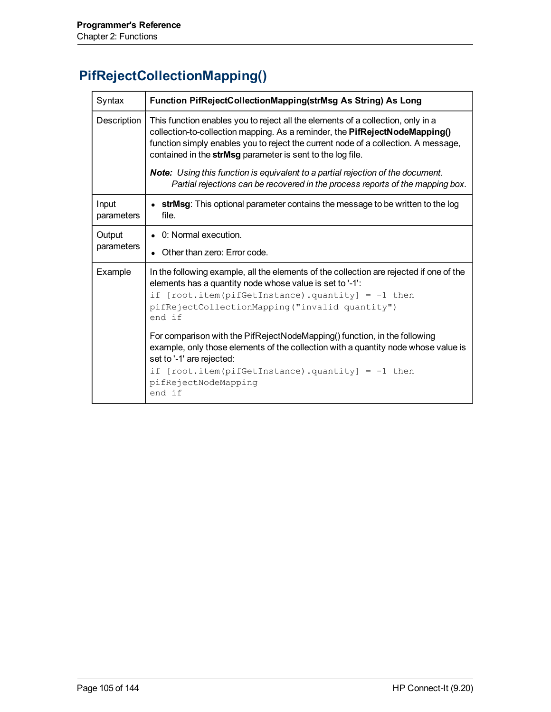# **PifRejectCollectionMapping()**

| Syntax              | Function PifRejectCollectionMapping(strMsg As String) As Long                                                                                                                                                                                                                                                      |
|---------------------|--------------------------------------------------------------------------------------------------------------------------------------------------------------------------------------------------------------------------------------------------------------------------------------------------------------------|
| Description         | This function enables you to reject all the elements of a collection, only in a<br>collection-to-collection mapping. As a reminder, the PifRejectNodeMapping()<br>function simply enables you to reject the current node of a collection. A message,<br>contained in the strMsg parameter is sent to the log file. |
|                     | <b>Note:</b> Using this function is equivalent to a partial rejection of the document.<br>Partial rejections can be recovered in the process reports of the mapping box.                                                                                                                                           |
| Input<br>parameters | <b>strMsg</b> : This optional parameter contains the message to be written to the log<br>file.                                                                                                                                                                                                                     |
| Output              | • 0: Normal execution.                                                                                                                                                                                                                                                                                             |
| parameters          | Other than zero: Error code.                                                                                                                                                                                                                                                                                       |
| Example             | In the following example, all the elements of the collection are rejected if one of the<br>elements has a quantity node whose value is set to '-1':<br>if $[root.item(pifGetInstance).quantity] = -1 then$<br>pifRejectCollectionMapping ("invalid quantity")<br>end if                                            |
|                     | For comparison with the PifRejectNodeMapping() function, in the following<br>example, only those elements of the collection with a quantity node whose value is<br>set to '-1' are rejected:<br>if $[root.item(pifGetInstance).quantity] = -1 then$<br>pifRejectNodeMapping<br>end if                              |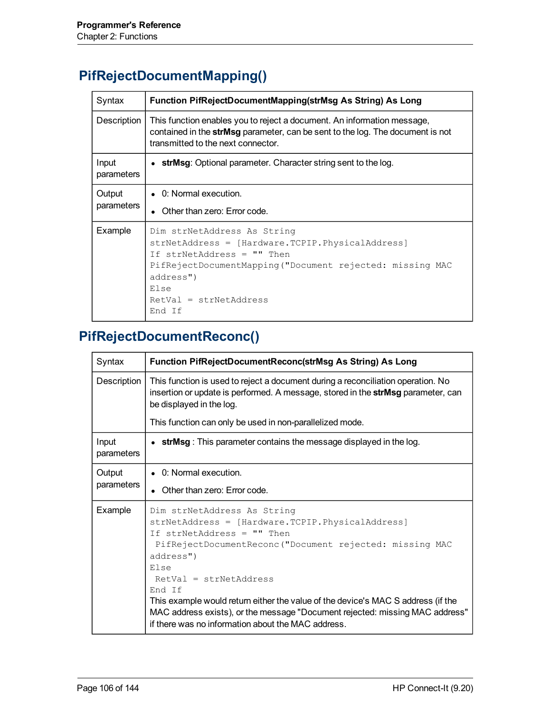# **PifRejectDocumentMapping()**

| Syntax               | Function PifRejectDocumentMapping(strMsg As String) As Long                                                                                                                                                                           |
|----------------------|---------------------------------------------------------------------------------------------------------------------------------------------------------------------------------------------------------------------------------------|
| Description          | This function enables you to reject a document. An information message,<br>contained in the strMsg parameter, can be sent to the log. The document is not<br>transmitted to the next connector.                                       |
| Input<br>parameters  | • strMsg: Optional parameter. Character string sent to the log.                                                                                                                                                                       |
| Output<br>parameters | • 0: Normal execution.<br>• Other than zero: Error code.                                                                                                                                                                              |
| Example              | Dim strNetAddress As String<br>strNetAddress = [Hardware.TCPIP.PhysicalAddress]<br>If strNetAddress = "" Then<br>PifRejectDocumentMapping ("Document rejected: missing MAC<br>address")<br>Else<br>$RetVal = strNetAddress$<br>End If |

# **PifRejectDocumentReconc()**

| Syntax               | Function PifRejectDocumentReconc(strMsg As String) As Long                                                                                                                                                                                                                                                                                                                                                                                                    |
|----------------------|---------------------------------------------------------------------------------------------------------------------------------------------------------------------------------------------------------------------------------------------------------------------------------------------------------------------------------------------------------------------------------------------------------------------------------------------------------------|
| Description          | This function is used to reject a document during a reconciliation operation. No<br>insertion or update is performed. A message, stored in the strMsg parameter, can<br>be displayed in the log.                                                                                                                                                                                                                                                              |
|                      | This function can only be used in non-parallelized mode.                                                                                                                                                                                                                                                                                                                                                                                                      |
| Input<br>parameters  | • strMsg: This parameter contains the message displayed in the log.                                                                                                                                                                                                                                                                                                                                                                                           |
| Output<br>parameters | $\bullet$ 0: Normal execution.<br>• Other than zero: Error code.                                                                                                                                                                                                                                                                                                                                                                                              |
| Example              | Dim strNetAddress As String<br>strNetAddress = [Hardware.TCPIP.PhysicalAddress]<br>If strNetAddress = "" Then<br>PifRejectDocumentReconc("Document rejected: missing MAC<br>address")<br>Else<br>$RetVal = strNetAddress$<br>End If<br>This example would return either the value of the device's MAC S address (if the<br>MAC address exists), or the message "Document rejected: missing MAC address"<br>if there was no information about the MAC address. |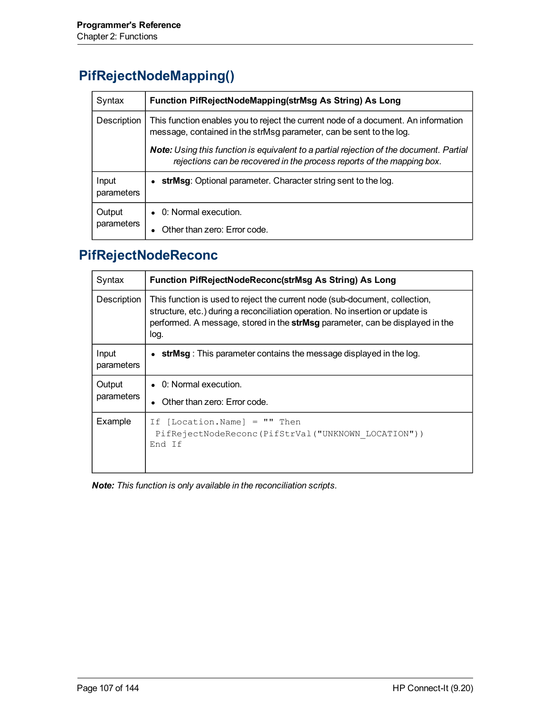# **PifRejectNodeMapping()**

| Syntax               | Function PifRejectNodeMapping(strMsg As String) As Long                                                                                                           |
|----------------------|-------------------------------------------------------------------------------------------------------------------------------------------------------------------|
| Description          | This function enables you to reject the current node of a document. An information<br>message, contained in the strMsg parameter, can be sent to the log.         |
|                      | Note: Using this function is equivalent to a partial rejection of the document. Partial<br>rejections can be recovered in the process reports of the mapping box. |
| Input<br>parameters  | strMsg: Optional parameter. Character string sent to the log.                                                                                                     |
| Output<br>parameters | $\bullet$ 0: Normal execution.                                                                                                                                    |
|                      | Other than zero: Error code.                                                                                                                                      |

# **PifRejectNodeReconc**

| Syntax               | <b>Function PifRejectNodeReconc(strMsg As String) As Long</b>                                                                                                                                                                                         |
|----------------------|-------------------------------------------------------------------------------------------------------------------------------------------------------------------------------------------------------------------------------------------------------|
| Description          | This function is used to reject the current node (sub-document, collection,<br>structure, etc.) during a reconciliation operation. No insertion or update is<br>performed. A message, stored in the strMsg parameter, can be displayed in the<br>log. |
| Input<br>parameters  | • strMsg: This parameter contains the message displayed in the log.                                                                                                                                                                                   |
| Output<br>parameters | $\bullet$ 0: Normal execution.<br>Other than zero: Error code.                                                                                                                                                                                        |
| Example              | $[Location.Name] = "" Then$<br>Ιf<br>PifRejectNodeReconc(PifStrVal("UNKNOWN LOCATION"))<br>End If                                                                                                                                                     |

*Note: This function is only available in the reconciliation scripts.*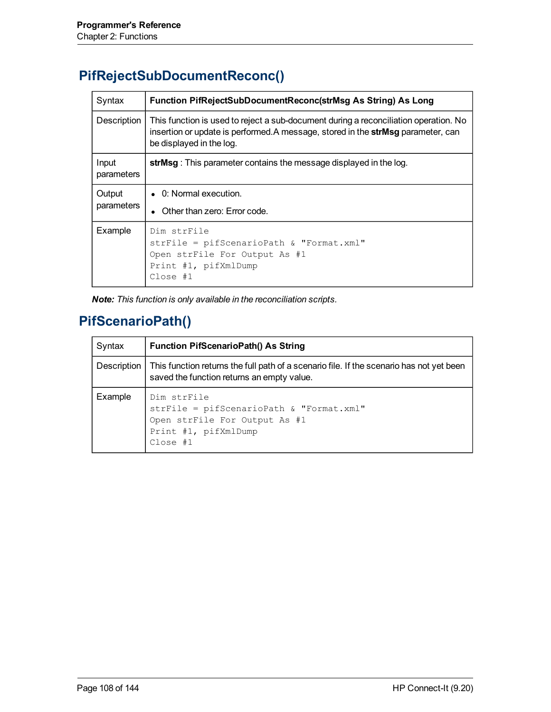# **PifRejectSubDocumentReconc()**

| Syntax               | Function PifRejectSubDocumentReconc(strMsg As String) As Long                                                                                                                                       |
|----------------------|-----------------------------------------------------------------------------------------------------------------------------------------------------------------------------------------------------|
| Description          | This function is used to reject a sub-document during a reconciliation operation. No<br>insertion or update is performed.A message, stored in the strMsg parameter, can<br>be displayed in the log. |
| Input<br>parameters  | strMsg: This parameter contains the message displayed in the log.                                                                                                                                   |
| Output<br>parameters | $\bullet$ 0: Normal execution.<br>Other than zero: Error code.                                                                                                                                      |
| Example              | Dim strFile<br>strFile = pifScenarioPath & "Format.xml"<br>Open strFile For Output As #1<br>Print #1, pifXmlDump<br>Close #1                                                                        |

*Note: This function is only available in the reconciliation scripts.*

#### **PifScenarioPath()**

| Syntax  | <b>Function PifScenarioPath() As String</b>                                                                                                          |
|---------|------------------------------------------------------------------------------------------------------------------------------------------------------|
|         | Description   This function returns the full path of a scenario file. If the scenario has not yet been<br>saved the function returns an empty value. |
| Example | Dim strFile<br>strFile = pifScenarioPath & "Format.xml"<br>Open strFile For Output As #1<br>Print #1, pifXmlDump<br>Close #1                         |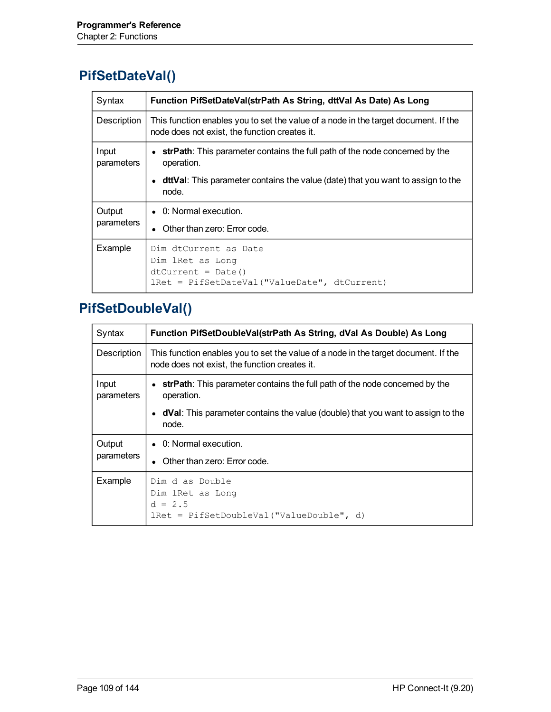#### **PifSetDateVal()**

| Syntax               | Function PifSetDateVal(strPath As String, dttVal As Date) As Long                                                                    |
|----------------------|--------------------------------------------------------------------------------------------------------------------------------------|
| Description          | This function enables you to set the value of a node in the target document. If the<br>node does not exist, the function creates it. |
| Input<br>parameters  | • strPath: This parameter contains the full path of the node concerned by the<br>operation.                                          |
|                      | • dttVal: This parameter contains the value (date) that you want to assign to the<br>node.                                           |
| Output<br>parameters | $\bullet$ 0: Normal execution.<br>• Other than zero: Error code.                                                                     |
| Example              | Dim dtCurrent as Date<br>Dim lRet as Long<br>$dtCurrent = Date()$<br>lRet = PifSetDateVal("ValueDate", dtCurrent)                    |

#### **PifSetDoubleVal()**

| Syntax               | Function PifSetDoubleVal(strPath As String, dVal As Double) As Long                                                                  |
|----------------------|--------------------------------------------------------------------------------------------------------------------------------------|
| Description          | This function enables you to set the value of a node in the target document. If the<br>node does not exist, the function creates it. |
| Input<br>parameters  | • strPath: This parameter contains the full path of the node concerned by the<br>operation.                                          |
|                      | • dVal: This parameter contains the value (double) that you want to assign to the<br>node.                                           |
| Output<br>parameters | • 0: Normal execution.                                                                                                               |
|                      | Other than zero: Error code.                                                                                                         |
| Example              | Dim d as Double<br>Dim lRet as Long<br>$d = 2.5$<br>$lRet = PifsetDoubleVal("ValueDouble", d)$                                       |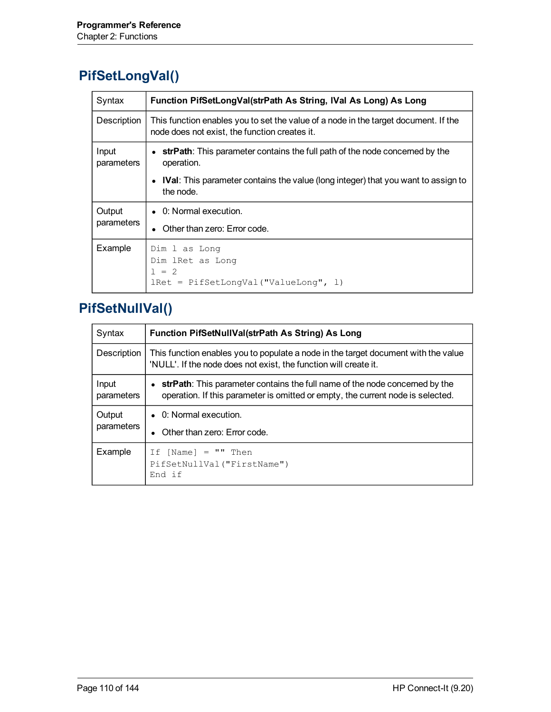### **PifSetLongVal()**

| Syntax               | Function PifSetLongVal(strPath As String, IVal As Long) As Long                                                                      |
|----------------------|--------------------------------------------------------------------------------------------------------------------------------------|
| Description          | This function enables you to set the value of a node in the target document. If the<br>node does not exist, the function creates it. |
| Input<br>parameters  | • strPath: This parameter contains the full path of the node concerned by the<br>operation.                                          |
|                      | • IVal: This parameter contains the value (long integer) that you want to assign to<br>the node.                                     |
| Output<br>parameters | • 0: Normal execution.                                                                                                               |
|                      | Other than zero: Error code.                                                                                                         |
| Example              | Dim 1 as Long<br>Dim lRet as Long<br>$1 = 2$<br>lRet = PifSetLonqVal("ValueLong", 1)                                                 |

#### **PifSetNullVal()**

| Syntax               | Function PifSetNullVal(strPath As String) As Long                                                                                                              |
|----------------------|----------------------------------------------------------------------------------------------------------------------------------------------------------------|
| Description          | This function enables you to populate a node in the target document with the value<br>'NULL'. If the node does not exist, the function will create it.         |
| Input<br>parameters  | strPath: This parameter contains the full name of the node concerned by the<br>operation. If this parameter is omitted or empty, the current node is selected. |
| Output<br>parameters | • 0: Normal execution.<br>Other than zero: Error code.                                                                                                         |
| Example              | If $[Name] = "" Then$<br>PifSetNullVal ("FirstName")<br>End if                                                                                                 |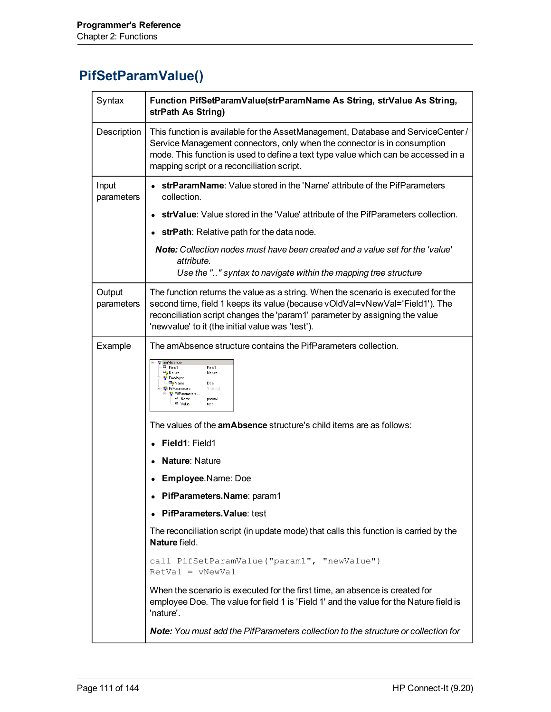#### **PifSetParamValue()**

| Syntax               | Function PifSetParamValue(strParamName As String, strValue As String,<br>strPath As String)                                                                                                                                                                                                          |
|----------------------|------------------------------------------------------------------------------------------------------------------------------------------------------------------------------------------------------------------------------------------------------------------------------------------------------|
| Description          | This function is available for the AssetManagement, Database and ServiceCenter /<br>Service Management connectors, only when the connector is in consumption<br>mode. This function is used to define a text type value which can be accessed in a<br>mapping script or a reconciliation script.     |
| Input<br>parameters  | strParamName: Value stored in the 'Name' attribute of the PifParameters<br>collection.                                                                                                                                                                                                               |
|                      | strValue: Value stored in the 'Value' attribute of the PifParameters collection.                                                                                                                                                                                                                     |
|                      | strPath: Relative path for the data node.                                                                                                                                                                                                                                                            |
|                      | <b>Note:</b> Collection nodes must have been created and a value set for the 'value'<br>attribute.                                                                                                                                                                                                   |
|                      | Use the "" syntax to navigate within the mapping tree structure                                                                                                                                                                                                                                      |
| Output<br>parameters | The function returns the value as a string. When the scenario is executed for the<br>second time, field 1 keeps its value (because vOldVal=vNewVal='Field1'). The<br>reconciliation script changes the 'param1' parameter by assigning the value<br>'newvalue' to it (the initial value was 'test'). |
| Example              | The amAbsence structure contains the PifParameters collection.                                                                                                                                                                                                                                       |
|                      | amAbsence<br>E Field1<br>Field1<br><b>Elp</b> Nature<br>Nature<br><b>C</b> Employee<br><sup>国</sup> ? Name<br>Doe<br>PifParameters<br>1 item(s)<br>PifParameters<br>E Name<br>param1<br>- <sup>国</sup> Value<br>test                                                                                 |
|                      | The values of the <b>amAbsence</b> structure's child items are as follows:                                                                                                                                                                                                                           |
|                      | Field1: Field1                                                                                                                                                                                                                                                                                       |
|                      | Nature: Nature                                                                                                                                                                                                                                                                                       |
|                      | Employee.Name: Doe                                                                                                                                                                                                                                                                                   |
|                      | PifParameters.Name: param1                                                                                                                                                                                                                                                                           |
|                      | PifParameters. Value: test                                                                                                                                                                                                                                                                           |
|                      | The reconciliation script (in update mode) that calls this function is carried by the<br>Nature field.                                                                                                                                                                                               |
|                      | call PifSetParamValue("param1", "newValue")<br>$RetVal = vNewVal$                                                                                                                                                                                                                                    |
|                      | When the scenario is executed for the first time, an absence is created for<br>employee Doe. The value for field 1 is 'Field 1' and the value for the Nature field is<br>'nature'.                                                                                                                   |
|                      | Note: You must add the PifParameters collection to the structure or collection for                                                                                                                                                                                                                   |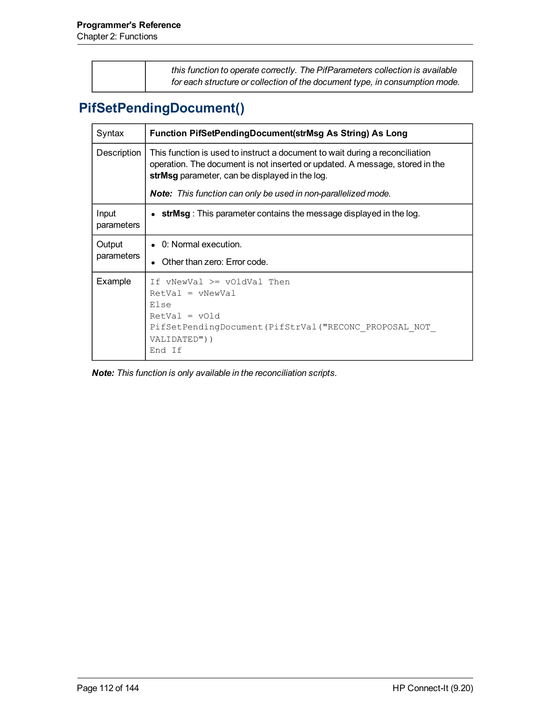| this function to operate correctly. The PifParameters collection is available |
|-------------------------------------------------------------------------------|
| for each structure or collection of the document type, in consumption mode.   |

# **PifSetPendingDocument()**

| Syntax               | Function PifSetPendingDocument(strMsg As String) As Long                                                                                                                                                       |
|----------------------|----------------------------------------------------------------------------------------------------------------------------------------------------------------------------------------------------------------|
| Description          | This function is used to instruct a document to wait during a reconciliation<br>operation. The document is not inserted or updated. A message, stored in the<br>strMsg parameter, can be displayed in the log. |
|                      | <b>Note:</b> This function can only be used in non-parallelized mode.                                                                                                                                          |
| Input<br>parameters  | $\bullet$ strMsg : This parameter contains the message displayed in the log.                                                                                                                                   |
| Output<br>parameters | • 0: Normal execution.<br>• Other than zero: Error code.                                                                                                                                                       |
| Example              | If $vNewVal \geq voldVal$ Then<br>$RetVal = vNewVal$<br>Else<br>$RetVal = vOld$<br>PifSetPendingDocument (PifStrVal ("RECONC PROPOSAL NOT<br>VALIDATED"))<br>End If                                            |

*Note: This function is only available in the reconciliation scripts.*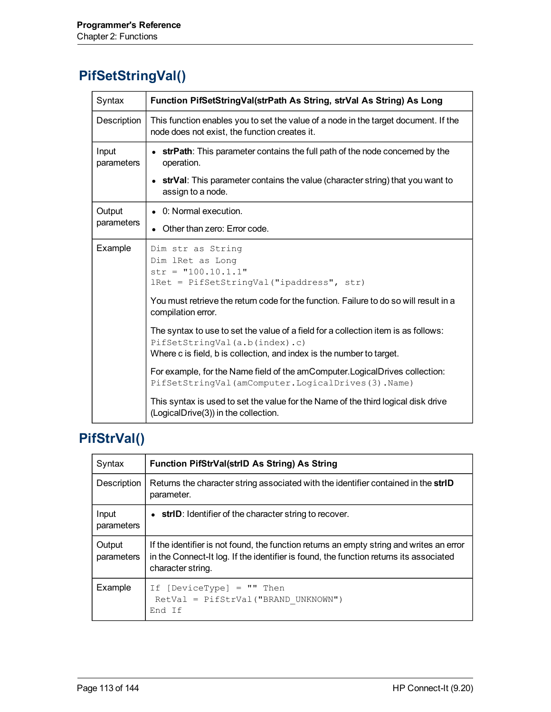# **PifSetStringVal()**

| Syntax              | Function PifSetStringVal(strPath As String, strVal As String) As Long                                                                                                                                                                                                                                          |
|---------------------|----------------------------------------------------------------------------------------------------------------------------------------------------------------------------------------------------------------------------------------------------------------------------------------------------------------|
| Description         | This function enables you to set the value of a node in the target document. If the<br>node does not exist, the function creates it.                                                                                                                                                                           |
| Input<br>parameters | strPath: This parameter contains the full path of the node concerned by the<br>operation.                                                                                                                                                                                                                      |
|                     | • strVal: This parameter contains the value (character string) that you want to<br>assign to a node.                                                                                                                                                                                                           |
| Output              | • 0: Normal execution.                                                                                                                                                                                                                                                                                         |
| parameters          | Other than zero: Error code.                                                                                                                                                                                                                                                                                   |
| Example             | Dim str as String<br>Dim lRet as Long<br>$str = "100.10.1.1"$<br>lRet = PifSetStringVal("ipaddress", str)<br>You must retrieve the return code for the function. Failure to do so will result in a<br>compilation error.<br>The syntax to use to set the value of a field for a collection item is as follows: |
|                     | PifSetStringVal(a.b(index).c)<br>Where c is field, b is collection, and index is the number to target.                                                                                                                                                                                                         |
|                     | For example, for the Name field of the amComputer. Logical Drives collection:<br>PifSetStringVal(amComputer.LogicalDrives(3).Name)                                                                                                                                                                             |
|                     | This syntax is used to set the value for the Name of the third logical disk drive<br>(LogicalDrive(3)) in the collection.                                                                                                                                                                                      |

# **PifStrVal()**

| Syntax               | <b>Function PifStrVal(strID As String) As String</b>                                                                                                                                                    |
|----------------------|---------------------------------------------------------------------------------------------------------------------------------------------------------------------------------------------------------|
| Description          | Returns the character string associated with the identifier contained in the strID<br>parameter.                                                                                                        |
| Input<br>parameters  | $\bullet$ strID: Identifier of the character string to recover.                                                                                                                                         |
| Output<br>parameters | If the identifier is not found, the function returns an empty string and writes an error<br>in the Connect-It log. If the identifier is found, the function returns its associated<br>character string. |
| Example              | If $[DeviceType] = "" Then$<br>RetVal = PifStrVal("BRAND UNKNOWN")<br>End If                                                                                                                            |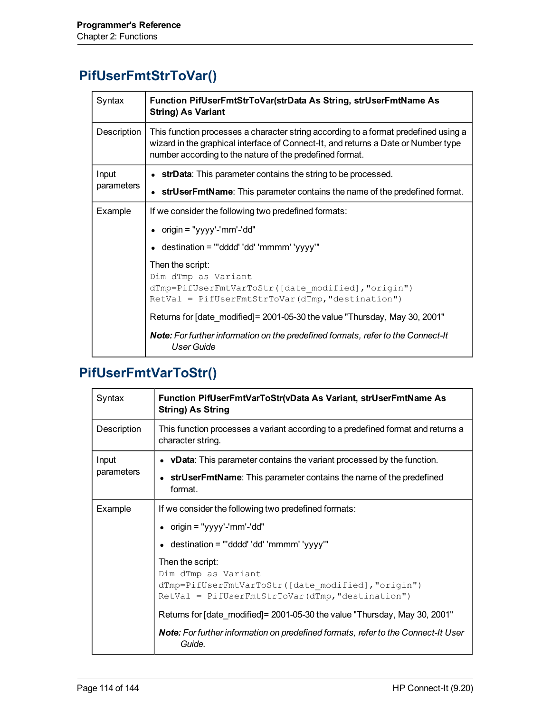#### **PifUserFmtStrToVar()**

| Syntax      | Function PifUserFmtStrToVar(strData As String, strUserFmtName As<br><b>String) As Variant</b>                                                                                                                                         |
|-------------|---------------------------------------------------------------------------------------------------------------------------------------------------------------------------------------------------------------------------------------|
| Description | This function processes a character string according to a format predefined using a<br>wizard in the graphical interface of Connect-It, and returns a Date or Number type<br>number according to the nature of the predefined format. |
| Input       | • strData: This parameter contains the string to be processed.                                                                                                                                                                        |
| parameters  | • strUserFmtName: This parameter contains the name of the predefined format.                                                                                                                                                          |
| Example     | If we consider the following two predefined formats:                                                                                                                                                                                  |
|             | • origin = "yyyy'-'mm'-'dd"                                                                                                                                                                                                           |
|             | destination = "'dddd' 'dd' 'mmmm' 'yyyy'"                                                                                                                                                                                             |
|             | Then the script:<br>Dim dTmp as Variant<br>dTmp=PifUserFmtVarToStr([date modified], "origin")<br>$RetVal = PifUserFmtStrTovar(dTmp, "destination")$                                                                                   |
|             | Returns for [date_modified]= 2001-05-30 the value "Thursday, May 30, 2001"                                                                                                                                                            |
|             | Note: For further information on the predefined formats, refer to the Connect-It<br><b>User Guide</b>                                                                                                                                 |

#### **PifUserFmtVarToStr()**

| Syntax              | Function PifUserFmtVarToStr(vData As Variant, strUserFmtName As<br><b>String) As String</b>                                                        |
|---------------------|----------------------------------------------------------------------------------------------------------------------------------------------------|
| Description         | This function processes a variant according to a predefined format and returns a<br>character string.                                              |
| Input<br>parameters | • vData: This parameter contains the variant processed by the function.                                                                            |
|                     | strUserFmtName: This parameter contains the name of the predefined<br>format.                                                                      |
| Example             | If we consider the following two predefined formats:                                                                                               |
|                     | • origin = "yyyy'-'mm'-'dd"                                                                                                                        |
|                     | $\epsilon$ destination = "'dddd' 'dd' 'mmmm' 'yyyy'"                                                                                               |
|                     | Then the script:<br>Dim dTmp as Variant<br>dTmp=PifUserFmtVarToStr([date modified],"origin")<br>$RetVal = PifUserFmtStrTovar(dTmp, "destination")$ |
|                     | Returns for [date modified] = 2001-05-30 the value "Thursday, May 30, 2001"                                                                        |
|                     | <b>Note:</b> For further information on predefined formats, refer to the Connect-It User<br>Guide.                                                 |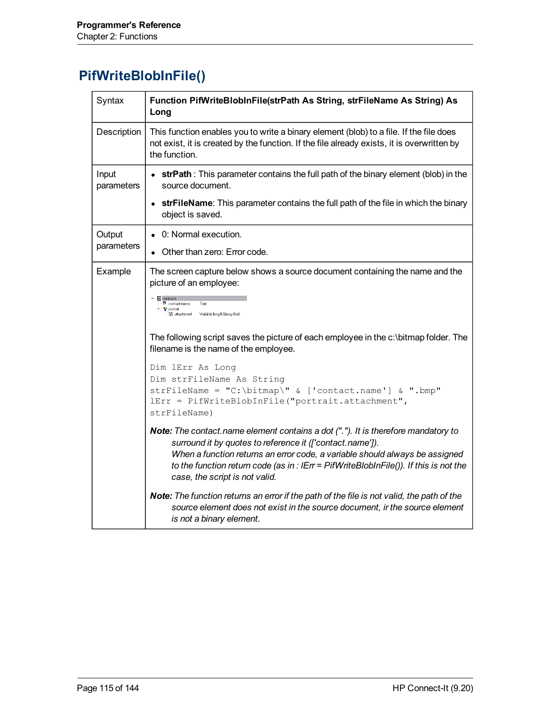#### **PifWriteBlobInFile()**

| Syntax              | Function PifWriteBlobInFile(strPath As String, strFileName As String) As<br>Long                                                                                                                                                                                                                                                                         |
|---------------------|----------------------------------------------------------------------------------------------------------------------------------------------------------------------------------------------------------------------------------------------------------------------------------------------------------------------------------------------------------|
| Description         | This function enables you to write a binary element (blob) to a file. If the file does<br>not exist, it is created by the function. If the file already exists, it is overwritten by<br>the function.                                                                                                                                                    |
| Input<br>parameters | • strPath: This parameter contains the full path of the binary element (blob) in the<br>source document.                                                                                                                                                                                                                                                 |
|                     | strFileName: This parameter contains the full path of the file in which the binary<br>object is saved.                                                                                                                                                                                                                                                   |
| Output              | • 0: Normal execution.                                                                                                                                                                                                                                                                                                                                   |
| parameters          | Other than zero: Error code.                                                                                                                                                                                                                                                                                                                             |
| Example             | The screen capture below shows a source document containing the name and the<br>picture of an employee:<br>eontacts<br>contact.name<br>Text<br><b>P</b> portrait<br>60 attachment Variable length binary field<br>The following script saves the picture of each employee in the c:\bitmap folder. The<br>filename is the name of the employee.          |
|                     | Dim lErr As Long<br>Dim strFileName As String<br>strFileName = "C:\bitmap\" & ['contact.name'] & ".bmp"<br>lErr = PifWriteBlobInFile("portrait.attachment",                                                                                                                                                                                              |
|                     | strFileName)                                                                                                                                                                                                                                                                                                                                             |
|                     | Note: The contact name element contains a dot ("."). It is therefore mandatory to<br>surround it by quotes to reference it (['contact.name']).<br>When a function returns an error code, a variable should always be assigned<br>to the function return code (as in : IErr = PifWriteBlobInFile()). If this is not the<br>case, the script is not valid. |
|                     | Note: The function returns an error if the path of the file is not valid, the path of the<br>source element does not exist in the source document, ir the source element<br>is not a binary element.                                                                                                                                                     |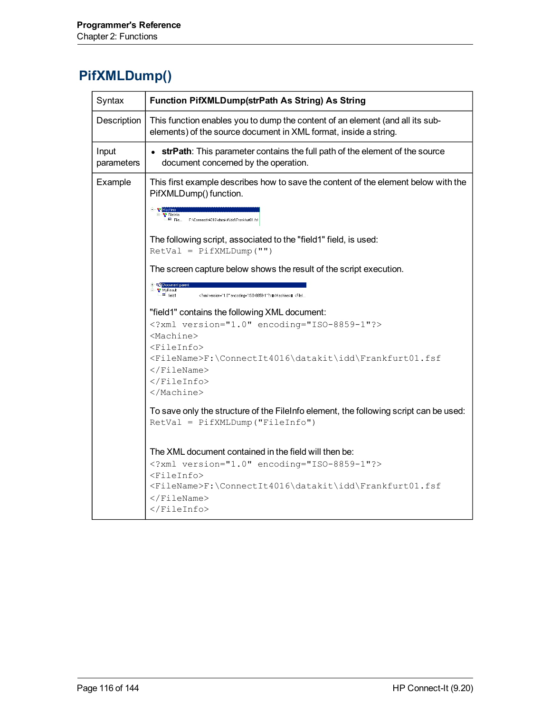### **PifXMLDump()**

| Syntax              | Function PifXMLDump(strPath As String) As String                                                                                                                                                                                                                |
|---------------------|-----------------------------------------------------------------------------------------------------------------------------------------------------------------------------------------------------------------------------------------------------------------|
| Description         | This function enables you to dump the content of an element (and all its sub-<br>elements) of the source document in XML format, inside a string.                                                                                                               |
| Input<br>parameters | strPath: This parameter contains the full path of the element of the source<br>document concerned by the operation.                                                                                                                                             |
| Example             | This first example describes how to save the content of the element below with the<br>PifXMLDump() function.<br><b>E</b> Machine<br>— <mark>भु</mark> FileInfo<br>$\blacksquare$ File<br>F:\ConnectIt4016\datakit\idd\Frankfurt01.fsf                           |
|                     | The following script, associated to the "field1" field, is used:<br>$RetVal = PifXMLDump("")$                                                                                                                                                                   |
|                     | The screen capture below shows the result of the script execution.<br>+ ¤2 Doc<br>MyResult<br>xml version="1.0" encoding="ISO-8859-1"?    <machine>  </machine>                                                                                                 |
|                     | "field1" contains the following XML document:<br>xml version="1.0" encoding="ISO-8859-1"?<br><machine><br/><fileinfo><br/><filename>F:\ConnectIt4016\datakit\idd\Frankfurt01.fsf<br/><math>\langle</math>FileName&gt;<br/></filename></fileinfo><br/></machine> |
|                     | To save only the structure of the FileInfo element, the following script can be used:<br>RetVal = PifXMLDump ("FileInfo")                                                                                                                                       |
|                     | The XML document contained in the field will then be:<br>xml version="1.0" encoding="ISO-8859-1"?<br><fileinfo><br/><filename>F:\ConnectIt4016\datakit\idd\Frankfurt01.fsf<br/><math>\langle</math>FileName&gt;<br/></filename></fileinfo>                      |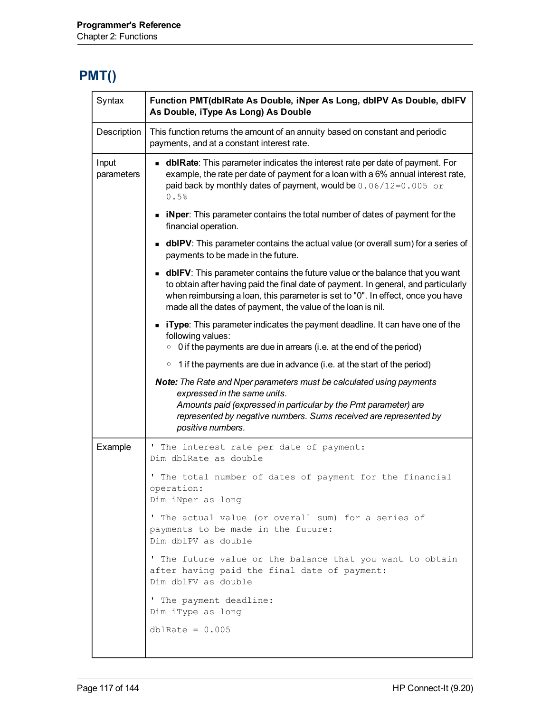### **PMT()**

| Syntax              | Function PMT(dblRate As Double, iNper As Long, dblPV As Double, dblFV<br>As Double, iType As Long) As Double                                                                                                                                                                                                                   |
|---------------------|--------------------------------------------------------------------------------------------------------------------------------------------------------------------------------------------------------------------------------------------------------------------------------------------------------------------------------|
| Description         | This function returns the amount of an annuity based on constant and periodic<br>payments, and at a constant interest rate.                                                                                                                                                                                                    |
| Input<br>parameters | <b>dbirate:</b> This parameter indicates the interest rate per date of payment. For<br>example, the rate per date of payment for a loan with a 6% annual interest rate,<br>paid back by monthly dates of payment, would be $0.06/12=0.005$ or<br>0.5%                                                                          |
|                     | • iNper: This parameter contains the total number of dates of payment for the<br>financial operation.                                                                                                                                                                                                                          |
|                     | <b>dbIPV</b> : This parameter contains the actual value (or overall sum) for a series of<br>payments to be made in the future.                                                                                                                                                                                                 |
|                     | <b>dblFV</b> : This parameter contains the future value or the balance that you want<br>to obtain after having paid the final date of payment. In general, and particularly<br>when reimbursing a loan, this parameter is set to "0". In effect, once you have<br>made all the dates of payment, the value of the loan is nil. |
|                     | • iType: This parameter indicates the payment deadline. It can have one of the<br>following values:<br>$\circ$ 0 if the payments are due in arrears (i.e. at the end of the period)                                                                                                                                            |
|                     | $\circ$ 1 if the payments are due in advance (i.e. at the start of the period)                                                                                                                                                                                                                                                 |
|                     | Note: The Rate and Nper parameters must be calculated using payments<br>expressed in the same units.<br>Amounts paid (expressed in particular by the Pmt parameter) are<br>represented by negative numbers. Sums received are represented by<br>positive numbers.                                                              |
| Example             | The interest rate per date of payment:<br>л.<br>Dim dblRate as double                                                                                                                                                                                                                                                          |
|                     | The total number of dates of payment for the financial<br>operation:<br>Dim iNper as long                                                                                                                                                                                                                                      |
|                     | ' The actual value (or overall sum) for a series of<br>payments to be made in the future:<br>Dim dblPV as double                                                                                                                                                                                                               |
|                     | ' The future value or the balance that you want to obtain<br>after having paid the final date of payment:<br>Dim dblFV as double                                                                                                                                                                                               |
|                     | ' The payment deadline:<br>Dim iType as long                                                                                                                                                                                                                                                                                   |
|                     | dblRate = $0.005$                                                                                                                                                                                                                                                                                                              |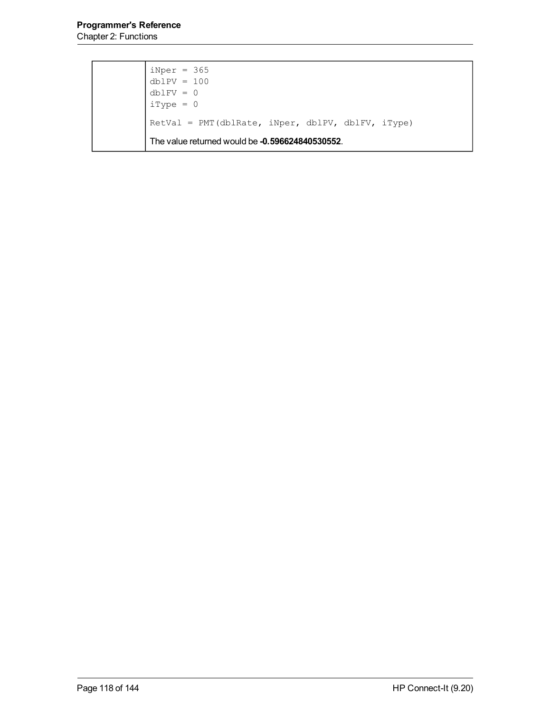| $\begin{array}{rcl}\n\text{iNper} & = & 365 \\ \text{dblPV} & = & 100 \\ \text{dblFV} & = & 0 \\ \text{iType} & = & 0\n\end{array}$ |
|-------------------------------------------------------------------------------------------------------------------------------------|
|                                                                                                                                     |
| RetVal = PMT (dblRate, iNper, dblPV, dblFV, iType)                                                                                  |
| The value returned would be -0.596624840530552.                                                                                     |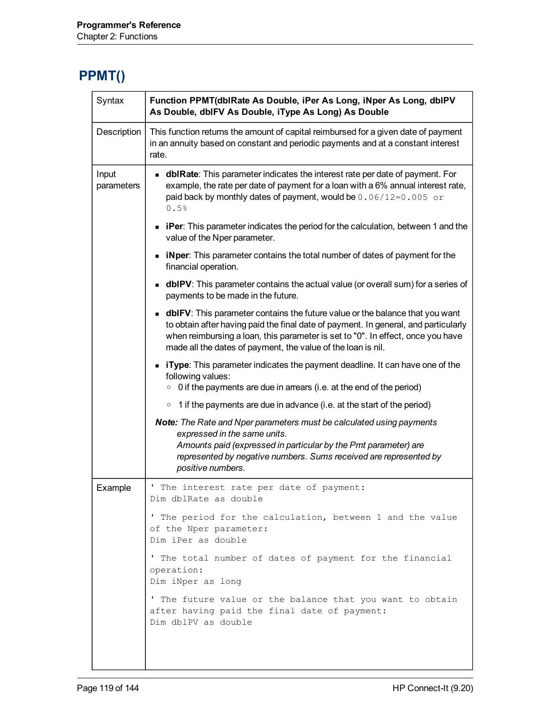#### **PPMT()**

| Syntax              | Function PPMT(dblRate As Double, iPer As Long, iNper As Long, dblPV<br>As Double, dblFV As Double, iType As Long) As Double                                                                                                                                                                                                    |  |
|---------------------|--------------------------------------------------------------------------------------------------------------------------------------------------------------------------------------------------------------------------------------------------------------------------------------------------------------------------------|--|
| Description         | This function returns the amount of capital reimbursed for a given date of payment<br>in an annuity based on constant and periodic payments and at a constant interest<br>rate.                                                                                                                                                |  |
| Input<br>parameters | <b>dblRate:</b> This parameter indicates the interest rate per date of payment. For<br>example, the rate per date of payment for a loan with a 6% annual interest rate,<br>paid back by monthly dates of payment, would be $0.06/12=0.005$ or<br>0.5%                                                                          |  |
|                     | • iPer: This parameter indicates the period for the calculation, between 1 and the<br>value of the Nper parameter.                                                                                                                                                                                                             |  |
|                     | • iNper: This parameter contains the total number of dates of payment for the<br>financial operation.                                                                                                                                                                                                                          |  |
|                     | <b>dbIPV</b> : This parameter contains the actual value (or overall sum) for a series of<br>payments to be made in the future.                                                                                                                                                                                                 |  |
|                     | <b>dblFV</b> : This parameter contains the future value or the balance that you want<br>to obtain after having paid the final date of payment. In general, and particularly<br>when reimbursing a loan, this parameter is set to "0". In effect, once you have<br>made all the dates of payment, the value of the loan is nil. |  |
|                     | • iType: This parameter indicates the payment deadline. It can have one of the<br>following values:<br>0 if the payments are due in arrears (i.e. at the end of the period)<br>$\circ$                                                                                                                                         |  |
|                     | 1 if the payments are due in advance (i.e. at the start of the period)<br>$\circ$                                                                                                                                                                                                                                              |  |
|                     | Note: The Rate and Nper parameters must be calculated using payments<br>expressed in the same units.<br>Amounts paid (expressed in particular by the Pmt parameter) are<br>represented by negative numbers. Sums received are represented by<br>positive numbers.                                                              |  |
| Example             | ' The interest rate per date of payment:<br>Dim dblRate as double                                                                                                                                                                                                                                                              |  |
|                     | ' The period for the calculation, between 1 and the value<br>of the Nper parameter:<br>Dim iPer as double                                                                                                                                                                                                                      |  |
|                     | ' The total number of dates of payment for the financial<br>operation:<br>Dim iNper as long                                                                                                                                                                                                                                    |  |
|                     | ' The future value or the balance that you want to obtain<br>after having paid the final date of payment:<br>Dim dblPV as double                                                                                                                                                                                               |  |
|                     |                                                                                                                                                                                                                                                                                                                                |  |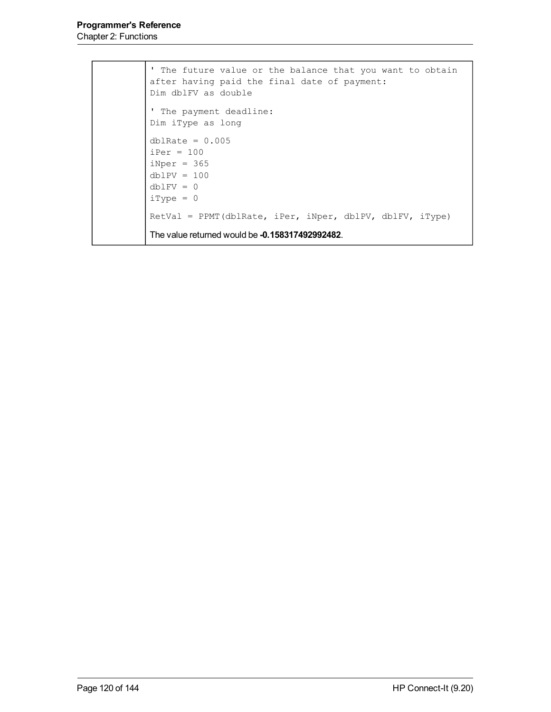```
' The future value or the balance that you want to obtain
after having paid the final date of payment:
Dim dblFV as double
' The payment deadline:
Dim iType as long
dblRate = 0.005iPer = 100iNper = 365dblPV = 100dblFV = 0iType = 0RetVal = PPMT(dblRate, iPer, iNper, dblPV, dblFV, iType)
The value returned would be -0.158317492992482.
```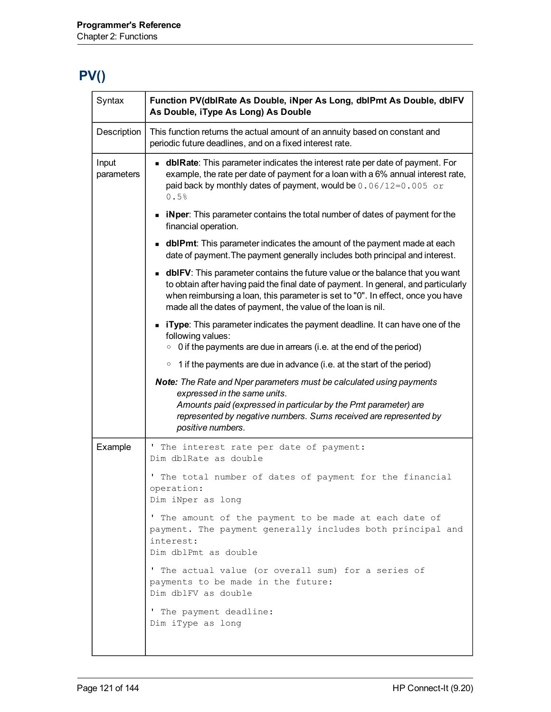# **PV()**

| Syntax              | Function PV(dblRate As Double, iNper As Long, dblPmt As Double, dblFV<br>As Double, iType As Long) As Double                                                                                                                                                                                                                   |
|---------------------|--------------------------------------------------------------------------------------------------------------------------------------------------------------------------------------------------------------------------------------------------------------------------------------------------------------------------------|
| Description         | This function returns the actual amount of an annuity based on constant and<br>periodic future deadlines, and on a fixed interest rate.                                                                                                                                                                                        |
| Input<br>parameters | <b>dbirate:</b> This parameter indicates the interest rate per date of payment. For<br>example, the rate per date of payment for a loan with a 6% annual interest rate,<br>paid back by monthly dates of payment, would be $0.06/12=0.005$ or<br>0.5%                                                                          |
|                     | • iNper: This parameter contains the total number of dates of payment for the<br>financial operation.                                                                                                                                                                                                                          |
|                     | <b>dblPmt</b> : This parameter indicates the amount of the payment made at each<br>date of payment. The payment generally includes both principal and interest.                                                                                                                                                                |
|                     | <b>dblFV</b> : This parameter contains the future value or the balance that you want<br>to obtain after having paid the final date of payment. In general, and particularly<br>when reimbursing a loan, this parameter is set to "0". In effect, once you have<br>made all the dates of payment, the value of the loan is nil. |
|                     | <b>Type:</b> This parameter indicates the payment deadline. It can have one of the<br>following values:<br>$\circ$ 0 if the payments are due in arrears (i.e. at the end of the period)                                                                                                                                        |
|                     | $\circ$ 1 if the payments are due in advance (i.e. at the start of the period)                                                                                                                                                                                                                                                 |
|                     | Note: The Rate and Nper parameters must be calculated using payments<br>expressed in the same units.<br>Amounts paid (expressed in particular by the Pmt parameter) are<br>represented by negative numbers. Sums received are represented by<br>positive numbers.                                                              |
| Example             | ' The interest rate per date of payment:<br>Dim dblRate as double                                                                                                                                                                                                                                                              |
|                     | ' The total number of dates of payment for the financial<br>operation:<br>Dim iNper as long                                                                                                                                                                                                                                    |
|                     | ' The amount of the payment to be made at each date of<br>payment. The payment generally includes both principal and<br>interest:<br>Dim dblPmt as double                                                                                                                                                                      |
|                     | ' The actual value (or overall sum) for a series of<br>payments to be made in the future:<br>Dim dblFV as double                                                                                                                                                                                                               |
|                     | ' The payment deadline:<br>Dim iType as long                                                                                                                                                                                                                                                                                   |
|                     |                                                                                                                                                                                                                                                                                                                                |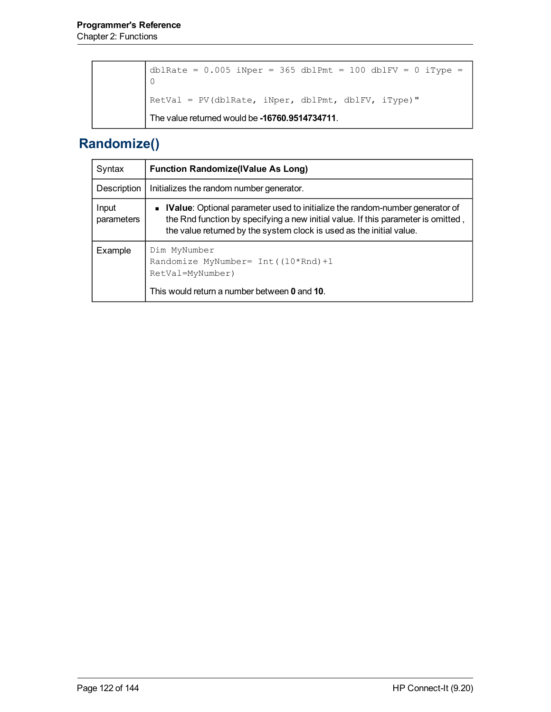```
dblRate = 0.005 iNper = 365 dblPmt = 100 dblFV = 0 iType =
0
RetVal = PV(dblRate, iNper, dblPmt, dblFV, iType)"
The value returned would be -16760.9514734711.
```
#### **Randomize()**

| Syntax              | <b>Function Randomize(IValue As Long)</b>                                                                                                                                                                                                   |
|---------------------|---------------------------------------------------------------------------------------------------------------------------------------------------------------------------------------------------------------------------------------------|
| Description         | Initializes the random number generator.                                                                                                                                                                                                    |
| Input<br>parameters | • IValue: Optional parameter used to initialize the random-number generator of<br>the Rnd function by specifying a new initial value. If this parameter is omitted,<br>the value returned by the system clock is used as the initial value. |
| Example             | Dim MyNumber<br>Randomize MyNumber= $Int(10*Rnd)+1$<br>RetVal=MyNumber)<br>This would return a number between 0 and 10.                                                                                                                     |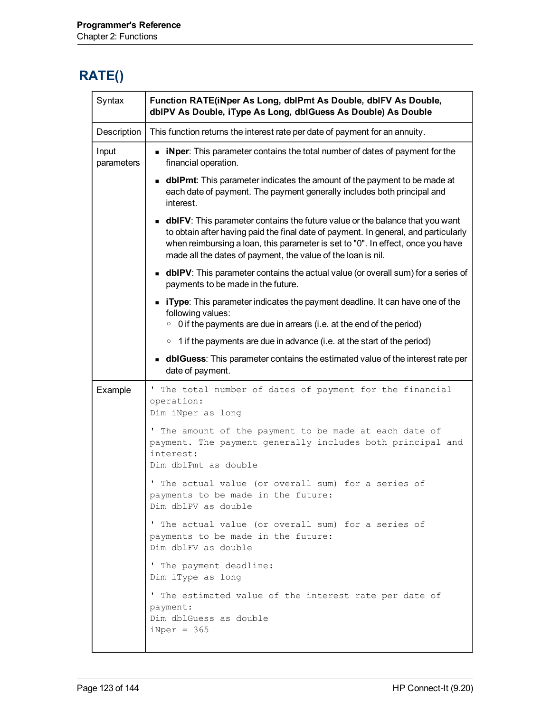#### **RATE()**

| Syntax              | Function RATE(iNper As Long, dblPmt As Double, dblFV As Double,<br>dbIPV As Double, iType As Long, dbIGuess As Double) As Double                                                                                                                                                                                               |  |
|---------------------|--------------------------------------------------------------------------------------------------------------------------------------------------------------------------------------------------------------------------------------------------------------------------------------------------------------------------------|--|
| Description         | This function returns the interest rate per date of payment for an annuity.                                                                                                                                                                                                                                                    |  |
| Input<br>parameters | • iNper: This parameter contains the total number of dates of payment for the<br>financial operation.                                                                                                                                                                                                                          |  |
|                     | <b>dblPmt</b> : This parameter indicates the amount of the payment to be made at<br>each date of payment. The payment generally includes both principal and<br>interest.                                                                                                                                                       |  |
|                     | <b>dblFV</b> : This parameter contains the future value or the balance that you want<br>to obtain after having paid the final date of payment. In general, and particularly<br>when reimbursing a loan, this parameter is set to "0". In effect, once you have<br>made all the dates of payment, the value of the loan is nil. |  |
|                     | <b>dbIPV</b> : This parameter contains the actual value (or overall sum) for a series of<br>payments to be made in the future.                                                                                                                                                                                                 |  |
|                     | • iType: This parameter indicates the payment deadline. It can have one of the<br>following values:<br>$\circ$ 0 if the payments are due in arrears (i.e. at the end of the period)                                                                                                                                            |  |
|                     | $\circ$ 1 if the payments are due in advance (i.e. at the start of the period)                                                                                                                                                                                                                                                 |  |
|                     | <b>dblGuess</b> : This parameter contains the estimated value of the interest rate per<br>date of payment.                                                                                                                                                                                                                     |  |
| Example             | ' The total number of dates of payment for the financial<br>operation:<br>Dim iNper as long                                                                                                                                                                                                                                    |  |
|                     | ' The amount of the payment to be made at each date of<br>payment. The payment generally includes both principal and<br>interest:<br>Dim dblPmt as double                                                                                                                                                                      |  |
|                     | ' The actual value (or overall sum) for a series of<br>payments to be made in the future:<br>Dim dblPV as double                                                                                                                                                                                                               |  |
|                     | ' The actual value (or overall sum) for a series of<br>payments to be made in the future:<br>Dim dblFV as double                                                                                                                                                                                                               |  |
|                     | ' The payment deadline:<br>Dim iType as long                                                                                                                                                                                                                                                                                   |  |
|                     | ' The estimated value of the interest rate per date of<br>payment:<br>Dim dblGuess as double<br>$iNper = 365$                                                                                                                                                                                                                  |  |
|                     |                                                                                                                                                                                                                                                                                                                                |  |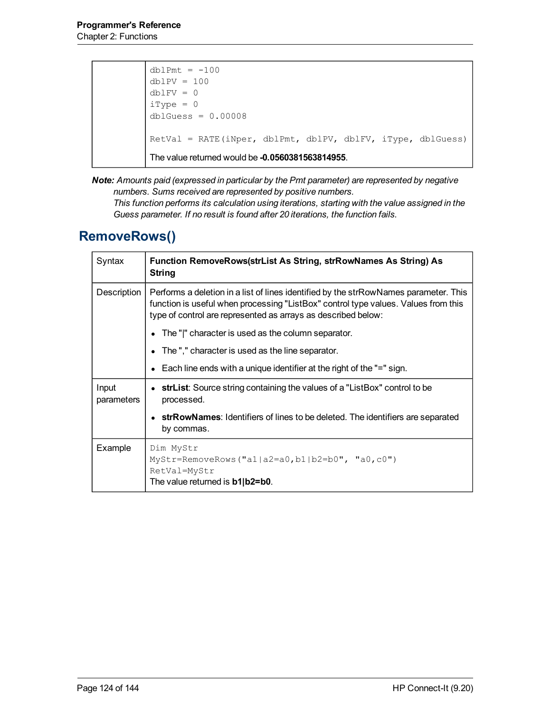```
dblPmt = -100dblPV = 100dblFV = 0iType = 0dblGuess = 0.00008
RetVal = RATE(iNper, dblPmt, dblPV, dblFV, iType, dblGuess)
The value returned would be -0.0560381563814955.
```
*Note: Amounts paid (expressed in particular by the Pmt parameter) are represented by negative numbers. Sums received are represented by positive numbers.*

*This function performs its calculation using iterations, starting with the value assigned in the Guess parameter. If no result is found after 20 iterations, the function fails.*

#### **RemoveRows()**

| Syntax              | Function RemoveRows(strList As String, strRowNames As String) As<br>String                                                                                                                                                                  |
|---------------------|---------------------------------------------------------------------------------------------------------------------------------------------------------------------------------------------------------------------------------------------|
| Description         | Performs a deletion in a list of lines identified by the strRowNames parameter. This<br>function is useful when processing "ListBox" control type values. Values from this<br>type of control are represented as arrays as described below: |
|                     | The " " character is used as the column separator.                                                                                                                                                                                          |
|                     | $\bullet$ The "," character is used as the line separator.                                                                                                                                                                                  |
|                     | • Each line ends with a unique identifier at the right of the "=" sign.                                                                                                                                                                     |
| Input<br>parameters | • strList: Source string containing the values of a "ListBox" control to be<br>processed.                                                                                                                                                   |
|                     | • strRowNames: Identifiers of lines to be deleted. The identifiers are separated<br>by commas.                                                                                                                                              |
| Example             | Dim MyStr<br>MyStr=RemoveRows("a1 a2=a0,b1 b2=b0", "a0,c0")<br>RetVal=MyStr<br>The value returned is <b>b1 b2=b0</b> .                                                                                                                      |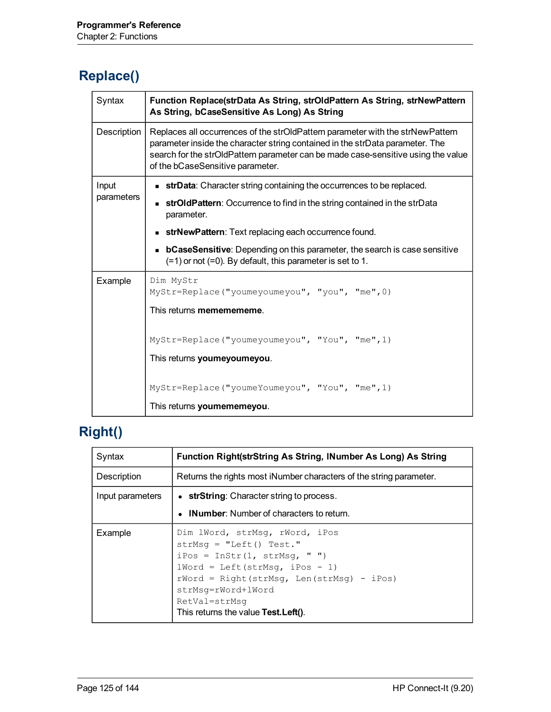# **Replace()**

| Syntax      | Function Replace(strData As String, strOldPattern As String, strNewPattern<br>As String, bCaseSensitive As Long) As String                                                                                                                                                               |  |
|-------------|------------------------------------------------------------------------------------------------------------------------------------------------------------------------------------------------------------------------------------------------------------------------------------------|--|
| Description | Replaces all occurrences of the strOldPattern parameter with the strNewPattern<br>parameter inside the character string contained in the strData parameter. The<br>search for the strOldPattern parameter can be made case-sensitive using the value<br>of the bCaseSensitive parameter. |  |
| Input       | <b>strData:</b> Character string containing the occurrences to be replaced.                                                                                                                                                                                                              |  |
| parameters  | <b>strOldPattern:</b> Occurrence to find in the string contained in the strData<br>parameter.                                                                                                                                                                                            |  |
|             | strNewPattern: Text replacing each occurrence found.<br>$\blacksquare$                                                                                                                                                                                                                   |  |
|             | <b>bCaseSensitive</b> : Depending on this parameter, the search is case sensitive<br>$\blacksquare$<br>$(=1)$ or not $(=0)$ . By default, this parameter is set to 1.                                                                                                                    |  |
| Example     | Dim MyStr<br>MyStr=Replace ("youmeyoumeyou", "you", "me", 0)<br>This returns mememememe.                                                                                                                                                                                                 |  |
|             | MyStr=Replace ("youmeyoumeyou", "You", "me", 1)<br>This returns youmeyoumeyou.                                                                                                                                                                                                           |  |
|             | MyStr=Replace ("youmeYoumeyou", "You", "me", 1)<br>This returns youmememeyou.                                                                                                                                                                                                            |  |

# **Right()**

| Syntax           | Function Right(strString As String, INumber As Long) As String                                                                                                                                                                                                |
|------------------|---------------------------------------------------------------------------------------------------------------------------------------------------------------------------------------------------------------------------------------------------------------|
| Description      | Returns the rights most iNumber characters of the string parameter.                                                                                                                                                                                           |
| Input parameters | • strString: Character string to process.                                                                                                                                                                                                                     |
|                  | • INumber: Number of characters to return.                                                                                                                                                                                                                    |
| Example          | Dim lWord, strMsq, rWord, iPos<br>strMsq = $"Left() Test."$<br>iPos = InStr(1, strMsq, " ")<br>$1Word = Left(strMsq, iPos - 1)$<br>$rWord = Right(strMsq, Len(strMsq) - iPos)$<br>strMsq=rWord+lWord<br>RetVal=strMsq<br>This returns the value Test. Left(). |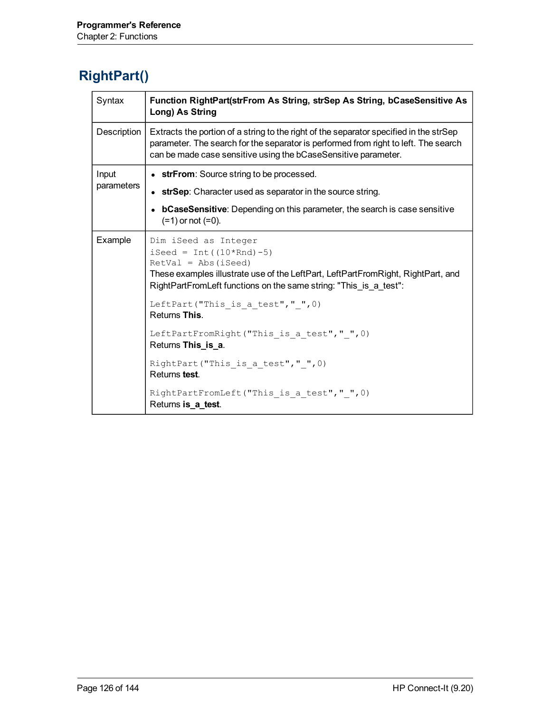#### **RightPart()**

| Syntax      | Function RightPart(strFrom As String, strSep As String, bCaseSensitive As<br>Long) As String                                                                                                                                                                                                                                                                   |
|-------------|----------------------------------------------------------------------------------------------------------------------------------------------------------------------------------------------------------------------------------------------------------------------------------------------------------------------------------------------------------------|
| Description | Extracts the portion of a string to the right of the separator specified in the strSep<br>parameter. The search for the separator is performed from right to left. The search<br>can be made case sensitive using the bCaseSensitive parameter.                                                                                                                |
| Input       | • strFrom: Source string to be processed.                                                                                                                                                                                                                                                                                                                      |
| parameters  | • strSep: Character used as separator in the source string.                                                                                                                                                                                                                                                                                                    |
|             | bCaseSensitive: Depending on this parameter, the search is case sensitive<br>$(=1)$ or not $(=0)$ .                                                                                                                                                                                                                                                            |
| Example     | Dim iSeed as Integer<br>iSeed = $Int((10*Rnd)-5)$<br>$RetVal = Abs(iSeed)$<br>These examples illustrate use of the LeftPart, LeftPartFromRight, RightPart, and<br>RightPartFromLeft functions on the same string: "This_is_a_test":<br>LeftPart ("This is a test"," ", 0)<br>Returns This.<br>LeftPartFromRight("This is a test"," ", 0)<br>Returns This_is_a. |
|             | RightPart ("This is a test"," ", 0)<br>Returns test.                                                                                                                                                                                                                                                                                                           |
|             | RightPartFromLeft("This is a test"," ", 0)<br>Returns is_a_test.                                                                                                                                                                                                                                                                                               |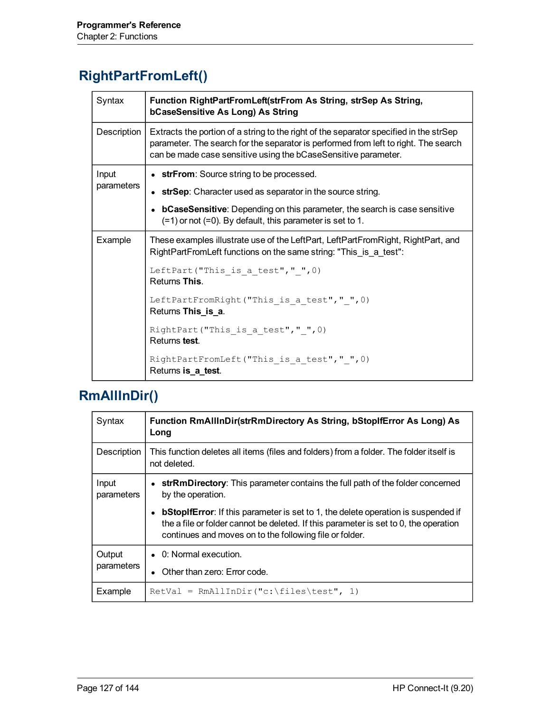### **RightPartFromLeft()**

| Syntax      | Function RightPartFromLeft(strFrom As String, strSep As String,<br>bCaseSensitive As Long) As String                                                                                                                                            |
|-------------|-------------------------------------------------------------------------------------------------------------------------------------------------------------------------------------------------------------------------------------------------|
| Description | Extracts the portion of a string to the right of the separator specified in the strSep<br>parameter. The search for the separator is performed from left to right. The search<br>can be made case sensitive using the bCaseSensitive parameter. |
| Input       | • strFrom: Source string to be processed.                                                                                                                                                                                                       |
| parameters  | • strSep: Character used as separator in the source string.                                                                                                                                                                                     |
|             | • bCaseSensitive: Depending on this parameter, the search is case sensitive<br>$(=1)$ or not $(=0)$ . By default, this parameter is set to 1.                                                                                                   |
| Example     | These examples illustrate use of the LeftPart, LeftPartFromRight, RightPart, and<br>RightPartFromLeft functions on the same string: "This is a test":                                                                                           |
|             | LeftPart ("This is a test", " $", 0)$<br>Returns This.                                                                                                                                                                                          |
|             | LeftPartFromRight("This is a test"," ", 0)<br>Returns This is a.                                                                                                                                                                                |
|             | RightPart ("This is a test"," ", 0)<br>Returns test.                                                                                                                                                                                            |
|             | RightPartFromLeft("This is a test"," ", 0)<br>Returns is_a_test.                                                                                                                                                                                |

# **RmAllInDir()**

| Syntax               | Function RmAllInDir(strRmDirectory As String, bStopIfError As Long) As<br>Long                                                                                                                                                              |  |
|----------------------|---------------------------------------------------------------------------------------------------------------------------------------------------------------------------------------------------------------------------------------------|--|
| Description          | This function deletes all items (files and folders) from a folder. The folder itself is<br>not deleted.                                                                                                                                     |  |
| Input<br>parameters  | • strRmDirectory: This parameter contains the full path of the folder concerned<br>by the operation.                                                                                                                                        |  |
|                      | <b>bStopIfError:</b> If this parameter is set to 1, the delete operation is suspended if<br>the a file or folder cannot be deleted. If this parameter is set to 0, the operation<br>continues and moves on to the following file or folder. |  |
| Output<br>parameters | $\bullet$ 0: Normal execution.                                                                                                                                                                                                              |  |
|                      | Other than zero: Error code.                                                                                                                                                                                                                |  |
| Example              | $RetVal = RmAllInDir("c:\\files \text{test", 1})$                                                                                                                                                                                           |  |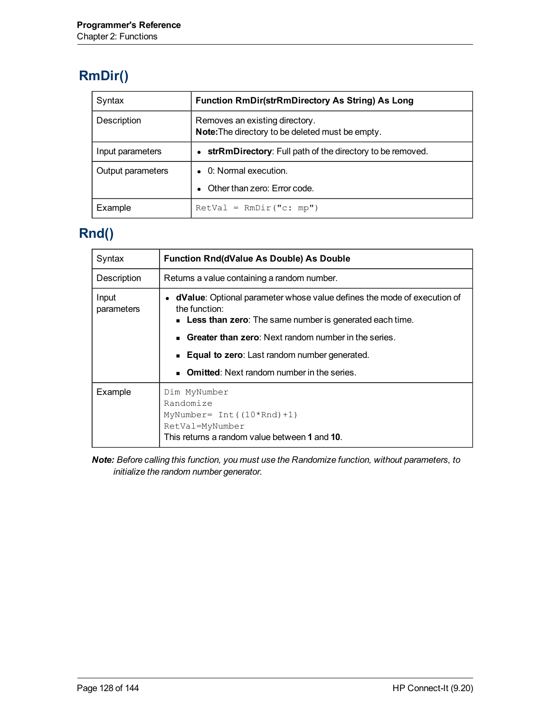# **RmDir()**

| Syntax            | <b>Function RmDir(strRmDirectory As String) As Long</b>                            |
|-------------------|------------------------------------------------------------------------------------|
| Description       | Removes an existing directory.<br>Note: The directory to be deleted must be empty. |
| Input parameters  | • strRmDirectory: Full path of the directory to be removed.                        |
| Output parameters | • 0: Normal execution.                                                             |
|                   | Other than zero: Error code.                                                       |
| Example           | $RetVal = RmDir("c: mp")$                                                          |

#### **Rnd()**

| Syntax              | <b>Function Rnd(dValue As Double) As Double</b>                                                                                                             |
|---------------------|-------------------------------------------------------------------------------------------------------------------------------------------------------------|
| Description         | Returns a value containing a random number.                                                                                                                 |
| Input<br>parameters | dValue: Optional parameter whose value defines the mode of execution of<br>the function:<br><b>Less than zero</b> : The same number is generated each time. |
|                     | <b>Greater than zero:</b> Next random number in the series.                                                                                                 |
|                     | Equal to zero: Last random number generated.                                                                                                                |
|                     | <b>Omitted:</b> Next random number in the series.                                                                                                           |
| Example             | Dim MyNumber<br>Randomize<br>MyNumber= $Int((10*Rnd)+1)$<br>RetVal=MyNumber<br>This returns a random value between 1 and 10.                                |

*Note: Before calling this function, you must use the Randomize function, without parameters, to initialize the random number generator.*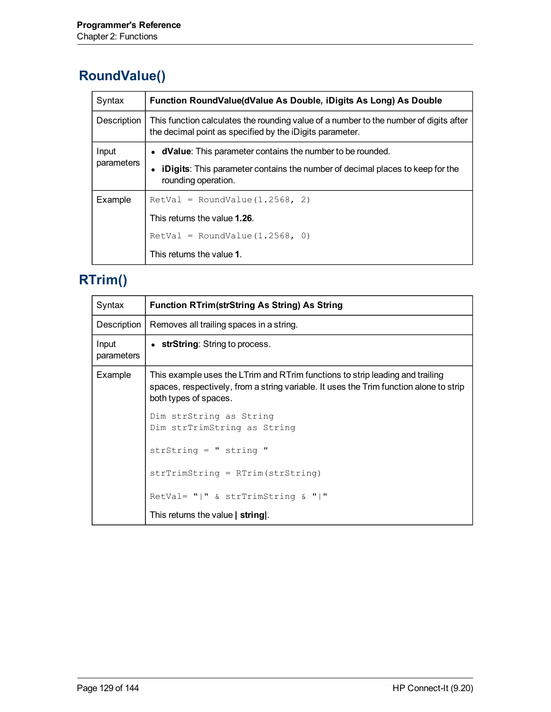# **RoundValue()**

| Syntax              | Function RoundValue(dValue As Double, iDigits As Long) As Double                                                                                  |
|---------------------|---------------------------------------------------------------------------------------------------------------------------------------------------|
| Description         | This function calculates the rounding value of a number to the number of digits after<br>the decimal point as specified by the iDigits parameter. |
| Input<br>parameters | • dValue: This parameter contains the number to be rounded.                                                                                       |
|                     | <b>iDigits</b> : This parameter contains the number of decimal places to keep for the<br>rounding operation.                                      |
| Example             | $RetVal = RoundValue(1.2568, 2)$                                                                                                                  |
|                     | This returns the value 1.26.                                                                                                                      |
|                     | $RetVal = RoundValue(1.2568, 0)$                                                                                                                  |
|                     | This returns the value 1.                                                                                                                         |

### <span id="page-128-0"></span>**RTrim()**

| Syntax              | <b>Function RTrim(strString As String) As String</b>                                                                                                                                             |
|---------------------|--------------------------------------------------------------------------------------------------------------------------------------------------------------------------------------------------|
| Description         | Removes all trailing spaces in a string.                                                                                                                                                         |
| Input<br>parameters | • strString: String to process.                                                                                                                                                                  |
| Example             | This example uses the LTrim and RTrim functions to strip leading and trailing<br>spaces, respectively, from a string variable. It uses the Trim function alone to strip<br>both types of spaces. |
|                     | Dim strString as String<br>Dim strTrimString as String                                                                                                                                           |
|                     | str $String = "string"$                                                                                                                                                                          |
|                     | $strTrimString = RTrim(string)$                                                                                                                                                                  |
|                     | RetVal= " " & strTrimString & " "                                                                                                                                                                |
|                     | This returns the value   string.                                                                                                                                                                 |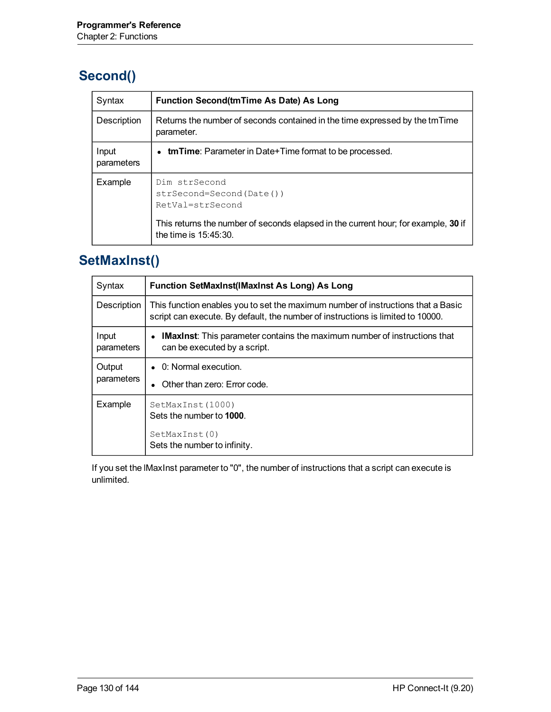### **Second()**

| Syntax              | <b>Function Second (tmTime As Date) As Long</b>                                                                                                                                 |
|---------------------|---------------------------------------------------------------------------------------------------------------------------------------------------------------------------------|
| Description         | Returns the number of seconds contained in the time expressed by the tmTime<br>parameter.                                                                                       |
| Input<br>parameters | <b>tmTime</b> : Parameter in Date+Time format to be processed.                                                                                                                  |
| Example             | Dim strSecond<br>strSecond=Second(Date())<br>RetVal=strSecond<br>This returns the number of seconds elapsed in the current hour; for example, 30 if<br>the time is $15:45:30$ . |

#### **SetMaxInst()**

| Syntax               | <b>Function SetMaxInst(IMaxInst As Long) As Long</b>                                                                                                                |  |
|----------------------|---------------------------------------------------------------------------------------------------------------------------------------------------------------------|--|
| Description          | This function enables you to set the maximum number of instructions that a Basic<br>script can execute. By default, the number of instructions is limited to 10000. |  |
| Input<br>parameters  | • IMaxinst: This parameter contains the maximum number of instructions that<br>can be executed by a script.                                                         |  |
| Output<br>parameters | $\bullet$ 0: Normal execution.<br>Other than zero: Error code.                                                                                                      |  |
| Example              | SetMaxInst(1000)<br>Sets the number to 1000.                                                                                                                        |  |
|                      | SetMaxInst(0)<br>Sets the number to infinity.                                                                                                                       |  |

If you set the lMaxInst parameter to "0", the number of instructions that a script can execute is unlimited.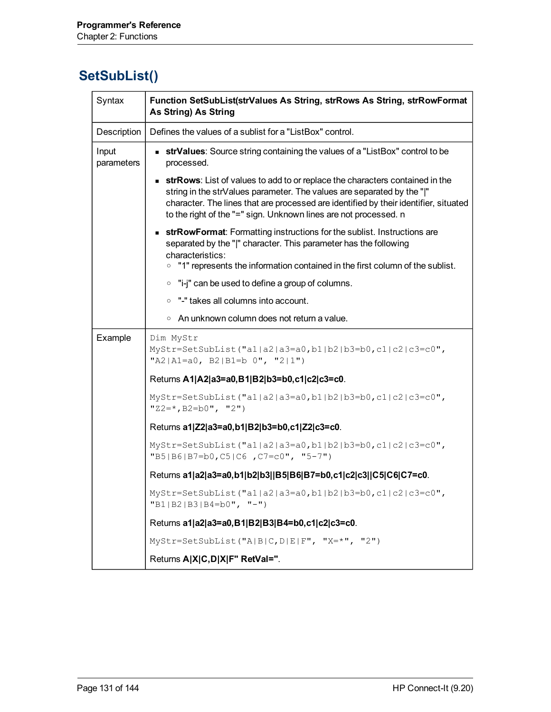#### **SetSubList()**

| Syntax              | Function SetSubList(strValues As String, strRows As String, strRowFormat<br>As String) As String                                                                                                                                                                                                                           |
|---------------------|----------------------------------------------------------------------------------------------------------------------------------------------------------------------------------------------------------------------------------------------------------------------------------------------------------------------------|
| Description         | Defines the values of a sublist for a "ListBox" control.                                                                                                                                                                                                                                                                   |
| Input<br>parameters | <b>strValues</b> : Source string containing the values of a "ListBox" control to be<br>processed.                                                                                                                                                                                                                          |
|                     | <b>strRows</b> : List of values to add to or replace the characters contained in the<br>string in the strValues parameter. The values are separated by the " "<br>character. The lines that are processed are identified by their identifier, situated<br>to the right of the "=" sign. Unknown lines are not processed. n |
|                     | <b>strRowFormat:</b> Formatting instructions for the sublist. Instructions are<br>separated by the " " character. This parameter has the following<br>characteristics:<br>"1" represents the information contained in the first column of the sublist.<br>$\circ$                                                          |
|                     | $\circ$ "i-j" can be used to define a group of columns.                                                                                                                                                                                                                                                                    |
|                     | • "-" takes all columns into account.                                                                                                                                                                                                                                                                                      |
|                     | $\circ$ An unknown column does not return a value.                                                                                                                                                                                                                                                                         |
| Example             | Dim MyStr<br>MyStr=SetSubList("a1 a2 a3=a0,b1 b2 b3=b0,c1 c2 c3=c0",<br>"A2 A1=a0, B2 B1=b $0$ ", "2 1")                                                                                                                                                                                                                   |
|                     | Returns A1 A2 a3=a0,B1 B2 b3=b0,c1 c2 c3=c0.                                                                                                                                                                                                                                                                               |
|                     | MyStr=SetSubList("al a2 a3=a0,b1 b2 b3=b0,c1 c2 c3=c0",<br>" $Z2 = *$ , $B2 = b0"$ , " $2"$ )                                                                                                                                                                                                                              |
|                     | Returns a1 Z2 a3=a0,b1 B2 b3=b0,c1 Z2 c3=c0.                                                                                                                                                                                                                                                                               |
|                     | MyStr=SetSubList("a1 a2 a3=a0,b1 b2 b3=b0,c1 c2 c3=c0",<br>$"B5 B6 B7=b0, C5 C6, C7=c0", "5-7")$                                                                                                                                                                                                                           |
|                     | Returns a1 a2 a3=a0,b1 b2 b3  B5 B6 B7=b0,c1 c2 c3  C5 C6 C7=c0.                                                                                                                                                                                                                                                           |
|                     | $MyStr = SetSubList("a1 a2 a3=a0,b1 b2 b3=b0, c1 c2 c3=c0",$<br>$"B1 B2 B3 B4=b0", "-")$                                                                                                                                                                                                                                   |
|                     | Returns a1 a2 a3=a0,B1 B2 B3 B4=b0,c1 c2 c3=c0.                                                                                                                                                                                                                                                                            |
|                     | MyStr=SetSubList("A B C, D E F", "X=*", "2")                                                                                                                                                                                                                                                                               |
|                     | Returns A X C,D X F" RetVal=".                                                                                                                                                                                                                                                                                             |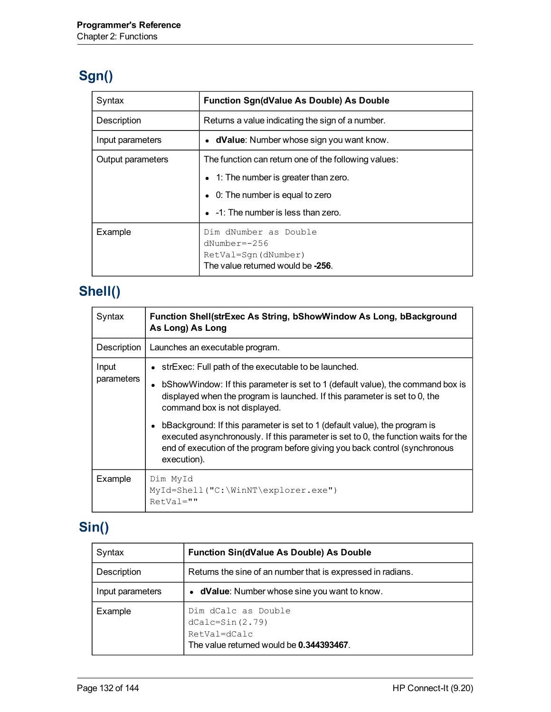# **Sgn()**

| Syntax            | <b>Function Sgn(dValue As Double) As Double</b>                                                     |
|-------------------|-----------------------------------------------------------------------------------------------------|
| Description       | Returns a value indicating the sign of a number.                                                    |
| Input parameters  | • dValue: Number whose sign you want know.                                                          |
| Output parameters | The function can return one of the following values:                                                |
|                   | • 1: The number is greater than zero.                                                               |
|                   | • 0: The number is equal to zero                                                                    |
|                   | • -1: The number is less than zero.                                                                 |
| Example           | Dim dNumber as Double<br>$dNumber=-256$<br>RetVal=Sqn(dNumber)<br>The value returned would be -256. |

# **Shell()**

| Syntax      | <b>Function Shell(strExec As String, bShowWindow As Long, bBackground</b><br>As Long) As Long                                                                                                                                                                  |
|-------------|----------------------------------------------------------------------------------------------------------------------------------------------------------------------------------------------------------------------------------------------------------------|
| Description | Launches an executable program.                                                                                                                                                                                                                                |
| Input       | • strExec: Full path of the executable to be launched.                                                                                                                                                                                                         |
| parameters  | b Show Window: If this parameter is set to 1 (default value), the command box is<br>displayed when the program is launched. If this parameter is set to 0, the<br>command box is not displayed.                                                                |
|             | bBackground: If this parameter is set to 1 (default value), the program is<br>executed asynchronously. If this parameter is set to 0, the function waits for the<br>end of execution of the program before giving you back control (synchronous<br>execution). |
| Example     | Dim MyId<br>MyId=Shell("C:\WinNT\explorer.exe")<br>$RetVal=""$                                                                                                                                                                                                 |

# **Sin()**

| Syntax           | <b>Function Sin(dValue As Double) As Double</b>                                                        |
|------------------|--------------------------------------------------------------------------------------------------------|
| Description      | Returns the sine of an number that is expressed in radians.                                            |
| Input parameters | • dValue: Number whose sine you want to know.                                                          |
| Example          | Dim dCalc as Double<br>$dCalc = Sin(2.79)$<br>RetVal=dCalc<br>The value returned would be 0.344393467. |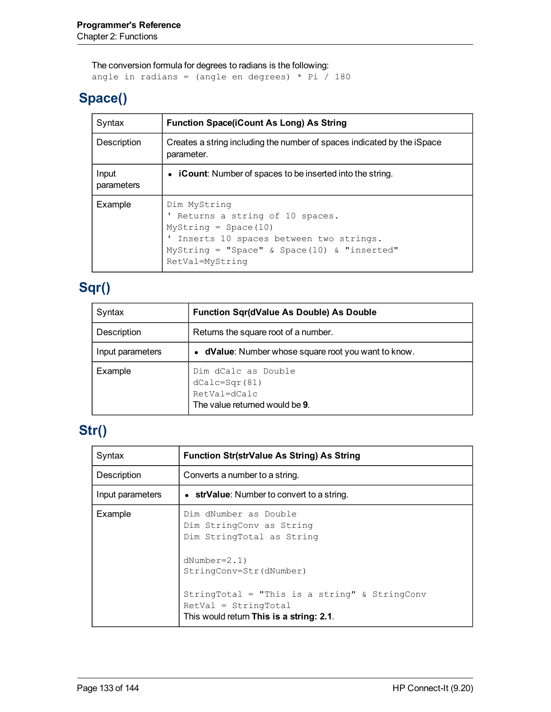The conversion formula for degrees to radians is the following: angle in radians = (angle en degrees) \* Pi  $/$  180

#### **Space()**

| Syntax              | <b>Function Space(iCount As Long) As String</b>                                                                                                                                      |
|---------------------|--------------------------------------------------------------------------------------------------------------------------------------------------------------------------------------|
| Description         | Creates a string including the number of spaces indicated by the iSpace<br>parameter.                                                                                                |
| Input<br>parameters | • <b>iCount:</b> Number of spaces to be inserted into the string.                                                                                                                    |
| Example             | Dim MyString<br>Returns a string of 10 spaces.<br>$MyString = Space(10)$<br>Inserts 10 spaces between two strings.<br>MyString = "Space" & Space(10) & "inserted"<br>RetVal=MyString |

#### **Sqr()**

| Syntax           | <b>Function Sqr(dValue As Double) As Double</b>                                            |
|------------------|--------------------------------------------------------------------------------------------|
| Description      | Returns the square root of a number.                                                       |
| Input parameters | • dValue: Number whose square root you want to know.                                       |
| Example          | Dim dCalc as Double<br>$dCalc = Sqr(81)$<br>RetVal=dCalc<br>The value returned would be 9. |

# **Str()**

| Syntax           | <b>Function Str(strValue As String) As String</b>                                                                                                                                                      |
|------------------|--------------------------------------------------------------------------------------------------------------------------------------------------------------------------------------------------------|
| Description      | Converts a number to a string.                                                                                                                                                                         |
| Input parameters | • strValue: Number to convert to a string.                                                                                                                                                             |
| Example          | Dim dNumber as Double<br>Dim StringConv as String<br>Dim StringTotal as String<br>$dNumber=2.1)$<br>StringConv=Str(dNumber)<br>StringTotal = "This is a string" & StringConv<br>$RetVal = StringTotal$ |
|                  | This would return This is a string: 2.1.                                                                                                                                                               |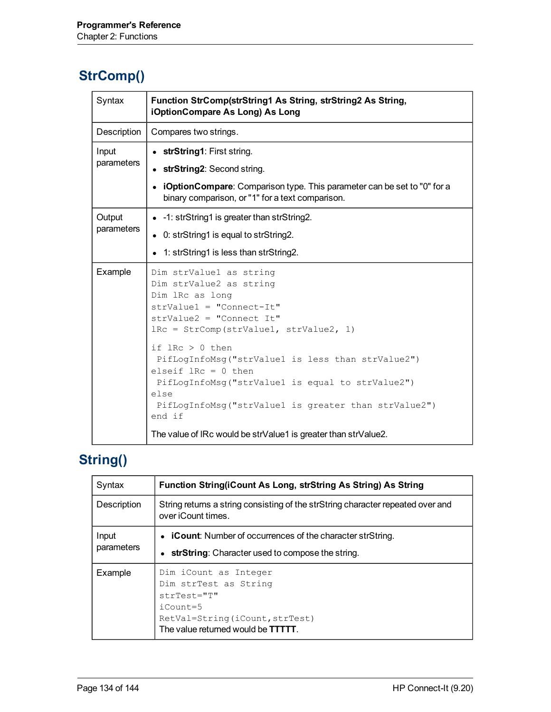#### **StrComp()**

| Syntax               | Function StrComp(strString1 As String, strString2 As String,<br>iOptionCompare As Long) As Long                                                                                                                                                                                                                                                                                                              |
|----------------------|--------------------------------------------------------------------------------------------------------------------------------------------------------------------------------------------------------------------------------------------------------------------------------------------------------------------------------------------------------------------------------------------------------------|
| Description          | Compares two strings.                                                                                                                                                                                                                                                                                                                                                                                        |
| Input<br>parameters  | • strString1: First string.<br>• strString2: Second string.<br>• iOptionCompare: Comparison type. This parameter can be set to "0" for a<br>binary comparison, or "1" for a text comparison.                                                                                                                                                                                                                 |
| Output<br>parameters | • -1: strString1 is greater than strString2.<br>• 0: strString1 is equal to strString2.<br>• 1: strString1 is less than strString2.                                                                                                                                                                                                                                                                          |
| Example              | Dim strValue1 as string<br>Dim strValue2 as string<br>Dim lRc as long<br>$strValue1 = "Connect-It"$<br>$strValue2 = "Connect It"$<br>IRc = StrComp(strValue1, strValue2, 1)<br>if $lRc > 0$ then<br>PifLogInfoMsg("strValue1 is less than strValue2")<br>elseif $lRc = 0$ then<br>PifLogInfoMsg("strValue1 is equal to strValue2")<br>else<br>PifLogInfoMsg("strValue1 is greater than strValue2")<br>end if |
|                      | The value of IRc would be strValue1 is greater than strValue2.                                                                                                                                                                                                                                                                                                                                               |

# **String()**

| Syntax              | Function String(iCount As Long, strString As String) As String                                                                                                   |
|---------------------|------------------------------------------------------------------------------------------------------------------------------------------------------------------|
| Description         | String returns a string consisting of the strString character repeated over and<br>over iCount times.                                                            |
| Input<br>parameters | • <b>iCount:</b> Number of occurrences of the character strString.<br>• strString: Character used to compose the string.                                         |
| Example             | Dim iCount as Integer<br>Dim strTest as String<br>$strTest = "T"$<br>$i$ Count=5<br>RetVal=String(iCount, strTest)<br>The value returned would be <b>TTTTT</b> . |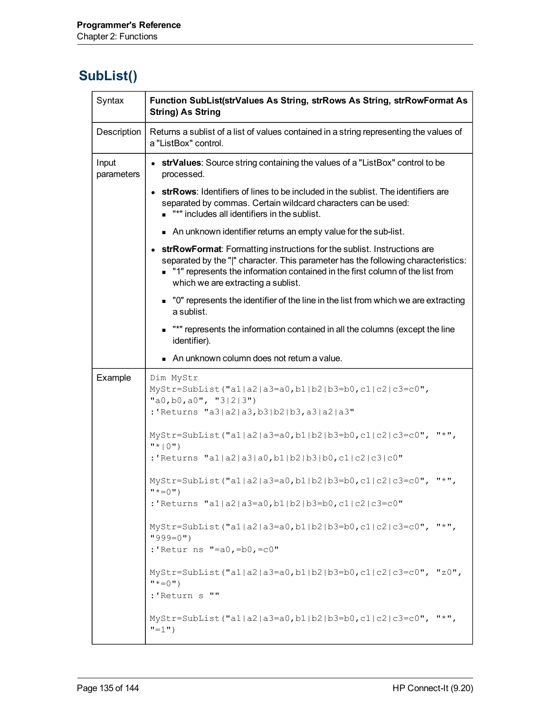#### **SubList()**

| Syntax              | Function SubList(strValues As String, strRows As String, strRowFormat As<br><b>String) As String</b>                                                                                                                                                                                  |
|---------------------|---------------------------------------------------------------------------------------------------------------------------------------------------------------------------------------------------------------------------------------------------------------------------------------|
| Description         | Returns a sublist of a list of values contained in a string representing the values of<br>a "ListBox" control.                                                                                                                                                                        |
| Input<br>parameters | • strValues: Source string containing the values of a "ListBox" control to be<br>processed.                                                                                                                                                                                           |
|                     | • strRows: Identifiers of lines to be included in the sublist. The identifiers are<br>separated by commas. Certain wildcard characters can be used:<br>"*" includes all identifiers in the sublist.                                                                                   |
|                     | An unknown identifier returns an empty value for the sub-list.                                                                                                                                                                                                                        |
|                     | • strRowFormat: Formatting instructions for the sublist. Instructions are<br>separated by the " " character. This parameter has the following characteristics:<br>"1" represents the information contained in the first column of the list from<br>which we are extracting a sublist. |
|                     | • "0" represents the identifier of the line in the list from which we are extracting<br>a sublist.                                                                                                                                                                                    |
|                     | "*" represents the information contained in all the columns (except the line<br>identifier).                                                                                                                                                                                          |
|                     | An unknown column does not return a value.                                                                                                                                                                                                                                            |
| Example             | Dim MyStr<br>MyStr=SubList("a1 a2 a3=a0,b1 b2 b3=b0,c1 c2 c3=c0",<br>"a0, b0, a0", "3 2 3")<br>:'Returns "a3 a2 a3,b3 b2 b3,a3 a2 a3"                                                                                                                                                 |
|                     | MyStr=SubList("a1 a2 a3=a0,b1 b2 b3=b0,c1 c2 c3=c0", "*",<br>$"$ *   0" )                                                                                                                                                                                                             |
|                     | :'Returns "al a2 a3 a0,b1 b2 b3 b0,c1 c2 c3 c0"                                                                                                                                                                                                                                       |
|                     | $MyStr = SubList('al a2 a3=a0,b1 b2 b3=b0,c1 c2 c3=c0", "*",$<br>$" * = 0"$                                                                                                                                                                                                           |
|                     | :'Returns "a1 a2 a3=a0,b1 b2 b3=b0,c1 c2 c3=c0"                                                                                                                                                                                                                                       |
|                     | $MyStr = SubList('al a2 a3=a0,b1 b2 b3=b0,c1 c2 c3=c0", "*",$<br>$"999=0"$                                                                                                                                                                                                            |
|                     | :'Retur ns "=a0, =b0, =c0"                                                                                                                                                                                                                                                            |
|                     | MyStr=SubList("a1 a2 a3=a0,b1 b2 b3=b0,c1 c2 c3=c0", "z0",<br>$" * = 0"$                                                                                                                                                                                                              |
|                     | :'Return s<br>$\mathbf{u}$                                                                                                                                                                                                                                                            |
|                     | $MyStr = SubList("a1 a2 a3=a0,b1 b2 b3=b0,c1 c2 c3=c0", "*",$<br>$"=1"$ )                                                                                                                                                                                                             |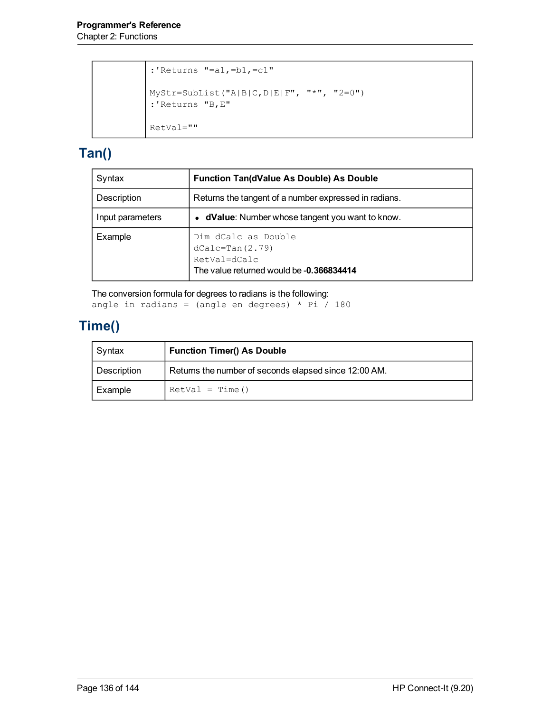```
:'Returns "=a1,=b1,=c1"
MyStr=SubList("A|B|C,D|E|F", "*", "2=0")
:'Returns "B,E"
RetVal=""
```
#### **Tan()**

| Syntax           | <b>Function Tan(dValue As Double) As Double</b>                                                      |
|------------------|------------------------------------------------------------------------------------------------------|
| Description      | Returns the tangent of a number expressed in radians.                                                |
| Input parameters | • dValue: Number whose tangent you want to know.                                                     |
| Example          | Dim dCalc as Double<br>$dCalc=Tan(2.79)$<br>RetVal=dCalc<br>The value returned would be -0.366834414 |

The conversion formula for degrees to radians is the following: angle in radians = (angle en degrees) \* Pi  $/$  180

#### **Time()**

| Syntax      | <b>Function Timer() As Double</b>                     |
|-------------|-------------------------------------------------------|
| Description | Returns the number of seconds elapsed since 12:00 AM. |
| Example     | $RetVal = Time()$                                     |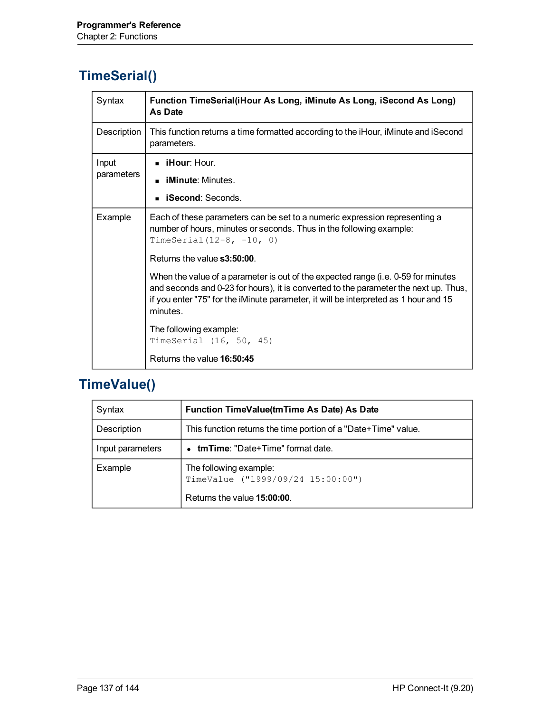# **TimeSerial()**

| Syntax      | Function TimeSerial(iHour As Long, iMinute As Long, iSecond As Long)<br>As Date                                                                                                                                                                                               |
|-------------|-------------------------------------------------------------------------------------------------------------------------------------------------------------------------------------------------------------------------------------------------------------------------------|
| Description | This function returns a time formatted according to the iHour, iMinute and iSecond<br>parameters.                                                                                                                                                                             |
| Input       | $\blacksquare$ iHour: Hour.                                                                                                                                                                                                                                                   |
| parameters  | <b>iMinute:</b> Minutes                                                                                                                                                                                                                                                       |
|             | <b>iSecond:</b> Seconds.                                                                                                                                                                                                                                                      |
| Example     | Each of these parameters can be set to a numeric expression representing a<br>number of hours, minutes or seconds. Thus in the following example:<br>TimeSerial $(12-8, -10, 0)$                                                                                              |
|             | Returns the value <b>s3:50:00</b> .                                                                                                                                                                                                                                           |
|             | When the value of a parameter is out of the expected range (i.e. 0-59 for minutes<br>and seconds and 0-23 for hours), it is converted to the parameter the next up. Thus,<br>if you enter "75" for the iMinute parameter, it will be interpreted as 1 hour and 15<br>minutes. |
|             | The following example:<br>TimeSerial (16, 50, 45)                                                                                                                                                                                                                             |
|             | Returns the value 16:50:45                                                                                                                                                                                                                                                    |

# **TimeValue()**

| Syntax           | Function TimeValue(tmTime As Date) As Date                                                 |
|------------------|--------------------------------------------------------------------------------------------|
| Description      | This function returns the time portion of a "Date+Time" value.                             |
| Input parameters | <b>tmTime:</b> "Date+Time" format date.                                                    |
| Example          | The following example:<br>TimeValue ("1999/09/24 15:00:00")<br>Returns the value 15:00:00. |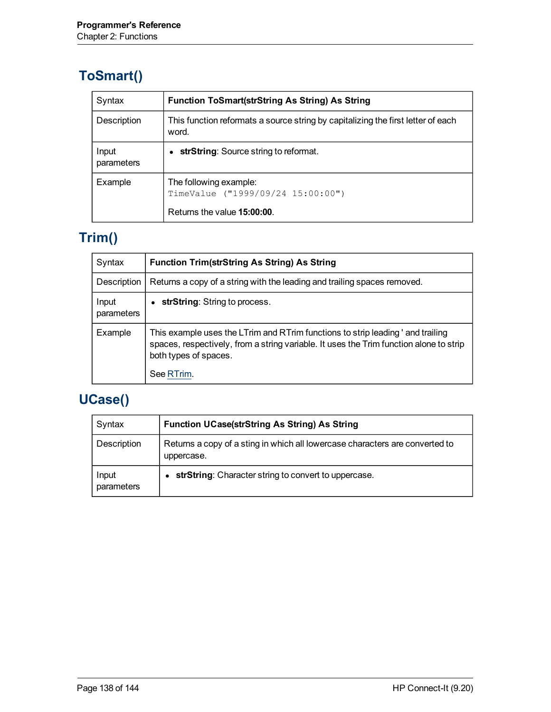### **ToSmart()**

| Syntax              | <b>Function ToSmart(strString As String) As String</b>                                    |
|---------------------|-------------------------------------------------------------------------------------------|
| Description         | This function reformats a source string by capitalizing the first letter of each<br>word. |
| Input<br>parameters | • strString: Source string to reformat.                                                   |
| Example             | The following example:<br>TimeValue ("1999/09/24 15:00:00")                               |
|                     | Returns the value 15:00:00.                                                               |

# **Trim()**

| Syntax              | <b>Function Trim(strString As String) As String</b>                                                                                                                                                              |
|---------------------|------------------------------------------------------------------------------------------------------------------------------------------------------------------------------------------------------------------|
| Description         | Returns a copy of a string with the leading and trailing spaces removed.                                                                                                                                         |
| Input<br>parameters | strString: String to process.                                                                                                                                                                                    |
| Example             | This example uses the LTrim and RTrim functions to strip leading ' and trailing<br>spaces, respectively, from a string variable. It uses the Trim function alone to strip<br>both types of spaces.<br>See RTrim. |

# **UCase()**

| Syntax              | <b>Function UCase(strString As String) As String</b>                                       |
|---------------------|--------------------------------------------------------------------------------------------|
| Description         | Returns a copy of a sting in which all lowercase characters are converted to<br>uppercase. |
| Input<br>parameters | strString: Character string to convert to uppercase.                                       |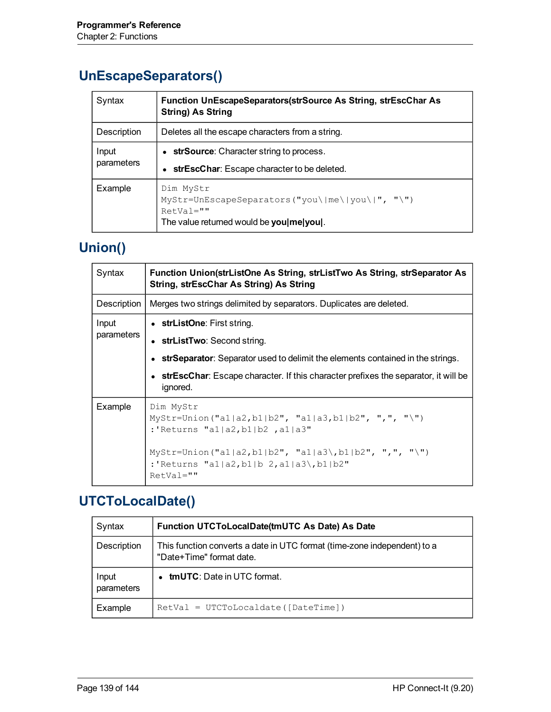#### **UnEscapeSeparators()**

| Syntax              | <b>Function UnEscapeSeparators (strSource As String, strEscChar As</b><br><b>String) As String</b>                            |  |
|---------------------|-------------------------------------------------------------------------------------------------------------------------------|--|
| Description         | Deletes all the escape characters from a string.                                                                              |  |
| Input<br>parameters | • strSource: Character string to process.<br>strEscChar: Escape character to be deleted.                                      |  |
| Example             | Dim MyStr<br>$MyStr=UnEscapeSeparators('you\me\ you\ ')'''$ , "\")<br>$RetVal=""$<br>The value returned would be you melyoul. |  |

#### **Union()**

| Syntax              | Function Union(strListOne As String, strListTwo As String, strSeparator As<br>String, strEscChar As String) As String |  |  |  |  |
|---------------------|-----------------------------------------------------------------------------------------------------------------------|--|--|--|--|
| Description         | Merges two strings delimited by separators. Duplicates are deleted.                                                   |  |  |  |  |
| Input<br>parameters | • strListOne: First string.<br>• strListTwo: Second string.                                                           |  |  |  |  |
|                     | • strSeparator: Separator used to delimit the elements contained in the strings.                                      |  |  |  |  |
|                     | • strEscChar: Escape character. If this character prefixes the separator, it will be<br>ignored.                      |  |  |  |  |
| Example             | Dim MyStr<br>MyStr=Union("a1 a2,b1 b2", "a1 a3,b1 b2", ",", "\")<br>:'Returns "a1 a2,b1 b2 ,a1 a3"                    |  |  |  |  |
|                     | MyStr=Union("al a2,b1 b2", "al a3\,b1 b2", ",", "\")<br>:'Returns "a1 a2,b1 b 2,a1 a3\,b1 b2"<br>$RetVal=""$          |  |  |  |  |

# **UTCToLocalDate()**

| Syntax              | Function UTCToLocalDate(tmUTC As Date) As Date                                                       |
|---------------------|------------------------------------------------------------------------------------------------------|
| Description         | This function converts a date in UTC format (time-zone independent) to a<br>"Date+Time" format date. |
| Input<br>parameters | <b>tmUTC</b> : Date in UTC format.<br>$\bullet$                                                      |
| Example             | $RetVal = UTCToLocaldate([DateTime])$                                                                |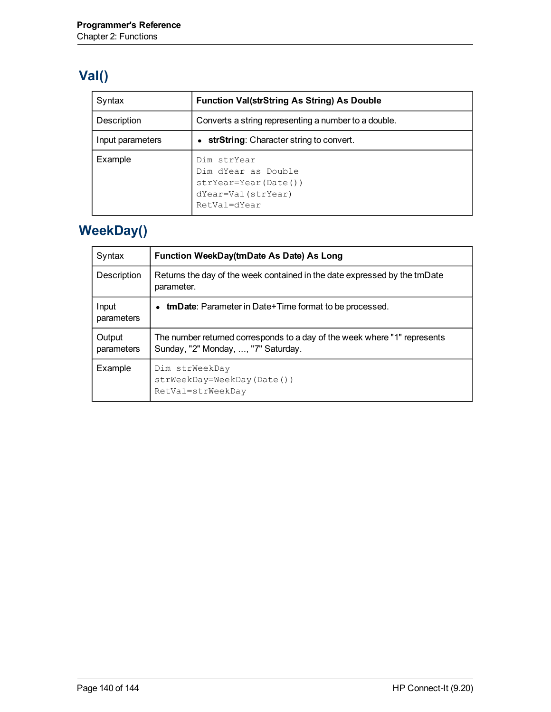# **Val()**

| Syntax           | <b>Function Val(strString As String) As Double</b>                                                 |  |  |  |
|------------------|----------------------------------------------------------------------------------------------------|--|--|--|
| Description      | Converts a string representing a number to a double.                                               |  |  |  |
| Input parameters | • strString: Character string to convert.                                                          |  |  |  |
| Example          | Dim strYear<br>Dim dYear as Double<br>$strYear=Year(Date())$<br>dYear=Val(strYear)<br>RetVal=dYear |  |  |  |

# **WeekDay()**

| Syntax               | Function WeekDay(tmDate As Date) As Long                                                                         |
|----------------------|------------------------------------------------------------------------------------------------------------------|
| Description          | Returns the day of the week contained in the date expressed by the tmDate<br>parameter.                          |
| Input<br>parameters  | <b>tmDate</b> : Parameter in Date+Time format to be processed.                                                   |
| Output<br>parameters | The number returned corresponds to a day of the week where "1" represents<br>Sunday, "2" Monday, , "7" Saturday. |
| Example              | Dim strWeekDay<br>strWeekDay=WeekDay(Date())<br>RetVal=strWeekDay                                                |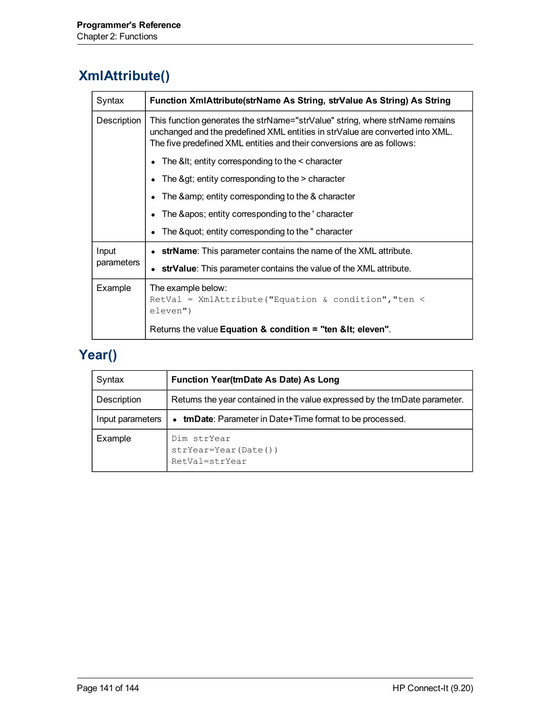#### **XmlAttribute()**

| Syntax              | Function XmlAttribute(strName As String, strValue As String) As String                                                                                                                                                                  |
|---------------------|-----------------------------------------------------------------------------------------------------------------------------------------------------------------------------------------------------------------------------------------|
| Description         | This function generates the strName="strValue" string, where strName remains<br>unchanged and the predefined XML entities in strValue are converted into XML.<br>The five predefined XML entities and their conversions are as follows: |
|                     | The $<$ It; entity corresponding to the $<$ character                                                                                                                                                                                   |
|                     | The $\>gt$ ; entity corresponding to the $>$ character                                                                                                                                                                                  |
|                     | The & entity corresponding to the & character                                                                                                                                                                                           |
|                     | The ' entity corresponding to the 'character                                                                                                                                                                                            |
|                     | The " entity corresponding to the "character"                                                                                                                                                                                           |
| Input<br>parameters | strName: This parameter contains the name of the XML attribute.                                                                                                                                                                         |
|                     | strValue: This parameter contains the value of the XML attribute.                                                                                                                                                                       |
| Example             | The example below:<br>$RetVal = XmlAttribute("Equation & condition", "ten <$<br>eleven")                                                                                                                                                |
|                     | Returns the value Equation & condition = "ten &It eleven".                                                                                                                                                                              |

# **Year()**

| Syntax           | <b>Function Year(tmDate As Date) As Long</b>                               |
|------------------|----------------------------------------------------------------------------|
| Description      | Returns the year contained in the value expressed by the tmDate parameter. |
| Input parameters | <b>tmDate:</b> Parameter in Date+Time format to be processed.<br>$\bullet$ |
| Example          | Dim strYear<br>strYear=Year(Date())<br>RetVal=strYear                      |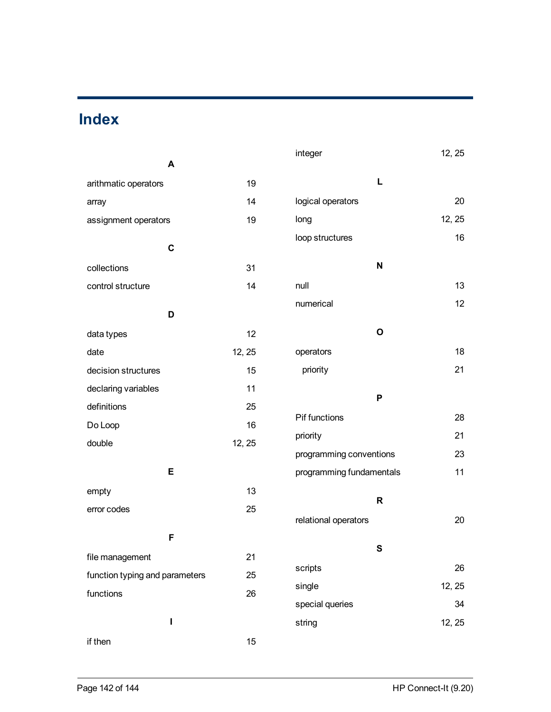# **Index**

| A                              |        | integer                   | 12, 25 |
|--------------------------------|--------|---------------------------|--------|
| arithmatic operators           | 19     | L                         |        |
| array                          | 14     | logical operators         | 20     |
| assignment operators           | 19     | long                      | 12, 25 |
| $\mathbf C$                    |        | loop structures           | 16     |
| collections                    | 31     | $\boldsymbol{\mathsf{N}}$ |        |
| control structure              | 14     | null                      | 13     |
|                                |        | numerical                 | 12     |
| D                              |        |                           |        |
| data types                     | 12     | $\mathbf{o}$              |        |
| date                           | 12, 25 | operators                 | 18     |
| decision structures            | 15     | priority                  | 21     |
| declaring variables            | 11     |                           |        |
| definitions                    | 25     | P                         |        |
| Do Loop                        | 16     | Pif functions             | 28     |
| double                         | 12, 25 | priority                  | 21     |
|                                |        | programming conventions   | 23     |
| Е                              |        | programming fundamentals  | 11     |
| empty                          | 13     | $\mathbf R$               |        |
| error codes                    | 25     |                           |        |
|                                |        | relational operators      | 20     |
| F                              |        | ${\bf S}$                 |        |
| file management                | 21     | scripts                   | 26     |
| function typing and parameters | 25     | single                    | 12, 25 |
| functions                      | 26     |                           |        |
|                                |        | special queries           | 34     |
| I                              |        | string                    | 12, 25 |
| if then                        | 15     |                           |        |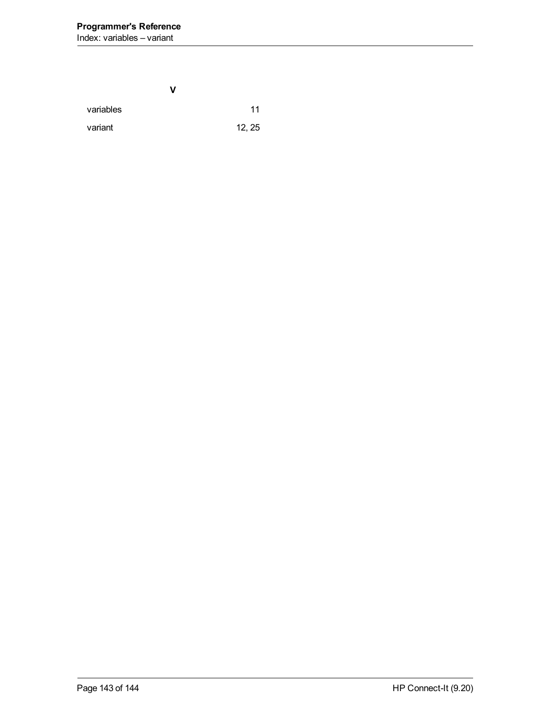**V** variables [11](#page-10-2) variant [12](#page-11-1), [25](#page-24-7)